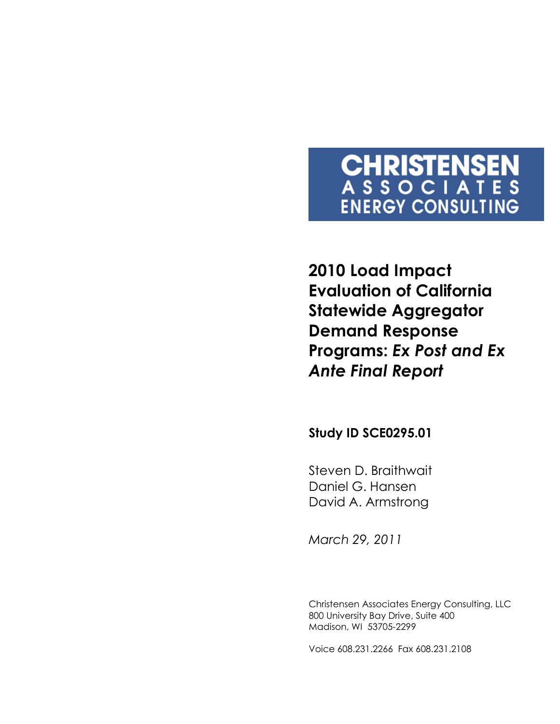# **CHRISTENSEN**<br>ASSOCIATES **ENERGY CONSULTING**

**2010 Load Impact Evaluation of California Statewide Aggregator Demand Response Programs:** *Ex Post and Ex Ante Final Report*

**Study ID SCE0295.01** 

Steven D. Braithwait Daniel G. Hansen David A. Armstrong

*March 29, 2011*

Christensen Associates Energy Consulting, LLC 800 University Bay Drive, Suite 400 Madison, WI 53705-2299

Voice 608.231.2266 Fax 608.231.2108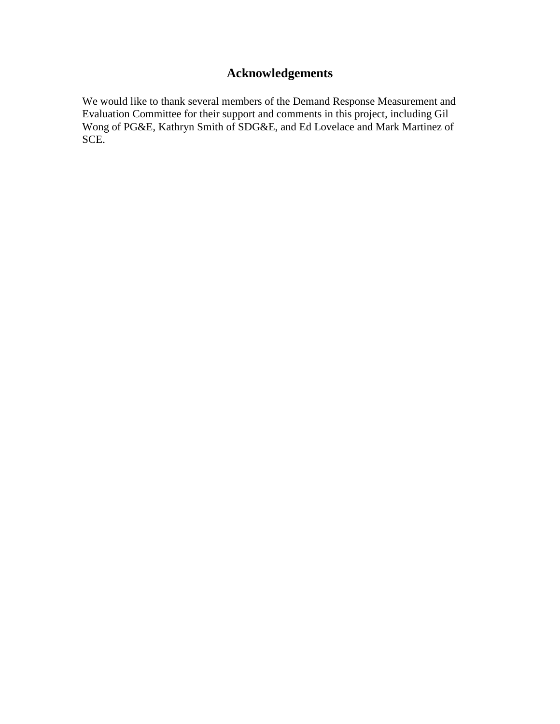# **Acknowledgements**

We would like to thank several members of the Demand Response Measurement and Evaluation Committee for their support and comments in this project, including Gil Wong of PG&E, Kathryn Smith of SDG&E, and Ed Lovelace and Mark Martinez of SCE.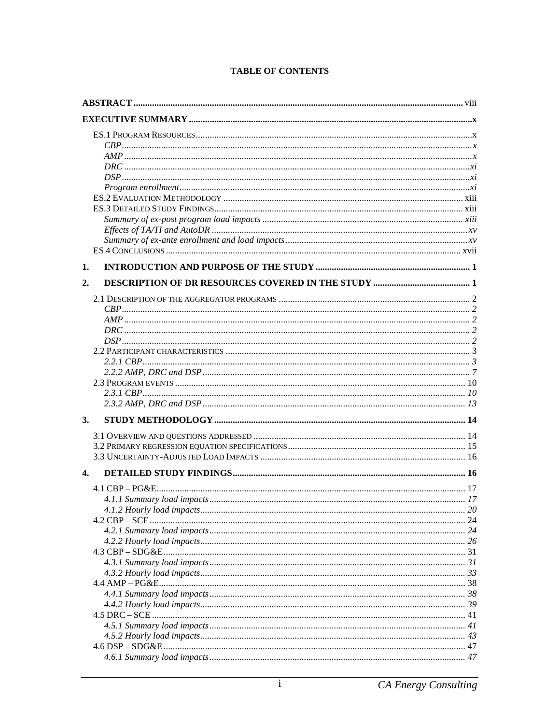| 1.                 |  |
|--------------------|--|
| 2.                 |  |
|                    |  |
|                    |  |
|                    |  |
|                    |  |
|                    |  |
|                    |  |
|                    |  |
|                    |  |
|                    |  |
|                    |  |
|                    |  |
| 3.                 |  |
|                    |  |
|                    |  |
|                    |  |
|                    |  |
| $\boldsymbol{4}$ . |  |
|                    |  |
|                    |  |
|                    |  |
|                    |  |
|                    |  |
|                    |  |
|                    |  |
|                    |  |
|                    |  |
|                    |  |
|                    |  |
|                    |  |
|                    |  |
|                    |  |
|                    |  |
|                    |  |
|                    |  |
|                    |  |

#### **TABLE OF CONTENTS**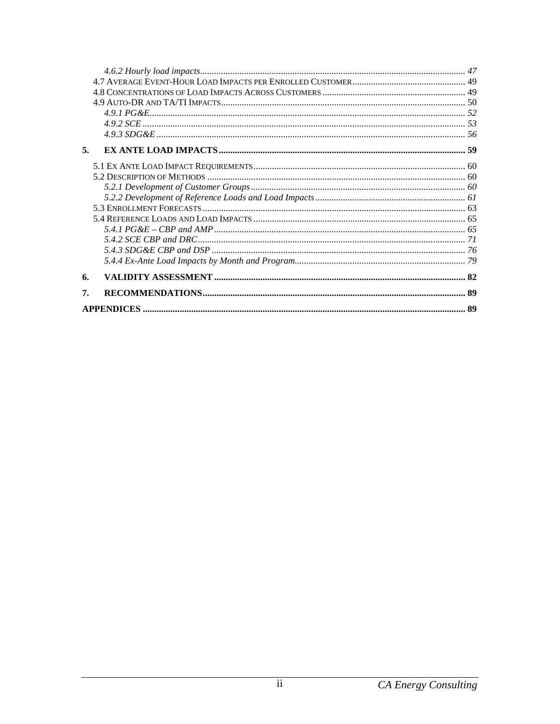| 5. |    |
|----|----|
|    |    |
|    |    |
|    |    |
|    |    |
|    |    |
|    |    |
|    |    |
|    |    |
|    |    |
|    |    |
| 6. |    |
| 7. |    |
|    | 89 |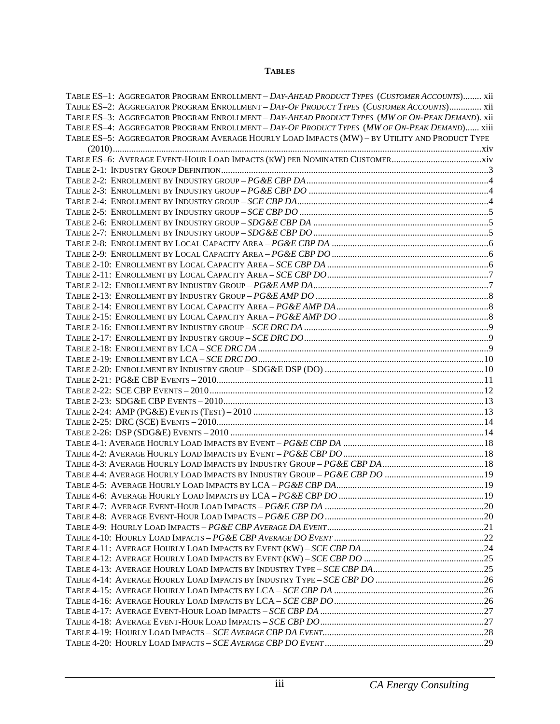#### **TABLES**

| TABLE ES-1: AGGREGATOR PROGRAM ENROLLMENT - DAY-AHEAD PRODUCT TYPES (CUSTOMER ACCOUNTS) xii     |  |
|-------------------------------------------------------------------------------------------------|--|
| TABLE ES-2: AGGREGATOR PROGRAM ENROLLMENT - DAY-OF PRODUCT TYPES (CUSTOMER ACCOUNTS) xii        |  |
| TABLE ES-3: AGGREGATOR PROGRAM ENROLLMENT - DAY-AHEAD PRODUCT TYPES (MW OF ON-PEAK DEMAND). xii |  |
| TABLE ES-4: AGGREGATOR PROGRAM ENROLLMENT - DAY-OF PRODUCT TYPES (MW OF ON-PEAK DEMAND) xiii    |  |
| TABLE ES-5: AGGREGATOR PROGRAM AVERAGE HOURLY LOAD IMPACTS (MW) - BY UTILITY AND PRODUCT TYPE   |  |
|                                                                                                 |  |
|                                                                                                 |  |
|                                                                                                 |  |
|                                                                                                 |  |
|                                                                                                 |  |
|                                                                                                 |  |
|                                                                                                 |  |
|                                                                                                 |  |
|                                                                                                 |  |
|                                                                                                 |  |
|                                                                                                 |  |
|                                                                                                 |  |
|                                                                                                 |  |
|                                                                                                 |  |
|                                                                                                 |  |
|                                                                                                 |  |
|                                                                                                 |  |
|                                                                                                 |  |
|                                                                                                 |  |
|                                                                                                 |  |
|                                                                                                 |  |
|                                                                                                 |  |
|                                                                                                 |  |
|                                                                                                 |  |
|                                                                                                 |  |
|                                                                                                 |  |
|                                                                                                 |  |
|                                                                                                 |  |
|                                                                                                 |  |
|                                                                                                 |  |
|                                                                                                 |  |
|                                                                                                 |  |
|                                                                                                 |  |
|                                                                                                 |  |
|                                                                                                 |  |
|                                                                                                 |  |
|                                                                                                 |  |
|                                                                                                 |  |
|                                                                                                 |  |
|                                                                                                 |  |
|                                                                                                 |  |
|                                                                                                 |  |
|                                                                                                 |  |
|                                                                                                 |  |
|                                                                                                 |  |
|                                                                                                 |  |
|                                                                                                 |  |
|                                                                                                 |  |
|                                                                                                 |  |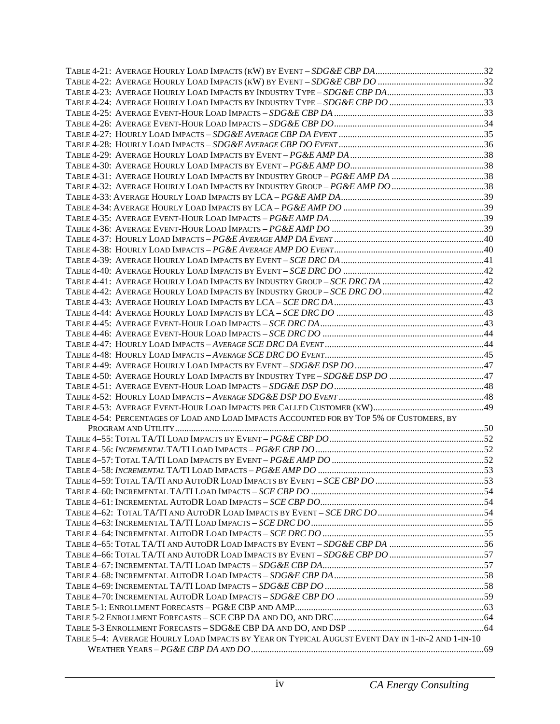| TABLE 4-54: PERCENTAGES OF LOAD AND LOAD IMPACTS ACCOUNTED FOR BY TOP 5% OF CUSTOMERS, BY        |  |
|--------------------------------------------------------------------------------------------------|--|
|                                                                                                  |  |
|                                                                                                  |  |
|                                                                                                  |  |
|                                                                                                  |  |
|                                                                                                  |  |
|                                                                                                  |  |
|                                                                                                  |  |
|                                                                                                  |  |
|                                                                                                  |  |
|                                                                                                  |  |
|                                                                                                  |  |
|                                                                                                  |  |
|                                                                                                  |  |
|                                                                                                  |  |
|                                                                                                  |  |
|                                                                                                  |  |
|                                                                                                  |  |
|                                                                                                  |  |
|                                                                                                  |  |
|                                                                                                  |  |
| TABLE 5-4: AVERAGE HOURLY LOAD IMPACTS BY YEAR ON TYPICAL AUGUST EVENT DAY IN 1-IN-2 AND 1-IN-10 |  |
|                                                                                                  |  |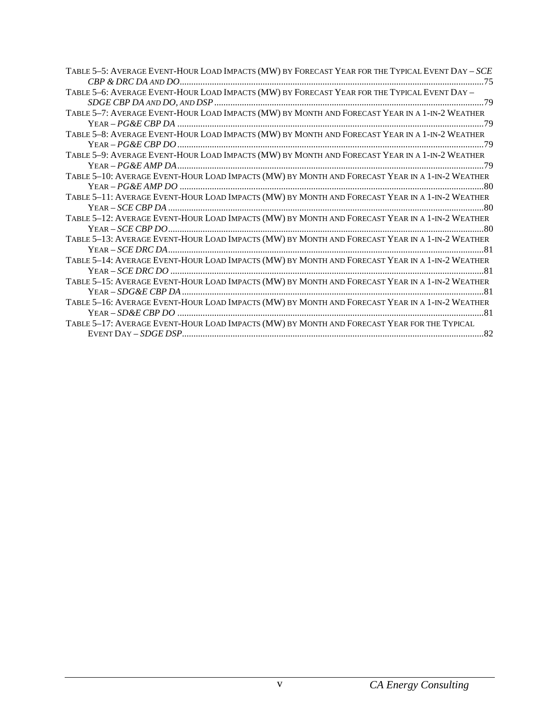| TABLE 5-5: AVERAGE EVENT-HOUR LOAD IMPACTS (MW) BY FORECAST YEAR FOR THE TYPICAL EVENT DAY - SCE |
|--------------------------------------------------------------------------------------------------|
|                                                                                                  |
| TABLE 5-6: AVERAGE EVENT-HOUR LOAD IMPACTS (MW) BY FORECAST YEAR FOR THE TYPICAL EVENT DAY -     |
|                                                                                                  |
| TABLE 5-7: AVERAGE EVENT-HOUR LOAD IMPACTS (MW) BY MONTH AND FORECAST YEAR IN A 1-IN-2 WEATHER   |
|                                                                                                  |
| TABLE 5-8: AVERAGE EVENT-HOUR LOAD IMPACTS (MW) BY MONTH AND FORECAST YEAR IN A 1-IN-2 WEATHER   |
|                                                                                                  |
| TABLE 5-9: AVERAGE EVENT-HOUR LOAD IMPACTS (MW) BY MONTH AND FORECAST YEAR IN A 1-IN-2 WEATHER   |
|                                                                                                  |
|                                                                                                  |
|                                                                                                  |
| TABLE 5-11: AVERAGE EVENT-HOUR LOAD IMPACTS (MW) BY MONTH AND FORECAST YEAR IN A 1-IN-2 WEATHER  |
|                                                                                                  |
| TABLE 5-12: AVERAGE EVENT-HOUR LOAD IMPACTS (MW) BY MONTH AND FORECAST YEAR IN A 1-IN-2 WEATHER  |
|                                                                                                  |
| TABLE 5-13: AVERAGE EVENT-HOUR LOAD IMPACTS (MW) BY MONTH AND FORECAST YEAR IN A 1-IN-2 WEATHER  |
|                                                                                                  |
| TABLE 5-14: AVERAGE EVENT-HOUR LOAD IMPACTS (MW) BY MONTH AND FORECAST YEAR IN A 1-IN-2 WEATHER  |
|                                                                                                  |
| TABLE 5-15: AVERAGE EVENT-HOUR LOAD IMPACTS (MW) BY MONTH AND FORECAST YEAR IN A 1-IN-2 WEATHER  |
|                                                                                                  |
| TABLE 5-16: AVERAGE EVENT-HOUR LOAD IMPACTS (MW) BY MONTH AND FORECAST YEAR IN A 1-IN-2 WEATHER  |
|                                                                                                  |
| TABLE 5-17: AVERAGE EVENT-HOUR LOAD IMPACTS (MW) BY MONTH AND FORECAST YEAR FOR THE TYPICAL      |
|                                                                                                  |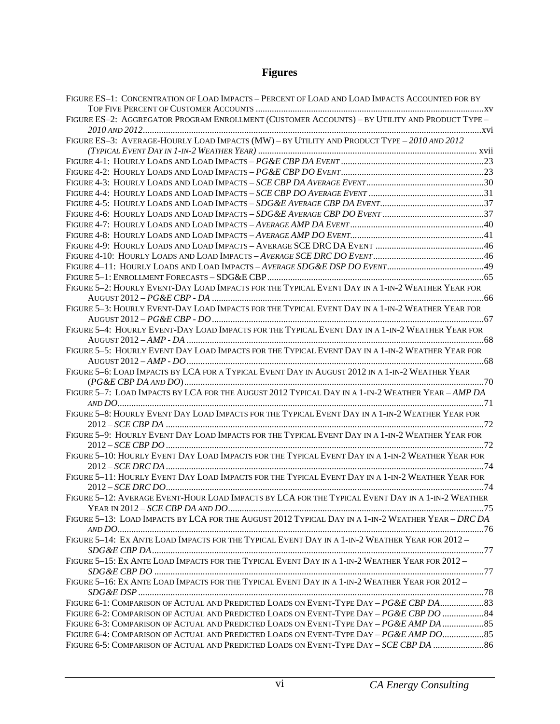# **Figures**

| FIGURE ES-1: CONCENTRATION OF LOAD IMPACTS - PERCENT OF LOAD AND LOAD IMPACTS ACCOUNTED FOR BY     |  |
|----------------------------------------------------------------------------------------------------|--|
| FIGURE ES-2: AGGREGATOR PROGRAM ENROLLMENT (CUSTOMER ACCOUNTS) - BY UTILITY AND PRODUCT TYPE -     |  |
| FIGURE ES-3: AVERAGE-HOURLY LOAD IMPACTS (MW) - BY UTILITY AND PRODUCT TYPE - 2010 AND 2012        |  |
|                                                                                                    |  |
|                                                                                                    |  |
|                                                                                                    |  |
|                                                                                                    |  |
|                                                                                                    |  |
|                                                                                                    |  |
|                                                                                                    |  |
|                                                                                                    |  |
|                                                                                                    |  |
|                                                                                                    |  |
|                                                                                                    |  |
|                                                                                                    |  |
|                                                                                                    |  |
| FIGURE 5-2: HOURLY EVENT-DAY LOAD IMPACTS FOR THE TYPICAL EVENT DAY IN A 1-IN-2 WEATHER YEAR FOR   |  |
|                                                                                                    |  |
| FIGURE 5-3: HOURLY EVENT-DAY LOAD IMPACTS FOR THE TYPICAL EVENT DAY IN A 1-IN-2 WEATHER YEAR FOR   |  |
|                                                                                                    |  |
| FIGURE 5-4: HOURLY EVENT-DAY LOAD IMPACTS FOR THE TYPICAL EVENT DAY IN A 1-IN-2 WEATHER YEAR FOR   |  |
|                                                                                                    |  |
| FIGURE 5-5: HOURLY EVENT DAY LOAD IMPACTS FOR THE TYPICAL EVENT DAY IN A 1-IN-2 WEATHER YEAR FOR   |  |
|                                                                                                    |  |
| FIGURE 5-6: LOAD IMPACTS BY LCA FOR A TYPICAL EVENT DAY IN AUGUST 2012 IN A 1-IN-2 WEATHER YEAR    |  |
|                                                                                                    |  |
| FIGURE 5-7: LOAD IMPACTS BY LCA FOR THE AUGUST 2012 TYPICAL DAY IN A 1-IN-2 WEATHER YEAR - AMP DA  |  |
|                                                                                                    |  |
| FIGURE 5-8: HOURLY EVENT DAY LOAD IMPACTS FOR THE TYPICAL EVENT DAY IN A 1-IN-2 WEATHER YEAR FOR   |  |
| FIGURE 5-9: HOURLY EVENT DAY LOAD IMPACTS FOR THE TYPICAL EVENT DAY IN A 1-IN-2 WEATHER YEAR FOR   |  |
|                                                                                                    |  |
| FIGURE 5-10: HOURLY EVENT DAY LOAD IMPACTS FOR THE TYPICAL EVENT DAY IN A 1-IN-2 WEATHER YEAR FOR  |  |
|                                                                                                    |  |
| FIGURE 5-11: HOURLY EVENT DAY LOAD IMPACTS FOR THE TYPICAL EVENT DAY IN A 1-IN-2 WEATHER YEAR FOR  |  |
|                                                                                                    |  |
| FIGURE 5-12: AVERAGE EVENT-HOUR LOAD IMPACTS BY LCA FOR THE TYPICAL EVENT DAY IN A 1-IN-2 WEATHER  |  |
|                                                                                                    |  |
| FIGURE 5-13: LOAD IMPACTS BY LCA FOR THE AUGUST 2012 TYPICAL DAY IN A 1-IN-2 WEATHER YEAR - DRC DA |  |
|                                                                                                    |  |
| FIGURE 5-14: EX ANTE LOAD IMPACTS FOR THE TYPICAL EVENT DAY IN A 1-IN-2 WEATHER YEAR FOR 2012-     |  |
| FIGURE 5-15: EX ANTE LOAD IMPACTS FOR THE TYPICAL EVENT DAY IN A 1-IN-2 WEATHER YEAR FOR 2012-     |  |
|                                                                                                    |  |
| FIGURE 5-16: EX ANTE LOAD IMPACTS FOR THE TYPICAL EVENT DAY IN A 1-IN-2 WEATHER YEAR FOR 2012-     |  |
|                                                                                                    |  |
| FIGURE 6-1: COMPARISON OF ACTUAL AND PREDICTED LOADS ON EVENT-TYPE DAY - PG&E CBP DA 83            |  |
| FIGURE 6-2: COMPARISON OF ACTUAL AND PREDICTED LOADS ON EVENT-TYPE DAY - PG&E CBP DO  84           |  |
| FIGURE 6-3: COMPARISON OF ACTUAL AND PREDICTED LOADS ON EVENT-TYPE DAY - PG&E AMP DA  85           |  |
| FIGURE 6-4: COMPARISON OF ACTUAL AND PREDICTED LOADS ON EVENT-TYPE DAY - PG&E AMP DO               |  |
| FIGURE 6-5: COMPARISON OF ACTUAL AND PREDICTED LOADS ON EVENT-TYPE DAY - SCE CBP DA  86            |  |
|                                                                                                    |  |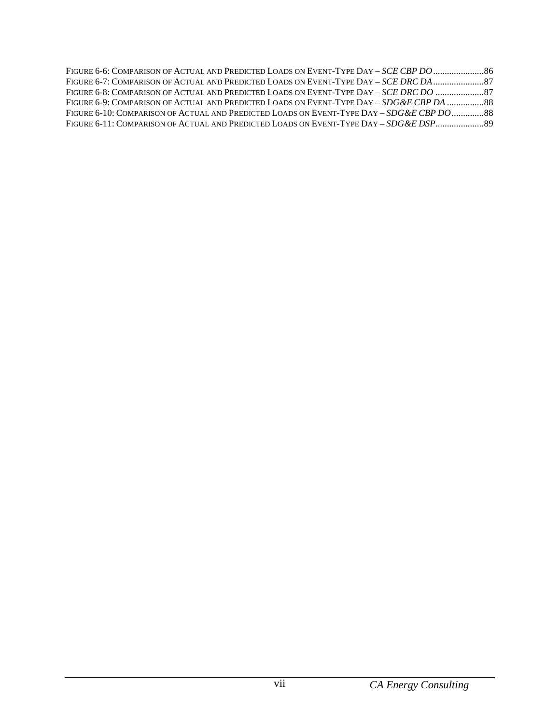| FIGURE 6-6: COMPARISON OF ACTUAL AND PREDICTED LOADS ON EVENT-TYPE DAY - SCE CBP DO          |  |
|----------------------------------------------------------------------------------------------|--|
| FIGURE 6-7: COMPARISON OF ACTUAL AND PREDICTED LOADS ON EVENT-TYPE DAY - SCE DRC DA 37       |  |
| FIGURE 6-8: COMPARISON OF ACTUAL AND PREDICTED LOADS ON EVENT-TYPE DAY – SCE DRC DO          |  |
| FIGURE 6-9: COMPARISON OF ACTUAL AND PREDICTED LOADS ON EVENT-TYPE DAY – SDG & E CBP DA  88  |  |
| FIGURE 6-10: COMPARISON OF ACTUAL AND PREDICTED LOADS ON EVENT-TYPE DAY – $SDG\&E$ CBP DO 88 |  |
| FIGURE 6-11: COMPARISON OF ACTUAL AND PREDICTED LOADS ON EVENT-TYPE DAY – SDG & EDSP         |  |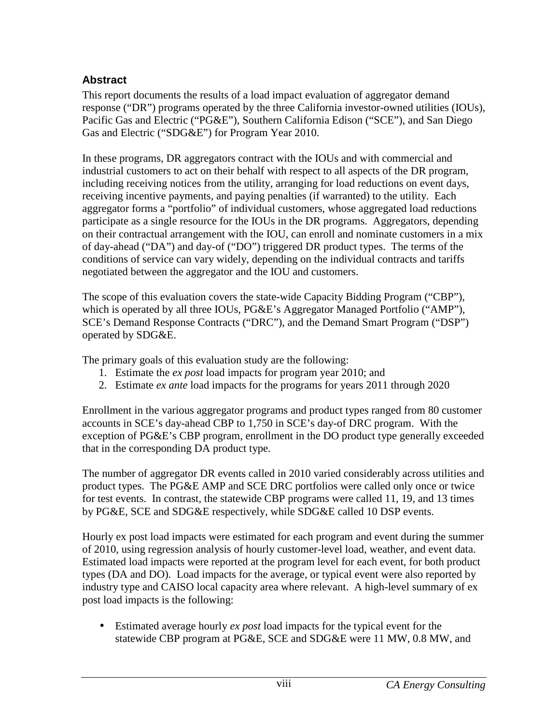## **Abstract**

This report documents the results of a load impact evaluation of aggregator demand response ("DR") programs operated by the three California investor-owned utilities (IOUs), Pacific Gas and Electric ("PG&E"), Southern California Edison ("SCE"), and San Diego Gas and Electric ("SDG&E") for Program Year 2010.

In these programs, DR aggregators contract with the IOUs and with commercial and industrial customers to act on their behalf with respect to all aspects of the DR program, including receiving notices from the utility, arranging for load reductions on event days, receiving incentive payments, and paying penalties (if warranted) to the utility. Each aggregator forms a "portfolio" of individual customers, whose aggregated load reductions participate as a single resource for the IOUs in the DR programs. Aggregators, depending on their contractual arrangement with the IOU, can enroll and nominate customers in a mix of day-ahead ("DA") and day-of ("DO") triggered DR product types. The terms of the conditions of service can vary widely, depending on the individual contracts and tariffs negotiated between the aggregator and the IOU and customers.

The scope of this evaluation covers the state-wide Capacity Bidding Program ("CBP"), which is operated by all three IOUs, PG&E's Aggregator Managed Portfolio ("AMP"), SCE's Demand Response Contracts ("DRC"), and the Demand Smart Program ("DSP") operated by SDG&E.

The primary goals of this evaluation study are the following:

- 1. Estimate the *ex post* load impacts for program year 2010; and
- 2. Estimate *ex ante* load impacts for the programs for years 2011 through 2020

Enrollment in the various aggregator programs and product types ranged from 80 customer accounts in SCE's day-ahead CBP to 1,750 in SCE's day-of DRC program. With the exception of PG&E's CBP program, enrollment in the DO product type generally exceeded that in the corresponding DA product type.

The number of aggregator DR events called in 2010 varied considerably across utilities and product types. The PG&E AMP and SCE DRC portfolios were called only once or twice for test events. In contrast, the statewide CBP programs were called 11, 19, and 13 times by PG&E, SCE and SDG&E respectively, while SDG&E called 10 DSP events.

Hourly ex post load impacts were estimated for each program and event during the summer of 2010, using regression analysis of hourly customer-level load, weather, and event data. Estimated load impacts were reported at the program level for each event, for both product types (DA and DO). Load impacts for the average, or typical event were also reported by industry type and CAISO local capacity area where relevant. A high-level summary of ex post load impacts is the following:

• Estimated average hourly *ex post* load impacts for the typical event for the statewide CBP program at PG&E, SCE and SDG&E were 11 MW, 0.8 MW, and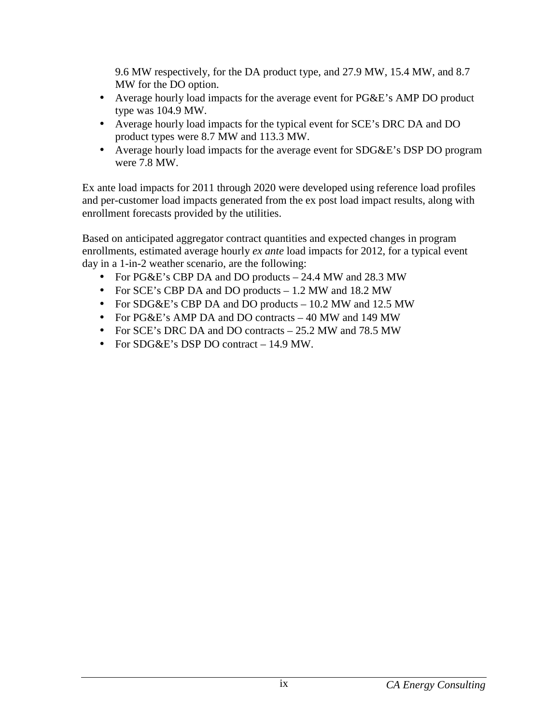9.6 MW respectively, for the DA product type, and 27.9 MW, 15.4 MW, and 8.7 MW for the DO option.

- Average hourly load impacts for the average event for PG&E's AMP DO product type was 104.9 MW.
- Average hourly load impacts for the typical event for SCE's DRC DA and DO product types were 8.7 MW and 113.3 MW.
- Average hourly load impacts for the average event for SDG&E's DSP DO program were 7.8 MW.

Ex ante load impacts for 2011 through 2020 were developed using reference load profiles and per-customer load impacts generated from the ex post load impact results, along with enrollment forecasts provided by the utilities.

Based on anticipated aggregator contract quantities and expected changes in program enrollments, estimated average hourly *ex ante* load impacts for 2012, for a typical event day in a 1-in-2 weather scenario, are the following:

- For PG&E's CBP DA and DO products 24.4 MW and 28.3 MW
- For SCE's CBP DA and DO products 1.2 MW and 18.2 MW
- For SDG&E's CBP DA and DO products 10.2 MW and 12.5 MW
- For PG&E's AMP DA and DO contracts 40 MW and 149 MW
- For SCE's DRC DA and DO contracts 25.2 MW and 78.5 MW
- For SDG&E's DSP DO contract 14.9 MW.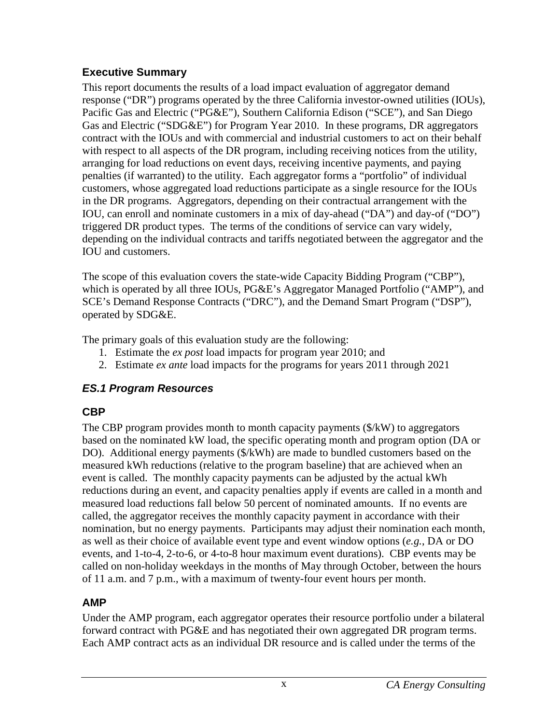## **Executive Summary**

This report documents the results of a load impact evaluation of aggregator demand response ("DR") programs operated by the three California investor-owned utilities (IOUs), Pacific Gas and Electric ("PG&E"), Southern California Edison ("SCE"), and San Diego Gas and Electric ("SDG&E") for Program Year 2010. In these programs, DR aggregators contract with the IOUs and with commercial and industrial customers to act on their behalf with respect to all aspects of the DR program, including receiving notices from the utility, arranging for load reductions on event days, receiving incentive payments, and paying penalties (if warranted) to the utility. Each aggregator forms a "portfolio" of individual customers, whose aggregated load reductions participate as a single resource for the IOUs in the DR programs. Aggregators, depending on their contractual arrangement with the IOU, can enroll and nominate customers in a mix of day-ahead ("DA") and day-of ("DO") triggered DR product types. The terms of the conditions of service can vary widely, depending on the individual contracts and tariffs negotiated between the aggregator and the IOU and customers.

The scope of this evaluation covers the state-wide Capacity Bidding Program ("CBP"), which is operated by all three IOUs, PG&E's Aggregator Managed Portfolio ("AMP"), and SCE's Demand Response Contracts ("DRC"), and the Demand Smart Program ("DSP"), operated by SDG&E.

The primary goals of this evaluation study are the following:

- 1. Estimate the *ex post* load impacts for program year 2010; and
- 2. Estimate *ex ante* load impacts for the programs for years 2011 through 2021

# **ES.1 Program Resources**

# **CBP**

The CBP program provides month to month capacity payments (\$/kW) to aggregators based on the nominated kW load, the specific operating month and program option (DA or DO). Additional energy payments (\$/kWh) are made to bundled customers based on the measured kWh reductions (relative to the program baseline) that are achieved when an event is called. The monthly capacity payments can be adjusted by the actual kWh reductions during an event, and capacity penalties apply if events are called in a month and measured load reductions fall below 50 percent of nominated amounts. If no events are called, the aggregator receives the monthly capacity payment in accordance with their nomination, but no energy payments. Participants may adjust their nomination each month, as well as their choice of available event type and event window options (*e.g.*, DA or DO events, and 1-to-4, 2-to-6, or 4-to-8 hour maximum event durations). CBP events may be called on non-holiday weekdays in the months of May through October, between the hours of 11 a.m. and 7 p.m., with a maximum of twenty-four event hours per month.

# **AMP**

Under the AMP program, each aggregator operates their resource portfolio under a bilateral forward contract with PG&E and has negotiated their own aggregated DR program terms. Each AMP contract acts as an individual DR resource and is called under the terms of the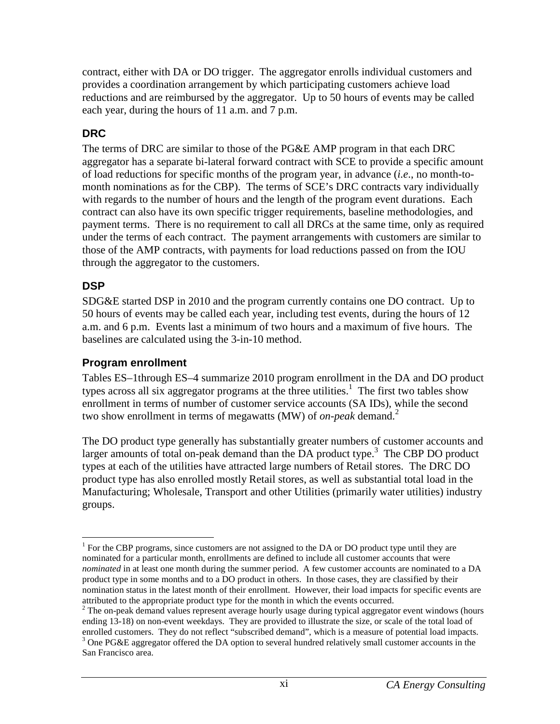contract, either with DA or DO trigger. The aggregator enrolls individual customers and provides a coordination arrangement by which participating customers achieve load reductions and are reimbursed by the aggregator. Up to 50 hours of events may be called each year, during the hours of 11 a.m. and 7 p.m.

## **DRC**

The terms of DRC are similar to those of the PG&E AMP program in that each DRC aggregator has a separate bi-lateral forward contract with SCE to provide a specific amount of load reductions for specific months of the program year, in advance (*i.e*., no month-tomonth nominations as for the CBP). The terms of SCE's DRC contracts vary individually with regards to the number of hours and the length of the program event durations. Each contract can also have its own specific trigger requirements, baseline methodologies, and payment terms. There is no requirement to call all DRCs at the same time, only as required under the terms of each contract. The payment arrangements with customers are similar to those of the AMP contracts, with payments for load reductions passed on from the IOU through the aggregator to the customers.

#### **DSP**

SDG&E started DSP in 2010 and the program currently contains one DO contract. Up to 50 hours of events may be called each year, including test events, during the hours of 12 a.m. and 6 p.m. Events last a minimum of two hours and a maximum of five hours. The baselines are calculated using the 3-in-10 method.

#### **Program enrollment**

Tables ES–1through ES–4 summarize 2010 program enrollment in the DA and DO product types across all six aggregator programs at the three utilities.<sup>1</sup> The first two tables show enrollment in terms of number of customer service accounts (SA IDs), while the second two show enrollment in terms of megawatts (MW) of *on-peak* demand.<sup>2</sup>

The DO product type generally has substantially greater numbers of customer accounts and larger amounts of total on-peak demand than the DA product type.<sup>3</sup> The CBP DO product types at each of the utilities have attracted large numbers of Retail stores. The DRC DO product type has also enrolled mostly Retail stores, as well as substantial total load in the Manufacturing; Wholesale, Transport and other Utilities (primarily water utilities) industry groups.

 $\overline{a}$ <sup>1</sup> For the CBP programs, since customers are not assigned to the DA or DO product type until they are nominated for a particular month, enrollments are defined to include all customer accounts that were *nominated* in at least one month during the summer period. A few customer accounts are nominated to a DA product type in some months and to a DO product in others. In those cases, they are classified by their nomination status in the latest month of their enrollment. However, their load impacts for specific events are attributed to the appropriate product type for the month in which the events occurred.

 $2$  The on-peak demand values represent average hourly usage during typical aggregator event windows (hours ending 13-18) on non-event weekdays. They are provided to illustrate the size, or scale of the total load of

enrolled customers. They do not reflect "subscribed demand", which is a measure of potential load impacts.<br><sup>3</sup> One PG&E aggregator offered the DA option to several hundred relatively small customer accounts in the San Francisco area.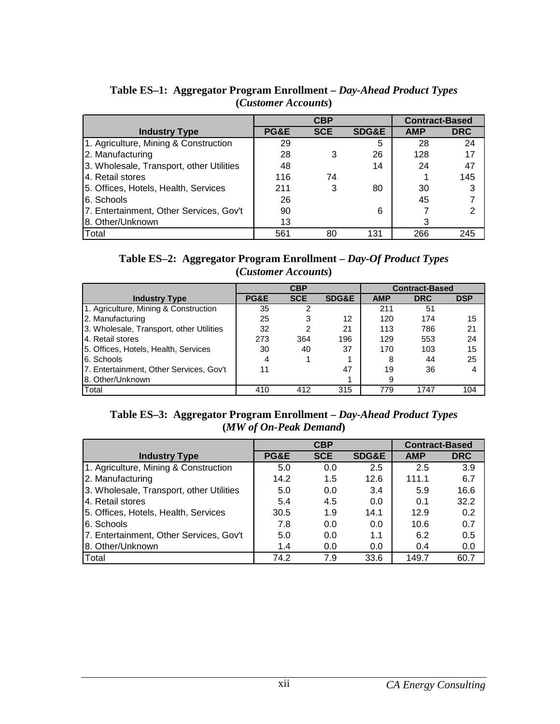|                                          |      | <b>CBP</b> |                  | <b>Contract-Based</b> |            |
|------------------------------------------|------|------------|------------------|-----------------------|------------|
| <b>Industry Type</b>                     | PG&E | <b>SCE</b> | <b>SDG&amp;E</b> | <b>AMP</b>            | <b>DRC</b> |
| 1. Agriculture, Mining & Construction    | 29   |            | 5                | 28                    | 24         |
| 2. Manufacturing                         | 28   |            | 26               | 128                   | 17         |
| 3. Wholesale, Transport, other Utilities | 48   |            | 14               | 24                    | 47         |
| 4. Retail stores                         | 116  | 74         |                  |                       | 145        |
| 5. Offices, Hotels, Health, Services     | 211  | 3          | 80               | 30                    | 3          |
| 6. Schools                               | 26   |            |                  | 45                    |            |
| 7. Entertainment, Other Services, Gov't  | 90   |            | 6                |                       | 2          |
| 8. Other/Unknown                         | 13   |            |                  | 3                     |            |
| Total                                    | 561  | 80         | 131              | 266                   | 245        |

**Table ES–1: Aggregator Program Enrollment –** *Day-Ahead Product Types* **(***Customer Accounts***)** 

| Table ES-2: Aggregator Program Enrollment – Day-Of Product Types |
|------------------------------------------------------------------|
| (Customer Accounts)                                              |

|                                          | <b>CBP</b> |            |                  | <b>Contract-Based</b> |            |            |
|------------------------------------------|------------|------------|------------------|-----------------------|------------|------------|
| <b>Industry Type</b>                     | PG&E       | <b>SCE</b> | <b>SDG&amp;E</b> | <b>AMP</b>            | <b>DRC</b> | <b>DSP</b> |
| 1. Agriculture, Mining & Construction    | 35         | 2          |                  | 211                   | 51         |            |
| 2. Manufacturing                         | 25         | 3          | 12               | 120                   | 174        | 15         |
| 3. Wholesale, Transport, other Utilities | 32         | 2          | 21               | 113                   | 786        | 21         |
| 4. Retail stores                         | 273        | 364        | 196              | 129                   | 553        | 24         |
| 5. Offices, Hotels, Health, Services     | 30         | 40         | 37               | 170                   | 103        | 15         |
| 6. Schools                               | 4          |            |                  | 8                     | 44         | 25         |
| 7. Entertainment, Other Services, Gov't  | 11         |            | 47               | 19                    | 36         |            |
| 8. Other/Unknown                         |            |            |                  | 9                     |            |            |
| Total                                    | 410        | 412        | 315              | 779                   | 1747       | 104        |

**Table ES–3: Aggregator Program Enrollment –** *Day-Ahead Product Types* **(***MW of On-Peak Demand***)** 

|                                          |      | <b>CBP</b> | <b>Contract-Based</b> |            |            |
|------------------------------------------|------|------------|-----------------------|------------|------------|
| <b>Industry Type</b>                     | PG&E | <b>SCE</b> | <b>SDG&amp;E</b>      | <b>AMP</b> | <b>DRC</b> |
| 1. Agriculture, Mining & Construction    | 5.0  | 0.0        | 2.5                   | 2.5        | 3.9        |
| 2. Manufacturing                         | 14.2 | 1.5        | 12.6                  | 111.1      | 6.7        |
| 3. Wholesale, Transport, other Utilities | 5.0  | 0.0        | 3.4                   | 5.9        | 16.6       |
| 4. Retail stores                         | 5.4  | 4.5        | 0.0                   | 0.1        | 32.2       |
| 5. Offices, Hotels, Health, Services     | 30.5 | 1.9        | 14.1                  | 12.9       | 0.2        |
| 6. Schools                               | 7.8  | 0.0        | 0.0                   | 10.6       | 0.7        |
| 7. Entertainment, Other Services, Gov't  | 5.0  | 0.0        | 1.1                   | 6.2        | 0.5        |
| 8. Other/Unknown                         | 1.4  | 0.0        | 0.0                   | 0.4        | 0.0        |
| Total                                    | 74.2 | 7.9        | 33.6                  | 149.7      | 60.7       |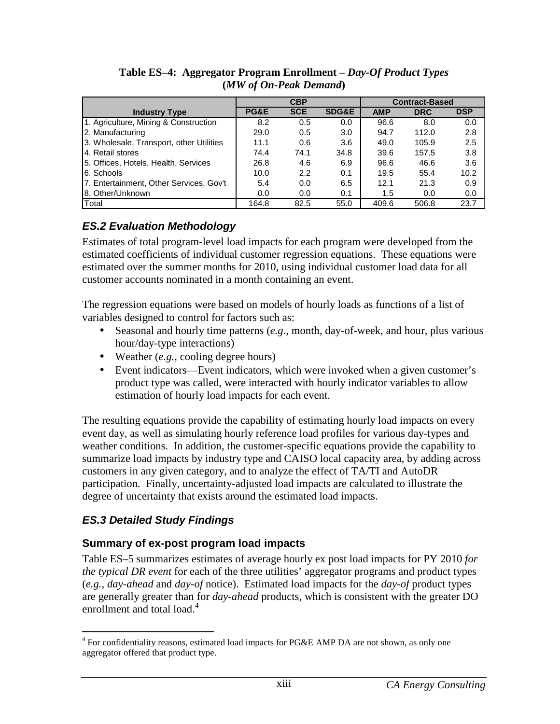|                                          | <b>CBP</b>      |               |                  | <b>Contract-Based</b> |            |            |
|------------------------------------------|-----------------|---------------|------------------|-----------------------|------------|------------|
| <b>Industry Type</b>                     | <b>PG&amp;E</b> | <b>SCE</b>    | <b>SDG&amp;E</b> | <b>AMP</b>            | <b>DRC</b> | <b>DSP</b> |
| 1. Agriculture, Mining & Construction    | 8.2             | 0.5           | 0.0              | 96.6                  | 8.0        | 0.0        |
| 2. Manufacturing                         | 29.0            | 0.5           | 3.0              | 94.7                  | 112.0      | 2.8        |
| 3. Wholesale, Transport, other Utilities | 11.1            | 0.6           | 3.6              | 49.0                  | 105.9      | 2.5        |
| 14. Retail stores                        | 74.4            | 74.1          | 34.8             | 39.6                  | 157.5      | 3.8        |
| 5. Offices, Hotels, Health, Services     | 26.8            | 4.6           | 6.9              | 96.6                  | 46.6       | 3.6        |
| 6. Schools                               | 10.0            | $2.2^{\circ}$ | 0.1              | 19.5                  | 55.4       | 10.2       |
| 7. Entertainment, Other Services, Gov't  | 5.4             | 0.0           | 6.5              | 12.1                  | 21.3       | 0.9        |
| 8. Other/Unknown                         | 0.0             | 0.0           | 0.1              | 1.5                   | 0.0        | 0.0        |
| Total                                    | 164.8           | 82.5          | 55.0             | 409.6                 | 506.8      | 23.7       |

**Table ES–4: Aggregator Program Enrollment –** *Day-Of Product Types* **(***MW of On-Peak Demand***)** 

## **ES.2 Evaluation Methodology**

Estimates of total program-level load impacts for each program were developed from the estimated coefficients of individual customer regression equations. These equations were estimated over the summer months for 2010, using individual customer load data for all customer accounts nominated in a month containing an event.

The regression equations were based on models of hourly loads as functions of a list of variables designed to control for factors such as:

- Seasonal and hourly time patterns (*e.g.*, month, day-of-week, and hour, plus various hour/day-type interactions)
- Weather (*e.g.*, cooling degree hours)
- Event indicators—Event indicators, which were invoked when a given customer's product type was called, were interacted with hourly indicator variables to allow estimation of hourly load impacts for each event.

The resulting equations provide the capability of estimating hourly load impacts on every event day, as well as simulating hourly reference load profiles for various day-types and weather conditions. In addition, the customer-specific equations provide the capability to summarize load impacts by industry type and CAISO local capacity area, by adding across customers in any given category, and to analyze the effect of TA/TI and AutoDR participation. Finally, uncertainty-adjusted load impacts are calculated to illustrate the degree of uncertainty that exists around the estimated load impacts.

#### **ES.3 Detailed Study Findings**

#### **Summary of ex-post program load impacts**

Table ES–5 summarizes estimates of average hourly ex post load impacts for PY 2010 *for the typical DR event* for each of the three utilities' aggregator programs and product types (*e.g.*, *day-ahead* and *day-of* notice). Estimated load impacts for the *day-of* product types are generally greater than for *day-ahead* products, which is consistent with the greater DO enrollment and total load.<sup>4</sup>

The sum of the set of the set of the set of the set of the set of the set of the set of the set of the set of the set of the set of the set of the set of the set of the set of the set of the set of the set of the set of th aggregator offered that product type.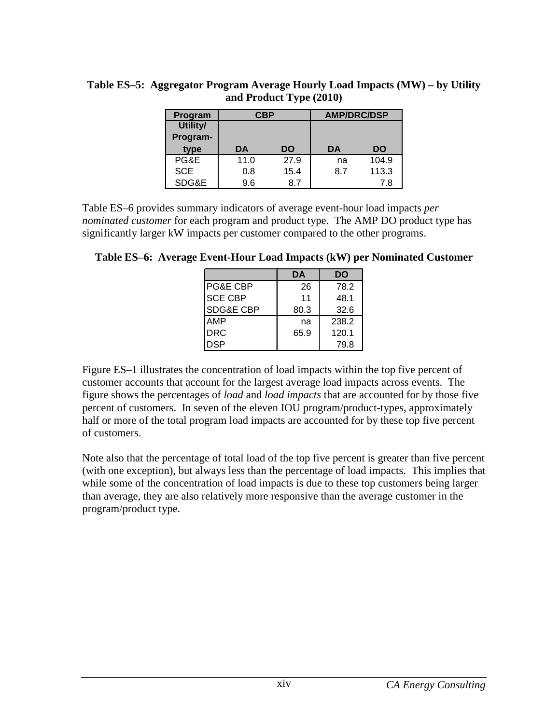| Program    | CBP  |      | <b>AMP/DRC/DSP</b> |       |  |
|------------|------|------|--------------------|-------|--|
| Utility/   |      |      |                    |       |  |
| Program-   |      |      |                    |       |  |
| type       | DA   | DO   | DA                 | DO    |  |
| PG&E       | 11.0 | 27.9 | na                 | 104.9 |  |
| <b>SCE</b> | 0.8  | 15.4 | 8.7                | 113.3 |  |
| SDG&E      | 9.6  | 8.7  |                    | 7.8   |  |

**Table ES–5: Aggregator Program Average Hourly Load Impacts (MW) – by Utility and Product Type (2010)** 

Table ES–6 provides summary indicators of average event-hour load impacts *per nominated customer* for each program and product type. The AMP DO product type has significantly larger kW impacts per customer compared to the other programs.

**Table ES–6: Average Event-Hour Load Impacts (kW) per Nominated Customer** 

|                      | DA   | DO    |
|----------------------|------|-------|
| PG&E CBP             | 26   | 78.2  |
| <b>SCE CBP</b>       | 11   | 48.1  |
| <b>SDG&amp;E CBP</b> | 80.3 | 32.6  |
| AMP                  | na   | 238.2 |
| <b>DRC</b>           | 65.9 | 120.1 |
| DSP                  |      | 79.8  |

Figure ES–1 illustrates the concentration of load impacts within the top five percent of customer accounts that account for the largest average load impacts across events. The figure shows the percentages of *load* and *load impacts* that are accounted for by those five percent of customers. In seven of the eleven IOU program/product-types, approximately half or more of the total program load impacts are accounted for by these top five percent of customers.

Note also that the percentage of total load of the top five percent is greater than five percent (with one exception), but always less than the percentage of load impacts. This implies that while some of the concentration of load impacts is due to these top customers being larger than average, they are also relatively more responsive than the average customer in the program/product type.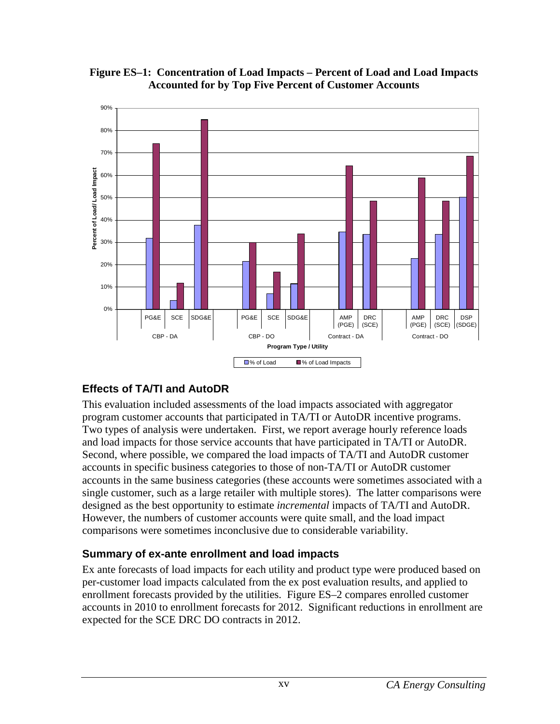



#### **Effects of TA/TI and AutoDR**

This evaluation included assessments of the load impacts associated with aggregator program customer accounts that participated in TA/TI or AutoDR incentive programs. Two types of analysis were undertaken. First, we report average hourly reference loads and load impacts for those service accounts that have participated in TA/TI or AutoDR. Second, where possible, we compared the load impacts of TA/TI and AutoDR customer accounts in specific business categories to those of non-TA/TI or AutoDR customer accounts in the same business categories (these accounts were sometimes associated with a single customer, such as a large retailer with multiple stores). The latter comparisons were designed as the best opportunity to estimate *incremental* impacts of TA/TI and AutoDR. However, the numbers of customer accounts were quite small, and the load impact comparisons were sometimes inconclusive due to considerable variability.

#### **Summary of ex-ante enrollment and load impacts**

Ex ante forecasts of load impacts for each utility and product type were produced based on per-customer load impacts calculated from the ex post evaluation results, and applied to enrollment forecasts provided by the utilities. Figure ES–2 compares enrolled customer accounts in 2010 to enrollment forecasts for 2012. Significant reductions in enrollment are expected for the SCE DRC DO contracts in 2012.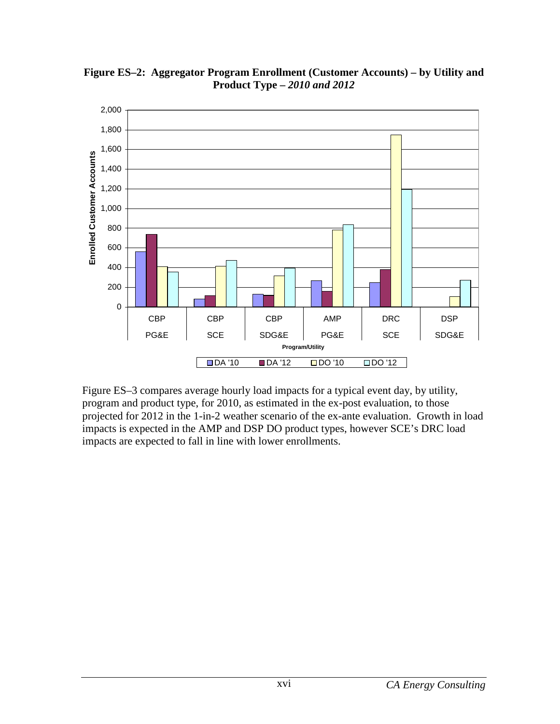

**Figure ES–2: Aggregator Program Enrollment (Customer Accounts) – by Utility and Product Type –** *2010 and 2012*

Figure ES–3 compares average hourly load impacts for a typical event day, by utility, program and product type, for 2010, as estimated in the ex-post evaluation, to those projected for 2012 in the 1-in-2 weather scenario of the ex-ante evaluation. Growth in load impacts is expected in the AMP and DSP DO product types, however SCE's DRC load impacts are expected to fall in line with lower enrollments.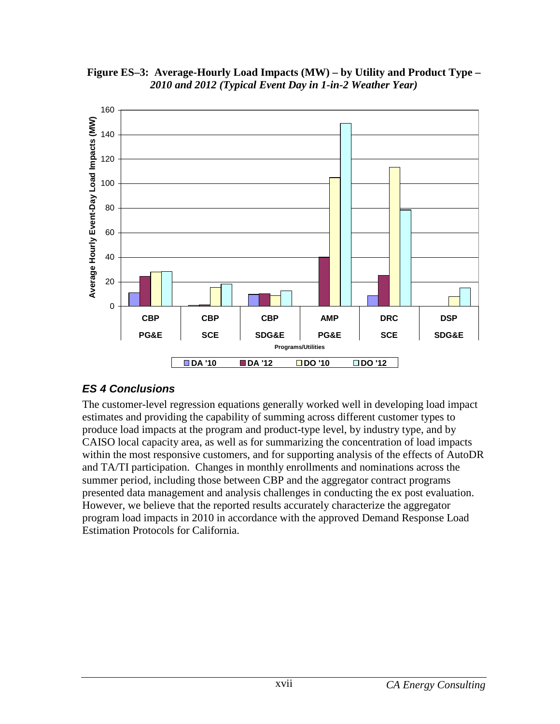



#### **ES 4 Conclusions**

The customer-level regression equations generally worked well in developing load impact estimates and providing the capability of summing across different customer types to produce load impacts at the program and product-type level, by industry type, and by CAISO local capacity area, as well as for summarizing the concentration of load impacts within the most responsive customers, and for supporting analysis of the effects of AutoDR and TA/TI participation. Changes in monthly enrollments and nominations across the summer period, including those between CBP and the aggregator contract programs presented data management and analysis challenges in conducting the ex post evaluation. However, we believe that the reported results accurately characterize the aggregator program load impacts in 2010 in accordance with the approved Demand Response Load Estimation Protocols for California.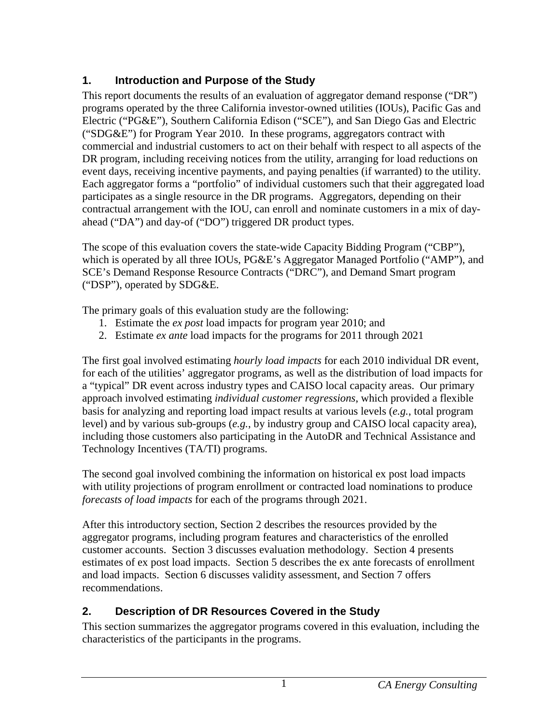## **1. Introduction and Purpose of the Study**

This report documents the results of an evaluation of aggregator demand response ("DR") programs operated by the three California investor-owned utilities (IOUs), Pacific Gas and Electric ("PG&E"), Southern California Edison ("SCE"), and San Diego Gas and Electric ("SDG&E") for Program Year 2010. In these programs, aggregators contract with commercial and industrial customers to act on their behalf with respect to all aspects of the DR program, including receiving notices from the utility, arranging for load reductions on event days, receiving incentive payments, and paying penalties (if warranted) to the utility. Each aggregator forms a "portfolio" of individual customers such that their aggregated load participates as a single resource in the DR programs. Aggregators, depending on their contractual arrangement with the IOU, can enroll and nominate customers in a mix of dayahead ("DA") and day-of ("DO") triggered DR product types.

The scope of this evaluation covers the state-wide Capacity Bidding Program ("CBP"), which is operated by all three IOUs, PG&E's Aggregator Managed Portfolio ("AMP"), and SCE's Demand Response Resource Contracts ("DRC"), and Demand Smart program ("DSP"), operated by SDG&E.

The primary goals of this evaluation study are the following:

- 1. Estimate the *ex post* load impacts for program year 2010; and
- 2. Estimate *ex ante* load impacts for the programs for 2011 through 2021

The first goal involved estimating *hourly load impacts* for each 2010 individual DR event, for each of the utilities' aggregator programs, as well as the distribution of load impacts for a "typical" DR event across industry types and CAISO local capacity areas. Our primary approach involved estimating *individual customer regressions*, which provided a flexible basis for analyzing and reporting load impact results at various levels (*e.g.*, total program level) and by various sub-groups (*e.g.*, by industry group and CAISO local capacity area), including those customers also participating in the AutoDR and Technical Assistance and Technology Incentives (TA/TI) programs.

The second goal involved combining the information on historical ex post load impacts with utility projections of program enrollment or contracted load nominations to produce *forecasts of load impacts* for each of the programs through 2021.

After this introductory section, Section 2 describes the resources provided by the aggregator programs, including program features and characteristics of the enrolled customer accounts. Section 3 discusses evaluation methodology. Section 4 presents estimates of ex post load impacts. Section 5 describes the ex ante forecasts of enrollment and load impacts. Section 6 discusses validity assessment, and Section 7 offers recommendations.

## **2. Description of DR Resources Covered in the Study**

This section summarizes the aggregator programs covered in this evaluation, including the characteristics of the participants in the programs.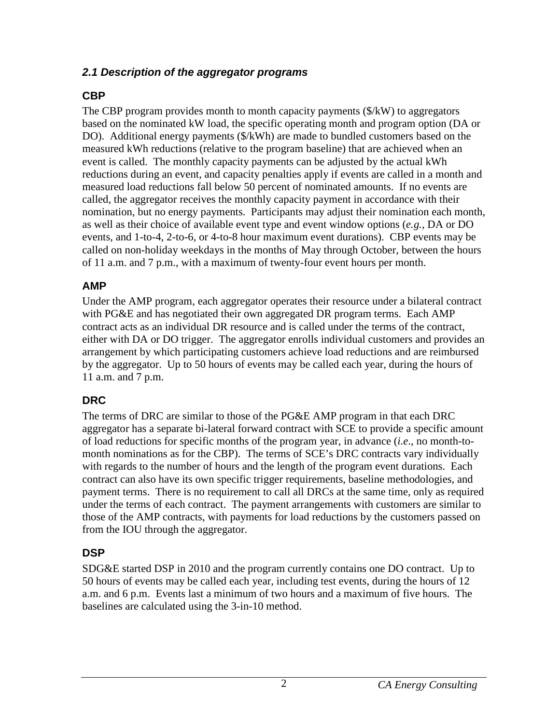#### **2.1 Description of the aggregator programs**

## **CBP**

The CBP program provides month to month capacity payments (\$/kW) to aggregators based on the nominated kW load, the specific operating month and program option (DA or DO). Additional energy payments (\$/kWh) are made to bundled customers based on the measured kWh reductions (relative to the program baseline) that are achieved when an event is called. The monthly capacity payments can be adjusted by the actual kWh reductions during an event, and capacity penalties apply if events are called in a month and measured load reductions fall below 50 percent of nominated amounts. If no events are called, the aggregator receives the monthly capacity payment in accordance with their nomination, but no energy payments. Participants may adjust their nomination each month, as well as their choice of available event type and event window options (*e.g.*, DA or DO events, and 1-to-4, 2-to-6, or 4-to-8 hour maximum event durations). CBP events may be called on non-holiday weekdays in the months of May through October, between the hours of 11 a.m. and 7 p.m., with a maximum of twenty-four event hours per month.

## **AMP**

Under the AMP program, each aggregator operates their resource under a bilateral contract with PG&E and has negotiated their own aggregated DR program terms. Each AMP contract acts as an individual DR resource and is called under the terms of the contract, either with DA or DO trigger. The aggregator enrolls individual customers and provides an arrangement by which participating customers achieve load reductions and are reimbursed by the aggregator. Up to 50 hours of events may be called each year, during the hours of 11 a.m. and 7 p.m.

## **DRC**

The terms of DRC are similar to those of the PG&E AMP program in that each DRC aggregator has a separate bi-lateral forward contract with SCE to provide a specific amount of load reductions for specific months of the program year, in advance (*i.e*., no month-tomonth nominations as for the CBP). The terms of SCE's DRC contracts vary individually with regards to the number of hours and the length of the program event durations. Each contract can also have its own specific trigger requirements, baseline methodologies, and payment terms. There is no requirement to call all DRCs at the same time, only as required under the terms of each contract. The payment arrangements with customers are similar to those of the AMP contracts, with payments for load reductions by the customers passed on from the IOU through the aggregator.

## **DSP**

SDG&E started DSP in 2010 and the program currently contains one DO contract. Up to 50 hours of events may be called each year, including test events, during the hours of 12 a.m. and 6 p.m. Events last a minimum of two hours and a maximum of five hours. The baselines are calculated using the 3-in-10 method.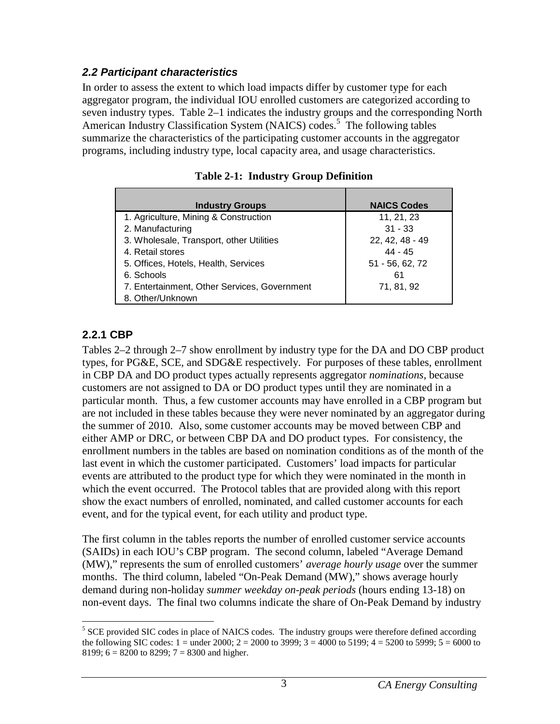#### **2.2 Participant characteristics**

In order to assess the extent to which load impacts differ by customer type for each aggregator program, the individual IOU enrolled customers are categorized according to seven industry types. Table 2–1 indicates the industry groups and the corresponding North American Industry Classification System (NAICS) codes.<sup>5</sup> The following tables summarize the characteristics of the participating customer accounts in the aggregator programs, including industry type, local capacity area, and usage characteristics.

| <b>Industry Groups</b>                       | <b>NAICS Codes</b> |
|----------------------------------------------|--------------------|
| 1. Agriculture, Mining & Construction        | 11, 21, 23         |
| 2. Manufacturing                             | $31 - 33$          |
| 3. Wholesale, Transport, other Utilities     | 22, 42, 48 - 49    |
| 4. Retail stores                             | $44 - 45$          |
| 5. Offices, Hotels, Health, Services         | 51 - 56, 62, 72    |
| 6. Schools                                   | 61                 |
| 7. Entertainment, Other Services, Government | 71, 81, 92         |
| 8. Other/Unknown                             |                    |

|  |  |  | <b>Table 2-1: Industry Group Definition</b> |
|--|--|--|---------------------------------------------|
|--|--|--|---------------------------------------------|

#### **2.2.1 CBP**

Tables 2–2 through 2–7 show enrollment by industry type for the DA and DO CBP product types, for PG&E, SCE, and SDG&E respectively. For purposes of these tables, enrollment in CBP DA and DO product types actually represents aggregator *nominations*, because customers are not assigned to DA or DO product types until they are nominated in a particular month. Thus, a few customer accounts may have enrolled in a CBP program but are not included in these tables because they were never nominated by an aggregator during the summer of 2010. Also, some customer accounts may be moved between CBP and either AMP or DRC, or between CBP DA and DO product types. For consistency, the enrollment numbers in the tables are based on nomination conditions as of the month of the last event in which the customer participated. Customers' load impacts for particular events are attributed to the product type for which they were nominated in the month in which the event occurred. The Protocol tables that are provided along with this report show the exact numbers of enrolled, nominated, and called customer accounts for each event, and for the typical event, for each utility and product type.

The first column in the tables reports the number of enrolled customer service accounts (SAIDs) in each IOU's CBP program. The second column, labeled "Average Demand (MW)," represents the sum of enrolled customers' *average hourly usage* over the summer months. The third column, labeled "On-Peak Demand (MW)," shows average hourly demand during non-holiday *summer weekday on-peak periods* (hours ending 13-18) on non-event days. The final two columns indicate the share of On-Peak Demand by industry

 $\overline{a}$ <sup>5</sup> SCE provided SIC codes in place of NAICS codes. The industry groups were therefore defined according the following SIC codes:  $1 =$  under 2000;  $2 = 2000$  to 3999;  $3 = 4000$  to 5199;  $4 = 5200$  to 5999;  $5 = 6000$  to 8199;  $6 = 8200$  to 8299;  $7 = 8300$  and higher.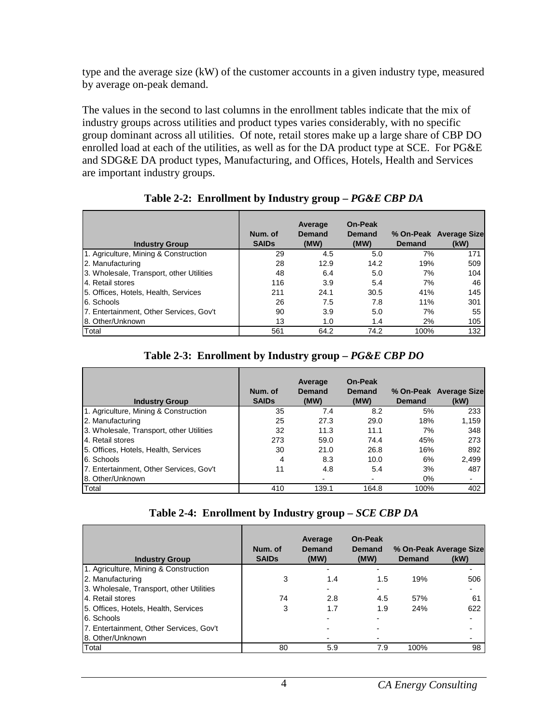type and the average size (kW) of the customer accounts in a given industry type, measured by average on-peak demand.

The values in the second to last columns in the enrollment tables indicate that the mix of industry groups across utilities and product types varies considerably, with no specific group dominant across all utilities. Of note, retail stores make up a large share of CBP DO enrolled load at each of the utilities, as well as for the DA product type at SCE. For PG&E and SDG&E DA product types, Manufacturing, and Offices, Hotels, Health and Services are important industry groups.

| <b>Industry Group</b>                    | Num. of<br><b>SAIDs</b> | Average<br>Demand<br>(MW) | <b>On-Peak</b><br><b>Demand</b><br>(MW) | Demand | % On-Peak Average Size<br>(kW) |
|------------------------------------------|-------------------------|---------------------------|-----------------------------------------|--------|--------------------------------|
| 1. Agriculture, Mining & Construction    | 29                      | 4.5                       | 5.0                                     | 7%     | 171                            |
| 2. Manufacturing                         | 28                      | 12.9                      | 14.2                                    | 19%    | 509                            |
| 3. Wholesale, Transport, other Utilities | 48                      | 6.4                       | 5.0                                     | 7%     | 104                            |
| 4. Retail stores                         | 116                     | 3.9                       | 5.4                                     | 7%     | 46                             |
| 5. Offices, Hotels, Health, Services     | 211                     | 24.1                      | 30.5                                    | 41%    | 145                            |
| 6. Schools                               | 26                      | 7.5                       | 7.8                                     | 11%    | 301                            |
| 7. Entertainment, Other Services, Gov't  | 90                      | 3.9                       | 5.0                                     | 7%     | 55                             |
| 8. Other/Unknown                         | 13                      | 1.0                       | 1.4                                     | 2%     | 105                            |
| Total                                    | 561                     | 64.2                      | 74.2                                    | 100%   | 132                            |

**Table 2-2: Enrollment by Industry group –** *PG&E CBP DA* 

| <b>Industry Group</b>                    | Num. of<br><b>SAIDs</b> | Average<br>Demand<br>(MW) | On-Peak<br><b>Demand</b><br>(MW) | Demand | % On-Peak Average Size<br>(kW) |
|------------------------------------------|-------------------------|---------------------------|----------------------------------|--------|--------------------------------|
| 1. Agriculture, Mining & Construction    | 35                      | 7.4                       | 8.2                              | 5%     | 233                            |
| 2. Manufacturing                         | 25                      | 27.3                      | 29.0                             | 18%    | 1,159                          |
| 3. Wholesale, Transport, other Utilities | 32                      | 11.3                      | 11.1                             | 7%     | 348                            |
| 4. Retail stores                         | 273                     | 59.0                      | 74.4                             | 45%    | 273                            |
| 5. Offices, Hotels, Health, Services     | 30                      | 21.0                      | 26.8                             | 16%    | 892                            |
| 6. Schools                               | 4                       | 8.3                       | 10.0                             | 6%     | 2,499                          |
| 7. Entertainment, Other Services, Gov't  | 11                      | 4.8                       | 5.4                              | 3%     | 487                            |
| 8. Other/Unknown                         |                         |                           |                                  | $0\%$  |                                |
| Total                                    | 410                     | 139.1                     | 164.8                            | 100%   | 402                            |

|  |  | Table 2-4: Enrollment by Industry group – SCE CBP DA |
|--|--|------------------------------------------------------|
|--|--|------------------------------------------------------|

| <b>Industry Group</b>                    | Num. of<br><b>SAIDs</b> | Average<br>Demand<br>(MW) | On-Peak<br><b>Demand</b><br>(MW) | <b>Demand</b> | % On-Peak Average Size<br>(kW) |
|------------------------------------------|-------------------------|---------------------------|----------------------------------|---------------|--------------------------------|
| 1. Agriculture, Mining & Construction    |                         |                           |                                  |               |                                |
| 2. Manufacturing                         | 3                       | 1.4                       | 1.5                              | 19%           | 506                            |
| 3. Wholesale, Transport, other Utilities |                         |                           |                                  |               |                                |
| 4. Retail stores                         | 74                      | 2.8                       | 4.5                              | 57%           | 61                             |
| 5. Offices, Hotels, Health, Services     | 3                       | 1.7                       | 1.9                              | 24%           | 622                            |
| 6. Schools                               |                         |                           |                                  |               |                                |
| 7. Entertainment, Other Services, Gov't  |                         |                           |                                  |               |                                |
| 8. Other/Unknown                         |                         |                           |                                  |               |                                |
| Total                                    | 80                      | 5.9                       | 7.9                              | 100%          | 98                             |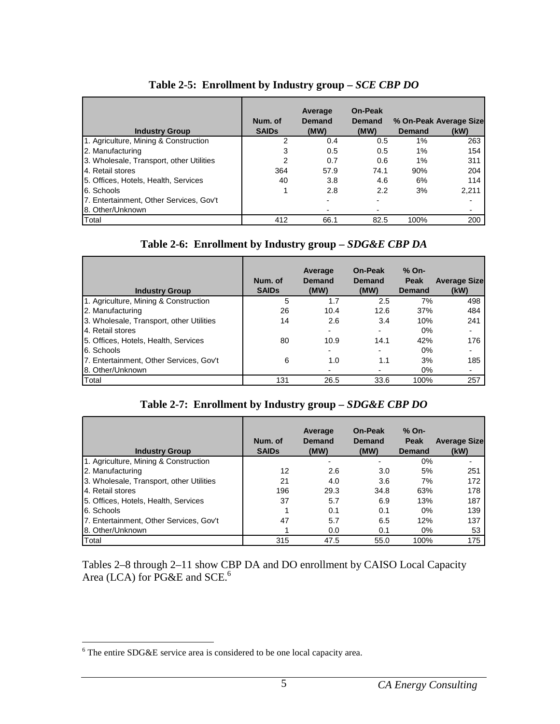| <b>Industry Group</b>                    | Num. of<br><b>SAIDs</b> | Average<br>Demand<br>(MW) | On-Peak<br><b>Demand</b><br>(MW) | Demand | % On-Peak Average Size<br>(kW) |
|------------------------------------------|-------------------------|---------------------------|----------------------------------|--------|--------------------------------|
| 1. Agriculture, Mining & Construction    | 2                       | 0.4                       | $0.5^{\circ}$                    | 1%     | 263                            |
| 2. Manufacturing                         |                         | 0.5                       | 0.5                              | $1\%$  | 154                            |
| 3. Wholesale, Transport, other Utilities | 2                       | 0.7                       | 0.6                              | $1\%$  | 311                            |
| 4. Retail stores                         | 364                     | 57.9                      | 74.1                             | 90%    | 204                            |
| 5. Offices, Hotels, Health, Services     | 40                      | 3.8                       | 4.6                              | 6%     | 114                            |
| 6. Schools                               |                         | 2.8                       | 2.2                              | 3%     | 2,211                          |
| 7. Entertainment, Other Services, Gov't  |                         |                           |                                  |        |                                |
| 8. Other/Unknown                         |                         |                           |                                  |        |                                |
| Total                                    | 412                     | 66.1                      | 82.5                             | 100%   | 200                            |

#### **Table 2-5: Enrollment by Industry group –** *SCE CBP DO*

#### Table 2-6: Enrollment by Industry group - *SDG&E CBP DA*

| <b>Industry Group</b>                    | Num. of<br><b>SAIDs</b> | Average<br>Demand<br>(MW) | <b>On-Peak</b><br><b>Demand</b><br>(MW) | % On-<br>Peak<br><b>Demand</b> | <b>Average Size</b><br>(kW) |
|------------------------------------------|-------------------------|---------------------------|-----------------------------------------|--------------------------------|-----------------------------|
| 1. Agriculture, Mining & Construction    | 5                       | 1.7                       | 2.5                                     | 7%                             | 498                         |
| 2. Manufacturing                         | 26                      | 10.4                      | 12.6                                    | 37%                            | 484                         |
| 3. Wholesale, Transport, other Utilities | 14                      | 2.6                       | 3.4                                     | 10%                            | 241                         |
| 4. Retail stores                         |                         |                           |                                         | $0\%$                          |                             |
| 5. Offices, Hotels, Health, Services     | 80                      | 10.9                      | 14.1                                    | 42%                            | 176                         |
| 6. Schools                               |                         |                           |                                         | $0\%$                          |                             |
| 7. Entertainment, Other Services, Gov't  | 6                       | 1.0                       | 1.1                                     | 3%                             | 185                         |
| 8. Other/Unknown                         |                         |                           |                                         | $0\%$                          |                             |
| Total                                    | 131                     | 26.5                      | 33.6                                    | 100%                           | 257                         |

#### **Table 2-7: Enrollment by Industry group –** *SDG&E CBP DO*

| <b>Industry Group</b>                    | Num. of<br><b>SAIDs</b> | Average<br>Demand<br>(MW) | On-Peak<br><b>Demand</b><br>(MW) | % On-<br>Peak<br>Demand | <b>Average Size</b><br>(kW) |
|------------------------------------------|-------------------------|---------------------------|----------------------------------|-------------------------|-----------------------------|
| 1. Agriculture, Mining & Construction    |                         |                           |                                  | 0%                      |                             |
| 2. Manufacturing                         | 12                      | 2.6                       | 3.0                              | 5%                      | 251                         |
| 3. Wholesale, Transport, other Utilities | 21                      | 4.0                       | 3.6                              | 7%                      | 172                         |
| 4. Retail stores                         | 196                     | 29.3                      | 34.8                             | 63%                     | 178                         |
| 5. Offices, Hotels, Health, Services     | 37                      | 5.7                       | 6.9                              | 13%                     | 187                         |
| 6. Schools                               |                         | 0.1                       | 0.1                              | $0\%$                   | 139                         |
| 7. Entertainment, Other Services, Gov't  | 47                      | 5.7                       | 6.5                              | 12%                     | 137                         |
| 8. Other/Unknown                         |                         | 0.0                       | 0.1                              | $0\%$                   | 53                          |
| Total                                    | 315                     | 47.5                      | 55.0                             | 100%                    | 175                         |

Tables 2–8 through 2–11 show CBP DA and DO enrollment by CAISO Local Capacity Area (LCA) for PG&E and SCE.<sup>6</sup>

The entire SDG&E service area is considered to be one local capacity area.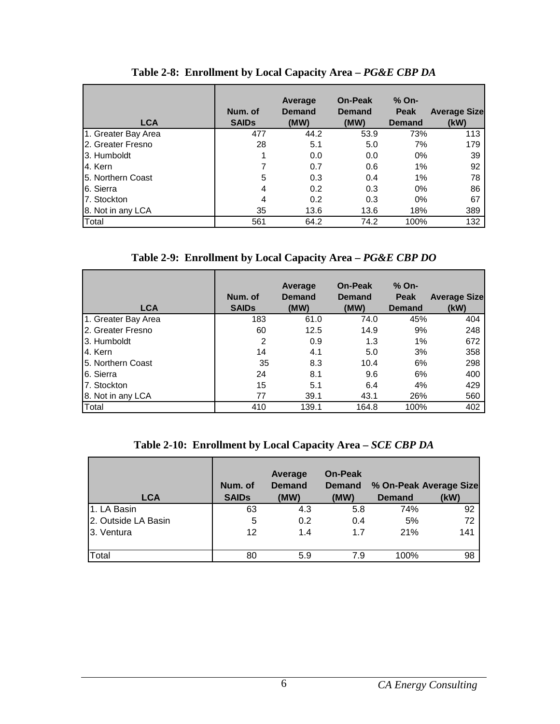| <b>LCA</b>          | Num. of<br><b>SAIDS</b> | Average<br><b>Demand</b><br>(MW) | <b>On-Peak</b><br><b>Demand</b><br>(MW) | % On-<br><b>Peak</b><br><b>Demand</b> | <b>Average Size</b><br>(kW) |
|---------------------|-------------------------|----------------------------------|-----------------------------------------|---------------------------------------|-----------------------------|
| 1. Greater Bay Area | 477                     | 44.2                             | 53.9                                    | 73%                                   | 113                         |
| 2. Greater Fresno   | 28                      | 5.1                              | 5.0                                     | 7%                                    | 179                         |
| 3. Humboldt         |                         | 0.0                              | 0.0                                     | $0\%$                                 | 39                          |
| 4. Kern             |                         | 0.7                              | 0.6                                     | 1%                                    | 92                          |
| 5. Northern Coast   | 5                       | 0.3                              | 0.4                                     | 1%                                    | 78                          |
| 6. Sierra           | 4                       | 0.2                              | 0.3                                     | $0\%$                                 | 86                          |
| 7. Stockton         | 4                       | 0.2                              | 0.3                                     | $0\%$                                 | 67                          |
| 8. Not in any LCA   | 35                      | 13.6                             | 13.6                                    | 18%                                   | 389                         |
| Total               | 561                     | 64.2                             | 74.2                                    | 100%                                  | 132                         |

**Table 2-8: Enrollment by Local Capacity Area –** *PG&E CBP DA* 

**Table 2-9: Enrollment by Local Capacity Area –** *PG&E CBP DO* 

| <b>LCA</b>          | Num. of<br><b>SAIDs</b> | Average<br><b>Demand</b><br>(MW) | <b>On-Peak</b><br><b>Demand</b><br>(MW) | $%$ On-<br><b>Peak</b><br><b>Demand</b> | <b>Average Size</b><br>(kW) |
|---------------------|-------------------------|----------------------------------|-----------------------------------------|-----------------------------------------|-----------------------------|
| 1. Greater Bay Area | 183                     | 61.0                             | 74.0                                    | 45%                                     | 404                         |
| 2. Greater Fresno   | 60                      | 12.5                             | 14.9                                    | 9%                                      | 248                         |
| 3. Humboldt         | 2                       | 0.9                              | 1.3                                     | 1%                                      | 672                         |
| 4. Kern             | 14                      | 4.1                              | 5.0                                     | 3%                                      | 358                         |
| 15. Northern Coast  | 35                      | 8.3                              | 10.4                                    | 6%                                      | 298                         |
| 6. Sierra           | 24                      | 8.1                              | 9.6                                     | 6%                                      | 400                         |
| 7. Stockton         | 15                      | 5.1                              | 6.4                                     | 4%                                      | 429                         |
| 8. Not in any LCA   | 77                      | 39.1                             | 43.1                                    | 26%                                     | 560                         |
| Total               | 410                     | 139.1                            | 164.8                                   | 100%                                    | 402                         |

| Table 2-10: Enrollment by Local Capacity Area – SCE CBP DA |  |  |
|------------------------------------------------------------|--|--|
|                                                            |  |  |

| <b>LCA</b>          | Num. of<br><b>SAIDs</b> | Average<br><b>Demand</b><br>(MW) | <b>On-Peak</b><br><b>Demand</b><br>(MW) | <b>Demand</b> | % On-Peak Average Size<br>(kW) |
|---------------------|-------------------------|----------------------------------|-----------------------------------------|---------------|--------------------------------|
| 1. LA Basin         | 63                      | 4.3                              | 5.8                                     | 74%           | 92                             |
| 2. Outside LA Basin | 5                       | 0.2                              | 0.4                                     | 5%            | 72                             |
| 3. Ventura          | 12                      | 1.4                              | 1.7                                     | 21%           | 141                            |
| Total               | 80                      | 5.9                              | 7.9                                     | 100%          | 98                             |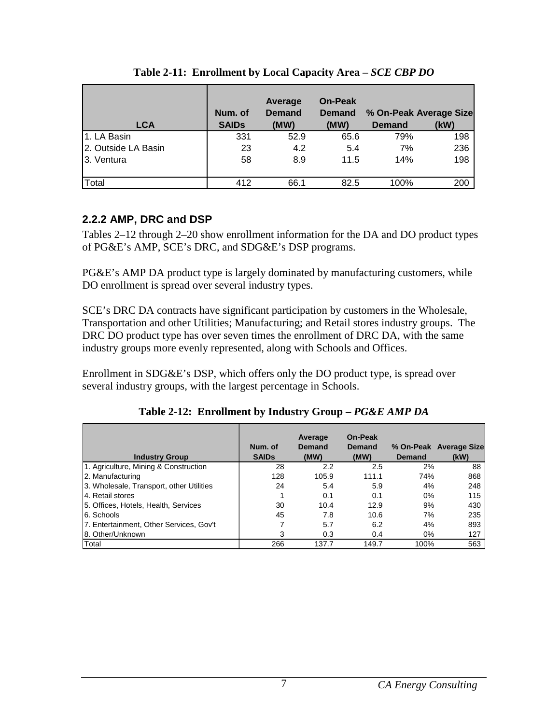| <b>LCA</b>          | Num. of<br><b>SAIDs</b> | Average<br><b>Demand</b><br>(MW) | <b>On-Peak</b><br><b>Demand</b><br>(MW) | <b>Demand</b> | % On-Peak Average Size<br>(kW) |
|---------------------|-------------------------|----------------------------------|-----------------------------------------|---------------|--------------------------------|
| 1. LA Basin         | 331                     | 52.9                             | 65.6                                    | 79%           | 198                            |
| 2. Outside LA Basin | 23                      | 4.2                              | 5.4                                     | 7%            | 236                            |
| 3. Ventura          | 58                      | 8.9                              | 11.5                                    | 14%           | 198                            |
| Total               | 412                     | 66.1                             | 82.5                                    | 100%          | 200                            |

#### **Table 2-11: Enrollment by Local Capacity Area –** *SCE CBP DO*

#### **2.2.2 AMP, DRC and DSP**

Tables 2–12 through 2–20 show enrollment information for the DA and DO product types of PG&E's AMP, SCE's DRC, and SDG&E's DSP programs.

PG&E's AMP DA product type is largely dominated by manufacturing customers, while DO enrollment is spread over several industry types.

SCE's DRC DA contracts have significant participation by customers in the Wholesale, Transportation and other Utilities; Manufacturing; and Retail stores industry groups. The DRC DO product type has over seven times the enrollment of DRC DA, with the same industry groups more evenly represented, along with Schools and Offices.

Enrollment in SDG&E's DSP, which offers only the DO product type, is spread over several industry groups, with the largest percentage in Schools.

| <b>Industry Group</b>                    | Num. of<br><b>SAIDs</b> | Average<br>Demand<br>(MW) | On-Peak<br>Demand<br>(MW) | <b>Demand</b> | % On-Peak Average Size<br>(kW) |
|------------------------------------------|-------------------------|---------------------------|---------------------------|---------------|--------------------------------|
| 1. Agriculture, Mining & Construction    | 28                      | 2.2                       | 2.5                       | 2%            | 88                             |
| 2. Manufacturing                         | 128                     | 105.9                     | 111.1                     | 74%           | 868                            |
| 3. Wholesale, Transport, other Utilities | 24                      | 5.4                       | 5.9                       | 4%            | 248                            |
| 4. Retail stores                         |                         | 0.1                       | 0.1                       | $0\%$         | 115                            |
| 5. Offices, Hotels, Health, Services     | 30                      | 10.4                      | 12.9                      | 9%            | 430                            |
| 6. Schools                               | 45                      | 7.8                       | 10.6                      | 7%            | 235                            |
| 7. Entertainment, Other Services, Gov't  |                         | 5.7                       | 6.2                       | 4%            | 893                            |
| 8. Other/Unknown                         | 3                       | 0.3                       | 0.4                       | 0%            | 127                            |
| Total                                    | 266                     | 137.7                     | 149.7                     | 100%          | 563                            |

**Table 2-12: Enrollment by Industry Group –** *PG&E AMP DA*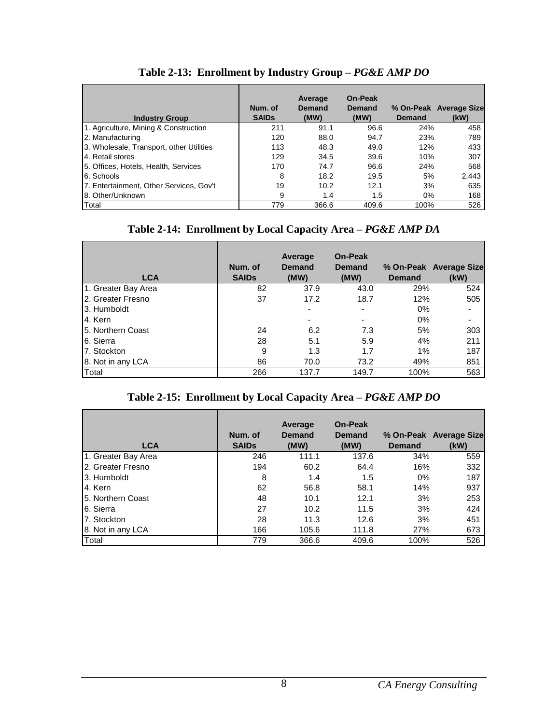| <b>Industry Group</b>                    | Num. of<br><b>SAIDs</b> | Average<br>Demand<br>(MW) | On-Peak<br>Demand<br>(MW) | Demand | % On-Peak Average Size<br>(kW) |
|------------------------------------------|-------------------------|---------------------------|---------------------------|--------|--------------------------------|
| 1. Agriculture, Mining & Construction    | 211                     | 91.1                      | 96.6                      | 24%    | 458                            |
| 2. Manufacturing                         | 120                     | 88.0                      | 94.7                      | 23%    | 789                            |
| 3. Wholesale, Transport, other Utilities | 113                     | 48.3                      | 49.0                      | 12%    | 433                            |
| 4. Retail stores                         | 129                     | 34.5                      | 39.6                      | 10%    | 307                            |
| 5. Offices, Hotels, Health, Services     | 170                     | 74.7                      | 96.6                      | 24%    | 568                            |
| 6. Schools                               | 8                       | 18.2                      | 19.5                      | 5%     | 2,443                          |
| 7. Entertainment, Other Services, Gov't  | 19                      | 10.2                      | 12.1                      | 3%     | 635                            |
| 8. Other/Unknown                         | 9                       | 1.4                       | 1.5                       | $0\%$  | 168                            |
| Total                                    | 779                     | 366.6                     | 409.6                     | 100%   | 526                            |

## **Table 2-13: Enrollment by Industry Group –** *PG&E AMP DO*

#### **Table 2-14: Enrollment by Local Capacity Area –** *PG&E AMP DA*

| <b>LCA</b>          | Num. of<br><b>SAIDs</b> | Average<br><b>Demand</b><br>(MW) | On-Peak<br><b>Demand</b><br>(MW) | <b>Demand</b> | % On-Peak Average Size<br>(kW) |
|---------------------|-------------------------|----------------------------------|----------------------------------|---------------|--------------------------------|
| 1. Greater Bay Area | 82                      | 37.9                             | 43.0                             | 29%           | 524                            |
| 12. Greater Fresno  | 37                      | 17.2                             | 18.7                             | 12%           | 505                            |
| 3. Humboldt         |                         |                                  |                                  | 0%            |                                |
| 4. Kern             |                         |                                  |                                  | 0%            |                                |
| 15. Northern Coast  | 24                      | 6.2                              | 7.3                              | 5%            | 303                            |
| 6. Sierra           | 28                      | 5.1                              | 5.9                              | 4%            | 211                            |
| 7. Stockton         | 9                       | 1.3                              | 1.7                              | 1%            | 187                            |
| 8. Not in any LCA   | 86                      | 70.0                             | 73.2                             | 49%           | 851                            |
| Total               | 266                     | 137.7                            | 149.7                            | 100%          | 563                            |

#### **Table 2-15: Enrollment by Local Capacity Area –** *PG&E AMP DO*

| <b>LCA</b>          | Num. of<br><b>SAIDs</b> | Average<br><b>Demand</b><br>(MW) | <b>On-Peak</b><br><b>Demand</b><br>(MW) | <b>Demand</b> | % On-Peak Average Size<br>(kW) |
|---------------------|-------------------------|----------------------------------|-----------------------------------------|---------------|--------------------------------|
| 1. Greater Bay Area | 246                     | 111.1                            | 137.6                                   | 34%           | 559                            |
| 2. Greater Fresno   | 194                     | 60.2                             | 64.4                                    | 16%           | 332                            |
| 3. Humboldt         | 8                       | 1.4                              | 1.5                                     | $0\%$         | 187                            |
| 4. Kern             | 62                      | 56.8                             | 58.1                                    | 14%           | 937                            |
| 15. Northern Coast  | 48                      | 10.1                             | 12.1                                    | 3%            | 253                            |
| 6. Sierra           | 27                      | 10.2                             | 11.5                                    | 3%            | 424                            |
| 7. Stockton         | 28                      | 11.3                             | 12.6                                    | 3%            | 451                            |
| 8. Not in any LCA   | 166                     | 105.6                            | 111.8                                   | 27%           | 673                            |
| Total               | 779                     | 366.6                            | 409.6                                   | 100%          | 526                            |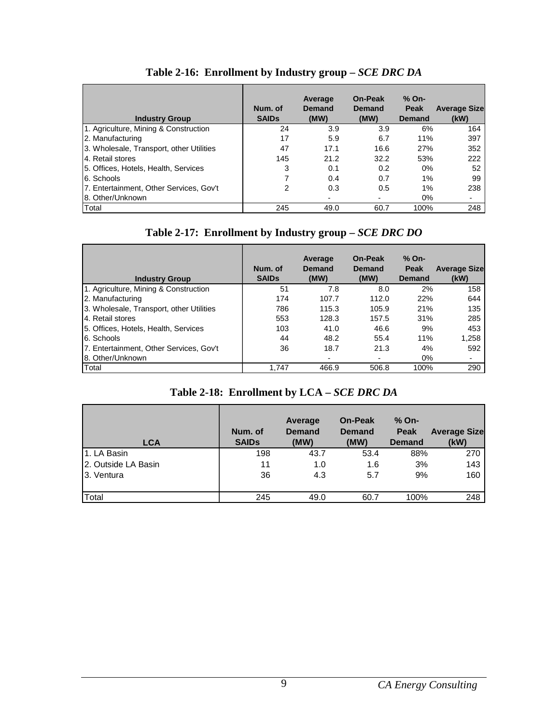| <b>Industry Group</b>                    | Num. of<br><b>SAIDs</b> | Average<br>Demand<br>(MW) | <b>On-Peak</b><br>Demand<br>(MW) | % On-<br>Peak<br>Demand | <b>Average Size</b><br>(kW) |
|------------------------------------------|-------------------------|---------------------------|----------------------------------|-------------------------|-----------------------------|
| 1. Agriculture, Mining & Construction    | 24                      | 3.9                       | 3.9                              | 6%                      | 164                         |
| 2. Manufacturing                         | 17                      | 5.9                       | 6.7                              | 11%                     | 397                         |
| 3. Wholesale, Transport, other Utilities | 47                      | 17.1                      | 16.6                             | 27%                     | 352                         |
| 4. Retail stores                         | 145                     | 21.2                      | 32.2                             | 53%                     | 222                         |
| 5. Offices, Hotels, Health, Services     | 3                       | 0.1                       | 0.2                              | $0\%$                   | 52                          |
| 6. Schools                               |                         | 0.4                       | 0.7                              | 1%                      | 99                          |
| 7. Entertainment, Other Services, Gov't  | 2                       | 0.3                       | 0.5                              | $1\%$                   | 238                         |
| 8. Other/Unknown                         |                         |                           |                                  | $0\%$                   |                             |
| Total                                    | 245                     | 49.0                      | 60.7                             | 100%                    | 248                         |

## **Table 2-16: Enrollment by Industry group –** *SCE DRC DA*

| <b>Industry Group</b>                    | Num. of<br><b>SAIDs</b> | Average<br>Demand<br>(MW) | On-Peak<br>Demand<br>(MW) | % On-<br>Peak<br>Demand | <b>Average Size</b><br>(kW) |
|------------------------------------------|-------------------------|---------------------------|---------------------------|-------------------------|-----------------------------|
| 1. Agriculture, Mining & Construction    | 51                      | 7.8                       | 8.0                       | 2%                      | 158                         |
| 2. Manufacturing                         | 174                     | 107.7                     | 112.0                     | 22%                     | 644                         |
| 3. Wholesale, Transport, other Utilities | 786                     | 115.3                     | 105.9                     | 21%                     | 135                         |
| 14. Retail stores                        | 553                     | 128.3                     | 157.5                     | 31%                     | 285                         |
| 5. Offices, Hotels, Health, Services     | 103                     | 41.0                      | 46.6                      | 9%                      | 453                         |
| 6. Schools                               | 44                      | 48.2                      | 55.4                      | 11%                     | 1,258                       |
| 7. Entertainment, Other Services, Gov't  | 36                      | 18.7                      | 21.3                      | 4%                      | 592                         |
| 8. Other/Unknown                         |                         |                           |                           | $0\%$                   |                             |
| Total                                    | 1.747                   | 466.9                     | 506.8                     | 100%                    | 290                         |

#### **Table 2-18: Enrollment by LCA –** *SCE DRC DA*

| <b>LCA</b>           | Num. of<br><b>SAIDs</b> | Average<br><b>Demand</b><br>(MW) | <b>On-Peak</b><br><b>Demand</b><br>(MW) | $%$ On-<br><b>Peak</b><br><b>Demand</b> | <b>Average Size</b><br>(kW) |
|----------------------|-------------------------|----------------------------------|-----------------------------------------|-----------------------------------------|-----------------------------|
| 1. LA Basin          | 198                     | 43.7                             | 53.4                                    | 88%                                     | 270                         |
| 12. Outside LA Basin | 11                      | 1.0                              | 1.6                                     | 3%                                      | 143                         |
| 3. Ventura           | 36                      | 4.3                              | 5.7                                     | 9%                                      | 160                         |
| Total                | 245                     | 49.0                             | 60.7                                    | 100%                                    | 248                         |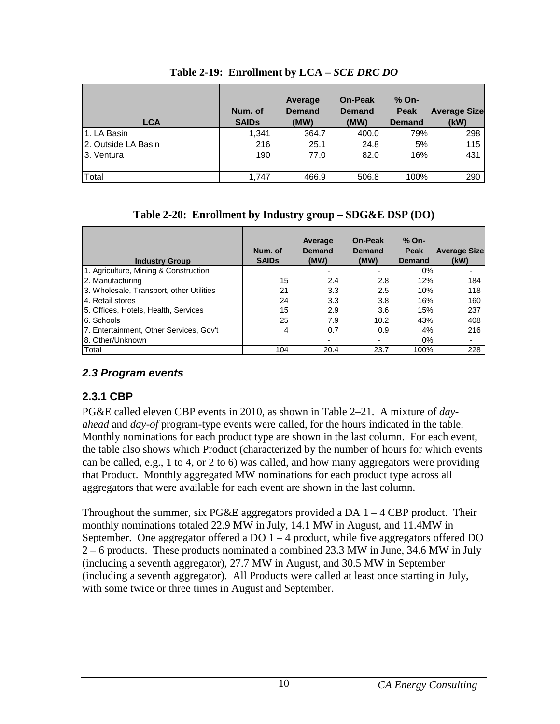| <b>LCA</b>          | Num. of<br><b>SAIDs</b> | Average<br><b>Demand</b><br>(MW) | <b>On-Peak</b><br><b>Demand</b><br>(MW) | $%$ On-<br><b>Peak</b><br><b>Demand</b> | <b>Average Size</b><br>(kW) |
|---------------------|-------------------------|----------------------------------|-----------------------------------------|-----------------------------------------|-----------------------------|
| 1. LA Basin         | 1.341                   | 364.7                            | 400.0                                   | 79%                                     | 298                         |
| 2. Outside LA Basin | 216                     | 25.1                             | 24.8                                    | 5%                                      | 115                         |
| 13. Ventura         | 190                     | 77.0                             | 82.0                                    | 16%                                     | 431                         |
| Total               | 1.747                   | 466.9                            | 506.8                                   | 100%                                    | 290                         |

**Table 2-19: Enrollment by LCA –** *SCE DRC DO*

#### **Table 2-20: Enrollment by Industry group – SDG&E DSP (DO)**

| <b>Industry Group</b>                    | Num. of<br><b>SAIDs</b> | Average<br><b>Demand</b><br>(MW) | On-Peak<br>Demand<br>(MW) | % On-<br>Peak<br>Demand | <b>Average Size</b><br>(kW) |
|------------------------------------------|-------------------------|----------------------------------|---------------------------|-------------------------|-----------------------------|
| 1. Agriculture, Mining & Construction    |                         |                                  |                           | $0\%$                   |                             |
| 2. Manufacturing                         | 15                      | 2.4                              | 2.8                       | 12%                     | 184                         |
| 3. Wholesale, Transport, other Utilities | 21                      | 3.3                              | 2.5                       | 10%                     | 118                         |
| 4. Retail stores                         | 24                      | 3.3                              | 3.8                       | 16%                     | 160                         |
| 5. Offices, Hotels, Health, Services     | 15                      | 2.9                              | 3.6                       | 15%                     | 237                         |
| 6. Schools                               | 25                      | 7.9                              | 10.2                      | 43%                     | 408                         |
| 7. Entertainment, Other Services, Gov't  | 4                       | 0.7                              | 0.9                       | 4%                      | 216                         |
| 8. Other/Unknown                         |                         |                                  |                           | $0\%$                   |                             |
| Total                                    | 104                     | 20.4                             | 23.7                      | 100%                    | 228                         |

#### **2.3 Program events**

#### **2.3.1 CBP**

PG&E called eleven CBP events in 2010, as shown in Table 2–21. A mixture of *dayahead* and *day-of* program-type events were called, for the hours indicated in the table. Monthly nominations for each product type are shown in the last column. For each event, the table also shows which Product (characterized by the number of hours for which events can be called, e.g., 1 to 4, or 2 to 6) was called, and how many aggregators were providing that Product. Monthly aggregated MW nominations for each product type across all aggregators that were available for each event are shown in the last column.

Throughout the summer, six PG&E aggregators provided a DA  $1 - 4$  CBP product. Their monthly nominations totaled 22.9 MW in July, 14.1 MW in August, and 11.4MW in September. One aggregator offered a  $DO 1 - 4$  product, while five aggregators offered  $DO$ 2 – 6 products. These products nominated a combined 23.3 MW in June, 34.6 MW in July (including a seventh aggregator), 27.7 MW in August, and 30.5 MW in September (including a seventh aggregator). All Products were called at least once starting in July, with some twice or three times in August and September.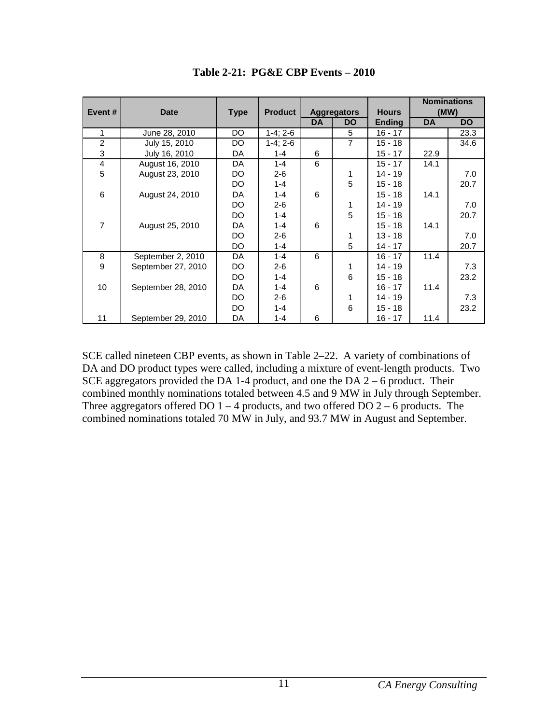|                |                    |             |                |           |                    |               |           | <b>Nominations</b> |
|----------------|--------------------|-------------|----------------|-----------|--------------------|---------------|-----------|--------------------|
| Event#         | <b>Date</b>        | <b>Type</b> | <b>Product</b> |           | <b>Aggregators</b> | <b>Hours</b>  |           | (MW)               |
|                |                    |             |                | <b>DA</b> | <b>DO</b>          | <b>Ending</b> | <b>DA</b> | <b>DO</b>          |
| 1              | June 28, 2010      | DO.         | $1-4; 2-6$     |           | 5                  | $16 - 17$     |           | 23.3               |
| $\overline{2}$ | July 15, 2010      | DO          | $1-4; 2-6$     |           | $\overline{7}$     | $15 - 18$     |           | 34.6               |
| 3              | July 16, 2010      | DA          | $1 - 4$        | 6         |                    | $15 - 17$     | 22.9      |                    |
| 4              | August 16, 2010    | DA          | $1 - 4$        | 6         |                    | $15 - 17$     | 14.1      |                    |
| 5              | August 23, 2010    | DO          | $2 - 6$        |           | 1                  | $14 - 19$     |           | 7.0                |
|                |                    | DO.         | $1 - 4$        |           | 5                  | $15 - 18$     |           | 20.7               |
| 6              | August 24, 2010    | DA          | $1 - 4$        | 6         |                    | 15 - 18       | 14.1      |                    |
|                |                    | DO.         | $2 - 6$        |           | 1                  | 14 - 19       |           | 7.0                |
|                |                    | DO.         | $1 - 4$        |           | 5                  | $15 - 18$     |           | 20.7               |
| $\overline{7}$ | August 25, 2010    | DA          | $1 - 4$        | 6         |                    | $15 - 18$     | 14.1      |                    |
|                |                    | DO          | $2 - 6$        |           | 1                  | $13 - 18$     |           | 7.0                |
|                |                    | DO          | $1 - 4$        |           | 5                  | $14 - 17$     |           | 20.7               |
| 8              | September 2, 2010  | DA          | $1 - 4$        | 6         |                    | $16 - 17$     | 11.4      |                    |
| 9              | September 27, 2010 | DO          | $2 - 6$        |           | 1                  | 14 - 19       |           | 7.3                |
|                |                    | DO.         | $1 - 4$        |           | 6                  | $15 - 18$     |           | 23.2               |
| 10             | September 28, 2010 | DA          | $1 - 4$        | 6         |                    | $16 - 17$     | 11.4      |                    |
|                |                    | DO.         | $2 - 6$        |           | 1                  | 14 - 19       |           | 7.3                |
|                |                    | DO.         | $1 - 4$        |           | 6                  | $15 - 18$     |           | 23.2               |
| 11             | September 29, 2010 | DA          | $1 - 4$        | 6         |                    | $16 - 17$     | 11.4      |                    |

**Table 2-21: PG&E CBP Events – 2010** 

SCE called nineteen CBP events, as shown in Table 2–22. A variety of combinations of DA and DO product types were called, including a mixture of event-length products. Two SCE aggregators provided the DA 1-4 product, and one the DA 2 – 6 product. Their combined monthly nominations totaled between 4.5 and 9 MW in July through September. Three aggregators offered DO  $1 - 4$  products, and two offered DO  $2 - 6$  products. The combined nominations totaled 70 MW in July, and 93.7 MW in August and September.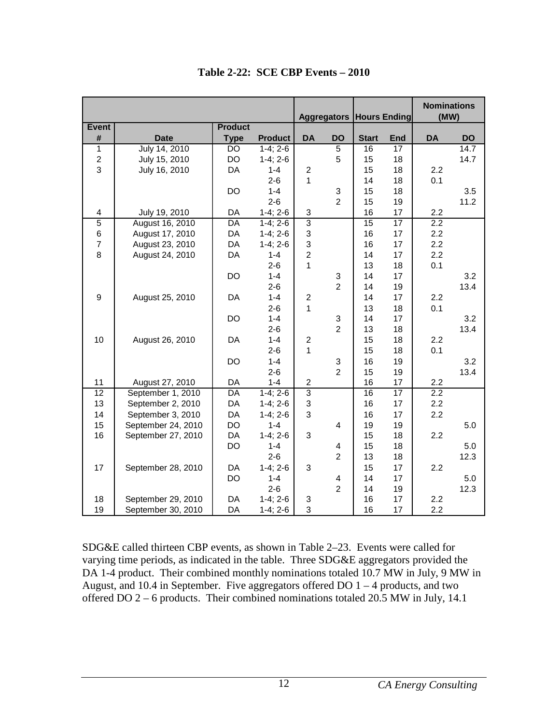|                         |                    |                |                |                           | <b>Aggregators Hours Ending</b> |                 |            | <b>Nominations</b><br>(MW) |                   |
|-------------------------|--------------------|----------------|----------------|---------------------------|---------------------------------|-----------------|------------|----------------------------|-------------------|
| Event                   |                    | <b>Product</b> |                |                           |                                 |                 |            |                            |                   |
| #                       | <b>Date</b>        | <b>Type</b>    | <b>Product</b> | <b>DA</b>                 | <b>DO</b>                       | <b>Start</b>    | <b>End</b> | <b>DA</b>                  | <b>DO</b>         |
| $\mathbf{1}$            | July 14, 2010      | <b>DO</b>      | $1-4; 2-6$     |                           | 5                               | 16              | 17         |                            | $\overline{1}4.7$ |
| $\overline{c}$          | July 15, 2010      | <b>DO</b>      | $1-4; 2-6$     |                           | 5                               | 15              | 18         |                            | 14.7              |
| 3                       | July 16, 2010      | DA             | $1 - 4$        | $\overline{2}$            |                                 | 15              | 18         | 2.2                        |                   |
|                         |                    |                | $2 - 6$        | 1                         |                                 | 14              | 18         | 0.1                        |                   |
|                         |                    | DO             | $1 - 4$        |                           | 3                               | 15              | 18         |                            | 3.5               |
|                         |                    |                | $2 - 6$        |                           | $\overline{2}$                  | 15              | 19         |                            | 11.2              |
| $\overline{\mathbf{4}}$ | July 19, 2010      | DA             | $1-4; 2-6$     | 3                         |                                 | 16              | 17         | 2.2                        |                   |
| $\overline{5}$          | August 16, 2010    | DA             | $1-4; 2-6$     | $\overline{3}$            |                                 | $\overline{15}$ | 17         | 2.2                        |                   |
| 6                       | August 17, 2010    | DA             | $1-4; 2-6$     | $\ensuremath{\mathsf{3}}$ |                                 | 16              | 17         | 2.2                        |                   |
| $\overline{7}$          | August 23, 2010    | DA             | $1-4; 2-6$     | 3                         |                                 | 16              | 17         | 2.2                        |                   |
| 8                       | August 24, 2010    | DA             | $1 - 4$        | $\overline{c}$            |                                 | 14              | 17         | 2.2                        |                   |
|                         |                    |                | $2 - 6$        | 1                         |                                 | 13              | 18         | 0.1                        |                   |
|                         |                    | <b>DO</b>      | $1 - 4$        |                           | 3                               | 14              | 17         |                            | 3.2               |
|                         |                    |                | $2 - 6$        |                           | $\overline{2}$                  | 14              | 19         |                            | 13.4              |
| 9                       | August 25, 2010    | DA             | $1 - 4$        | $\overline{c}$            |                                 | 14              | 17         | 2.2                        |                   |
|                         |                    |                | $2 - 6$        | 1                         |                                 | 13              | 18         | 0.1                        |                   |
|                         |                    | <b>DO</b>      | $1 - 4$        |                           | $\mathsf 3$                     | 14              | 17         |                            | 3.2               |
|                         |                    |                | $2 - 6$        |                           | $\overline{2}$                  | 13              | 18         |                            | 13.4              |
| 10                      | August 26, 2010    | DA             | $1 - 4$        | $\overline{c}$            |                                 | 15              | 18         | 2.2                        |                   |
|                         |                    |                | $2 - 6$        | 1                         |                                 | 15              | 18         | 0.1                        |                   |
|                         |                    | DO             | $1 - 4$        |                           | 3                               | 16              | 19         |                            | 3.2               |
|                         |                    |                | $2 - 6$        |                           | $\overline{2}$                  | 15              | 19         |                            | 13.4              |
| 11                      | August 27, 2010    | DA             | $1 - 4$        | $\overline{c}$            |                                 | 16              | 17         | 2.2                        |                   |
| 12                      | September 1, 2010  | DA             | $1-4; 2-6$     | $\overline{3}$            |                                 | 16              | 17         | 2.2                        |                   |
| 13                      | September 2, 2010  | DA             | $1-4; 2-6$     | $\ensuremath{\mathsf{3}}$ |                                 | 16              | 17         | 2.2                        |                   |
| 14                      | September 3, 2010  | DA             | $1-4; 2-6$     | $\ensuremath{\mathsf{3}}$ |                                 | 16              | 17         | 2.2                        |                   |
| 15                      | September 24, 2010 | DO             | $1 - 4$        |                           | $\overline{4}$                  | 19              | 19         |                            | 5.0               |
| 16                      | September 27, 2010 | DA             | $1-4; 2-6$     | $\ensuremath{\mathsf{3}}$ |                                 | 15              | 18         | 2.2                        |                   |
|                         |                    | DO             | $1 - 4$        |                           | 4                               | 15              | 18         |                            | 5.0               |
|                         |                    |                | $2 - 6$        |                           | $\overline{2}$                  | 13              | 18         |                            | 12.3              |
| 17                      | September 28, 2010 | DA             | $1-4; 2-6$     | 3                         |                                 | 15              | 17         | 2.2                        |                   |
|                         |                    | DO             | $1 - 4$        |                           | 4                               | 14              | 17         |                            | 5.0               |
|                         |                    |                | $2 - 6$        |                           | $\overline{2}$                  | 14              | 19         |                            | 12.3              |
| 18                      | September 29, 2010 | DA             | $1-4; 2-6$     | 3                         |                                 | 16              | 17         | 2.2                        |                   |
| 19                      | September 30, 2010 | DA             | $1-4; 2-6$     | 3                         |                                 | 16              | 17         | 2.2                        |                   |

**Table 2-22: SCE CBP Events – 2010** 

SDG&E called thirteen CBP events, as shown in Table 2–23. Events were called for varying time periods, as indicated in the table. Three SDG&E aggregators provided the DA 1-4 product. Their combined monthly nominations totaled 10.7 MW in July, 9 MW in August, and 10.4 in September. Five aggregators offered DO 1 – 4 products, and two offered DO 2 – 6 products. Their combined nominations totaled 20.5 MW in July, 14.1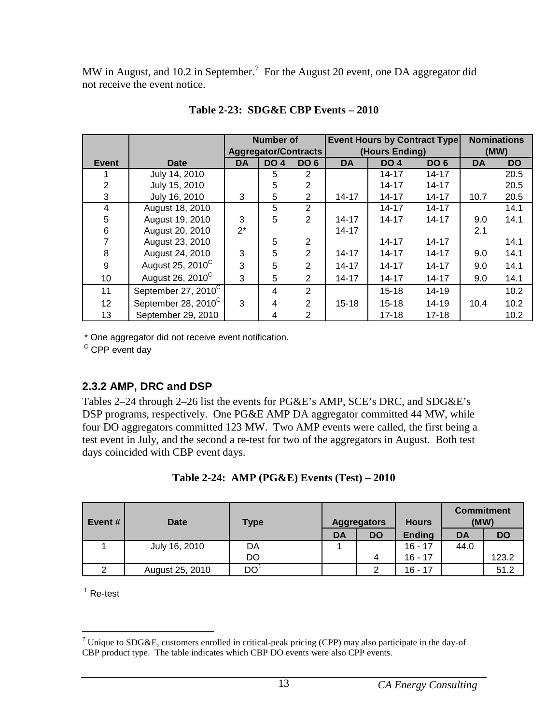MW in August, and 10.2 in September.<sup>7</sup> For the August 20 event, one DA aggregator did not receive the event notice.

|                |                                 | <b>Number of</b> |                                                       |                 |           | <b>Event Hours by Contract Type</b> |                 |      | <b>Nominations</b> |
|----------------|---------------------------------|------------------|-------------------------------------------------------|-----------------|-----------|-------------------------------------|-----------------|------|--------------------|
|                |                                 |                  | <b>Aggregator/Contracts</b><br>(Hours Ending)<br>(MW) |                 |           |                                     |                 |      |                    |
| Event          | <b>Date</b>                     | <b>DA</b>        | <b>DO 4</b>                                           | DO <sub>6</sub> | <b>DA</b> | <b>DO 4</b>                         | DO <sub>6</sub> | DA   | <b>DO</b>          |
|                | July 14, 2010                   |                  | 5                                                     | 2               |           | 14-17                               | $14 - 17$       |      | 20.5               |
| $\overline{2}$ | July 15, 2010                   |                  | 5                                                     | 2               |           | 14-17                               | $14 - 17$       |      | 20.5               |
| 3              | July 16, 2010                   | 3                | 5                                                     | 2               | $14 - 17$ | 14-17                               | 14-17           | 10.7 | 20.5               |
| 4              | August 18, 2010                 |                  | 5                                                     | $\overline{2}$  |           | 14-17                               | $14 - 17$       |      | 14.1               |
| 5              | August 19, 2010                 | 3                | 5                                                     | $\overline{2}$  | 14-17     | 14-17                               | $14 - 17$       | 9.0  | 14.1               |
| 6              | August 20, 2010                 | $2^*$            |                                                       |                 | $14 - 17$ |                                     |                 | 2.1  |                    |
|                | August 23, 2010                 |                  | 5                                                     | $\overline{2}$  |           | 14-17                               | $14 - 17$       |      | 14.1               |
| 8              | August 24, 2010                 | 3                | 5                                                     | $\overline{2}$  | 14-17     | 14-17                               | $14 - 17$       | 9.0  | 14.1               |
| 9              | August 25, 2010 <sup>C</sup>    | 3                | 5                                                     | $\overline{2}$  | $14 - 17$ | $14 - 17$                           | $14 - 17$       | 9.0  | 14.1               |
| 10             | August 26, 2010 <sup>C</sup>    | 3                | 5                                                     | 2               | $14 - 17$ | 14-17                               | $14 - 17$       | 9.0  | 14.1               |
| 11             | September 27, 2010 <sup>C</sup> |                  | 4                                                     | $\overline{2}$  |           | $15 - 18$                           | 14-19           |      | 10.2               |
| 12             | September 28, 2010 <sup>C</sup> | 3                | 4                                                     | 2               | $15 - 18$ | $15 - 18$                           | $14 - 19$       | 10.4 | 10.2               |
| 13             | September 29, 2010              |                  | 4                                                     | 2               |           | $17 - 18$                           | $17 - 18$       |      | 10.2               |

**Table 2-23: SDG&E CBP Events – 2010** 

\* One aggregator did not receive event notification.

<sup>C</sup> CPP event day

## **2.3.2 AMP, DRC and DSP**

Tables 2–24 through 2–26 list the events for PG&E's AMP, SCE's DRC, and SDG&E's DSP programs, respectively. One PG&E AMP DA aggregator committed 44 MW, while four DO aggregators committed 123 MW. Two AMP events were called, the first being a test event in July, and the second a re-test for two of the aggregators in August. Both test days coincided with CBP event days.

| Table 2-24: AMP (PG&E) Events $(Test) - 2010$ |  |  |  |  |  |
|-----------------------------------------------|--|--|--|--|--|
|-----------------------------------------------|--|--|--|--|--|

| l Event # | <b>Date</b>     | <b>Type</b>     | <b>Aggregators</b> |           | <b>Hours</b>  | (MW) | <b>Commitment</b> |
|-----------|-----------------|-----------------|--------------------|-----------|---------------|------|-------------------|
|           |                 |                 | DA                 | <b>DO</b> | <b>Ending</b> | DA   | DO                |
|           | July 16, 2010   | DA              |                    |           | $16 - 17$     | 44.0 |                   |
|           |                 | DO              |                    | 4         | $16 - 17$     |      | 123.2             |
| າ         | August 25, 2010 | DO <sup>1</sup> |                    | າ         | $16 - 17$     |      | 51.2              |

 $1$  Re-test

Thique to SDG&E, customers enrolled in critical-peak pricing (CPP) may also participate in the day-of CBP product type. The table indicates which CBP DO events were also CPP events.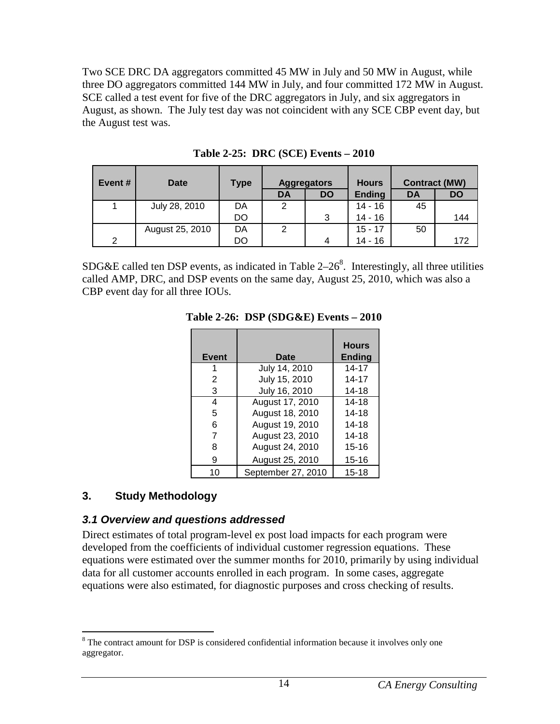Two SCE DRC DA aggregators committed 45 MW in July and 50 MW in August, while three DO aggregators committed 144 MW in July, and four committed 172 MW in August. SCE called a test event for five of the DRC aggregators in July, and six aggregators in August, as shown. The July test day was not coincident with any SCE CBP event day, but the August test was.

| Event#        | <b>Date</b>     | <b>Type</b> | <b>Aggregators</b> |           | <b>Hours</b>  |           | <b>Contract (MW)</b> |
|---------------|-----------------|-------------|--------------------|-----------|---------------|-----------|----------------------|
|               |                 |             | <b>DA</b>          | <b>DO</b> | <b>Ending</b> | <b>DA</b> | <b>DO</b>            |
| 1             | July 28, 2010   | DA          | 2                  |           | $14 - 16$     | 45        |                      |
|               |                 | DO          |                    | 3         | $14 - 16$     |           | 144                  |
|               | August 25, 2010 | DA          | 2                  |           | $15 - 17$     | 50        |                      |
| $\mathcal{P}$ |                 | DO          |                    | 4         | $14 - 16$     |           | 172                  |

**Table 2-25: DRC (SCE) Events – 2010** 

SDG&E called ten DSP events, as indicated in Table  $2-26<sup>8</sup>$ . Interestingly, all three utilities called AMP, DRC, and DSP events on the same day, August 25, 2010, which was also a CBP event day for all three IOUs.

| Event | Date               | <b>Hours</b><br><b>Ending</b> |
|-------|--------------------|-------------------------------|
|       | July 14, 2010      | 14-17                         |
| 2     | July 15, 2010      | 14-17                         |
| 3     | July 16, 2010      | $14 - 18$                     |
| 4     | August 17, 2010    | 14-18                         |
| 5     | August 18, 2010    | 14-18                         |
| 6     | August 19, 2010    | $14 - 18$                     |
| 7     | August 23, 2010    | $14 - 18$                     |
| 8     | August 24, 2010    | $15 - 16$                     |
| 9     | August 25, 2010    | $15 - 16$                     |
| 10    | September 27, 2010 | 15-18                         |

**Table 2-26: DSP (SDG&E) Events – 2010** 

#### **3. Study Methodology**

#### **3.1 Overview and questions addressed**

Direct estimates of total program-level ex post load impacts for each program were developed from the coefficients of individual customer regression equations. These equations were estimated over the summer months for 2010, primarily by using individual data for all customer accounts enrolled in each program. In some cases, aggregate equations were also estimated, for diagnostic purposes and cross checking of results.

<sup>&</sup>lt;sup>8</sup>The contract amount for DSP is considered confidential information because it involves only one aggregator.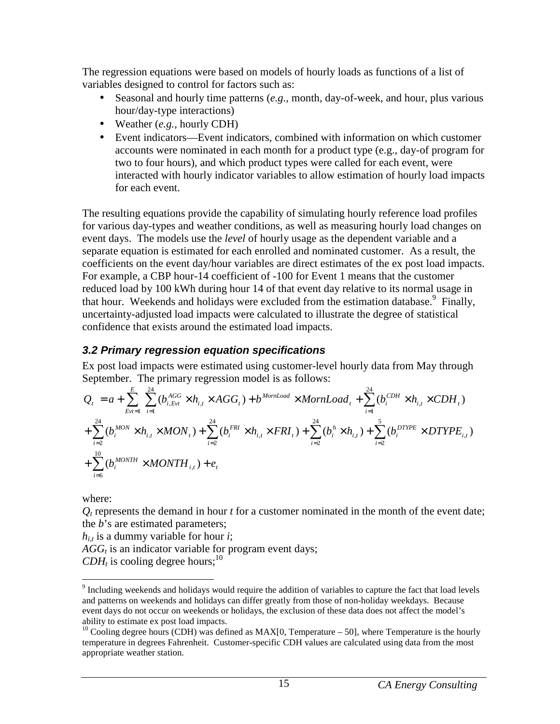The regression equations were based on models of hourly loads as functions of a list of variables designed to control for factors such as:

- Seasonal and hourly time patterns (*e.g.*, month, day-of-week, and hour, plus various hour/day-type interactions)
- Weather (*e.g.*, hourly CDH)
- Event indicators—Event indicators, combined with information on which customer accounts were nominated in each month for a product type (e.g., day-of program for two to four hours), and which product types were called for each event, were interacted with hourly indicator variables to allow estimation of hourly load impacts for each event.

The resulting equations provide the capability of simulating hourly reference load profiles for various day-types and weather conditions, as well as measuring hourly load changes on event days. The models use the *level* of hourly usage as the dependent variable and a separate equation is estimated for each enrolled and nominated customer. As a result, the coefficients on the event day/hour variables are direct estimates of the ex post load impacts. For example, a CBP hour-14 coefficient of -100 for Event 1 means that the customer reduced load by 100 kWh during hour 14 of that event day relative to its normal usage in that hour. Weekends and holidays were excluded from the estimation database.<sup>9</sup> Finally, uncertainty-adjusted load impacts were calculated to illustrate the degree of statistical confidence that exists around the estimated load impacts.

## **3.2 Primary regression equation specifications**

Ex post load impacts were estimated using customer-level hourly data from May through September. The primary regression model is as follows:

$$
Q_{t} = a + \sum_{Evt=1}^{E} \sum_{i=1}^{24} (b_{i,Evt}^{AGG} \times h_{i,t} \times AGG_{t}) + b^{MonLoad} \times MornLoad_{t} + \sum_{i=1}^{24} (b_{i}^{CDH} \times h_{i,t} \times CDH_{t})
$$
  
+  $\sum_{i=2}^{24} (b_{i}^{MON} \times h_{i,t} \times MON_{t}) + \sum_{i=2}^{24} (b_{i}^{FRI} \times h_{i,t} \times FRI_{t}) + \sum_{i=2}^{24} (b_{i}^{h} \times h_{i,t}) + \sum_{i=2}^{5} (b_{i}^{DTPE} \times DTYPE_{i,t})$   
+  $\sum_{i=6}^{10} (b_{i}^{MONTH} \times MONTH_{i,t}) + e_{t}$ 

where:

 $Q_t$  represents the demand in hour  $t$  for a customer nominated in the month of the event date; the *b*'s are estimated parameters;

 $h_{i,t}$  is a dummy variable for hour *i*;

*AGG<sup>t</sup>* is an indicator variable for program event days;

 $CDH_t$  is cooling degree hours;<sup>10</sup>

<sup>&</sup>lt;u>.</u> <sup>9</sup> Including weekends and holidays would require the addition of variables to capture the fact that load levels and patterns on weekends and holidays can differ greatly from those of non-holiday weekdays. Because event days do not occur on weekends or holidays, the exclusion of these data does not affect the model's ability to estimate ex post load impacts.

<sup>&</sup>lt;sup>10</sup> Cooling degree hours (CDH) was defined as MAX[0, Temperature – 50], where Temperature is the hourly temperature in degrees Fahrenheit. Customer-specific CDH values are calculated using data from the most appropriate weather station.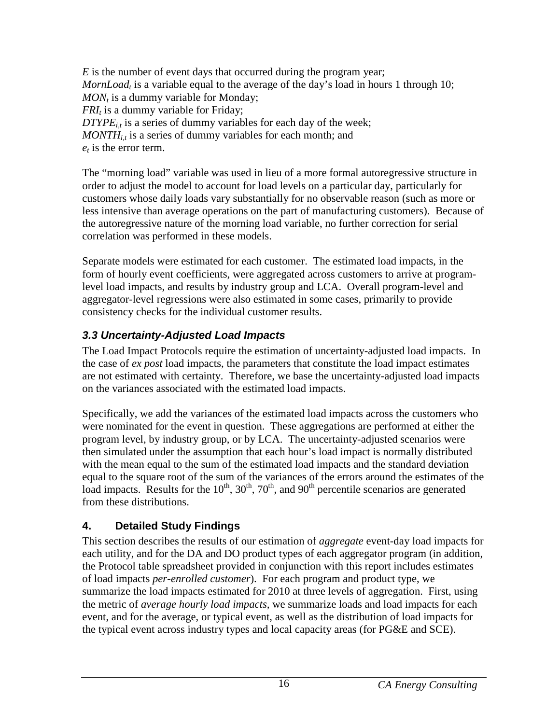*E* is the number of event days that occurred during the program year; *MornLoad<sup>t</sup>* is a variable equal to the average of the day's load in hours 1 through 10; *MON<sup>t</sup>* is a dummy variable for Monday; *FRI<sup>t</sup>* is a dummy variable for Friday;  $DTYPE<sub>i</sub>$  is a series of dummy variables for each day of the week; *MONTHi,t* is a series of dummy variables for each month; and *et* is the error term.

The "morning load" variable was used in lieu of a more formal autoregressive structure in order to adjust the model to account for load levels on a particular day, particularly for customers whose daily loads vary substantially for no observable reason (such as more or less intensive than average operations on the part of manufacturing customers). Because of the autoregressive nature of the morning load variable, no further correction for serial correlation was performed in these models.

Separate models were estimated for each customer. The estimated load impacts, in the form of hourly event coefficients, were aggregated across customers to arrive at programlevel load impacts, and results by industry group and LCA. Overall program-level and aggregator-level regressions were also estimated in some cases, primarily to provide consistency checks for the individual customer results.

# **3.3 Uncertainty-Adjusted Load Impacts**

The Load Impact Protocols require the estimation of uncertainty-adjusted load impacts. In the case of *ex post* load impacts, the parameters that constitute the load impact estimates are not estimated with certainty. Therefore, we base the uncertainty-adjusted load impacts on the variances associated with the estimated load impacts.

Specifically, we add the variances of the estimated load impacts across the customers who were nominated for the event in question. These aggregations are performed at either the program level, by industry group, or by LCA. The uncertainty-adjusted scenarios were then simulated under the assumption that each hour's load impact is normally distributed with the mean equal to the sum of the estimated load impacts and the standard deviation equal to the square root of the sum of the variances of the errors around the estimates of the load impacts. Results for the  $10^{th}$ ,  $30^{th}$ ,  $70^{th}$ , and  $90^{th}$  percentile scenarios are generated from these distributions.

# **4. Detailed Study Findings**

This section describes the results of our estimation of *aggregate* event-day load impacts for each utility, and for the DA and DO product types of each aggregator program (in addition, the Protocol table spreadsheet provided in conjunction with this report includes estimates of load impacts *per-enrolled customer*). For each program and product type, we summarize the load impacts estimated for 2010 at three levels of aggregation. First, using the metric of *average hourly load impacts,* we summarize loads and load impacts for each event, and for the average, or typical event, as well as the distribution of load impacts for the typical event across industry types and local capacity areas (for PG&E and SCE).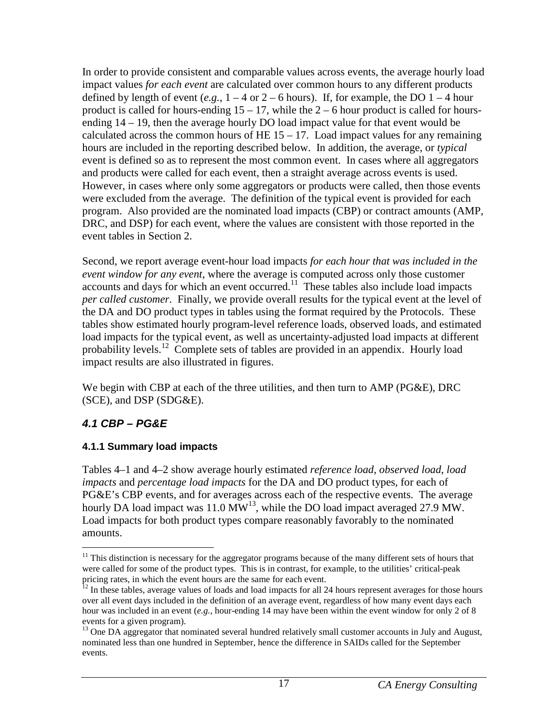In order to provide consistent and comparable values across events, the average hourly load impact values *for each event* are calculated over common hours to any different products defined by length of event  $(e.g., 1-4 \text{ or } 2-6 \text{ hours})$ . If, for example, the DO  $1-4 \text{ hour}$ product is called for hours-ending  $15 - 17$ , while the  $2 - 6$  hour product is called for hoursending 14 – 19, then the average hourly DO load impact value for that event would be calculated across the common hours of HE  $15 - 17$ . Load impact values for any remaining hours are included in the reporting described below. In addition, the average, or *typical* event is defined so as to represent the most common event. In cases where all aggregators and products were called for each event, then a straight average across events is used. However, in cases where only some aggregators or products were called, then those events were excluded from the average. The definition of the typical event is provided for each program. Also provided are the nominated load impacts (CBP) or contract amounts (AMP, DRC, and DSP) for each event, where the values are consistent with those reported in the event tables in Section 2.

Second, we report average event-hour load impacts *for each hour that was included in the event window for any event*, where the average is computed across only those customer accounts and days for which an event occurred.<sup>11</sup> These tables also include load impacts *per called customer*. Finally, we provide overall results for the typical event at the level of the DA and DO product types in tables using the format required by the Protocols. These tables show estimated hourly program-level reference loads, observed loads, and estimated load impacts for the typical event, as well as uncertainty-adjusted load impacts at different probability levels.<sup>12</sup> Complete sets of tables are provided in an appendix. Hourly load impact results are also illustrated in figures.

We begin with CBP at each of the three utilities, and then turn to AMP (PG&E), DRC (SCE), and DSP (SDG&E).

#### **4.1 CBP – PG&E**

#### **4.1.1 Summary load impacts**

Tables 4–1 and 4–2 show average hourly estimated *reference load*, *observed load*, *load impacts* and *percentage load impacts* for the DA and DO product types, for each of PG&E's CBP events, and for averages across each of the respective events. The average hourly DA load impact was 11.0  $\text{MW}^{13}$ , while the DO load impact averaged 27.9 MW. Load impacts for both product types compare reasonably favorably to the nominated amounts.

 $\overline{a}$ <sup>11</sup> This distinction is necessary for the aggregator programs because of the many different sets of hours that were called for some of the product types. This is in contrast, for example, to the utilities' critical-peak pricing rates, in which the event hours are the same for each event.

 $12$  In these tables, average values of loads and load impacts for all 24 hours represent averages for those hours over all event days included in the definition of an average event, regardless of how many event days each hour was included in an event (*e.g.*, hour-ending 14 may have been within the event window for only 2 of 8 events for a given program).

<sup>&</sup>lt;sup>13</sup> One DA aggregator that nominated several hundred relatively small customer accounts in July and August, nominated less than one hundred in September, hence the difference in SAIDs called for the September events.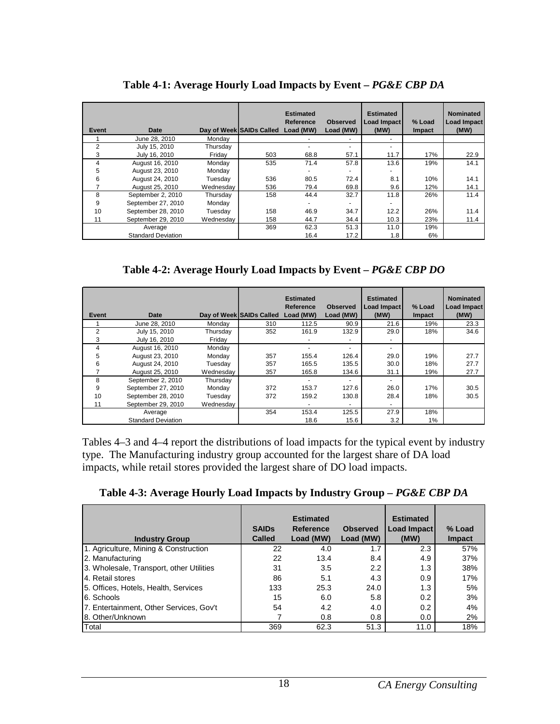| Event          | Date                      |           | Day of Week SAIDs Called | <b>Estimated</b><br>Reference<br>Load (MW) | <b>Observed</b><br>Load (MW) | <b>Estimated</b><br>Load Impact<br>(MW) | % Load<br><b>Impact</b> | <b>Nominated</b><br><b>Load Impact</b><br>(MW) |
|----------------|---------------------------|-----------|--------------------------|--------------------------------------------|------------------------------|-----------------------------------------|-------------------------|------------------------------------------------|
|                | June 28, 2010             | Mondav    |                          |                                            |                              |                                         |                         |                                                |
| $\overline{2}$ | July 15, 2010             | Thursday  |                          |                                            | $\overline{a}$               |                                         |                         |                                                |
| 3              | July 16, 2010             | Fridav    | 503                      | 68.8                                       | 57.1                         | 11.7                                    | 17%                     | 22.9                                           |
| 4              | August 16, 2010           | Monday    | 535                      | 71.4                                       | 57.8                         | 13.6                                    | 19%                     | 14.1                                           |
| 5              | August 23, 2010           | Monday    |                          |                                            |                              |                                         |                         |                                                |
| 6              | August 24, 2010           | Tuesdav   | 536                      | 80.5                                       | 72.4                         | 8.1                                     | 10%                     | 14.1                                           |
|                | August 25, 2010           | Wednesdav | 536                      | 79.4                                       | 69.8                         | 9.6                                     | 12%                     | 14.1                                           |
| 8              | September 2, 2010         | Thursday  | 158                      | 44.4                                       | 32.7                         | 11.8                                    | 26%                     | 11.4                                           |
| 9              | September 27, 2010        | Monday    |                          |                                            |                              |                                         |                         |                                                |
| 10             | September 28, 2010        | Tuesday   | 158                      | 46.9                                       | 34.7                         | 12.2                                    | 26%                     | 11.4                                           |
| 11             | September 29, 2010        | Wednesdav | 158                      | 44.7                                       | 34.4                         | 10.3                                    | 23%                     | 11.4                                           |
|                | Average                   |           | 369                      | 62.3                                       | 51.3                         | 11.0                                    | 19%                     |                                                |
|                | <b>Standard Deviation</b> |           |                          | 16.4                                       | 17.2                         | 1.8                                     | 6%                      |                                                |

**Table 4-1: Average Hourly Load Impacts by Event –** *PG&E CBP DA*

**Table 4-2: Average Hourly Load Impacts by Event –** *PG&E CBP DO*

| Event | Date                      |           | Day of Week SAIDs Called | <b>Estimated</b><br>Reference<br>Load (MW) | <b>Observed</b><br>Load (MW) | <b>Estimated</b><br>Load Impact<br>(MW) | % Load<br>Impact | <b>Nominated</b><br><b>Load Impact</b><br>(MW) |
|-------|---------------------------|-----------|--------------------------|--------------------------------------------|------------------------------|-----------------------------------------|------------------|------------------------------------------------|
|       | June 28, 2010             | Monday    | 310                      | 112.5                                      | 90.9                         | 21.6                                    | 19%              | 23.3                                           |
| 2     | July 15, 2010             | Thursday  | 352                      | 161.9                                      | 132.9                        | 29.0                                    | 18%              | 34.6                                           |
| 3     | July 16, 2010             | Fridav    |                          |                                            | ٠                            |                                         |                  |                                                |
| 4     | August 16, 2010           | Mondav    |                          |                                            |                              | -                                       |                  |                                                |
| 5     | August 23, 2010           | Monday    | 357                      | 155.4                                      | 126.4                        | 29.0                                    | 19%              | 27.7                                           |
| 6     | August 24, 2010           | Tuesday   | 357                      | 165.5                                      | 135.5                        | 30.0                                    | 18%              | 27.7                                           |
|       | August 25, 2010           | Wednesdav | 357                      | 165.8                                      | 134.6                        | 31.1                                    | 19%              | 27.7                                           |
| 8     | September 2, 2010         | Thursday  |                          |                                            |                              | -                                       |                  |                                                |
| 9     | September 27, 2010        | Monday    | 372                      | 153.7                                      | 127.6                        | 26.0                                    | 17%              | 30.5                                           |
| 10    | September 28, 2010        | Tuesday   | 372                      | 159.2                                      | 130.8                        | 28.4                                    | 18%              | 30.5                                           |
| 11    | September 29, 2010        | Wednesdav |                          |                                            |                              |                                         |                  |                                                |
|       | Average                   |           | 354                      | 153.4                                      | 125.5                        | 27.9                                    | 18%              |                                                |
|       | <b>Standard Deviation</b> |           |                          | 18.6                                       | 15.6                         | 3.2                                     | 1%               |                                                |

Tables 4–3 and 4–4 report the distributions of load impacts for the typical event by industry type. The Manufacturing industry group accounted for the largest share of DA load impacts, while retail stores provided the largest share of DO load impacts.

Table 4-3: Average Hourly Load Impacts by Industry Group – PG&E CBP DA

| <b>Industry Group</b>                    | <b>SAIDs</b><br><b>Called</b> | <b>Estimated</b><br>Reference<br>Load (MW) | <b>Observed</b><br>Load (MW) | <b>Estimated</b><br>Load Impact<br>(MW) | % Load<br><b>Impact</b> |
|------------------------------------------|-------------------------------|--------------------------------------------|------------------------------|-----------------------------------------|-------------------------|
| 1. Agriculture, Mining & Construction    | 22                            | 4.0                                        | 1.7                          | 2.3                                     | 57%                     |
| 2. Manufacturing                         | 22                            | 13.4                                       | 8.4                          | 4.9                                     | 37%                     |
| 3. Wholesale, Transport, other Utilities | 31                            | 3.5                                        | 2.2                          | 1.3                                     | 38%                     |
| 4. Retail stores                         | 86                            | 5.1                                        | 4.3                          | 0.9                                     | 17%                     |
| 5. Offices, Hotels, Health, Services     | 133                           | 25.3                                       | 24.0                         | 1.3                                     | 5%                      |
| 6. Schools                               | 15                            | 6.0                                        | 5.8                          | 0.2                                     | 3%                      |
| 7. Entertainment, Other Services, Gov't  | 54                            | 4.2                                        | 4.0                          | 0.2                                     | 4%                      |
| 8. Other/Unknown                         |                               | 0.8                                        | 0.8                          | 0.0                                     | 2%                      |
| Total                                    | 369                           | 62.3                                       | 51.3                         | 11.0                                    | 18%                     |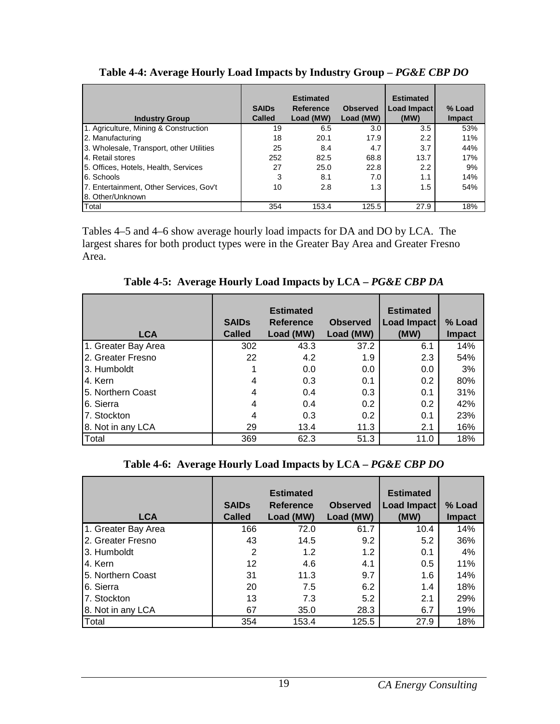| <b>Industry Group</b>                    | <b>SAIDs</b><br><b>Called</b> | <b>Estimated</b><br>Reference<br>Load (MW) | <b>Observed</b><br>Load (MW) | <b>Estimated</b><br>Load Impact<br>(MW) | % Load<br><b>Impact</b> |
|------------------------------------------|-------------------------------|--------------------------------------------|------------------------------|-----------------------------------------|-------------------------|
| 1. Agriculture, Mining & Construction    | 19                            | 6.5                                        | 3.0                          | 3.5                                     | 53%                     |
| 2. Manufacturing                         | 18                            | 20.1                                       | 17.9                         | 2.2                                     | 11%                     |
| 3. Wholesale, Transport, other Utilities | 25                            | 8.4                                        | 4.7                          | 3.7                                     | 44%                     |
| 4. Retail stores                         | 252                           | 82.5                                       | 68.8                         | 13.7                                    | 17%                     |
| 5. Offices, Hotels, Health, Services     | 27                            | 25.0                                       | 22.8                         | 2.2                                     | 9%                      |
| 6. Schools                               | 3                             | 8.1                                        | 7.0                          | 1.1                                     | 14%                     |
| 7. Entertainment, Other Services, Gov't  | 10                            | 2.8                                        | 1.3                          | 1.5                                     | 54%                     |
| 8. Other/Unknown                         |                               |                                            |                              |                                         |                         |
| Total                                    | 354                           | 153.4                                      | 125.5                        | 27.9                                    | 18%                     |

Table 4-4: Average Hourly Load Impacts by Industry Group - PG&E CBP DO

Tables 4–5 and 4–6 show average hourly load impacts for DA and DO by LCA. The largest shares for both product types were in the Greater Bay Area and Greater Fresno Area.

**Table 4-5: Average Hourly Load Impacts by LCA –** *PG&E CBP DA*

| <b>LCA</b>          | <b>SAIDs</b><br><b>Called</b> | <b>Estimated</b><br><b>Reference</b><br>Load (MW) | <b>Observed</b><br>Load (MW) | <b>Estimated</b><br>Load Impact<br>(MW) | % Load<br><b>Impact</b> |
|---------------------|-------------------------------|---------------------------------------------------|------------------------------|-----------------------------------------|-------------------------|
| 1. Greater Bay Area | 302                           | 43.3                                              | 37.2                         | 6.1                                     | 14%                     |
| 2. Greater Fresno   | 22                            | 4.2                                               | 1.9                          | 2.3                                     | 54%                     |
| 3. Humboldt         |                               | 0.0                                               | 0.0                          | 0.0                                     | 3%                      |
| 4. Kern             | 4                             | 0.3                                               | 0.1                          | 0.2                                     | 80%                     |
| 5. Northern Coast   | 4                             | 0.4                                               | 0.3                          | 0.1                                     | 31%                     |
| 6. Sierra           | 4                             | 0.4                                               | 0.2                          | 0.2                                     | 42%                     |
| 7. Stockton         | 4                             | 0.3                                               | $0.2^{\circ}$                | 0.1                                     | 23%                     |
| 8. Not in any LCA   | 29                            | 13.4                                              | 11.3                         | 2.1                                     | 16%                     |
| Total               | 369                           | 62.3                                              | 51.3                         | 11.0                                    | 18%                     |

#### **Table 4-6: Average Hourly Load Impacts by LCA –** *PG&E CBP DO*

| <b>LCA</b>          | <b>SAIDS</b><br>Called | <b>Estimated</b><br><b>Reference</b><br>Load (MW) | <b>Observed</b><br>Load (MW) | <b>Estimated</b><br>Load Impact<br>(MW) | % Load<br><b>Impact</b> |
|---------------------|------------------------|---------------------------------------------------|------------------------------|-----------------------------------------|-------------------------|
| 1. Greater Bay Area | 166                    | 72.0                                              | 61.7                         | 10.4                                    | 14%                     |
| I2. Greater Fresno  | 43                     | 14.5                                              | 9.2                          | 5.2                                     | 36%                     |
| 3. Humboldt         | 2                      | 1.2                                               | 1.2                          | 0.1                                     | 4%                      |
| 4. Kern             | 12                     | 4.6                                               | 4.1                          | 0.5                                     | 11%                     |
| 5. Northern Coast   | 31                     | 11.3                                              | 9.7                          | 1.6                                     | 14%                     |
| 6. Sierra           | 20                     | 7.5                                               | 6.2                          | 1.4                                     | 18%                     |
| 7. Stockton         | 13                     | 7.3                                               | 5.2                          | 2.1                                     | 29%                     |
| 8. Not in any LCA   | 67                     | 35.0                                              | 28.3                         | 6.7                                     | 19%                     |
| Total               | 354                    | 153.4                                             | 125.5                        | 27.9                                    | 18%                     |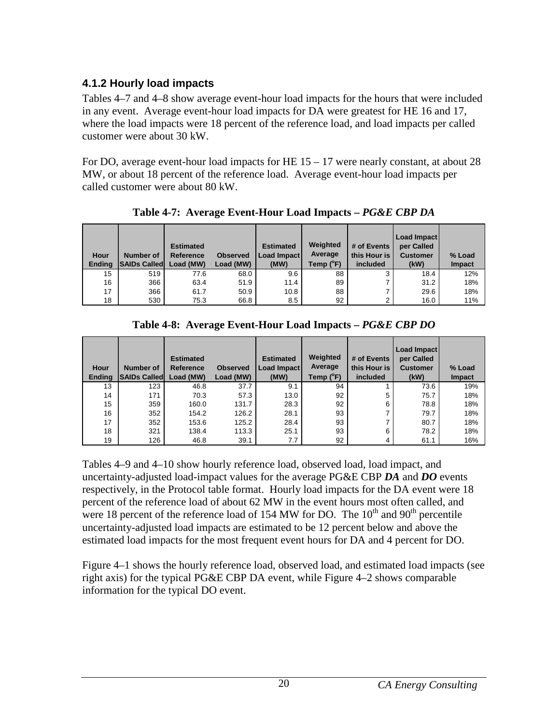## **4.1.2 Hourly load impacts**

Tables 4–7 and 4–8 show average event-hour load impacts for the hours that were included in any event. Average event-hour load impacts for DA were greatest for HE 16 and 17, where the load impacts were 18 percent of the reference load, and load impacts per called customer were about 30 kW.

For DO, average event-hour load impacts for HE  $15 - 17$  were nearly constant, at about 28 MW, or about 18 percent of the reference load. Average event-hour load impacts per called customer were about 80 kW.

| Hour<br><b>Ending</b> | Number of<br><b>SAIDs Called</b> | <b>Estimated</b><br>Reference<br>Load (MW) | <b>Observed</b><br>Load (MW) | <b>Estimated</b><br>Load Impact<br>(MW) | Weighted<br>Average<br>Temp (°F) | # of Events<br>this Hour is<br>included | Load Impact<br>per Called<br><b>Customer</b><br>(kW) | % Load<br><b>Impact</b> |
|-----------------------|----------------------------------|--------------------------------------------|------------------------------|-----------------------------------------|----------------------------------|-----------------------------------------|------------------------------------------------------|-------------------------|
| 15                    | 519                              | 77.6                                       | 68.0                         | 9.6                                     | 88                               | 3                                       | 18.4                                                 | 12%                     |
| 16                    | 366                              | 63.4                                       | 51.9                         | 11.4                                    | 89                               |                                         | 31.2                                                 | 18%                     |
| 17                    | 366                              | 61.7                                       | 50.9                         | 10.8                                    | 88                               |                                         | 29.6                                                 | 18%                     |
| 18                    | 530                              | 75.3                                       | 66.8                         | 8.5                                     | 92                               | ົ                                       | 16.0                                                 | 11%                     |

**Table 4-7: Average Event-Hour Load Impacts –** *PG&E CBP DA* 

| Hour<br><b>Ending</b> | Number of<br><b>SAIDs Called</b> | <b>Estimated</b><br>Reference<br>Load (MW) | <b>Observed</b><br>Load (MW) | <b>Estimated</b><br><b>Load Impact</b><br>(MW) | Weighted<br>Average<br>Temp (°F) | # of Events<br>this Hour is<br>included | Load Impact<br>per Called<br><b>Customer</b><br>(kW) | % Load<br><b>Impact</b> |
|-----------------------|----------------------------------|--------------------------------------------|------------------------------|------------------------------------------------|----------------------------------|-----------------------------------------|------------------------------------------------------|-------------------------|
| 13                    | 123                              | 46.8                                       | 37.7                         | 9.1                                            | 94                               |                                         | 73.6                                                 | 19%                     |
| 14                    | 171                              | 70.3                                       | 57.3                         | 13.0                                           | 92                               | 5                                       | 75.7                                                 | 18%                     |
| 15                    | 359                              | 160.0                                      | 131.7                        | 28.3                                           | 92                               | 6                                       | 78.8                                                 | 18%                     |
| 16                    | 352                              | 154.2                                      | 126.2                        | 28.1                                           | 93                               | ⇁                                       | 79.7                                                 | 18%                     |
| 17                    | 352                              | 153.6                                      | 125.2                        | 28.4                                           | 93                               | ⇁                                       | 80.7                                                 | 18%                     |
| 18                    | 321                              | 138.4                                      | 113.3                        | 25.1                                           | 93                               | 6                                       | 78.2                                                 | 18%                     |
| 19                    | 126                              | 46.8                                       | 39.1                         | 7.7                                            | 92                               | 4                                       | 61.1                                                 | 16%                     |

Tables 4–9 and 4–10 show hourly reference load, observed load, load impact, and uncertainty-adjusted load-impact values for the average PG&E CBP *DA* and *DO* events respectively, in the Protocol table format. Hourly load impacts for the DA event were 18 percent of the reference load of about 62 MW in the event hours most often called, and were 18 percent of the reference load of 154 MW for DO. The  $10<sup>th</sup>$  and  $90<sup>th</sup>$  percentile uncertainty-adjusted load impacts are estimated to be 12 percent below and above the estimated load impacts for the most frequent event hours for DA and 4 percent for DO.

Figure 4–1 shows the hourly reference load, observed load, and estimated load impacts (see right axis) for the typical PG&E CBP DA event, while Figure 4–2 shows comparable information for the typical DO event.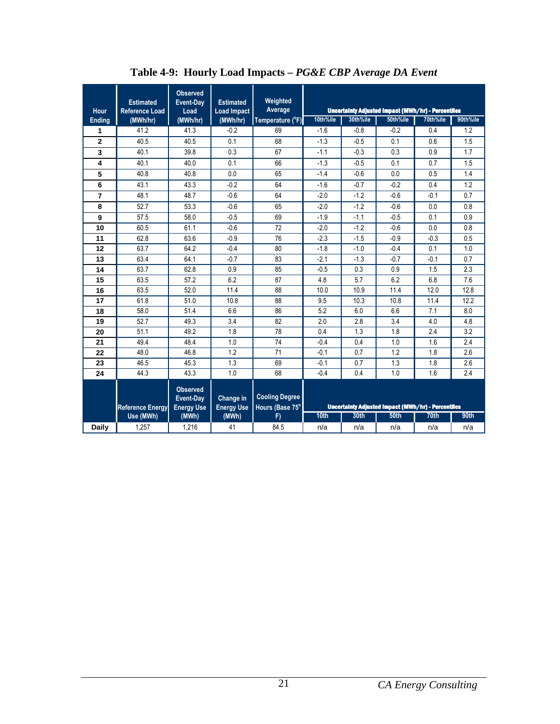| Hour           | <b>Estimated</b><br><b>Reference Load</b> | <b>Observed</b><br>Event-Day<br>Load              | <b>Estimated</b><br><b>Load Impact</b> | Weighted<br>Average                      |                  |          | Uncertainty Adjusted Impact (MWh/hr) - Percentiles |                  |          |
|----------------|-------------------------------------------|---------------------------------------------------|----------------------------------------|------------------------------------------|------------------|----------|----------------------------------------------------|------------------|----------|
| <b>Ending</b>  | (MWh/hr)                                  | (MWh/hr)                                          | (MWh/hr)                               | Temperature (°F)                         | 10th%ile         | 30th%ile | 50th%ile                                           | 70th%ile         | 90th%ile |
| 1              | 41.2                                      | 41.3                                              | $-0.2$                                 | 69                                       | $-1.6$           | $-0.8$   | $-0.2$                                             | 0.4              | 1.2      |
| $\overline{2}$ | 40.5                                      | 40.5                                              | 0.1                                    | 68                                       | $-1.3$           | $-0.5$   | 0.1                                                | 0.6              | 1.5      |
| 3              | 40.1                                      | 39.8                                              | 0.3                                    | 67                                       | $-1.1$           | $-0.3$   | 0.3                                                | 0.9              | 1.7      |
| 4              | 40.1                                      | 40.0                                              | 0.1                                    | 66                                       | $-1.3$           | $-0.5$   | 0.1                                                | 0.7              | 1.5      |
| 5              | 40.8                                      | 40.8                                              | 0.0                                    | 65                                       | $-1.4$           | $-0.6$   | 0.0                                                | 0.5              | 1.4      |
| 6              | 43.1                                      | 43.3                                              | $-0.2$                                 | 64                                       | $-1.6$           | $-0.7$   | $-0.2$                                             | 0.4              | 1.2      |
| $\overline{7}$ | 48.1                                      | 48.7                                              | $-0.6$                                 | 64                                       | $-2.0$           | $-1.2$   | $-0.6$                                             | $-0.1$           | 0.7      |
| 8              | 52.7                                      | 53.3                                              | $-0.6$                                 | 65                                       | $-2.0$           | $-1.2$   | $-0.6$                                             | 0.0              | 0.8      |
| 9              | 57.5                                      | 58.0                                              | $-0.5$                                 | 69                                       | $-1.9$           | $-1.1$   | $-0.5$                                             | 0.1              | 0.9      |
| 10             | 60.5                                      | 61.1                                              | $-0.6$                                 | 72                                       | $-2.0$           | $-1.2$   | $-0.6$                                             | 0.0              | 0.8      |
| 11             | 62.8                                      | 63.6                                              | $-0.9$                                 | 76                                       | $-2.3$           | $-1.5$   | $-0.9$                                             | $-0.3$           | 0.5      |
| 12             | 63.7                                      | 64.2                                              | $-0.4$                                 | 80                                       | $-1.8$           | $-1.0$   | $-0.4$                                             | 0.1              | 1.0      |
| 13             | 63.4                                      | 64.1                                              | $-0.7$                                 | 83                                       | $-2.1$           | $-1.3$   | $-0.7$                                             | $-0.1$           | 0.7      |
| 14             | 63.7                                      | 62.8                                              | 0.9                                    | 85                                       | $-0.5$           | 0.3      | 0.9                                                | 1.5              | 2.3      |
| 15             | 63.5                                      | 57.2                                              | 6.2                                    | 87                                       | 4.8              | 5.7      | 6.2                                                | 6.8              | 7.6      |
| 16             | 63.5                                      | 52.0                                              | 11.4                                   | 88                                       | 10.0             | 10.9     | 11.4                                               | 12.0             | 12.8     |
| 17             | 61.8                                      | 51.0                                              | 10.8                                   | 88                                       | 9.5              | 10.3     | 10.8                                               | 11.4             | 12.2     |
| 18             | 58.0                                      | 51.4                                              | 6.6                                    | 86                                       | 5.2              | 6.0      | 6.6                                                | 7.1              | 8.0      |
| 19             | 52.7                                      | 49.3                                              | 3.4                                    | 82                                       | 2.0              | 2.8      | 3.4                                                | 4.0              | 4.8      |
| 20             | 51.1                                      | 49.2                                              | 1.8                                    | 78                                       | 0.4              | 1.3      | 1.8                                                | 2.4              | 3.2      |
| 21             | 49.4                                      | 48.4                                              | 1.0                                    | 74                                       | $-0.4$           | 0.4      | 1.0                                                | 1.6              | 2.4      |
| 22             | 48.0                                      | 46.8                                              | 1.2                                    | 71                                       | $-0.1$           | 0.7      | 1.2                                                | 1.8              | 2.6      |
| 23             | 46.5                                      | 45.3                                              | 1.3                                    | 69                                       | $-0.1$           | 0.7      | 1.3                                                | 1.8              | 2.6      |
| 24             | 44.3                                      | 43.3                                              | 1.0                                    | 68                                       | $-0.4$           | 0.4      | 1.0                                                | 1.6              | 2.4      |
|                | <b>Reference Energy</b>                   | <b>Observed</b><br>Event-Day<br><b>Energy Use</b> | Change in<br><b>Energy Use</b>         | <b>Cooling Degree</b><br>Hours (Base 75° |                  |          | Uncertainty Adjusted Impact (MWh/hr) - Percentiles |                  |          |
|                | Use (MWh)                                 | (MWh)                                             | (MWh)                                  | F)                                       | 10 <sub>th</sub> | 30th     | <b>50th</b>                                        | 70 <sub>th</sub> | 90th     |
| Daily          | 1,257                                     | 1,216                                             | 41                                     | 84.5                                     | n/a              | n/a      | n/a                                                | n/a              | n/a      |

**Table 4-9: Hourly Load Impacts –** *PG&E CBP Average DA Event*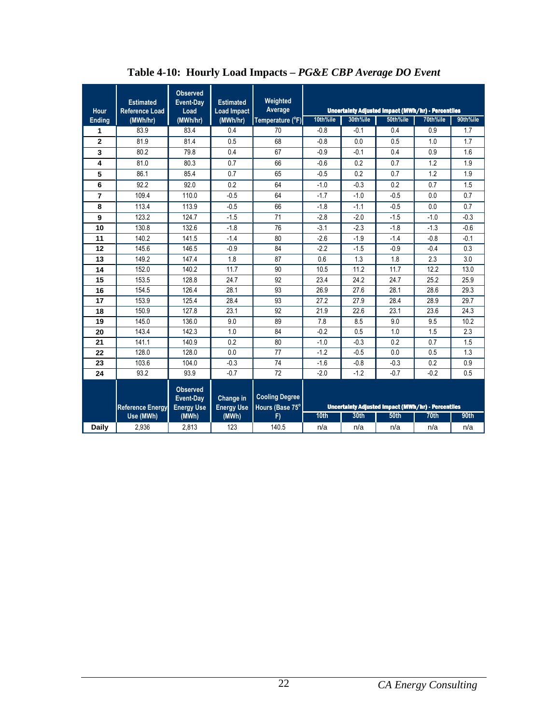| Hour           | <b>Estimated</b><br><b>Reference Load</b> | <b>Observed</b><br>Event-Day<br>Load              | <b>Estimated</b><br><b>Load Impact</b> | Weighted<br>Average                      |          |          | <b>Uncertainty Adjusted Impact (MWh/hr) - Percentiles</b> |                  |          |
|----------------|-------------------------------------------|---------------------------------------------------|----------------------------------------|------------------------------------------|----------|----------|-----------------------------------------------------------|------------------|----------|
| <b>Ending</b>  | (MWh/hr)                                  | (MWh/hr)                                          | (MWh/hr)                               | Temperature (°F)                         | 10th%ile | 30th%ile | 50th%ile                                                  | 70th%ile         | 90th%ile |
| 1              | 83.9                                      | 83.4                                              | 0.4                                    | 70                                       | $-0.8$   | $-0.1$   | 0.4                                                       | 0.9              | 1.7      |
| $\overline{2}$ | 81.9                                      | 81.4                                              | 0.5                                    | 68                                       | $-0.8$   | 0.0      | 0.5                                                       | 1.0              | 1.7      |
| 3              | 80.2                                      | 79.8                                              | 0.4                                    | 67                                       | $-0.9$   | $-0.1$   | 0.4                                                       | 0.9              | 1.6      |
| 4              | 81.0                                      | 80.3                                              | 0.7                                    | 66                                       | $-0.6$   | 0.2      | 0.7                                                       | 1.2              | 1.9      |
| 5              | 86.1                                      | 85.4                                              | 0.7                                    | 65                                       | $-0.5$   | 0.2      | 0.7                                                       | 1.2              | 1.9      |
| 6              | 92.2                                      | 92.0                                              | 0.2                                    | 64                                       | $-1.0$   | $-0.3$   | 0.2                                                       | 0.7              | 1.5      |
| $\overline{7}$ | 109.4                                     | 110.0                                             | $-0.5$                                 | 64                                       | $-1.7$   | $-1.0$   | $-0.5$                                                    | 0.0              | 0.7      |
| 8              | 113.4                                     | 113.9                                             | $-0.5$                                 | 66                                       | $-1.8$   | $-1.1$   | $-0.5$                                                    | 0.0              | 0.7      |
| 9              | 123.2                                     | 124.7                                             | $-1.5$                                 | 71                                       | $-2.8$   | $-2.0$   | $-1.5$                                                    | $-1.0$           | $-0.3$   |
| 10             | 130.8                                     | 132.6                                             | $-1.8$                                 | 76                                       | $-3.1$   | $-2.3$   | $-1.8$                                                    | $-1.3$           | $-0.6$   |
| 11             | 140.2                                     | 141.5                                             | $-1.4$                                 | 80                                       | $-2.6$   | $-1.9$   | $-1.4$                                                    | $-0.8$           | $-0.1$   |
| 12             | 145.6                                     | 146.5                                             | $-0.9$                                 | 84                                       | $-2.2$   | $-1.5$   | $-0.9$                                                    | $-0.4$           | 0.3      |
| 13             | 149.2                                     | 147.4                                             | 1.8                                    | 87                                       | 0.6      | 1.3      | 1.8                                                       | 2.3              | 3.0      |
| 14             | 152.0                                     | 140.2                                             | 11.7                                   | 90                                       | 10.5     | 11.2     | 11.7                                                      | 12.2             | 13.0     |
| 15             | 153.5                                     | 128.8                                             | 24.7                                   | 92                                       | 23.4     | 24.2     | 24.7                                                      | 25.2             | 25.9     |
| 16             | 154.5                                     | 126.4                                             | 28.1                                   | 93                                       | 26.9     | 27.6     | 28.1                                                      | 28.6             | 29.3     |
| 17             | 153.9                                     | 125.4                                             | 28.4                                   | 93                                       | 27.2     | 27.9     | 28.4                                                      | 28.9             | 29.7     |
| 18             | 150.9                                     | 127.8                                             | 23.1                                   | 92                                       | 21.9     | 22.6     | 23.1                                                      | 23.6             | 24.3     |
| 19             | 145.0                                     | 136.0                                             | 9.0                                    | 89                                       | 7.8      | 8.5      | 9.0                                                       | 9.5              | 10.2     |
| 20             | 143.4                                     | 142.3                                             | 1.0                                    | 84                                       | $-0.2$   | 0.5      | 1.0                                                       | 1.5              | 2.3      |
| 21             | 141.1                                     | 140.9                                             | 0.2                                    | 80                                       | $-1.0$   | $-0.3$   | 0.2                                                       | 0.7              | 1.5      |
| 22             | 128.0                                     | 128.0                                             | 0.0                                    | 77                                       | $-1.2$   | $-0.5$   | 0.0                                                       | 0.5              | 1.3      |
| 23             | 103.6                                     | 104.0                                             | $-0.3$                                 | 74                                       | $-1.6$   | $-0.8$   | $-0.3$                                                    | 0.2              | 0.9      |
| 24             | 93.2                                      | 93.9                                              | $-0.7$                                 | 72                                       | $-2.0$   | $-1.2$   | $-0.7$                                                    | $-0.2$           | 0.5      |
|                | <b>Reference Energy</b>                   | <b>Observed</b><br>Event-Day<br><b>Energy Use</b> | Change in<br><b>Energy Use</b>         | <b>Cooling Degree</b><br>Hours (Base 75° |          |          | Uncertainty Adjusted Impact (MWh/hr) - Percentiles        |                  |          |
|                | Use (MWh)                                 | (MWh)                                             | (MWh)                                  | F)                                       | 10th     | 30th     | <b>50th</b>                                               | 70 <sub>th</sub> | 90th     |
| <b>Daily</b>   | 2,936                                     | 2,813                                             | 123                                    | 140.5                                    | n/a      | n/a      | n/a                                                       | n/a              | n/a      |

**Table 4-10: Hourly Load Impacts –** *PG&E CBP Average DO Event*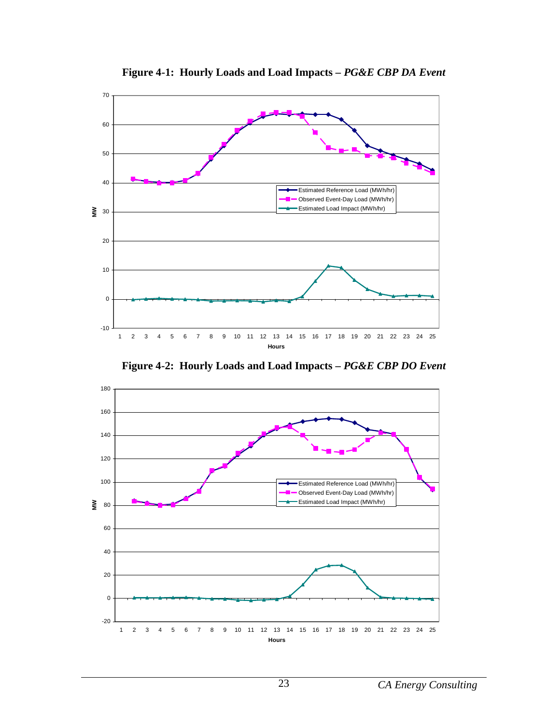

**Figure 4-1: Hourly Loads and Load Impacts –** *PG&E CBP DA Event* 

**Figure 4-2: Hourly Loads and Load Impacts –** *PG&E CBP DO Event* 

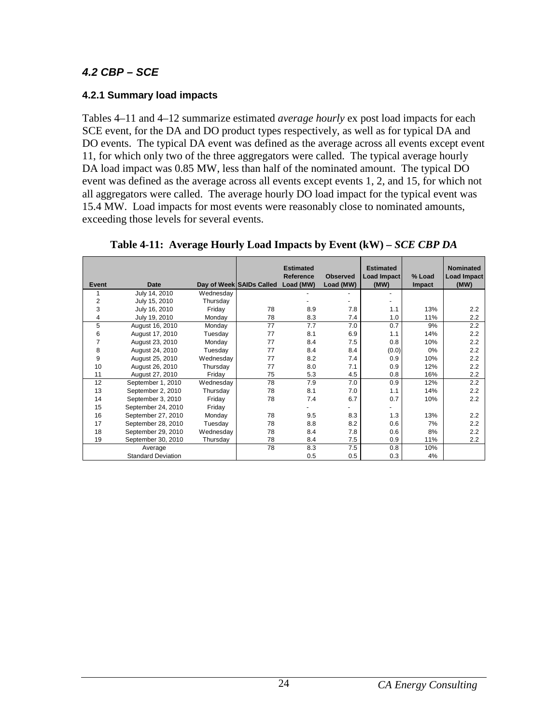### **4.2 CBP – SCE**

### **4.2.1 Summary load impacts**

Tables 4–11 and 4–12 summarize estimated *average hourly* ex post load impacts for each SCE event, for the DA and DO product types respectively, as well as for typical DA and DO events. The typical DA event was defined as the average across all events except event 11, for which only two of the three aggregators were called. The typical average hourly DA load impact was 0.85 MW, less than half of the nominated amount. The typical DO event was defined as the average across all events except events 1, 2, and 15, for which not all aggregators were called. The average hourly DO load impact for the typical event was 15.4 MW. Load impacts for most events were reasonably close to nominated amounts, exceeding those levels for several events.

|                |                           |           |                          | <b>Estimated</b><br>Reference | <b>Observed</b> | <b>Estimated</b><br>Load Impact | % Load        | <b>Nominated</b><br>Load Impact |
|----------------|---------------------------|-----------|--------------------------|-------------------------------|-----------------|---------------------------------|---------------|---------------------------------|
| Event          | Date                      |           | Day of Week SAIDs Called | Load (MW)                     | Load (MW)       | (MW)                            | <b>Impact</b> | (MW)                            |
|                | July 14, 2010             | Wednesday |                          |                               |                 |                                 |               |                                 |
| 2              | July 15, 2010             | Thursday  |                          |                               |                 |                                 |               |                                 |
| 3              | July 16, 2010             | Friday    | 78                       | 8.9                           | 7.8             | 1.1                             | 13%           | 2.2                             |
| 4              | July 19, 2010             | Monday    | 78                       | 8.3                           | 7.4             | 1.0                             | 11%           | 2.2                             |
| 5              | August 16, 2010           | Monday    | 77                       | 7.7                           | 7.0             | 0.7                             | 9%            | 2.2                             |
| 6              | August 17, 2010           | Tuesday   | 77                       | 8.1                           | 6.9             | 1.1                             | 14%           | 2.2                             |
| $\overline{7}$ | August 23, 2010           | Monday    | 77                       | 8.4                           | 7.5             | 0.8                             | 10%           | 2.2                             |
| 8              | August 24, 2010           | Tuesday   | 77                       | 8.4                           | 8.4             | (0.0)                           | 0%            | 2.2                             |
| 9              | August 25, 2010           | Wednesday | 77                       | 8.2                           | 7.4             | 0.9                             | 10%           | 2.2                             |
| 10             | August 26, 2010           | Thursday  | 77                       | 8.0                           | 7.1             | 0.9                             | 12%           | 2.2                             |
| 11             | August 27, 2010           | Friday    | 75                       | 5.3                           | 4.5             | 0.8                             | 16%           | 2.2                             |
| 12             | September 1, 2010         | Wednesday | 78                       | 7.9                           | 7.0             | 0.9                             | 12%           | 2.2                             |
| 13             | September 2, 2010         | Thursday  | 78                       | 8.1                           | 7.0             | 1.1                             | 14%           | 2.2                             |
| 14             | September 3, 2010         | Friday    | 78                       | 7.4                           | 6.7             | 0.7                             | 10%           | 2.2                             |
| 15             | September 24, 2010        | Friday    |                          |                               |                 |                                 |               |                                 |
| 16             | September 27, 2010        | Monday    | 78                       | 9.5                           | 8.3             | 1.3                             | 13%           | 2.2                             |
| 17             | September 28, 2010        | Tuesday   | 78                       | 8.8                           | 8.2             | 0.6                             | 7%            | 2.2                             |
| 18             | September 29, 2010        | Wednesday | 78                       | 8.4                           | 7.8             | 0.6                             | 8%            | $2.2\phantom{0}$                |
| 19             | September 30, 2010        | Thursday  | 78                       | 8.4                           | 7.5             | 0.9                             | 11%           | $2.2\phantom{0}$                |
|                | Average                   |           | 78                       | 8.3                           | 7.5             | 0.8                             | 10%           |                                 |
|                | <b>Standard Deviation</b> |           |                          | 0.5                           | 0.5             | 0.3                             | 4%            |                                 |

**Table 4-11: Average Hourly Load Impacts by Event (kW) –** *SCE CBP DA*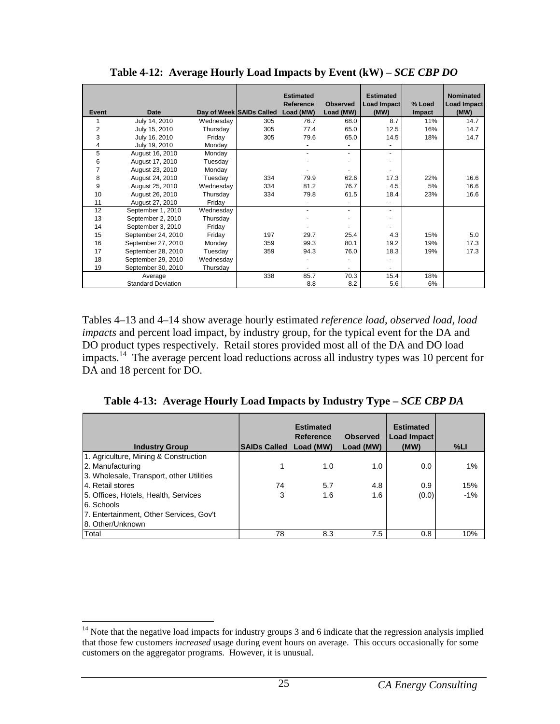| Event          | <b>Date</b>               |           | Day of Week SAIDs Called | <b>Estimated</b><br>Reference<br>Load (MW) | <b>Observed</b><br>Load (MW) | <b>Estimated</b><br>Load Impact<br>(MW) | % Load<br><b>Impact</b> | <b>Nominated</b><br>Load Impact<br>(MW) |
|----------------|---------------------------|-----------|--------------------------|--------------------------------------------|------------------------------|-----------------------------------------|-------------------------|-----------------------------------------|
|                | July 14, 2010             | Wednesday | 305                      | 76.7                                       | 68.0                         | 8.7                                     | 11%                     | 14.7                                    |
| $\overline{2}$ | July 15, 2010             | Thursday  | 305                      | 77.4                                       | 65.0                         | 12.5                                    | 16%                     | 14.7                                    |
| 3              | July 16, 2010             | Friday    | 305                      | 79.6                                       | 65.0                         | 14.5                                    | 18%                     | 14.7                                    |
| 4              | July 19, 2010             | Monday    |                          |                                            | $\blacksquare$               |                                         |                         |                                         |
| 5              | August 16, 2010           | Monday    |                          |                                            | $\blacksquare$               | $\sim$                                  |                         |                                         |
| 6              | August 17, 2010           | Tuesday   |                          |                                            | $\overline{\phantom{a}}$     |                                         |                         |                                         |
| 7              | August 23, 2010           | Monday    |                          |                                            | ٠                            |                                         |                         |                                         |
| 8              | August 24, 2010           | Tuesday   | 334                      | 79.9                                       | 62.6                         | 17.3                                    | 22%                     | 16.6                                    |
| 9              | August 25, 2010           | Wednesday | 334                      | 81.2                                       | 76.7                         | 4.5                                     | 5%                      | 16.6                                    |
| 10             | August 26, 2010           | Thursday  | 334                      | 79.8                                       | 61.5                         | 18.4                                    | 23%                     | 16.6                                    |
| 11             | August 27, 2010           | Friday    |                          |                                            |                              |                                         |                         |                                         |
| 12             | September 1, 2010         | Wednesday |                          |                                            | ٠                            |                                         |                         |                                         |
| 13             | September 2, 2010         | Thursday  |                          |                                            | ٠                            |                                         |                         |                                         |
| 14             | September 3, 2010         | Friday    |                          |                                            |                              |                                         |                         |                                         |
| 15             | September 24, 2010        | Friday    | 197                      | 29.7                                       | 25.4                         | 4.3                                     | 15%                     | 5.0                                     |
| 16             | September 27, 2010        | Monday    | 359                      | 99.3                                       | 80.1                         | 19.2                                    | 19%                     | 17.3                                    |
| 17             | September 28, 2010        | Tuesday   | 359                      | 94.3                                       | 76.0                         | 18.3                                    | 19%                     | 17.3                                    |
| 18             | September 29, 2010        | Wednesday |                          |                                            |                              |                                         |                         |                                         |
| 19             | September 30, 2010        | Thursday  |                          |                                            |                              |                                         |                         |                                         |
|                | Average                   |           | 338                      | 85.7                                       | 70.3                         | 15.4                                    | 18%                     |                                         |
|                | <b>Standard Deviation</b> |           |                          | 8.8                                        | 8.2                          | 5.6                                     | 6%                      |                                         |

**Table 4-12: Average Hourly Load Impacts by Event (kW) –** *SCE CBP DO*

Tables 4–13 and 4–14 show average hourly estimated *reference load*, *observed load*, *load impacts* and percent load impact, by industry group, for the typical event for the DA and DO product types respectively. Retail stores provided most all of the DA and DO load impacts.<sup>14</sup> The average percent load reductions across all industry types was 10 percent for DA and 18 percent for DO.

**Table 4-13: Average Hourly Load Impacts by Industry Type –** *SCE CBP DA*

| <b>Industry Group</b>                    | SAIDs Called Load (MW) | <b>Estimated</b><br>Reference | <b>Observed</b><br>Load (MW) | <b>Estimated</b><br>Load Impact<br>(MW) | %L <sub>1</sub> |
|------------------------------------------|------------------------|-------------------------------|------------------------------|-----------------------------------------|-----------------|
| 1. Agriculture, Mining & Construction    |                        |                               |                              |                                         |                 |
| 2. Manufacturing                         |                        | 1.0                           | 1.0                          | 0.0                                     | 1%              |
| 3. Wholesale, Transport, other Utilities |                        |                               |                              |                                         |                 |
| 4. Retail stores                         | 74                     | 5.7                           | 4.8                          | 0.9                                     | 15%             |
| 5. Offices, Hotels, Health, Services     | 3                      | 1.6                           | 1.6                          | (0.0)                                   | $-1%$           |
| 6. Schools                               |                        |                               |                              |                                         |                 |
| 7. Entertainment, Other Services, Gov't  |                        |                               |                              |                                         |                 |
| 8. Other/Unknown                         |                        |                               |                              |                                         |                 |
| Total                                    | 78                     | 8.3                           | 7.5                          | 0.8                                     | 10%             |

<u>.</u>

 $14$  Note that the negative load impacts for industry groups 3 and 6 indicate that the regression analysis implied that those few customers *increased* usage during event hours on average. This occurs occasionally for some customers on the aggregator programs. However, it is unusual.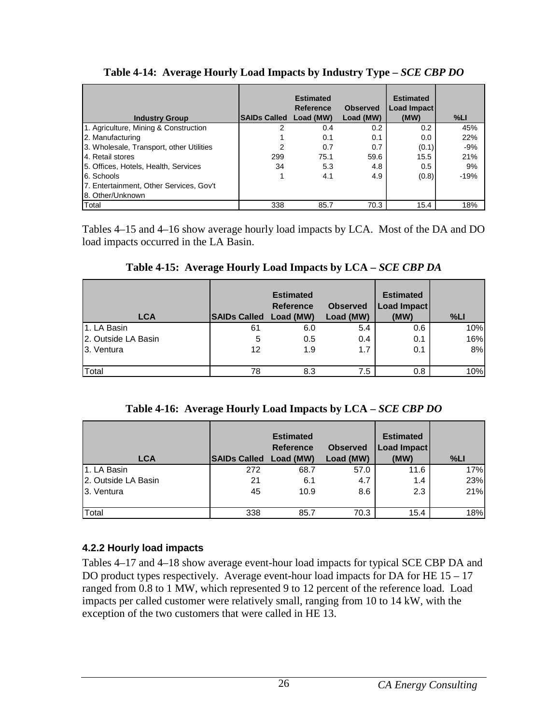| <b>Industry Group</b>                    | SAIDs Called Load (MW) | <b>Estimated</b><br>Reference | <b>Observed</b><br>Load (MW) | <b>Estimated</b><br>Load Impact<br>(MW) | %LI    |
|------------------------------------------|------------------------|-------------------------------|------------------------------|-----------------------------------------|--------|
| 1. Agriculture, Mining & Construction    |                        | 0.4                           | 0.2                          | 0.2                                     | 45%    |
| 2. Manufacturing                         |                        | 0.1                           | 0.1                          | 0.0                                     | 22%    |
| 3. Wholesale, Transport, other Utilities | 2                      | 0.7                           | 0.7                          | (0.1)                                   | $-9%$  |
| 4. Retail stores                         | 299                    | 75.1                          | 59.6                         | 15.5                                    | 21%    |
| 5. Offices, Hotels, Health, Services     | 34                     | 5.3                           | 4.8                          | 0.5                                     | 9%     |
| 6. Schools                               |                        | 4.1                           | 4.9                          | (0.8)                                   | $-19%$ |
| 7. Entertainment, Other Services, Gov't  |                        |                               |                              |                                         |        |
| 8. Other/Unknown                         |                        |                               |                              |                                         |        |
| Total                                    | 338                    | 85.7                          | 70.3                         | 15.4                                    | 18%    |

**Table 4-14: Average Hourly Load Impacts by Industry Type –** *SCE CBP DO*

Tables 4–15 and 4–16 show average hourly load impacts by LCA. Most of the DA and DO load impacts occurred in the LA Basin.

| <b>LCA</b>          | <b>SAIDs Called Load (MW)</b> | <b>Estimated</b><br><b>Reference</b> | <b>Observed</b><br>Load (MW) | <b>Estimated</b><br>Load Impact<br>(MW) | %L  |
|---------------------|-------------------------------|--------------------------------------|------------------------------|-----------------------------------------|-----|
| 1. LA Basin         | 61                            | 6.0                                  | 5.4                          | 0.6                                     | 10% |
| 2. Outside LA Basin | 5                             | 0.5                                  | 0.4                          | 0.1                                     | 16% |

3. Ventura 12 1.9 1.7 0.1 8%

Total 8.3 78 7.5 0.8 10%

**Table 4-15: Average Hourly Load Impacts by LCA –** *SCE CBP DA*

| <b>LCA</b>          | SAIDs Called Load (MW) | <b>Estimated</b><br><b>Reference</b> | <b>Observed</b><br>Load (MW) | <b>Estimated</b><br>Load Impact<br>(MW) | %L  |
|---------------------|------------------------|--------------------------------------|------------------------------|-----------------------------------------|-----|
| 1. LA Basin         | 272                    | 68.7                                 | 57.0                         | 11.6                                    | 17% |
| 2. Outside LA Basin | 21                     | 6.1                                  | 4.7                          | 1.4                                     | 23% |
| 3. Ventura          | 45                     | 10.9                                 | 8.6                          | 2.3                                     | 21% |
| Total               | 338                    | 85.7                                 | 70.3                         | 15.4                                    | 18% |

### **4.2.2 Hourly load impacts**

Tables 4–17 and 4–18 show average event-hour load impacts for typical SCE CBP DA and DO product types respectively. Average event-hour load impacts for DA for HE 15 – 17 ranged from 0.8 to 1 MW, which represented 9 to 12 percent of the reference load. Load impacts per called customer were relatively small, ranging from 10 to 14 kW, with the exception of the two customers that were called in HE 13.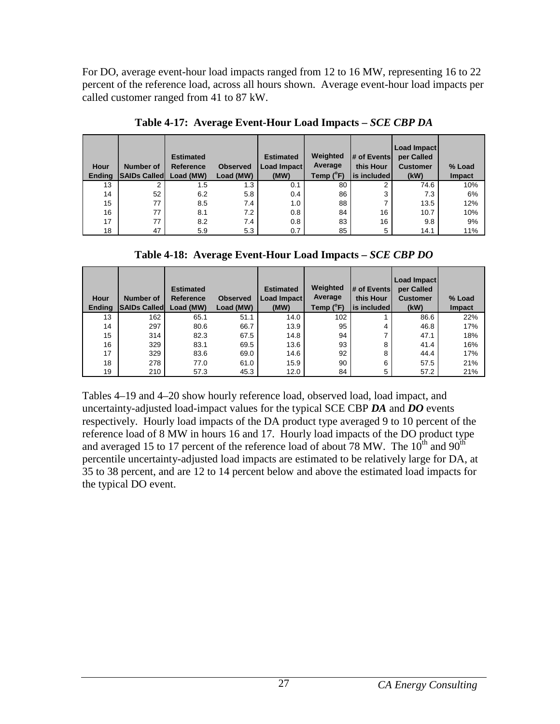For DO, average event-hour load impacts ranged from 12 to 16 MW, representing 16 to 22 percent of the reference load, across all hours shown. Average event-hour load impacts per called customer ranged from 41 to 87 kW.

| Hour<br><b>Ending</b> | <b>Number of</b><br><b>SAIDs Called</b> | <b>Estimated</b><br><b>Reference</b><br>Load (MW) | <b>Observed</b><br>Load (MW) | <b>Estimated</b><br><b>Load Impact</b><br>(MW) | Weighted<br>Average<br>Temp (°F) | # of Events<br>this Hour<br>l is included l | Load Impact<br>per Called<br><b>Customer</b><br>(kW) | % Load<br><b>Impact</b> |
|-----------------------|-----------------------------------------|---------------------------------------------------|------------------------------|------------------------------------------------|----------------------------------|---------------------------------------------|------------------------------------------------------|-------------------------|
| 13                    | 2                                       | 1.5                                               | 1.3                          | 0.1                                            | 80                               | 2                                           | 74.6                                                 | 10%                     |
| 14                    | 52                                      | 6.2                                               | 5.8                          | 0.4                                            | 86                               | 3                                           | 7.3                                                  | 6%                      |
| 15                    | 77                                      | 8.5                                               | 7.4                          | 1.0                                            | 88                               | ⇁                                           | 13.5                                                 | 12%                     |
| 16                    | 77                                      | 8.1                                               | 7.2                          | 0.8                                            | 84                               | 16                                          | 10.7                                                 | 10%                     |
| 17                    | 77                                      | 8.2                                               | 7.4                          | 0.8                                            | 83                               | 16                                          | 9.8                                                  | 9%                      |
| 18                    | 47                                      | 5.9                                               | 5.3                          | 0.7                                            | 85                               | 5                                           | 14.1                                                 | 11%                     |

**Table 4-17: Average Event-Hour Load Impacts –** *SCE CBP DA* 

| Hour          | Number of           | <b>Estimated</b><br><b>Reference</b> | <b>Observed</b> | <b>Estimated</b><br>Load Impact | Weighted<br>Average | # of Events<br>this Hour | Load Impact<br>per Called<br><b>Customer</b> | % Load |
|---------------|---------------------|--------------------------------------|-----------------|---------------------------------|---------------------|--------------------------|----------------------------------------------|--------|
| <b>Ending</b> | <b>SAIDs Called</b> | Load (MW)                            | Load (MW)       | (MW)                            | Temp (°F)           | is included              | (kW)                                         | Impact |
| 13            | 162                 | 65.1                                 | 51.1            | 14.0                            | 102                 |                          | 86.6                                         | 22%    |
| 14            | 297                 | 80.6                                 | 66.7            | 13.9                            | 95                  | 4                        | 46.8                                         | 17%    |
| 15            | 314                 | 82.3                                 | 67.5            | 14.8                            | 94                  | ⇁                        | 47.1                                         | 18%    |
| 16            | 329                 | 83.1                                 | 69.5            | 13.6                            | 93                  | 8                        | 41.4                                         | 16%    |
| 17            | 329                 | 83.6                                 | 69.0            | 14.6                            | 92                  | 8                        | 44.4                                         | 17%    |
| 18            | 278                 | 77.0                                 | 61.0            | 15.9                            | 90                  | 6                        | 57.5                                         | 21%    |
| 19            | 210                 | 57.3                                 | 45.3            | 12.0                            | 84                  | 5                        | 57.2                                         | 21%    |

Tables 4–19 and 4–20 show hourly reference load, observed load, load impact, and uncertainty-adjusted load-impact values for the typical SCE CBP *DA* and *DO* events respectively. Hourly load impacts of the DA product type averaged 9 to 10 percent of the reference load of 8 MW in hours 16 and 17. Hourly load impacts of the DO product type and averaged 15 to 17 percent of the reference load of about 78 MW. The  $10^{th}$  and  $90^{th}$ percentile uncertainty-adjusted load impacts are estimated to be relatively large for DA, at 35 to 38 percent, and are 12 to 14 percent below and above the estimated load impacts for the typical DO event.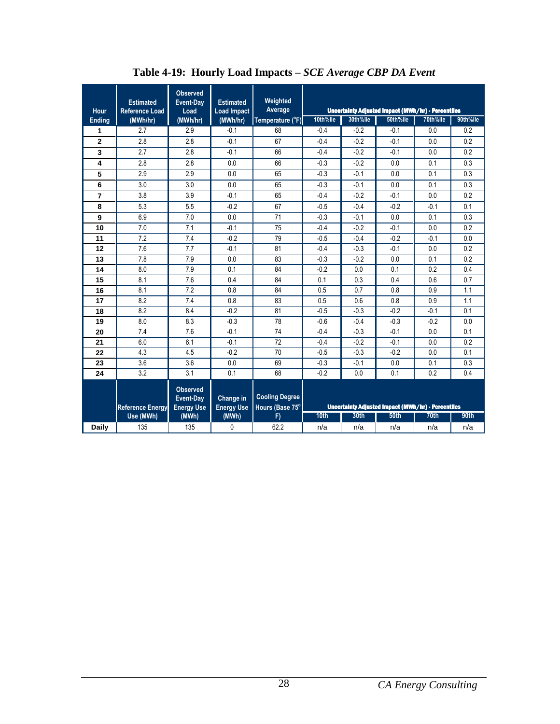| Hour           | <b>Estimated</b><br><b>Reference Load</b> | <b>Observed</b><br>Event-Day<br>Load              | <b>Estimated</b><br><b>Load Impact</b> | Weighted<br>Average                      |          |          | <b>Uncertainty Adjusted Impact (MWh/hr) - Percentiles</b> |                  |          |
|----------------|-------------------------------------------|---------------------------------------------------|----------------------------------------|------------------------------------------|----------|----------|-----------------------------------------------------------|------------------|----------|
| <b>Ending</b>  | (MWh/hr)                                  | (MWh/hr)                                          | (MWh/hr)                               | Temperature (°F)                         | 10th%ile | 30th%ile | 50th%ile                                                  | 70th%ile         | 90th%ile |
| 1              | 2.7                                       | 2.9                                               | $-0.1$                                 | 68                                       | $-0.4$   | $-0.2$   | $-0.1$                                                    | 0.0              | 0.2      |
| $\overline{2}$ | 2.8                                       | 2.8                                               | $-0.1$                                 | 67                                       | $-0.4$   | $-0.2$   | $-0.1$                                                    | 0.0              | 0.2      |
| 3              | 2.7                                       | 2.8                                               | $-0.1$                                 | 66                                       | $-0.4$   | $-0.2$   | $-0.1$                                                    | 0.0              | 0.2      |
| 4              | 2.8                                       | 2.8                                               | 0.0                                    | 66                                       | $-0.3$   | $-0.2$   | 0.0                                                       | 0.1              | 0.3      |
| 5              | 2.9                                       | 2.9                                               | 0.0                                    | 65                                       | $-0.3$   | $-0.1$   | 0.0                                                       | 0.1              | 0.3      |
| 6              | 3.0                                       | 3.0                                               | 0.0                                    | 65                                       | $-0.3$   | $-0.1$   | 0.0                                                       | 0.1              | 0.3      |
| $\overline{7}$ | 3.8                                       | 3.9                                               | $-0.1$                                 | 65                                       | $-0.4$   | $-0.2$   | $-0.1$                                                    | 0.0              | 0.2      |
| 8              | 5.3                                       | 5.5                                               | $-0.2$                                 | 67                                       | $-0.5$   | $-0.4$   | $-0.2$                                                    | $-0.1$           | 0.1      |
| 9              | 6.9                                       | 7.0                                               | 0.0                                    | 71                                       | $-0.3$   | $-0.1$   | 0.0                                                       | 0.1              | 0.3      |
| 10             | 7.0                                       | 7.1                                               | $-0.1$                                 | 75                                       | $-0.4$   | $-0.2$   | $-0.1$                                                    | 0.0              | 0.2      |
| 11             | 7.2                                       | 7.4                                               | $-0.2$                                 | 79                                       | $-0.5$   | $-0.4$   | $-0.2$                                                    | $-0.1$           | 0.0      |
| 12             | 7.6                                       | 7.7                                               | $-0.1$                                 | 81                                       | $-0.4$   | $-0.3$   | $-0.1$                                                    | 0.0              | 0.2      |
| 13             | 7.8                                       | 7.9                                               | 0.0                                    | 83                                       | $-0.3$   | $-0.2$   | 0.0                                                       | 0.1              | 0.2      |
| 14             | 8.0                                       | 7.9                                               | 0.1                                    | 84                                       | $-0.2$   | 0.0      | 0.1                                                       | 0.2              | 0.4      |
| 15             | 8.1                                       | 7.6                                               | 0.4                                    | 84                                       | 0.1      | 0.3      | 0.4                                                       | 0.6              | 0.7      |
| 16             | 8.1                                       | 7.2                                               | 0.8                                    | 84                                       | 0.5      | 0.7      | 0.8                                                       | 0.9              | 1.1      |
| 17             | 8.2                                       | 7.4                                               | 0.8                                    | 83                                       | 0.5      | 0.6      | 0.8                                                       | 0.9              | 1.1      |
| 18             | 8.2                                       | 8.4                                               | $-0.2$                                 | 81                                       | $-0.5$   | $-0.3$   | $-0.2$                                                    | $-0.1$           | 0.1      |
| 19             | 8.0                                       | 8.3                                               | $-0.3$                                 | 78                                       | $-0.6$   | $-0.4$   | $-0.3$                                                    | $-0.2$           | 0.0      |
| 20             | 7.4                                       | 7.6                                               | $-0.1$                                 | 74                                       | $-0.4$   | $-0.3$   | $-0.1$                                                    | 0.0              | 0.1      |
| 21             | 6.0                                       | 6.1                                               | $-0.1$                                 | 72                                       | $-0.4$   | $-0.2$   | $-0.1$                                                    | 0.0              | 0.2      |
| 22             | 4.3                                       | 4.5                                               | $-0.2$                                 | 70                                       | $-0.5$   | $-0.3$   | $-0.2$                                                    | 0.0              | 0.1      |
| 23             | 3.6                                       | 3.6                                               | 0.0                                    | 69                                       | $-0.3$   | $-0.1$   | 0.0                                                       | 0.1              | 0.3      |
| 24             | 3.2                                       | 3.1                                               | 0.1                                    | 68                                       | $-0.2$   | 0.0      | 0.1                                                       | 0.2              | 0.4      |
|                | <b>Reference Energy</b>                   | <b>Observed</b><br>Event-Day<br><b>Energy Use</b> | Change in<br><b>Energy Use</b>         | <b>Cooling Degree</b><br>Hours (Base 75° |          |          | Uncertainty Adjusted Impact (MWh/hr) - Percentiles        |                  |          |
|                | Use (MWh)                                 | (MWh)                                             | (MWh)                                  | F)                                       | 10th     | 30th     | <b>50th</b>                                               | 70 <sub>th</sub> | 90th     |
| <b>Daily</b>   | 135                                       | 135                                               | 0                                      | 62.2                                     | n/a      | n/a      | n/a                                                       | n/a              | n/a      |

**Table 4-19: Hourly Load Impacts –** *SCE Average CBP DA Event*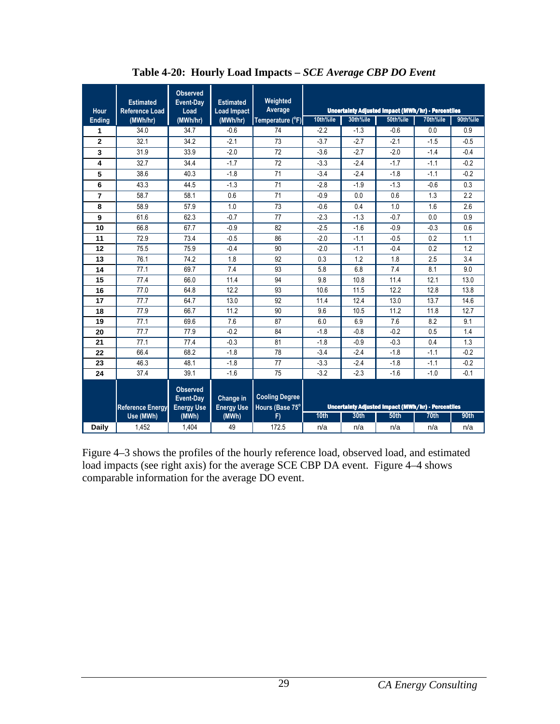| Hour           | <b>Estimated</b><br><b>Reference Load</b> | <b>Observed</b><br>Event-Day<br>Load              | <b>Estimated</b><br><b>Load Impact</b> | Weighted<br>Average                      |          |          | Uncertainty Adjusted Impact (MWh/hr) - Percentiles |                  |          |
|----------------|-------------------------------------------|---------------------------------------------------|----------------------------------------|------------------------------------------|----------|----------|----------------------------------------------------|------------------|----------|
| <b>Ending</b>  | (MWh/hr)                                  | (MWh/hr)                                          | (MWh/hr)                               | Temperature (°F)                         | 10th%ile | 30th%ile | 50th%ile                                           | 70th%ile         | 90th%ile |
| 1              | 34.0                                      | 34.7                                              | $-0.6$                                 | 74                                       | $-2.2$   | $-1.3$   | $-0.6$                                             | 0.0              | 0.9      |
| $\overline{2}$ | 32.1                                      | 34.2                                              | $-2.1$                                 | 73                                       | $-3.7$   | $-2.7$   | $-2.1$                                             | $-1.5$           | $-0.5$   |
| 3              | 31.9                                      | 33.9                                              | $-2.0$                                 | 72                                       | $-3.6$   | $-2.7$   | $-2.0$                                             | $-1.4$           | $-0.4$   |
| 4              | 32.7                                      | 34.4                                              | $-1.7$                                 | 72                                       | $-3.3$   | $-2.4$   | $-1.7$                                             | $-1.1$           | $-0.2$   |
| 5              | 38.6                                      | 40.3                                              | $-1.8$                                 | 71                                       | $-3.4$   | $-2.4$   | $-1.8$                                             | $-1.1$           | $-0.2$   |
| 6              | 43.3                                      | 44.5                                              | $-1.3$                                 | 71                                       | $-2.8$   | $-1.9$   | $-1.3$                                             | $-0.6$           | 0.3      |
| $\overline{7}$ | 58.7                                      | 58.1                                              | 0.6                                    | 71                                       | $-0.9$   | 0.0      | 0.6                                                | 1.3              | 2.2      |
| 8              | 58.9                                      | 57.9                                              | 1.0                                    | 73                                       | $-0.6$   | 0.4      | 1.0                                                | 1.6              | 2.6      |
| 9              | 61.6                                      | 62.3                                              | $-0.7$                                 | 77                                       | $-2.3$   | $-1.3$   | $-0.7$                                             | 0.0              | 0.9      |
| 10             | 66.8                                      | 67.7                                              | $-0.9$                                 | 82                                       | $-2.5$   | $-1.6$   | $-0.9$                                             | $-0.3$           | 0.6      |
| 11             | 72.9                                      | 73.4                                              | $-0.5$                                 | 86                                       | $-2.0$   | $-1.1$   | $-0.5$                                             | 0.2              | 1.1      |
| 12             | 75.5                                      | 75.9                                              | $-0.4$                                 | 90                                       | $-2.0$   | $-1.1$   | $-0.4$                                             | 0.2              | 1.2      |
| 13             | 76.1                                      | 74.2                                              | 1.8                                    | 92                                       | 0.3      | 1.2      | 1.8                                                | 2.5              | 3.4      |
| 14             | 77.1                                      | 69.7                                              | 7.4                                    | 93                                       | 5.8      | 6.8      | 7.4                                                | 8.1              | 9.0      |
| 15             | 77.4                                      | 66.0                                              | 11.4                                   | 94                                       | 9.8      | 10.8     | 11.4                                               | 12.1             | 13.0     |
| 16             | 77.0                                      | 64.8                                              | 12.2                                   | 93                                       | 10.6     | 11.5     | 12.2                                               | 12.8             | 13.8     |
| 17             | 77.7                                      | 64.7                                              | 13.0                                   | 92                                       | 11.4     | 12.4     | 13.0                                               | 13.7             | 14.6     |
| 18             | 77.9                                      | 66.7                                              | 11.2                                   | 90                                       | 9.6      | 10.5     | 11.2                                               | 11.8             | 12.7     |
| 19             | 77.1                                      | 69.6                                              | 7.6                                    | 87                                       | 6.0      | 6.9      | 7.6                                                | 8.2              | 9.1      |
| 20             | 77.7                                      | 77.9                                              | $-0.2$                                 | 84                                       | $-1.8$   | $-0.8$   | $-0.2$                                             | 0.5              | 1.4      |
| 21             | 77.1                                      | 77.4                                              | $-0.3$                                 | 81                                       | $-1.8$   | $-0.9$   | $-0.3$                                             | 0.4              | 1.3      |
| 22             | 66.4                                      | 68.2                                              | $-1.8$                                 | 78                                       | $-3.4$   | $-2.4$   | $-1.8$                                             | $-1.1$           | $-0.2$   |
| 23             | 46.3                                      | 48.1                                              | $-1.8$                                 | 77                                       | $-3.3$   | $-2.4$   | $-1.8$                                             | $-1.1$           | $-0.2$   |
| 24             | 37.4                                      | 39.1                                              | $-1.6$                                 | 75                                       | $-3.2$   | $-2.3$   | $-1.6$                                             | $-1.0$           | $-0.1$   |
|                | <b>Reference Energy</b>                   | <b>Observed</b><br>Event-Day<br><b>Energy Use</b> | Change in<br><b>Energy Use</b>         | <b>Cooling Degree</b><br>Hours (Base 75° |          |          | Uncertainty Adjusted Impact (MWh/hr) - Percentiles |                  |          |
|                | Use (MWh)                                 | (MWh)                                             | (MWh)                                  | F)                                       | 10th     | 30th     | 50 <sub>th</sub>                                   | 70 <sub>th</sub> | 90th     |
| Daily          | 1.452                                     | 1.404                                             | 49                                     | 172.5                                    | n/a      | n/a      | n/a                                                | n/a              | n/a      |

**Table 4-20: Hourly Load Impacts –** *SCE Average CBP DO Event* 

Figure 4–3 shows the profiles of the hourly reference load, observed load, and estimated load impacts (see right axis) for the average SCE CBP DA event. Figure 4–4 shows comparable information for the average DO event.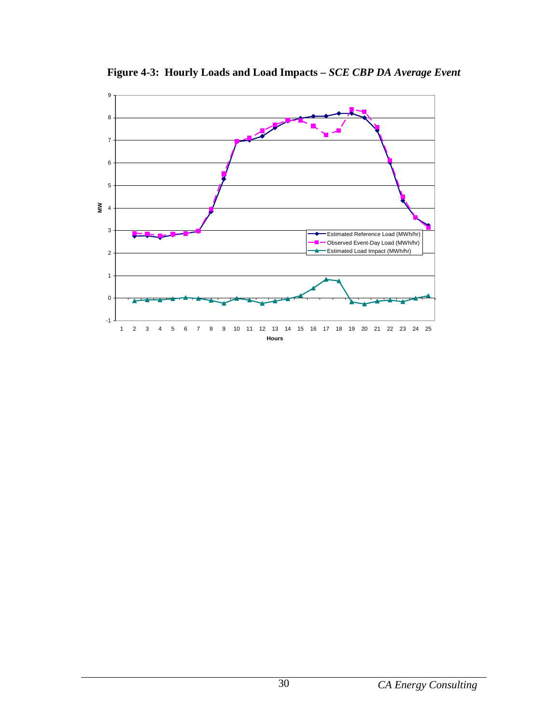

**Figure 4-3: Hourly Loads and Load Impacts –** *SCE CBP DA Average Event*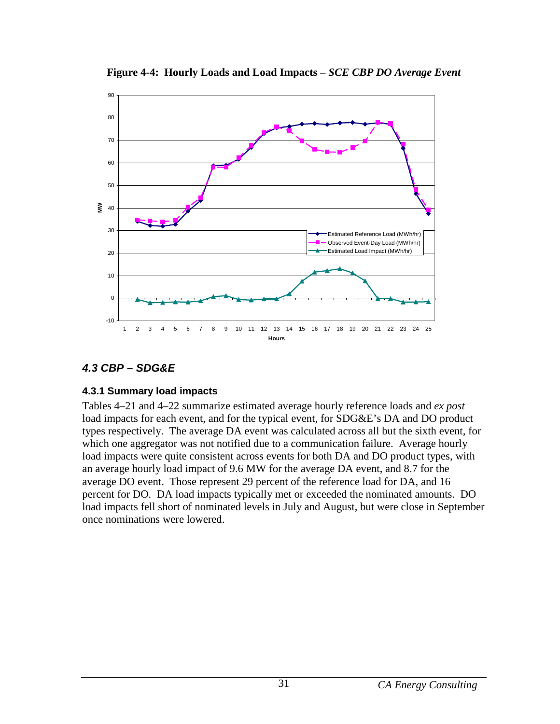

**Figure 4-4: Hourly Loads and Load Impacts –** *SCE CBP DO Average Event*

## **4.3 CBP – SDG&E**

#### **4.3.1 Summary load impacts**

Tables 4–21 and 4–22 summarize estimated average hourly reference loads and *ex post* load impacts for each event, and for the typical event, for SDG&E's DA and DO product types respectively. The average DA event was calculated across all but the sixth event, for which one aggregator was not notified due to a communication failure. Average hourly load impacts were quite consistent across events for both DA and DO product types, with an average hourly load impact of 9.6 MW for the average DA event, and 8.7 for the average DO event. Those represent 29 percent of the reference load for DA, and 16 percent for DO. DA load impacts typically met or exceeded the nominated amounts. DO load impacts fell short of nominated levels in July and August, but were close in September once nominations were lowered.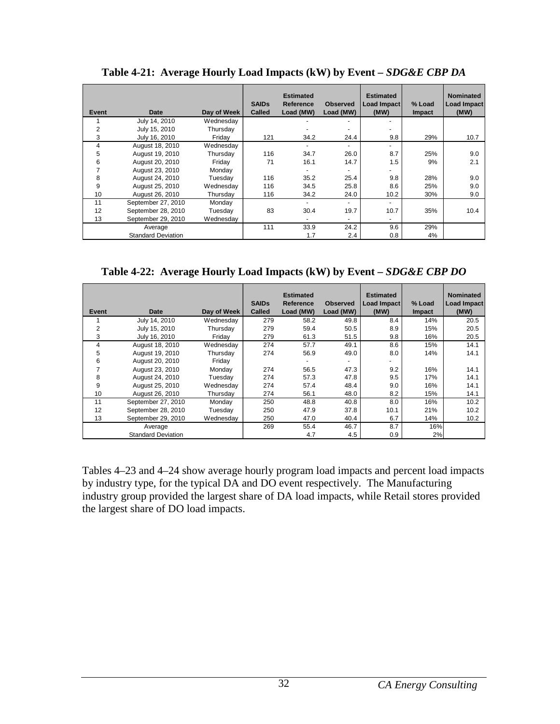| Event | Date                      | Day of Week | <b>SAIDs</b><br><b>Called</b> | <b>Estimated</b><br>Reference<br>Load (MW) | <b>Observed</b><br>Load (MW) | <b>Estimated</b><br>Load Impact<br>(MW) | % Load<br><b>Impact</b> | <b>Nominated</b><br>Load Impact<br>(MW) |
|-------|---------------------------|-------------|-------------------------------|--------------------------------------------|------------------------------|-----------------------------------------|-------------------------|-----------------------------------------|
|       | July 14, 2010             | Wednesday   |                               |                                            |                              |                                         |                         |                                         |
| 2     | July 15, 2010             | Thursday    |                               |                                            |                              |                                         |                         |                                         |
| 3     | July 16, 2010             | Friday      | 121                           | 34.2                                       | 24.4                         | 9.8                                     | 29%                     | 10.7                                    |
| 4     | August 18, 2010           | Wednesday   |                               |                                            | $\overline{\phantom{0}}$     | $\overline{\phantom{a}}$                |                         |                                         |
| 5     | August 19, 2010           | Thursday    | 116                           | 34.7                                       | 26.0                         | 8.7                                     | 25%                     | 9.0                                     |
| 6     | August 20, 2010           | Friday      | 71                            | 16.1                                       | 14.7                         | 1.5                                     | 9%                      | 2.1                                     |
| 7     | August 23, 2010           | Monday      |                               |                                            |                              |                                         |                         |                                         |
| 8     | August 24, 2010           | Tuesday     | 116                           | 35.2                                       | 25.4                         | 9.8                                     | 28%                     | 9.0                                     |
| 9     | August 25, 2010           | Wednesday   | 116                           | 34.5                                       | 25.8                         | 8.6                                     | 25%                     | 9.0                                     |
| 10    | August 26, 2010           | Thursday    | 116                           | 34.2                                       | 24.0                         | 10.2                                    | 30%                     | 9.0                                     |
| 11    | September 27, 2010        | Monday      |                               |                                            | $\blacksquare$               | $\overline{\phantom{a}}$                |                         |                                         |
| 12    | September 28, 2010        | Tuesday     | 83                            | 30.4                                       | 19.7                         | 10.7                                    | 35%                     | 10.4                                    |
| 13    | September 29, 2010        | Wednesdav   |                               |                                            | $\overline{\phantom{0}}$     | $\overline{\phantom{0}}$                |                         |                                         |
|       | Average                   |             | 111                           | 33.9                                       | 24.2                         | 9.6                                     | 29%                     |                                         |
|       | <b>Standard Deviation</b> |             |                               | 1.7                                        | 2.4                          | 0.8                                     | 4%                      |                                         |

Table 4-21: Average Hourly Load Impacts (kW) by Event – *SDG&E CBP DA* 

**Table 4-22: Average Hourly Load Impacts (kW) by Event –** *SDG&E CBP DO*

| Event          | Date                      | Day of Week | <b>SAIDs</b><br><b>Called</b> | <b>Estimated</b><br>Reference<br>Load (MW) | <b>Observed</b><br>Load (MW) | <b>Estimated</b><br>Load Impact<br>(MW) | % Load<br><b>Impact</b> | <b>Nominated</b><br>Load Impact<br>(MW) |
|----------------|---------------------------|-------------|-------------------------------|--------------------------------------------|------------------------------|-----------------------------------------|-------------------------|-----------------------------------------|
|                | July 14, 2010             | Wednesday   | 279                           | 58.2                                       | 49.8                         | 8.4                                     | 14%                     | 20.5                                    |
| $\overline{2}$ | July 15, 2010             | Thursday    | 279                           | 59.4                                       | 50.5                         | 8.9                                     | 15%                     | 20.5                                    |
| 3              | July 16, 2010             | Fridav      | 279                           | 61.3                                       | 51.5                         | 9.8                                     | 16%                     | 20.5                                    |
| 4              | August 18, 2010           | Wednesday   | 274                           | 57.7                                       | 49.1                         | 8.6                                     | 15%                     | 14.1                                    |
| 5              | August 19, 2010           | Thursdav    | 274                           | 56.9                                       | 49.0                         | 8.0                                     | 14%                     | 14.1                                    |
| 6              | August 20, 2010           | Friday      |                               |                                            | $\overline{\phantom{0}}$     |                                         |                         |                                         |
|                | August 23, 2010           | Monday      | 274                           | 56.5                                       | 47.3                         | 9.2                                     | 16%                     | 14.1                                    |
| 8              | August 24, 2010           | Tuesdav     | 274                           | 57.3                                       | 47.8                         | 9.5                                     | 17%                     | 14.1                                    |
| 9              | August 25, 2010           | Wednesdav   | 274                           | 57.4                                       | 48.4                         | 9.0                                     | 16%                     | 14.1                                    |
| 10             | August 26, 2010           | Thursdav    | 274                           | 56.1                                       | 48.0                         | 8.2                                     | 15%                     | 14.1                                    |
| 11             | September 27, 2010        | Monday      | 250                           | 48.8                                       | 40.8                         | 8.0                                     | 16%                     | 10.2                                    |
| 12             | September 28, 2010        | Tuesday     | 250                           | 47.9                                       | 37.8                         | 10.1                                    | 21%                     | 10.2                                    |
| 13             | September 29, 2010        | Wednesdav   | 250                           | 47.0                                       | 40.4                         | 6.7                                     | 14%                     | 10.2                                    |
|                | Average                   |             | 269                           | 55.4                                       | 46.7                         | 8.7                                     | 16%                     |                                         |
|                | <b>Standard Deviation</b> |             |                               | 4.7                                        | 4.5                          | 0.9                                     | 2%                      |                                         |

Tables 4–23 and 4–24 show average hourly program load impacts and percent load impacts by industry type, for the typical DA and DO event respectively. The Manufacturing industry group provided the largest share of DA load impacts, while Retail stores provided the largest share of DO load impacts.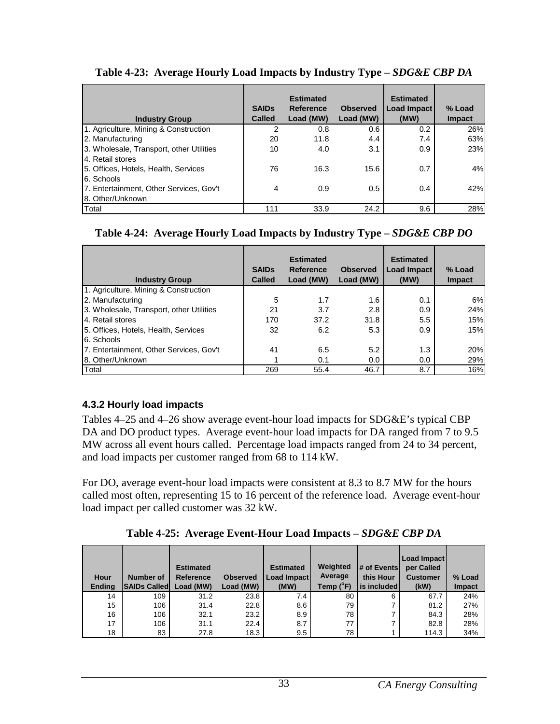| <b>Industry Group</b>                                        | <b>SAIDs</b><br><b>Called</b> | <b>Estimated</b><br><b>Reference</b><br>Load (MW) | <b>Observed</b><br>Load (MW) | <b>Estimated</b><br>Load Impact<br>(MW) | % Load<br><b>Impact</b> |
|--------------------------------------------------------------|-------------------------------|---------------------------------------------------|------------------------------|-----------------------------------------|-------------------------|
| 1. Agriculture, Mining & Construction                        | 2                             | 0.8                                               | 0.6                          | 0.2                                     | 26%                     |
| 2. Manufacturing                                             | 20                            | 11.8                                              | 4.4                          | 7.4                                     | 63%                     |
| 3. Wholesale, Transport, other Utilities<br>4. Retail stores | 10                            | 4.0                                               | 3.1                          | 0.9                                     | 23%                     |
| 5. Offices, Hotels, Health, Services<br>6. Schools           | 76                            | 16.3                                              | 15.6                         | 0.7                                     | 4%                      |
| 7. Entertainment, Other Services, Gov't<br>8. Other/Unknown  | 4                             | 0.9                                               | 0.5                          | 0.4                                     | 42%                     |
| Total                                                        | 111                           | 33.9                                              | 24.2                         | 9.6                                     | 28%                     |

#### **Table 4-23: Average Hourly Load Impacts by Industry Type –** *SDG&E CBP DA*

#### **Table 4-24: Average Hourly Load Impacts by Industry Type –** *SDG&E CBP DO*

| <b>Industry Group</b>                    | <b>SAIDs</b><br><b>Called</b> | <b>Estimated</b><br><b>Reference</b><br>Load (MW) | <b>Observed</b><br>Load (MW) | <b>Estimated</b><br>Load Impact<br>(MW) | % Load<br><b>Impact</b> |
|------------------------------------------|-------------------------------|---------------------------------------------------|------------------------------|-----------------------------------------|-------------------------|
| 1. Agriculture, Mining & Construction    |                               |                                                   |                              |                                         |                         |
| 2. Manufacturing                         | 5                             | 1.7                                               | 1.6                          | 0.1                                     | 6%                      |
| 3. Wholesale, Transport, other Utilities | 21                            | 3.7                                               | 2.8                          | 0.9                                     | 24%                     |
| 4. Retail stores                         | 170                           | 37.2                                              | 31.8                         | 5.5                                     | 15%                     |
| 5. Offices, Hotels, Health, Services     | 32                            | 6.2                                               | 5.3                          | 0.9                                     | 15%                     |
| 6. Schools                               |                               |                                                   |                              |                                         |                         |
| 7. Entertainment, Other Services, Gov't  | 41                            | 6.5                                               | 5.2                          | 1.3                                     | 20%                     |
| 8. Other/Unknown                         |                               | 0.1                                               | 0.0                          | 0.0                                     | 29%                     |
| Total                                    | 269                           | 55.4                                              | 46.7                         | 8.7                                     | 16%                     |

#### **4.3.2 Hourly load impacts**

Tables 4–25 and 4–26 show average event-hour load impacts for SDG&E's typical CBP DA and DO product types. Average event-hour load impacts for DA ranged from 7 to 9.5 MW across all event hours called. Percentage load impacts ranged from 24 to 34 percent, and load impacts per customer ranged from 68 to 114 kW.

For DO, average event-hour load impacts were consistent at 8.3 to 8.7 MW for the hours called most often, representing 15 to 16 percent of the reference load. Average event-hour load impact per called customer was 32 kW.

**Table 4-25: Average Event-Hour Load Impacts –** *SDG&E CBP DA* 

| Hour<br><b>Endina</b> | <b>Number of</b><br><b>SAIDs Called</b> | <b>Estimated</b><br>Reference<br>Load (MW) | <b>Observed</b><br>Load (MW) | <b>Estimated</b><br><b>Load Impact</b><br>(MW) | Weighted<br>Average<br>Temp (°F) | # of Events<br>this Hour<br>l is included l | Load Impact<br>per Called<br><b>Customer</b><br>(kW) | % Load<br><b>Impact</b> |
|-----------------------|-----------------------------------------|--------------------------------------------|------------------------------|------------------------------------------------|----------------------------------|---------------------------------------------|------------------------------------------------------|-------------------------|
| 14                    | 109                                     | 31.2                                       | 23.8                         | 7.4                                            | 80                               | 6                                           | 67.7                                                 | 24%                     |
| 15                    | 106                                     | 31.4                                       | 22.8                         | 8.6                                            | 79                               |                                             | 81.2                                                 | 27%                     |
| 16                    | 106                                     | 32.1                                       | 23.2                         | 8.9                                            | 78                               |                                             | 84.3                                                 | 28%                     |
| 17                    | 106                                     | 31.1                                       | 22.4                         | 8.7                                            | 77                               |                                             | 82.8                                                 | 28%                     |
| 18                    | 83                                      | 27.8                                       | 18.3                         | 9.5                                            | 78                               |                                             | 114.3                                                | 34%                     |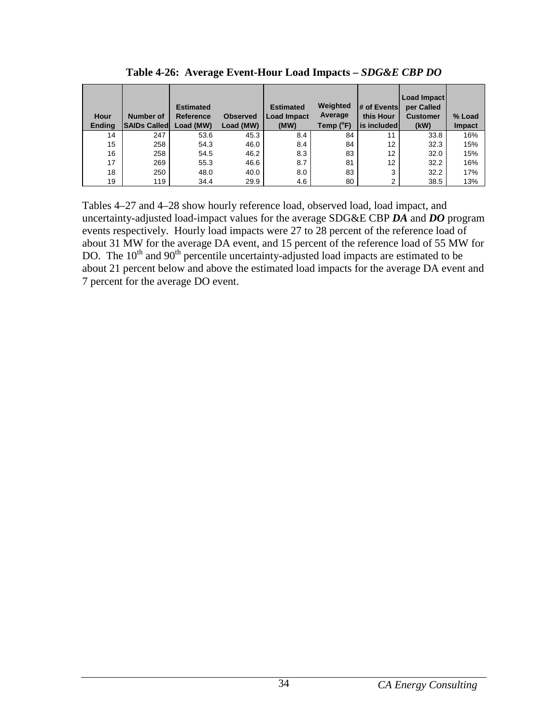| Hour<br><b>Ending</b> | <b>Number of</b><br><b>SAIDs Called</b> | <b>Estimated</b><br>Reference<br>Load (MW) | <b>Observed</b><br>Load (MW) | <b>Estimated</b><br><b>Load Impact</b><br>(MW) | Weighted<br>Average<br>Temp (°F) | # of Events<br>this Hour<br>is included | Load Impact<br>per Called<br><b>Customer</b><br>(kW) | % Load<br><b>Impact</b> |
|-----------------------|-----------------------------------------|--------------------------------------------|------------------------------|------------------------------------------------|----------------------------------|-----------------------------------------|------------------------------------------------------|-------------------------|
| 14                    | 247                                     | 53.6                                       | 45.3                         | 8.4                                            | 84                               | 11                                      | 33.8                                                 | 16%                     |
| 15                    | 258                                     | 54.3                                       | 46.0                         | 8.4                                            | 84                               | 12 <sup>2</sup>                         | 32.3                                                 | 15%                     |
| 16                    | 258                                     | 54.5                                       | 46.2                         | 8.3                                            | 83                               | 12 <sup>2</sup>                         | 32.0                                                 | 15%                     |
| 17                    | 269                                     | 55.3                                       | 46.6                         | 8.7                                            | 81                               | 12                                      | 32.2                                                 | 16%                     |
| 18                    | 250                                     | 48.0                                       | 40.0                         | 8.0                                            | 83                               | 3                                       | 32.2                                                 | 17%                     |
| 19                    | 119                                     | 34.4                                       | 29.9                         | 4.6                                            | 80                               | 2                                       | 38.5                                                 | 13%                     |

**Table 4-26: Average Event-Hour Load Impacts –** *SDG&E CBP DO* 

Tables 4–27 and 4–28 show hourly reference load, observed load, load impact, and uncertainty-adjusted load-impact values for the average SDG&E CBP *DA* and *DO* program events respectively. Hourly load impacts were 27 to 28 percent of the reference load of about 31 MW for the average DA event, and 15 percent of the reference load of 55 MW for DO. The  $10<sup>th</sup>$  and  $90<sup>th</sup>$  percentile uncertainty-adjusted load impacts are estimated to be about 21 percent below and above the estimated load impacts for the average DA event and 7 percent for the average DO event.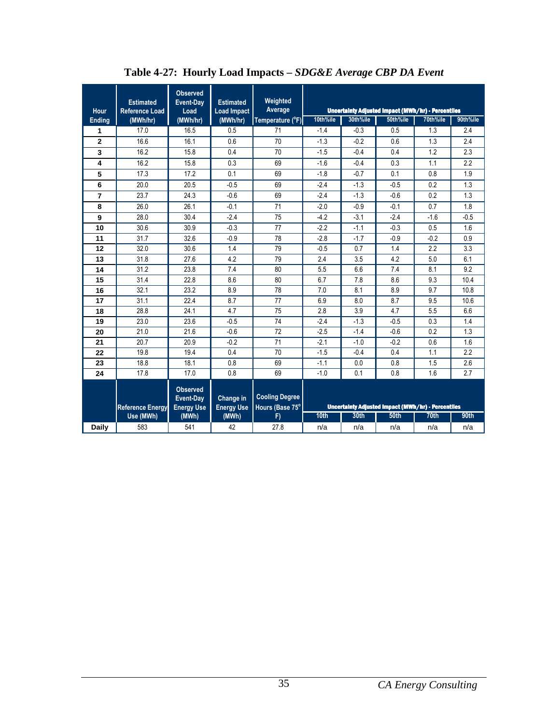| Hour           | <b>Estimated</b><br><b>Reference Load</b> | <b>Observed</b><br>Event-Day<br>Load              | <b>Estimated</b><br><b>Load Impact</b> | Weighted<br>Average                      |          |          | Uncertainty Adjusted Impact (MWh/hr) - Percentiles |                  |          |
|----------------|-------------------------------------------|---------------------------------------------------|----------------------------------------|------------------------------------------|----------|----------|----------------------------------------------------|------------------|----------|
| <b>Ending</b>  | (MWh/hr)                                  | (MWh/hr)                                          | (MWh/hr)                               | Temperature (°F)                         | 10th%ile | 30th%ile | 50th%ile                                           | 70th%ile         | 90th%ile |
| 1              | 17.0                                      | 16.5                                              | 0.5                                    | 71                                       | $-1.4$   | $-0.3$   | 0.5                                                | 1.3              | 2.4      |
| $\overline{2}$ | 16.6                                      | 16.1                                              | 0.6                                    | 70                                       | $-1.3$   | $-0.2$   | 0.6                                                | 1.3              | 2.4      |
| 3              | 16.2                                      | 15.8                                              | 0.4                                    | 70                                       | $-1.5$   | $-0.4$   | 0.4                                                | 1.2              | 2.3      |
| 4              | 16.2                                      | 15.8                                              | 0.3                                    | 69                                       | $-1.6$   | $-0.4$   | 0.3                                                | 1.1              | 2.2      |
| 5              | 17.3                                      | 17.2                                              | 0.1                                    | 69                                       | $-1.8$   | $-0.7$   | 0.1                                                | 0.8              | 1.9      |
| 6              | 20.0                                      | 20.5                                              | $-0.5$                                 | 69                                       | $-2.4$   | $-1.3$   | $-0.5$                                             | 0.2              | 1.3      |
| $\overline{7}$ | 23.7                                      | 24.3                                              | $-0.6$                                 | 69                                       | $-2.4$   | $-1.3$   | $-0.6$                                             | 0.2              | 1.3      |
| 8              | 26.0                                      | 26.1                                              | $-0.1$                                 | 71                                       | $-2.0$   | $-0.9$   | $-0.1$                                             | 0.7              | 1.8      |
| 9              | 28.0                                      | 30.4                                              | $-2.4$                                 | 75                                       | $-4.2$   | $-3.1$   | $-2.4$                                             | $-1.6$           | $-0.5$   |
| 10             | 30.6                                      | 30.9                                              | $-0.3$                                 | 77                                       | $-2.2$   | $-1.1$   | $-0.3$                                             | 0.5              | 1.6      |
| 11             | 31.7                                      | 32.6                                              | $-0.9$                                 | 78                                       | $-2.8$   | $-1.7$   | $-0.9$                                             | $-0.2$           | 0.9      |
| 12             | 32.0                                      | 30.6                                              | 1.4                                    | 79                                       | $-0.5$   | 0.7      | 1.4                                                | 2.2              | 3.3      |
| 13             | 31.8                                      | 27.6                                              | 4.2                                    | 79                                       | 2.4      | 3.5      | 4.2                                                | 5.0              | 6.1      |
| 14             | 31.2                                      | 23.8                                              | 7.4                                    | 80                                       | 5.5      | 6.6      | 7.4                                                | 8.1              | 9.2      |
| 15             | 31.4                                      | 22.8                                              | 8.6                                    | 80                                       | 6.7      | 7.8      | 8.6                                                | 9.3              | 10.4     |
| 16             | 32.1                                      | 23.2                                              | 8.9                                    | 78                                       | 7.0      | 8.1      | 8.9                                                | 9.7              | 10.8     |
| 17             | 31.1                                      | 22.4                                              | 8.7                                    | 77                                       | 6.9      | 8.0      | 8.7                                                | 9.5              | 10.6     |
| 18             | 28.8                                      | 24.1                                              | 4.7                                    | 75                                       | 2.8      | 3.9      | 4.7                                                | 5.5              | 6.6      |
| 19             | 23.0                                      | 23.6                                              | $-0.5$                                 | 74                                       | $-2.4$   | $-1.3$   | $-0.5$                                             | 0.3              | 1.4      |
| 20             | 21.0                                      | 21.6                                              | $-0.6$                                 | 72                                       | $-2.5$   | $-1.4$   | $-0.6$                                             | 0.2              | 1.3      |
| 21             | 20.7                                      | 20.9                                              | $-0.2$                                 | 71                                       | $-2.1$   | $-1.0$   | $-0.2$                                             | 0.6              | 1.6      |
| 22             | 19.8                                      | 19.4                                              | 0.4                                    | 70                                       | $-1.5$   | $-0.4$   | 0.4                                                | 1.1              | 2.2      |
| 23             | 18.8                                      | 18.1                                              | 0.8                                    | 69                                       | $-1.1$   | 0.0      | 0.8                                                | 1.5              | 2.6      |
| 24             | 17.8                                      | 17.0                                              | 0.8                                    | 69                                       | $-1.0$   | 0.1      | 0.8                                                | 1.6              | 2.7      |
|                | <b>Reference Energy</b>                   | <b>Observed</b><br>Event-Day<br><b>Energy Use</b> | Change in<br><b>Energy Use</b>         | <b>Cooling Degree</b><br>Hours (Base 75° |          |          | Uncertainty Adjusted Impact (MWh/hr) - Percentiles |                  |          |
|                | Use (MWh)                                 | (MWh)                                             | (MWh)                                  | F)                                       | 10th     | 30th     | <b>50th</b>                                        | 70 <sub>th</sub> | 90th     |
| <b>Daily</b>   | 583                                       | 541                                               | 42                                     | 27.8                                     | n/a      | n/a      | n/a                                                | n/a              | n/a      |

**Table 4-27: Hourly Load Impacts –** *SDG&E Average CBP DA Event*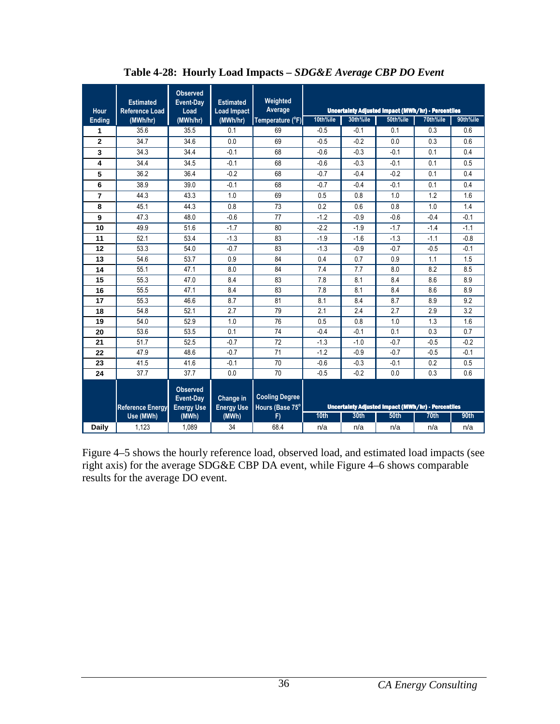| Hour           | <b>Estimated</b><br><b>Reference Load</b> | <b>Observed</b><br>Event-Day<br>Load              | <b>Estimated</b><br><b>Load Impact</b> | Weighted<br>Average                      |                  |          | Uncertainty Adjusted Impact (MWh/hr) - Percentiles |          |          |
|----------------|-------------------------------------------|---------------------------------------------------|----------------------------------------|------------------------------------------|------------------|----------|----------------------------------------------------|----------|----------|
| <b>Ending</b>  | (MWh/hr)                                  | (MWh/hr)                                          | (MWh/hr)                               | Temperature (°F)                         | 10th%ile         | 30th%ile | 50th%ile                                           | 70th%ile | 90th%ile |
| 1              | 35.6                                      | 35.5                                              | 0.1                                    | 69                                       | $-0.5$           | $-0.1$   | 0.1                                                | 0.3      | 0.6      |
| $\overline{2}$ | 34.7                                      | 34.6                                              | 0.0                                    | 69                                       | $-0.5$           | $-0.2$   | 0.0                                                | 0.3      | 0.6      |
| 3              | 34.3                                      | 34.4                                              | $-0.1$                                 | 68                                       | $-0.6$           | $-0.3$   | $-0.1$                                             | 0.1      | 0.4      |
| 4              | 34.4                                      | 34.5                                              | $-0.1$                                 | 68                                       | $-0.6$           | $-0.3$   | $-0.1$                                             | 0.1      | 0.5      |
| 5              | 36.2                                      | 36.4                                              | $-0.2$                                 | 68                                       | $-0.7$           | $-0.4$   | $-0.2$                                             | 0.1      | 0.4      |
| 6              | 38.9                                      | 39.0                                              | $-0.1$                                 | 68                                       | $-0.7$           | $-0.4$   | $-0.1$                                             | 0.1      | 0.4      |
| 7              | 44.3                                      | 43.3                                              | 1.0                                    | 69                                       | 0.5              | 0.8      | 1.0                                                | 1.2      | 1.6      |
| 8              | 45.1                                      | 44.3                                              | 0.8                                    | 73                                       | 0.2              | 0.6      | 0.8                                                | 1.0      | 1.4      |
| 9              | 47.3                                      | 48.0                                              | $-0.6$                                 | 77                                       | $-1.2$           | $-0.9$   | $-0.6$                                             | $-0.4$   | $-0.1$   |
| 10             | 49.9                                      | 51.6                                              | $-1.7$                                 | 80                                       | $-2.2$           | $-1.9$   | $-1.7$                                             | $-1.4$   | $-1.1$   |
| 11             | 52.1                                      | 53.4                                              | $-1.3$                                 | 83                                       | $-1.9$           | $-1.6$   | $-1.3$                                             | $-1.1$   | $-0.8$   |
| 12             | 53.3                                      | 54.0                                              | $-0.7$                                 | 83                                       | $-1.3$           | $-0.9$   | $-0.7$                                             | $-0.5$   | $-0.1$   |
| 13             | 54.6                                      | 53.7                                              | 0.9                                    | 84                                       | 0.4              | 0.7      | 0.9                                                | 1.1      | 1.5      |
| 14             | 55.1                                      | 47.1                                              | 8.0                                    | 84                                       | 7.4              | 7.7      | 8.0                                                | 8.2      | 8.5      |
| 15             | 55.3                                      | 47.0                                              | 8.4                                    | 83                                       | 7.8              | 8.1      | 8.4                                                | 8.6      | 8.9      |
| 16             | 55.5                                      | 47.1                                              | 8.4                                    | 83                                       | 7.8              | 8.1      | 8.4                                                | 8.6      | 8.9      |
| 17             | 55.3                                      | 46.6                                              | 8.7                                    | 81                                       | 8.1              | 8.4      | 8.7                                                | 8.9      | 9.2      |
| 18             | 54.8                                      | 52.1                                              | 2.7                                    | 79                                       | 2.1              | 2.4      | 2.7                                                | 2.9      | 3.2      |
| 19             | 54.0                                      | 52.9                                              | 1.0                                    | 76                                       | 0.5              | 0.8      | 1.0                                                | 1.3      | 1.6      |
| 20             | 53.6                                      | 53.5                                              | 0.1                                    | 74                                       | $-0.4$           | $-0.1$   | 0.1                                                | 0.3      | 0.7      |
| 21             | 51.7                                      | 52.5                                              | $-0.7$                                 | 72                                       | $-1.3$           | $-1.0$   | $-0.7$                                             | $-0.5$   | $-0.2$   |
| 22             | 47.9                                      | 48.6                                              | $-0.7$                                 | 71                                       | $-1.2$           | $-0.9$   | $-0.7$                                             | $-0.5$   | $-0.1$   |
| 23             | 41.5                                      | 41.6                                              | $-0.1$                                 | 70                                       | $-0.6$           | $-0.3$   | $-0.1$                                             | 0.2      | 0.5      |
| 24             | 37.7                                      | 37.7                                              | 0.0                                    | 70                                       | $-0.5$           | $-0.2$   | 0.0                                                | 0.3      | 0.6      |
|                | <b>Reference Energy</b>                   | <b>Observed</b><br>Event-Day<br><b>Energy Use</b> | Change in<br><b>Energy Use</b>         | <b>Cooling Degree</b><br>Hours (Base 75° |                  |          | Uncertainty Adjusted Impact (MWh/hr) - Percentiles |          |          |
|                | Use (MWh)                                 | (MWh)                                             | (MWh)                                  | F)                                       | 10 <sub>th</sub> | 30th     | 50th                                               | 70th     | 90th     |
| Daily          | 1,123                                     | 1,089                                             | 34                                     | 68.4                                     | n/a              | n/a      | n/a                                                | n/a      | n/a      |

**Table 4-28: Hourly Load Impacts** *– SDG&E Average CBP DO Event* 

Figure 4–5 shows the hourly reference load, observed load, and estimated load impacts (see right axis) for the average SDG&E CBP DA event, while Figure 4–6 shows comparable results for the average DO event.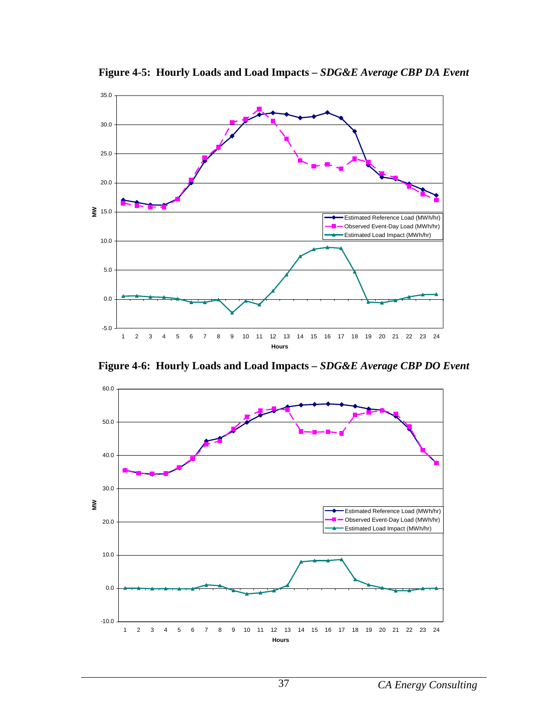

**Figure 4-5: Hourly Loads and Load Impacts –** *SDG&E Average CBP DA Event*

**Figure 4-6: Hourly Loads and Load Impacts –** *SDG&E Average CBP DO Event*

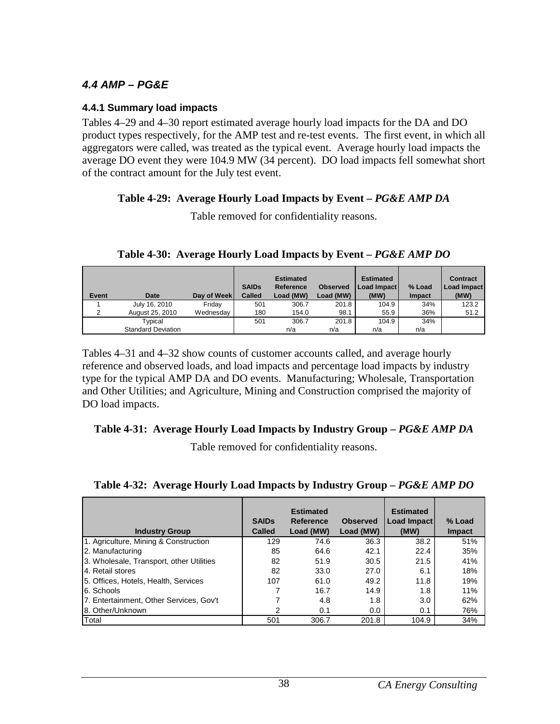### **4.4 AMP – PG&E**

#### **4.4.1 Summary load impacts**

Tables 4–29 and 4–30 report estimated average hourly load impacts for the DA and DO product types respectively, for the AMP test and re-test events. The first event, in which all aggregators were called, was treated as the typical event. Average hourly load impacts the average DO event they were 104.9 MW (34 percent). DO load impacts fell somewhat short of the contract amount for the July test event.

### **Table 4-29: Average Hourly Load Impacts by Event –** *PG&E AMP DA*

Table removed for confidentiality reasons.

| <b>Event</b> | Date                      | Day of Week | <b>SAIDs</b><br><b>Called</b> | <b>Estimated</b><br><b>Reference</b><br>Load (MW) | <b>Observed</b><br>Load (MW) | <b>Estimated</b><br>Load Impact<br>(MW) | % Load<br>Impact | <b>Contract</b><br>Load Impact<br>(MW) |
|--------------|---------------------------|-------------|-------------------------------|---------------------------------------------------|------------------------------|-----------------------------------------|------------------|----------------------------------------|
|              | July 16, 2010             | Friday      | 501                           | 306.7                                             | 201.8                        | 104.9                                   | 34%              | 123.2                                  |
| 2            | August 25, 2010           | Wednesday   | 180                           | 154.0                                             | 98.1                         | 55.9                                    | 36%              | 51.2                                   |
|              | Typical                   |             | 501                           | 306.7                                             | 201.8                        | 104.9                                   | 34%              |                                        |
|              | <b>Standard Deviation</b> |             |                               | n/a                                               | n/a                          | n/a                                     | n/a              |                                        |

### **Table 4-30: Average Hourly Load Impacts by Event –** *PG&E AMP DO*

Tables 4–31 and 4–32 show counts of customer accounts called, and average hourly reference and observed loads, and load impacts and percentage load impacts by industry type for the typical AMP DA and DO events. Manufacturing; Wholesale, Transportation and Other Utilities; and Agriculture, Mining and Construction comprised the majority of DO load impacts.

#### **Table 4-31: Average Hourly Load Impacts by Industry Group –** *PG&E AMP DA*

Table removed for confidentiality reasons.

|  |  | Table 4-32: Average Hourly Load Impacts by Industry Group - PG&E AMP DO |
|--|--|-------------------------------------------------------------------------|
|  |  |                                                                         |

| <b>Industry Group</b>                    | <b>SAIDS</b><br><b>Called</b> | <b>Estimated</b><br>Reference<br>Load (MW) | <b>Observed</b><br>Load (MW) | <b>Estimated</b><br>Load Impact<br>(MW) | % Load<br><b>Impact</b> |
|------------------------------------------|-------------------------------|--------------------------------------------|------------------------------|-----------------------------------------|-------------------------|
| 1. Agriculture, Mining & Construction    | 129                           | 74.6                                       | 36.3                         | 38.2                                    | 51%                     |
| 2. Manufacturing                         | 85                            | 64.6                                       | 42.1                         | 22.4                                    | 35%                     |
| 3. Wholesale, Transport, other Utilities | 82                            | 51.9                                       | 30.5                         | 21.5                                    | 41%                     |
| 4. Retail stores                         | 82                            | 33.0                                       | 27.0                         | 6.1                                     | 18%                     |
| 5. Offices, Hotels, Health, Services     | 107                           | 61.0                                       | 49.2                         | 11.8                                    | 19%                     |
| 6. Schools                               |                               | 16.7                                       | 14.9                         | 1.8                                     | 11%                     |
| 7. Entertainment, Other Services, Gov't  |                               | 4.8                                        | 1.8                          | 3.0                                     | 62%                     |
| 8. Other/Unknown                         | 2                             | 0.1                                        | 0.0                          | 0.1                                     | 76%                     |
| Total                                    | 501                           | 306.7                                      | 201.8                        | 104.9                                   | 34%                     |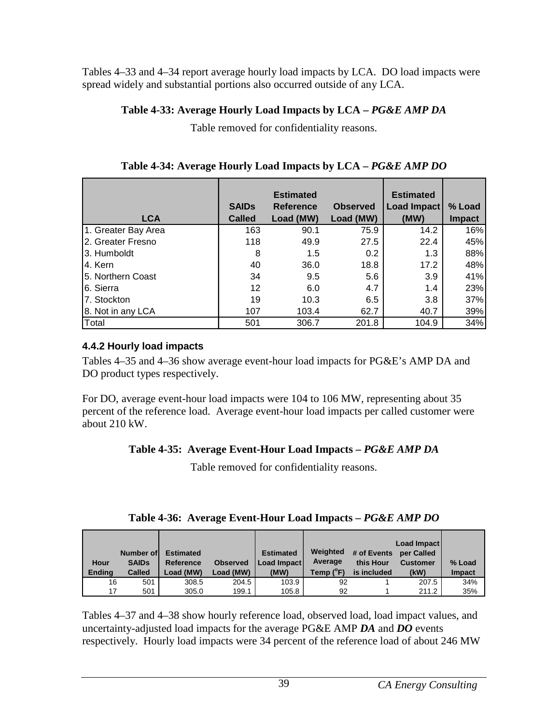Tables 4–33 and 4–34 report average hourly load impacts by LCA. DO load impacts were spread widely and substantial portions also occurred outside of any LCA.

### **Table 4-33: Average Hourly Load Impacts by LCA –** *PG&E AMP DA*

Table removed for confidentiality reasons.

| <b>LCA</b>          | <b>SAIDs</b><br><b>Called</b> | <b>Estimated</b><br><b>Reference</b><br>Load (MW) | <b>Observed</b><br>Load (MW) | <b>Estimated</b><br><b>Load Impact</b><br>(MW) | % Load<br><b>Impact</b> |
|---------------------|-------------------------------|---------------------------------------------------|------------------------------|------------------------------------------------|-------------------------|
| 1. Greater Bay Area | 163                           | 90.1                                              | 75.9                         | 14.2                                           | 16%                     |
| 2. Greater Fresno   | 118                           | 49.9                                              | 27.5                         | 22.4                                           | 45%                     |
| 3. Humboldt         | 8                             | 1.5                                               | 0.2                          | 1.3                                            | 88%                     |
| 4. Kern             | 40                            | 36.0                                              | 18.8                         | 17.2                                           | 48%                     |
| 5. Northern Coast   | 34                            | 9.5                                               | 5.6                          | 3.9                                            | 41%                     |
| 6. Sierra           | $12 \overline{ }$             | 6.0                                               | 4.7                          | 1.4                                            | 23%                     |
| 7. Stockton         | 19                            | 10.3                                              | 6.5                          | 3.8                                            | 37%                     |
| 8. Not in any LCA   | 107                           | 103.4                                             | 62.7                         | 40.7                                           | 39%                     |
| Total               | 501                           | 306.7                                             | 201.8                        | 104.9                                          | 34%                     |

**Table 4-34: Average Hourly Load Impacts by LCA –** *PG&E AMP DO*

## **4.4.2 Hourly load impacts**

Tables 4–35 and 4–36 show average event-hour load impacts for PG&E's AMP DA and DO product types respectively.

For DO, average event-hour load impacts were 104 to 106 MW, representing about 35 percent of the reference load. Average event-hour load impacts per called customer were about 210 kW.

## **Table 4-35: Average Event-Hour Load Impacts –** *PG&E AMP DA*

Table removed for confidentiality reasons.

| Table 4-36: Average Event-Hour Load Impacts - PG&E AMP DO |  |
|-----------------------------------------------------------|--|
|                                                           |  |

| Hour<br><b>Endina</b> | Number of<br><b>SAIDs</b><br><b>Called</b> | <b>Estimated</b><br>Reference<br>Load (MW) | <b>Observed</b><br>Load (MW) | <b>Estimated</b><br>Load Impact<br>(MW) | Weighted<br>Average<br>Temp $(^{\circ}F)$ | # of Events<br>this Hour<br>is included | Load Impact<br>per Called<br><b>Customer</b><br>(kW) | % Load<br><b>Impact</b> |
|-----------------------|--------------------------------------------|--------------------------------------------|------------------------------|-----------------------------------------|-------------------------------------------|-----------------------------------------|------------------------------------------------------|-------------------------|
| 16                    | 501                                        | 308.5                                      | 204.5                        | 103.9                                   | 92                                        |                                         | 207.5                                                | 34%                     |
| 17                    | 501                                        | 305.0                                      | 199.1                        | 105.8                                   | 92                                        |                                         | 211.2                                                | 35%                     |

Tables 4–37 and 4–38 show hourly reference load, observed load, load impact values, and uncertainty-adjusted load impacts for the average PG&E AMP *DA* and *DO* events respectively. Hourly load impacts were 34 percent of the reference load of about 246 MW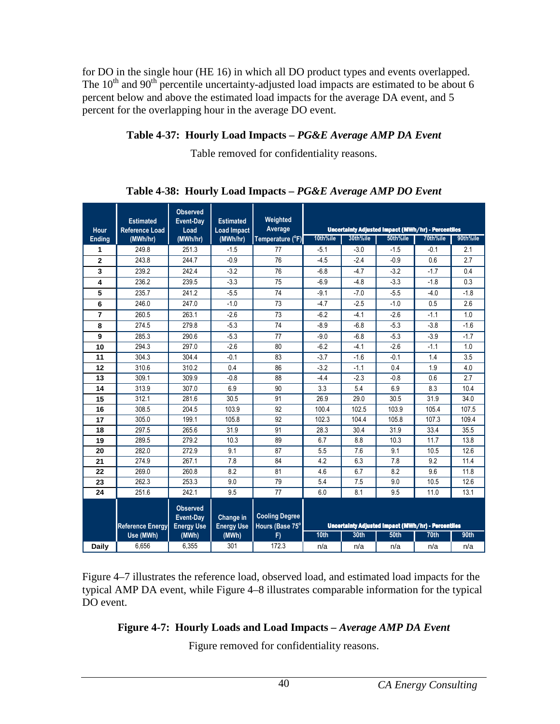for DO in the single hour (HE 16) in which all DO product types and events overlapped. The  $10^{th}$  and  $90^{th}$  percentile uncertainty-adjusted load impacts are estimated to be about 6 percent below and above the estimated load impacts for the average DA event, and 5 percent for the overlapping hour in the average DO event.

## **Table 4-37: Hourly Load Impacts –** *PG&E Average AMP DA Event*

Table removed for confidentiality reasons.

| <b>Hour</b>    | <b>Estimated</b><br><b>Reference Load</b> | <b>Observed</b><br>Event-Day<br>Load              | <b>Estimated</b><br><b>Load Impact</b> | Weighted<br>Average                      |                                                    |          | <b>Uncertainty Adjusted Impact (MWh/hr) - Percentiles</b> |          |          |
|----------------|-------------------------------------------|---------------------------------------------------|----------------------------------------|------------------------------------------|----------------------------------------------------|----------|-----------------------------------------------------------|----------|----------|
| <b>Ending</b>  | (MWh/hr)                                  | (MWh/hr)                                          | (MWh/hr)                               | Temperature (°F)                         | 10th%ile                                           | 30th%ile | 50th%ile                                                  | 70th%ile | 90th%ile |
| 1              | 249.8                                     | 251.3                                             | $-1.5$                                 | 77                                       | $-5.1$                                             | $-3.0$   | $-1.5$                                                    | $-0.1$   | 2.1      |
| $\mathbf{2}$   | 243.8                                     | 244.7                                             | $-0.9$                                 | 76                                       | $-4.5$                                             | $-2.4$   | $-0.9$                                                    | 0.6      | 2.7      |
| 3              | 239.2                                     | 242.4                                             | $-3.2$                                 | 76                                       | $-6.8$                                             | $-4.7$   | $-3.2$                                                    | $-1.7$   | 0.4      |
| 4              | 236.2                                     | 239.5                                             | $-3.3$                                 | 75                                       | $-6.9$                                             | $-4.8$   | $-3.3$                                                    | $-1.8$   | 0.3      |
| 5              | 235.7                                     | 241.2                                             | $-5.5$                                 | 74                                       | $-9.1$                                             | $-7.0$   | $-5.5$                                                    | $-4.0$   | $-1.8$   |
| 6              | 246.0                                     | 247.0                                             | $-1.0$                                 | 73                                       | $-4.7$                                             | $-2.5$   | $-1.0$                                                    | 0.5      | 2.6      |
| $\overline{7}$ | 260.5                                     | 263.1                                             | $-2.6$                                 | 73                                       | $-6.2$                                             | $-4.1$   | $-2.6$                                                    | $-1.1$   | 1.0      |
| 8              | 274.5                                     | 279.8                                             | $-5.3$                                 | 74                                       | $-8.9$                                             | $-6.8$   | $-5.3$                                                    | $-3.8$   | $-1.6$   |
| 9              | 285.3                                     | 290.6                                             | $-5.3$                                 | 77                                       | $-9.0$                                             | $-6.8$   | $-5.3$                                                    | $-3.9$   | $-1.7$   |
| 10             | 294.3                                     | 297.0                                             | $-2.6$                                 | 80                                       | $-6.2$                                             | $-4.1$   | $-2.6$                                                    | $-1.1$   | 1.0      |
| 11             | 304.3                                     | 304.4                                             | $-0.1$                                 | 83                                       | $-3.7$                                             | $-1.6$   | $-0.1$                                                    | 1.4      | 3.5      |
| 12             | 310.6                                     | 310.2                                             | 0.4                                    | 86                                       | $-3.2$                                             | $-1.1$   | 0.4                                                       | 1.9      | 4.0      |
| 13             | 309.1                                     | 309.9                                             | $-0.8$                                 | 88                                       | $-4.4$                                             | $-2.3$   | $-0.8$                                                    | 0.6      | 2.7      |
| 14             | 313.9                                     | 307.0                                             | 6.9                                    | 90                                       | 3.3                                                | 5.4      | 6.9                                                       | 8.3      | 10.4     |
| 15             | 312.1                                     | 281.6                                             | 30.5                                   | 91                                       | 26.9                                               | 29.0     | 30.5                                                      | 31.9     | 34.0     |
| 16             | 308.5                                     | 204.5                                             | 103.9                                  | 92                                       | 100.4                                              | 102.5    | 103.9                                                     | 105.4    | 107.5    |
| 17             | 305.0                                     | 199.1                                             | 105.8                                  | 92                                       | 102.3                                              | 104.4    | 105.8                                                     | 107.3    | 109.4    |
| 18             | 297.5                                     | 265.6                                             | 31.9                                   | 91                                       | 28.3                                               | 30.4     | 31.9                                                      | 33.4     | 35.5     |
| 19             | 289.5                                     | 279.2                                             | 10.3                                   | 89                                       | 6.7                                                | 8.8      | 10.3                                                      | 11.7     | 13.8     |
| 20             | 282.0                                     | 272.9                                             | 9.1                                    | 87                                       | 5.5                                                | 7.6      | 9.1                                                       | 10.5     | 12.6     |
| 21             | 274.9                                     | 267.1                                             | 7.8                                    | 84                                       | 4.2                                                | 6.3      | 7.8                                                       | 9.2      | 11.4     |
| 22             | 269.0                                     | 260.8                                             | 8.2                                    | 81                                       | 4.6                                                | 6.7      | 8.2                                                       | 9.6      | 11.8     |
| 23             | 262.3                                     | 253.3                                             | 9.0                                    | 79                                       | 5.4                                                | 7.5      | 9.0                                                       | 10.5     | 12.6     |
| 24             | 251.6                                     | 242.1                                             | 9.5                                    | 77                                       | 6.0                                                | 8.1      | 9.5                                                       | 11.0     | 13.1     |
|                | <b>Reference Energy</b>                   | <b>Observed</b><br>Event-Day<br><b>Energy Use</b> | Change in<br><b>Energy Use</b>         | <b>Cooling Degree</b><br>Hours (Base 75° | Uncertainty Adjusted Impact (MWh/hr) - Percentiles |          |                                                           |          |          |
|                | Use (MWh)                                 | (MWh)                                             | (MWh)                                  | F)                                       | 10th                                               | 30th     | <b>50th</b>                                               | 70th     | 90th     |
| <b>Daily</b>   | 6,656                                     | 6,355                                             | 301                                    | 172.3                                    | n/a                                                | n/a      | n/a                                                       | n/a      | n/a      |

**Table 4-38: Hourly Load Impacts –** *PG&E Average AMP DO Event*

Figure 4–7 illustrates the reference load, observed load, and estimated load impacts for the typical AMP DA event, while Figure 4–8 illustrates comparable information for the typical DO event.

## **Figure 4-7: Hourly Loads and Load Impacts –** *Average AMP DA Event*

Figure removed for confidentiality reasons.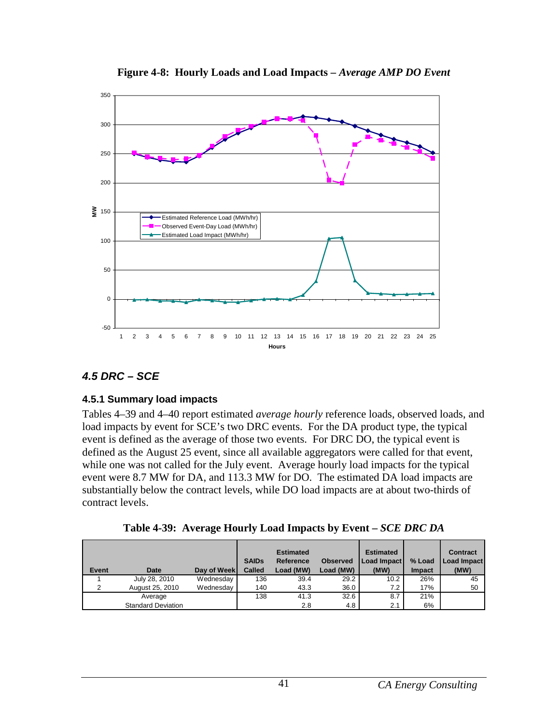

**Figure 4-8: Hourly Loads and Load Impacts –** *Average AMP DO Event*

### **4.5 DRC – SCE**

#### **4.5.1 Summary load impacts**

Tables 4–39 and 4–40 report estimated *average hourly* reference loads, observed loads, and load impacts by event for SCE's two DRC events. For the DA product type, the typical event is defined as the average of those two events. For DRC DO, the typical event is defined as the August 25 event, since all available aggregators were called for that event, while one was not called for the July event. Average hourly load impacts for the typical event were 8.7 MW for DA, and 113.3 MW for DO. The estimated DA load impacts are substantially below the contract levels, while DO load impacts are at about two-thirds of contract levels.

**Table 4-39: Average Hourly Load Impacts by Event –** *SCE DRC DA*

| Event | Date                      | Day of Week | <b>SAIDs</b><br>Called | <b>Estimated</b><br>Reference<br>Load (MW) | <b>Observed</b><br>Load (MW) | <b>Estimated</b><br>Load Impact<br>(MW) | % Load<br><b>Impact</b> | <b>Contract</b><br><b>Load Impact</b><br>(MW) |
|-------|---------------------------|-------------|------------------------|--------------------------------------------|------------------------------|-----------------------------------------|-------------------------|-----------------------------------------------|
|       | July 28, 2010             | Wednesday   | 136                    | 39.4                                       | 29.2                         | 10.2                                    | 26%                     | 45                                            |
| 2     | August 25, 2010           | Wednesday   | 140                    | 43.3                                       | 36.0                         | 7.2                                     | 17%                     | 50                                            |
|       | Average                   |             | 138                    | 41.3                                       | 32.6                         | 8.7                                     | 21%                     |                                               |
|       | <b>Standard Deviation</b> |             |                        | 2.8                                        | 4.8                          | 2.1                                     | 6%                      |                                               |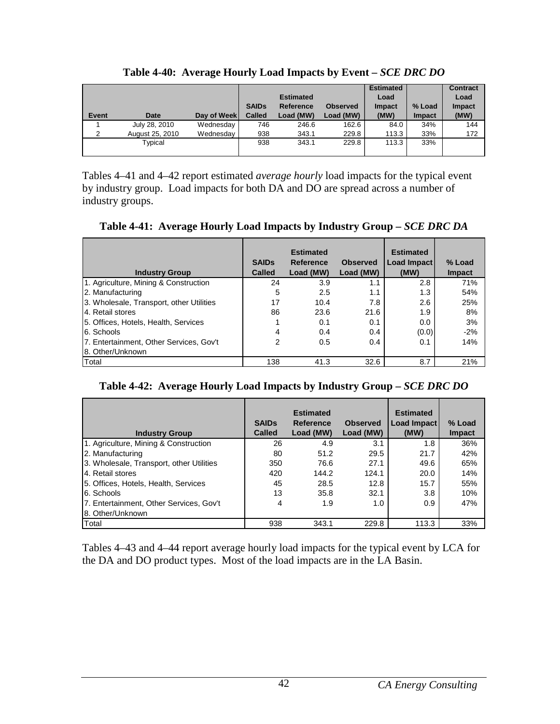|       |                 |             |               |                  |                 | <b>Estimated</b> |               | <b>Contract</b> |
|-------|-----------------|-------------|---------------|------------------|-----------------|------------------|---------------|-----------------|
|       |                 |             |               | <b>Estimated</b> |                 | Load             |               | Load            |
|       |                 |             | <b>SAIDs</b>  | <b>Reference</b> | <b>Observed</b> | <b>Impact</b>    | % Load        | Impact          |
| Event | <b>Date</b>     | Day of Week | <b>Called</b> | Load (MW)        | Load (MW)       | (MW)             | <b>Impact</b> | (MW)            |
|       | July 28, 2010   | Wednesday   | 746           | 246.6            | 162.6           | 84.0             | 34%           | 144             |
| 2     | August 25, 2010 | Wednesday   | 938           | 343.1            | 229.8           | 113.3            | 33%           | 172             |
|       | Typical         |             | 938           | 343.1            | 229.8           | 113.3            | 33%           |                 |
|       |                 |             |               |                  |                 |                  |               |                 |

**Table 4-40: Average Hourly Load Impacts by Event –** *SCE DRC DO*

Tables 4–41 and 4–42 report estimated *average hourly* load impacts for the typical event by industry group. Load impacts for both DA and DO are spread across a number of industry groups.

**Table 4-41: Average Hourly Load Impacts by Industry Group –** *SCE DRC DA*

| <b>Industry Group</b>                    | <b>SAIDs</b><br><b>Called</b> | <b>Estimated</b><br>Reference<br>Load (MW) | <b>Observed</b><br>Load (MW) | <b>Estimated</b><br>Load Impact<br>(MW) | % Load<br><b>Impact</b> |
|------------------------------------------|-------------------------------|--------------------------------------------|------------------------------|-----------------------------------------|-------------------------|
| 1. Agriculture, Mining & Construction    | 24                            | 3.9                                        | 1.1                          | 2.8                                     | 71%                     |
| 2. Manufacturing                         | 5                             | 2.5                                        | 1.1                          | 1.3                                     | 54%                     |
| 3. Wholesale, Transport, other Utilities | 17                            | 10.4                                       | 7.8                          | 2.6                                     | 25%                     |
| 4. Retail stores                         | 86                            | 23.6                                       | 21.6                         | 1.9                                     | 8%                      |
| 5. Offices, Hotels, Health, Services     |                               | 0.1                                        | 0.1                          | 0.0                                     | 3%                      |
| 6. Schools                               | 4                             | 0.4                                        | 0.4                          | (0.0)                                   | $-2%$                   |
| 7. Entertainment, Other Services, Gov't  | $\overline{2}$                | 0.5                                        | 0.4                          | 0.1                                     | 14%                     |
| 8. Other/Unknown                         |                               |                                            |                              |                                         |                         |
| <b>T</b> otal                            | 138                           | 41.3                                       | 32.6                         | 8.7                                     | 21%                     |

#### **Table 4-42: Average Hourly Load Impacts by Industry Group –** *SCE DRC DO*

| <b>Industry Group</b>                    | <b>SAIDs</b><br><b>Called</b> | <b>Estimated</b><br><b>Reference</b><br>Load (MW) | <b>Observed</b><br>Load (MW) | <b>Estimated</b><br>Load Impact<br>(MW) | % Load<br><b>Impact</b> |
|------------------------------------------|-------------------------------|---------------------------------------------------|------------------------------|-----------------------------------------|-------------------------|
| 1. Agriculture, Mining & Construction    | 26                            | 4.9                                               | 3.1                          | 1.8                                     | 36%                     |
| 2. Manufacturing                         | 80                            | 51.2                                              | 29.5                         | 21.7                                    | 42%                     |
| 3. Wholesale, Transport, other Utilities | 350                           | 76.6                                              | 27.1                         | 49.6                                    | 65%                     |
| 4. Retail stores                         | 420                           | 144.2                                             | 124.1                        | 20.0                                    | 14%                     |
| 5. Offices, Hotels, Health, Services     | 45                            | 28.5                                              | 12.8                         | 15.7                                    | 55%                     |
| 6. Schools                               | 13                            | 35.8                                              | 32.1                         | 3.8                                     | 10%                     |
| 7. Entertainment, Other Services, Gov't  | 4                             | 1.9                                               | 1.0                          | 0.9                                     | 47%                     |
| 8. Other/Unknown                         |                               |                                                   |                              |                                         |                         |
| Total                                    | 938                           | 343.1                                             | 229.8                        | 113.3                                   | 33%                     |

Tables 4–43 and 4–44 report average hourly load impacts for the typical event by LCA for the DA and DO product types. Most of the load impacts are in the LA Basin.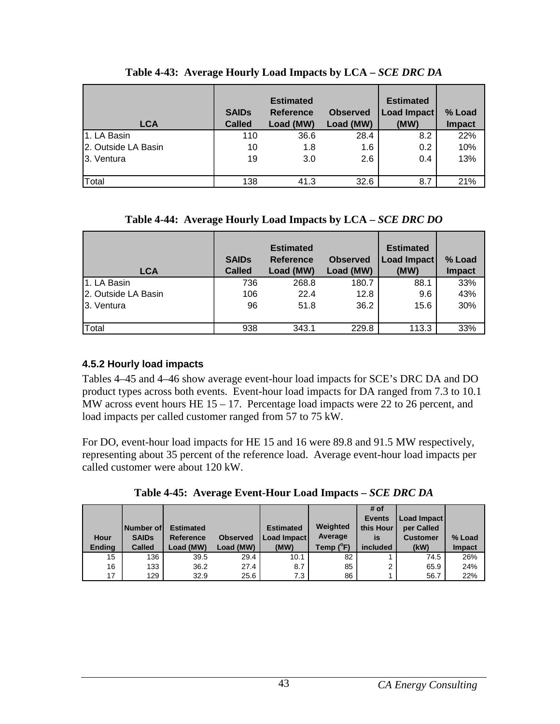| <b>LCA</b>          | <b>SAIDs</b><br><b>Called</b> | <b>Estimated</b><br><b>Reference</b><br>Load (MW) | <b>Observed</b><br>Load (MW) | <b>Estimated</b><br>Load Impact<br>(MW) | % Load<br><b>Impact</b> |
|---------------------|-------------------------------|---------------------------------------------------|------------------------------|-----------------------------------------|-------------------------|
| 1. LA Basin         | 110                           | 36.6                                              | 28.4                         | 8.2                                     | 22%                     |
| 2. Outside LA Basin | 10                            | 1.8                                               | 1.6                          | 0.2                                     | 10%                     |
| 3. Ventura          | 19                            | 3.0                                               | 2.6                          | 0.4                                     | 13%                     |
| Total               | 138                           | 41.3                                              | 32.6                         | 8.7                                     | 21%                     |

| Table 4-43: Average Hourly Load Impacts by LCA – SCE DRC DA |
|-------------------------------------------------------------|
|-------------------------------------------------------------|

### **Table 4-44: Average Hourly Load Impacts by LCA –** *SCE DRC DO*

| <b>LCA</b>          | <b>SAIDs</b><br><b>Called</b> | <b>Estimated</b><br><b>Reference</b><br>Load (MW) | <b>Observed</b><br>Load (MW) | <b>Estimated</b><br>Load Impact<br>(MW) | % Load<br><b>Impact</b> |
|---------------------|-------------------------------|---------------------------------------------------|------------------------------|-----------------------------------------|-------------------------|
| 1. LA Basin         | 736                           | 268.8                                             | 180.7                        | 88.1                                    | 33%                     |
| 2. Outside LA Basin | 106                           | 22.4                                              | 12.8                         | 9.6                                     | 43%                     |
| 3. Ventura          | 96                            | 51.8                                              | 36.2                         | 15.6                                    | 30%                     |
| Total               | 938                           | 343.1                                             | 229.8                        | 113.3                                   | 33%                     |

### **4.5.2 Hourly load impacts**

Tables 4–45 and 4–46 show average event-hour load impacts for SCE's DRC DA and DO product types across both events. Event-hour load impacts for DA ranged from 7.3 to 10.1 MW across event hours HE 15 – 17. Percentage load impacts were 22 to 26 percent, and load impacts per called customer ranged from 57 to 75 kW.

For DO, event-hour load impacts for HE 15 and 16 were 89.8 and 91.5 MW respectively, representing about 35 percent of the reference load. Average event-hour load impacts per called customer were about 120 kW.

|               |                  |                  |                 |                  |                    | # of          |                 |               |
|---------------|------------------|------------------|-----------------|------------------|--------------------|---------------|-----------------|---------------|
|               |                  |                  |                 |                  |                    | <b>Events</b> | Load Impact     |               |
|               | <b>Number of</b> | <b>Estimated</b> |                 | <b>Estimated</b> | Weighted           | this Hour     | per Called      |               |
| Hour          | <b>SAIDs</b>     | <b>Reference</b> | <b>Observed</b> | Load Impact      | Average            | is            | <b>Customer</b> | % Load        |
| <b>Ending</b> | <b>Called</b>    | Load (MW)        | Load (MW)       | (MW)             | Temp $(^{\circ}F)$ | included      | (kW)            | <b>Impact</b> |
| 15            | 136              | 39.5             | 29.4            | 10.1             | 82                 |               | 74.5            | 26%           |
| 16            | 133              | 36.2             | 27.4            | 8.7              | 85                 | $\mathbf{2}$  | 65.9            | 24%           |

17 129 32.9 25.6 7.3 86 1 56.7 22%

**Table 4-45: Average Event-Hour Load Impacts –** *SCE DRC DA*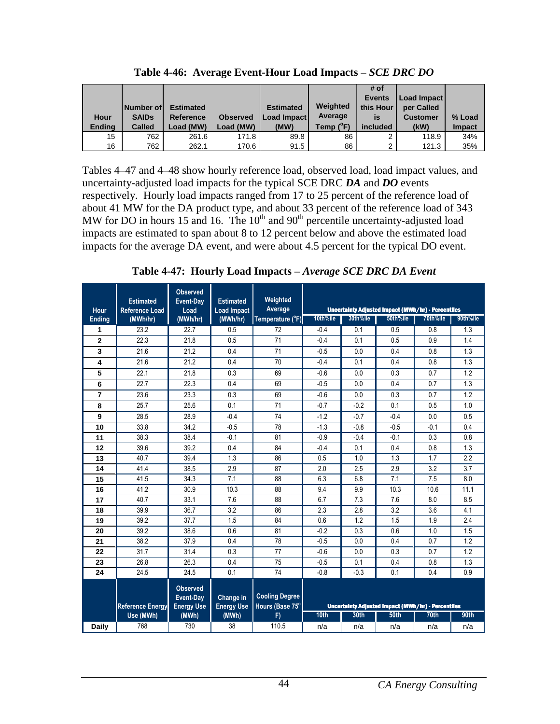| <b>Hour</b>   | <b>Number of</b><br><b>SAIDs</b> | <b>Estimated</b><br>Reference | <b>Observed</b> | <b>Estimated</b><br><b>Load Impact</b> | Weighted<br>Average | # of<br><b>Events</b><br>this Hour<br>is | Load Impact<br>per Called<br><b>Customer</b> | % Load        |
|---------------|----------------------------------|-------------------------------|-----------------|----------------------------------------|---------------------|------------------------------------------|----------------------------------------------|---------------|
| <b>Ending</b> | <b>Called</b>                    | Load (MW)                     | Load (MW)       | (MW)                                   | Temp $(^{\circ}F)$  | included                                 | (kW)                                         | <b>Impact</b> |
| 15            | 762                              | 261.6                         | 171.8           | 89.8                                   | 86                  | 2                                        | 118.9                                        | 34%           |
| 16            | 762                              | 262.1                         | 170.6           | 91.5                                   | 86                  | າ                                        | 121.3                                        | 35%           |

**Table 4-46: Average Event-Hour Load Impacts –** *SCE DRC DO*

Tables 4–47 and 4–48 show hourly reference load, observed load, load impact values, and uncertainty-adjusted load impacts for the typical SCE DRC *DA* and *DO* events respectively. Hourly load impacts ranged from 17 to 25 percent of the reference load of about 41 MW for the DA product type, and about 33 percent of the reference load of 343 MW for DO in hours 15 and 16. The  $10<sup>th</sup>$  and  $90<sup>th</sup>$  percentile uncertainty-adjusted load impacts are estimated to span about 8 to 12 percent below and above the estimated load impacts for the average DA event, and were about 4.5 percent for the typical DO event.

**Table 4-47: Hourly Load Impacts –** *Average SCE DRC DA Event* 

|                | <b>Estimated</b>        | <b>Observed</b><br><b>Event-Dav</b>               | <b>Estimated</b>               | Weighted                                 |          |          |                                                                |          |          |
|----------------|-------------------------|---------------------------------------------------|--------------------------------|------------------------------------------|----------|----------|----------------------------------------------------------------|----------|----------|
| Hour           | <b>Reference Load</b>   | Load                                              | <b>Load Impact</b>             | Average                                  | 10th%ile | 30th%ile | Uncertainty Adjusted Impact (MWh/hr) - Percentiles<br>50th%ile | 70th%ile | 90th%ile |
| <b>Ending</b>  | (MWh/hr)                | (MWh/hr)                                          | (MWh/hr)                       | Temperature (°F)                         |          |          |                                                                |          |          |
| 1              | 23.2                    | 22.7                                              | 0.5                            | 72                                       | $-0.4$   | 0.1      | 0.5                                                            | 0.8      | 1.3      |
| $\overline{2}$ | 22.3                    | 21.8                                              | 0.5                            | 71                                       | $-0.4$   | 0.1      | 0.5                                                            | 0.9      | 1.4      |
| 3              | 21.6                    | 21.2                                              | 0.4                            | 71                                       | $-0.5$   | 0.0      | 0.4                                                            | 0.8      | 1.3      |
| 4              | 21.6                    | 21.2                                              | 0.4                            | 70                                       | $-0.4$   | 0.1      | 0.4                                                            | 0.8      | 1.3      |
| 5              | 22.1                    | 21.8                                              | 0.3                            | 69                                       | $-0.6$   | 0.0      | 0.3                                                            | 0.7      | 1.2      |
| 6              | 22.7                    | 22.3                                              | 0.4                            | 69                                       | $-0.5$   | 0.0      | 0.4                                                            | 0.7      | 1.3      |
| $\overline{7}$ | 23.6                    | 23.3                                              | 0.3                            | 69                                       | $-0.6$   | 0.0      | 0.3                                                            | 0.7      | 1.2      |
| 8              | 25.7                    | 25.6                                              | 0.1                            | 71                                       | $-0.7$   | $-0.2$   | 0.1                                                            | 0.5      | 1.0      |
| 9              | 28.5                    | 28.9                                              | $-0.4$                         | 74                                       | $-1.2$   | $-0.7$   | $-0.4$                                                         | 0.0      | 0.5      |
| 10             | 33.8                    | 34.2                                              | $-0.5$                         | 78                                       | $-1.3$   | $-0.8$   | $-0.5$                                                         | $-0.1$   | 0.4      |
| 11             | 38.3                    | 38.4                                              | $-0.1$                         | 81                                       | $-0.9$   | $-0.4$   | $-0.1$                                                         | 0.3      | 0.8      |
| 12             | 39.6                    | 39.2                                              | 0.4                            | 84                                       | $-0.4$   | 0.1      | 0.4                                                            | 0.8      | 1.3      |
| 13             | 40.7                    | 39.4                                              | 1.3                            | 86                                       | 0.5      | 1.0      | 1.3                                                            | 1.7      | 2.2      |
| 14             | 41.4                    | 38.5                                              | 2.9                            | 87                                       | 2.0      | 2.5      | 2.9                                                            | 3.2      | 3.7      |
| 15             | 41.5                    | 34.3                                              | 7.1                            | 88                                       | 6.3      | 6.8      | 7.1                                                            | 7.5      | 8.0      |
| 16             | 41.2                    | 30.9                                              | 10.3                           | 88                                       | 9.4      | 9.9      | 10.3                                                           | 10.6     | 11.1     |
| 17             | 40.7                    | 33.1                                              | 7.6                            | 88                                       | 6.7      | 7.3      | 7.6                                                            | 8.0      | 8.5      |
| 18             | 39.9                    | 36.7                                              | 3.2                            | 86                                       | 2.3      | 2.8      | 3.2                                                            | 3.6      | 4.1      |
| 19             | 39.2                    | 37.7                                              | 1.5                            | 84                                       | 0.6      | 1.2      | 1.5                                                            | 1.9      | 2.4      |
| 20             | 39.2                    | 38.6                                              | 0.6                            | 81                                       | $-0.2$   | 0.3      | 0.6                                                            | 1.0      | 1.5      |
| 21             | 38.2                    | 37.9                                              | 0.4                            | 78                                       | $-0.5$   | 0.0      | 0.4                                                            | 0.7      | 1.2      |
| 22             | 31.7                    | 31.4                                              | 0.3                            | 77                                       | $-0.6$   | 0.0      | 0.3                                                            | 0.7      | 1.2      |
| 23             | 26.8                    | 26.3                                              | 0.4                            | 75                                       | $-0.5$   | 0.1      | 0.4                                                            | 0.8      | 1.3      |
| 24             | 24.5                    | 24.5                                              | 0.1                            | 74                                       | $-0.8$   | $-0.3$   | 0.1                                                            | 0.4      | 0.9      |
|                | <b>Reference Energy</b> | <b>Observed</b><br>Event-Day<br><b>Energy Use</b> | Change in<br><b>Energy Use</b> | <b>Cooling Degree</b><br>Hours (Base 75° |          |          | <b>Uncertainty Adjusted Impact (MWh/hr) - Percentiles</b>      |          |          |
|                | Use (MWh)               | (MWh)                                             | (MWh)                          | F)                                       | 10th     | 30th     | <b>50th</b>                                                    | 70th     | 90th     |
| <b>Daily</b>   | 768                     | 730                                               | 38                             | 110.5                                    | n/a      | n/a      | n/a                                                            | n/a      | n/a      |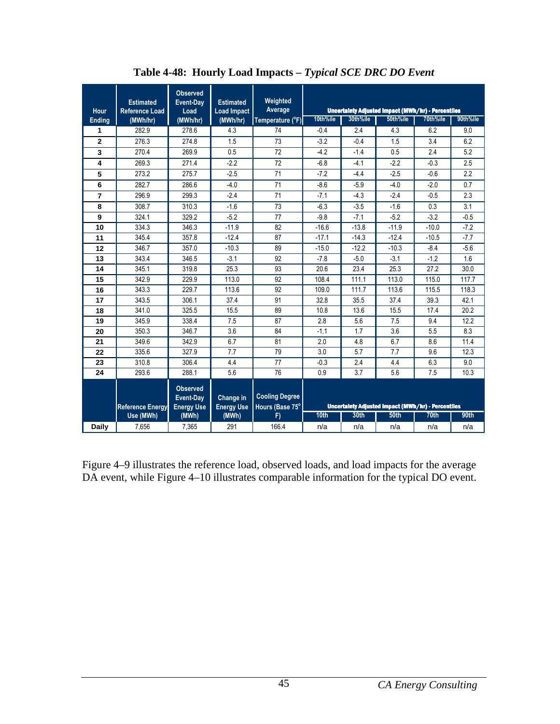| Hour           | <b>Estimated</b><br><b>Reference Load</b> | <b>Observed</b><br>Event-Day<br>Load              | <b>Estimated</b><br><b>Load Impact</b> | Weighted<br>Average                      |                                                           |          | <b>Uncertainty Adjusted Impact (MWh/hr) - Percentiles</b> |          |          |
|----------------|-------------------------------------------|---------------------------------------------------|----------------------------------------|------------------------------------------|-----------------------------------------------------------|----------|-----------------------------------------------------------|----------|----------|
| <b>Ending</b>  | (MWh/hr)                                  | (MWh/hr)                                          | (MWh/hr)                               | Temperature (°F)                         | 10th%ile                                                  | 30th%ile | 50th%ile                                                  | 70th%ile | 90th%ile |
| 1              | 282.9                                     | 278.6                                             | 4.3                                    | 74                                       | $-0.4$                                                    | 2.4      | 4.3                                                       | 6.2      | 9.0      |
| $\mathbf 2$    | 276.3                                     | 274.8                                             | 1.5                                    | 73                                       | $-3.2$                                                    | $-0.4$   | 1.5                                                       | 3.4      | 6.2      |
| 3              | 270.4                                     | 269.9                                             | 0.5                                    | 72                                       | $-4.2$                                                    | $-1.4$   | 0.5                                                       | 2.4      | 5.2      |
| 4              | 269.3                                     | 271.4                                             | $-2.2$                                 | 72                                       | $-6.8$                                                    | $-4.1$   | $-2.2$                                                    | $-0.3$   | 2.5      |
| 5              | 273.2                                     | 275.7                                             | $-2.5$                                 | 71                                       | $-7.2$                                                    | $-4.4$   | $-2.5$                                                    | $-0.6$   | 2.2      |
| 6              | 282.7                                     | 286.6                                             | $-4.0$                                 | 71                                       | $-8.6$                                                    | $-5.9$   | $-4.0$                                                    | $-2.0$   | 0.7      |
| $\overline{7}$ | 296.9                                     | 299.3                                             | $-2.4$                                 | 71                                       | $-7.1$                                                    | $-4.3$   | $-2.4$                                                    | $-0.5$   | 2.3      |
| 8              | 308.7                                     | 310.3                                             | $-1.6$                                 | 73                                       | $-6.3$                                                    | $-3.5$   | $-1.6$                                                    | 0.3      | 3.1      |
| 9              | 324.1                                     | 329.2                                             | $-5.2$                                 | 77                                       | $-9.8$                                                    | $-7.1$   | $-5.2$                                                    | $-3.2$   | $-0.5$   |
| 10             | 334.3                                     | 346.3                                             | $-11.9$                                | 82                                       | $-16.6$                                                   | $-13.8$  | $-11.9$                                                   | $-10.0$  | $-7.2$   |
| 11             | 345.4                                     | 357.8                                             | $-12.4$                                | 87                                       | $-17.1$                                                   | $-14.3$  | $-12.4$                                                   | $-10.5$  | $-7.7$   |
| 12             | 346.7                                     | 357.0                                             | $-10.3$                                | 89                                       | $-15.0$                                                   | $-12.2$  | $-10.3$                                                   | $-8.4$   | $-5.6$   |
| 13             | 343.4                                     | 346.5                                             | $-3.1$                                 | 92                                       | $-7.8$                                                    | $-5.0$   | $-3.1$                                                    | $-1.2$   | 1.6      |
| 14             | 345.1                                     | 319.8                                             | 25.3                                   | 93                                       | 20.6                                                      | 23.4     | 25.3                                                      | 27.2     | 30.0     |
| 15             | 342.9                                     | 229.9                                             | 113.0                                  | 92                                       | 108.4                                                     | 111.1    | 113.0                                                     | 115.0    | 117.7    |
| 16             | 343.3                                     | 229.7                                             | 113.6                                  | 92                                       | 109.0                                                     | 111.7    | 113.6                                                     | 115.5    | 118.3    |
| 17             | 343.5                                     | 306.1                                             | 37.4                                   | 91                                       | 32.8                                                      | 35.5     | 37.4                                                      | 39.3     | 42.1     |
| 18             | 341.0                                     | 325.5                                             | 15.5                                   | 89                                       | 10.8                                                      | 13.6     | 15.5                                                      | 17.4     | 20.2     |
| 19             | 345.9                                     | 338.4                                             | 7.5                                    | 87                                       | 2.8                                                       | 5.6      | 7.5                                                       | 9.4      | 12.2     |
| 20             | 350.3                                     | 346.7                                             | 3.6                                    | 84                                       | $-1.1$                                                    | 1.7      | 3.6                                                       | 5.5      | 8.3      |
| 21             | 349.6                                     | 342.9                                             | 6.7                                    | 81                                       | 2.0                                                       | 4.8      | 6.7                                                       | 8.6      | 11.4     |
| 22             | 335.6                                     | 327.9                                             | 7.7                                    | 79                                       | 3.0                                                       | 5.7      | 7.7                                                       | 9.6      | 12.3     |
| 23             | 310.8                                     | 306.4                                             | 4.4                                    | 77                                       | $-0.3$                                                    | 2.4      | 4.4                                                       | 6.3      | 9.0      |
| 24             | 293.6                                     | 288.1                                             | 5.6                                    | 76                                       | 0.9                                                       | 3.7      | 5.6                                                       | 7.5      | 10.3     |
|                | <b>Reference Energy</b>                   | <b>Observed</b><br>Event-Day<br><b>Energy Use</b> | Change in<br><b>Energy Use</b>         | <b>Cooling Degree</b><br>Hours (Base 75° | <b>Uncertainty Adjusted Impact (MWh/hr) - Percentiles</b> |          |                                                           |          |          |
|                | Use (MWh)                                 | (MWh)                                             | (MWh)                                  | F)                                       | 10 <sub>th</sub>                                          | 30th     | 50 <sub>th</sub>                                          | 70th     | 90th     |
| Daily          | 7,656                                     | 7,365                                             | 291                                    | 166.4                                    | n/a                                                       | n/a      | n/a                                                       | n/a      | n/a      |

**Table 4-48: Hourly Load Impacts –** *Typical SCE DRC DO Event* 

Figure 4–9 illustrates the reference load, observed loads, and load impacts for the average DA event, while Figure 4–10 illustrates comparable information for the typical DO event.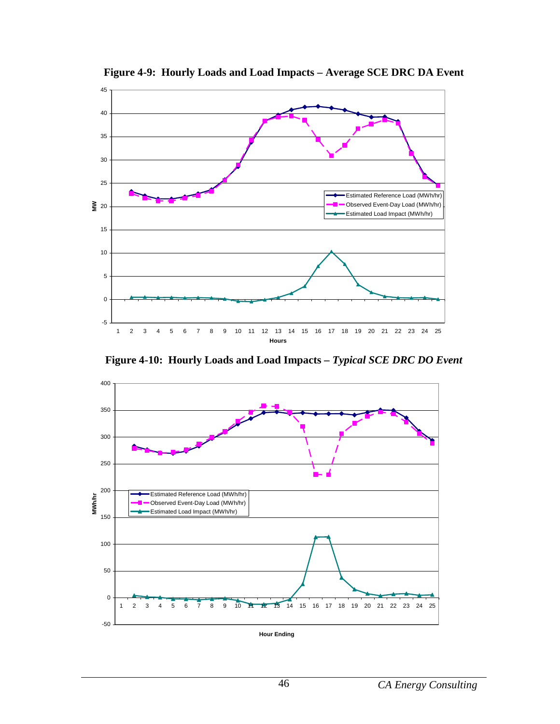

**Figure 4-9: Hourly Loads and Load Impacts – Average SCE DRC DA Event**

**Figure 4-10: Hourly Loads and Load Impacts –** *Typical SCE DRC DO Event*

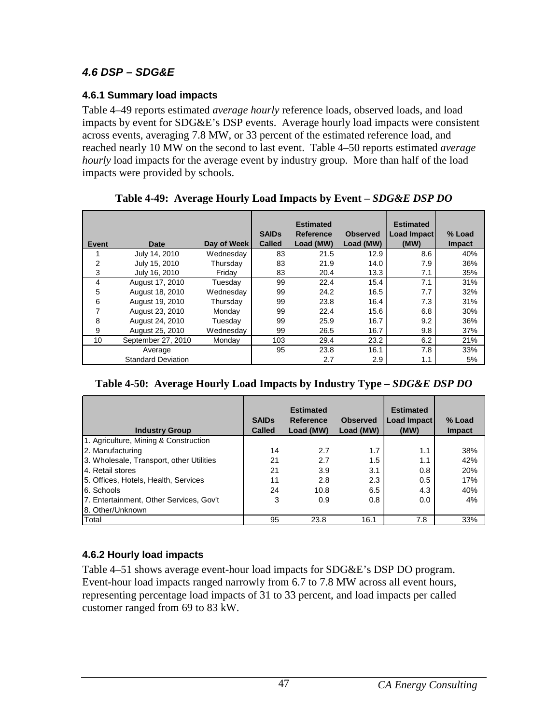## **4.6 DSP – SDG&E**

### **4.6.1 Summary load impacts**

Table 4–49 reports estimated *average hourly* reference loads, observed loads, and load impacts by event for SDG&E's DSP events. Average hourly load impacts were consistent across events, averaging 7.8 MW, or 33 percent of the estimated reference load, and reached nearly 10 MW on the second to last event. Table 4–50 reports estimated *average hourly* load impacts for the average event by industry group. More than half of the load impacts were provided by schools.

| Event          | Date                      | Day of Week | <b>SAIDs</b><br><b>Called</b> | <b>Estimated</b><br>Reference<br>Load (MW) | <b>Observed</b><br>Load (MW) | <b>Estimated</b><br>Load Impact<br>(MW) | % Load<br><b>Impact</b> |
|----------------|---------------------------|-------------|-------------------------------|--------------------------------------------|------------------------------|-----------------------------------------|-------------------------|
|                | July 14, 2010             | Wednesday   | 83                            | 21.5                                       | 12.9                         | 8.6                                     | 40%                     |
| $\overline{2}$ | July 15, 2010             | Thursday    | 83                            | 21.9                                       | 14.0                         | 7.9                                     | 36%                     |
| 3              | July 16, 2010             | Friday      | 83                            | 20.4                                       | 13.3                         | 7.1                                     | 35%                     |
| $\overline{4}$ | August 17, 2010           | Tuesday     | 99                            | 22.4                                       | 15.4                         | 7.1                                     | 31%                     |
| 5              | August 18, 2010           | Wednesday   | 99                            | 24.2                                       | 16.5                         | 7.7                                     | 32%                     |
| 6              | August 19, 2010           | Thursday    | 99                            | 23.8                                       | 16.4                         | 7.3                                     | 31%                     |
| 7              | August 23, 2010           | Monday      | 99                            | 22.4                                       | 15.6                         | 6.8                                     | 30%                     |
| 8              | August 24, 2010           | Tuesday     | 99                            | 25.9                                       | 16.7                         | 9.2                                     | 36%                     |
| 9              | August 25, 2010           | Wednesday   | 99                            | 26.5                                       | 16.7                         | 9.8                                     | 37%                     |
| 10             | September 27, 2010        | Monday      | 103                           | 29.4                                       | 23.2                         | 6.2                                     | 21%                     |
|                | Average                   |             | 95                            | 23.8                                       | 16.1                         | 7.8                                     | 33%                     |
|                | <b>Standard Deviation</b> |             |                               | 2.7                                        | 2.9                          | 1.1                                     | 5%                      |

**Table 4-49: Average Hourly Load Impacts by Event –** *SDG&E DSP DO*

| <b>Industry Group</b>                    | <b>SAIDs</b><br><b>Called</b> | <b>Estimated</b><br>Reference<br>Load (MW) | <b>Observed</b><br>Load (MW) | <b>Estimated</b><br>Load Impact<br>(MW) | % Load<br><b>Impact</b> |
|------------------------------------------|-------------------------------|--------------------------------------------|------------------------------|-----------------------------------------|-------------------------|
| 1. Agriculture, Mining & Construction    |                               |                                            |                              |                                         |                         |
| 2. Manufacturing                         | 14                            | 2.7                                        | 1.7                          | 1.1                                     | 38%                     |
| 3. Wholesale, Transport, other Utilities | 21                            | 2.7                                        | 1.5                          | 1.1                                     | 42%                     |
| 4. Retail stores                         | 21                            | 3.9                                        | 3.1                          | 0.8                                     | 20%                     |
| 5. Offices, Hotels, Health, Services     | 11                            | 2.8                                        | 2.3                          | 0.5                                     | 17%                     |
| 6. Schools                               | 24                            | 10.8                                       | 6.5                          | 4.3                                     | 40%                     |
| 7. Entertainment, Other Services, Gov't  | 3                             | 0.9                                        | 0.8                          | 0.0                                     | 4%                      |
| 8. Other/Unknown                         |                               |                                            |                              |                                         |                         |
| Total                                    | 95                            | 23.8                                       | 16.1                         | 7.8                                     | 33%                     |

## **4.6.2 Hourly load impacts**

Table 4–51 shows average event-hour load impacts for SDG&E's DSP DO program. Event-hour load impacts ranged narrowly from 6.7 to 7.8 MW across all event hours, representing percentage load impacts of 31 to 33 percent, and load impacts per called customer ranged from 69 to 83 kW.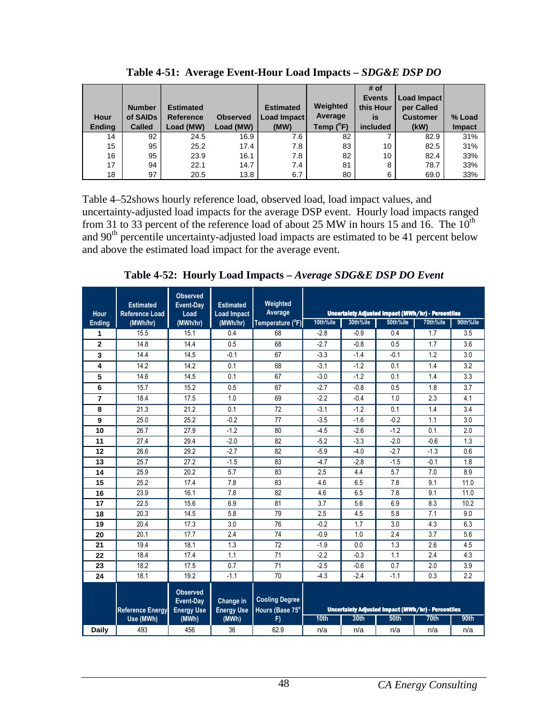| Hour<br><b>Ending</b> | <b>Number</b><br>of SAIDs<br><b>Called</b> | <b>Estimated</b><br><b>Reference</b><br>Load (MW) | <b>Observed</b><br>Load (MW) | <b>Estimated</b><br><b>Load Impact</b><br>(MW) | Weighted<br>Average<br>Temp $(^{\circ}F)$ | # of<br><b>Events</b><br>this Hour<br>is<br>included | Load Impact<br>per Called<br><b>Customer</b><br>(kW) | % Load<br><b>Impact</b> |
|-----------------------|--------------------------------------------|---------------------------------------------------|------------------------------|------------------------------------------------|-------------------------------------------|------------------------------------------------------|------------------------------------------------------|-------------------------|
| 14                    | 92                                         | 24.5                                              | 16.9                         | 7.6                                            | 82                                        |                                                      | 82.9                                                 | 31%                     |
| 15                    | 95                                         | 25.2                                              | 17.4                         | 7.8                                            | 83                                        | 10                                                   | 82.5                                                 | 31%                     |
| 16                    | 95                                         | 23.9                                              | 16.1                         | 7.8                                            | 82                                        | 10                                                   | 82.4                                                 | 33%                     |
| 17                    | 94                                         | 22.1                                              | 14.7                         | 7.4                                            | 81                                        | 8                                                    | 78.7                                                 | 33%                     |
| 18                    | 97                                         | 20.5                                              | 13.8                         | 6.7                                            | 80                                        | 6                                                    | 69.0                                                 | 33%                     |

**Table 4-51: Average Event-Hour Load Impacts –** *SDG&E DSP DO*

Table 4–52shows hourly reference load, observed load, load impact values, and uncertainty-adjusted load impacts for the average DSP event. Hourly load impacts ranged from 31 to 33 percent of the reference load of about 25 MW in hours 15 and 16. The  $10^{th}$ and 90<sup>th</sup> percentile uncertainty-adjusted load impacts are estimated to be 41 percent below and above the estimated load impact for the average event.

**Table 4-52: Hourly Load Impacts –** *Average SDG&E DSP DO Event*

|                              | <b>Estimated</b>                  | <b>Observed</b><br><b>Event-Day</b> | <b>Estimated</b>               | Weighted                    |                  |          |                                                                       |          |             |
|------------------------------|-----------------------------------|-------------------------------------|--------------------------------|-----------------------------|------------------|----------|-----------------------------------------------------------------------|----------|-------------|
| <b>Hour</b><br><b>Ending</b> | <b>Reference Load</b><br>(MWh/hr) | Load<br>(MWh/hr)                    | <b>Load Impact</b><br>(MWh/hr) | Average<br>Temperature (°F) | 10th%ile         | 30th%ile | <b>Uncertainty Adjusted Impact (MWh/hr) - Percentiles</b><br>50th%ile | 70th%ile | 90th%ile    |
| 1                            | 15.5                              | 15.1                                | 0.4                            | 68                          | $-2.8$           | $-0.9$   | 0.4                                                                   | 1.7      | 3.5         |
| $\overline{2}$               | 14.8                              | 14.4                                | 0.5                            | 68                          | $-2.7$           | $-0.8$   | 0.5                                                                   | 1.7      | 3.6         |
| 3                            | 14.4                              | 14.5                                | $-0.1$                         | 67                          | $-3.3$           | $-1.4$   | $-0.1$                                                                | 1.2      | 3.0         |
| 4                            | 14.2                              | 14.2                                | 0.1                            | 68                          | $-3.1$           | $-1.2$   | 0.1                                                                   | 1.4      | 3.2         |
| 5                            | 14.6                              | 14.5                                | 0.1                            | 67                          | $-3.0$           | $-1.2$   | 0.1                                                                   | 1.4      | 3.3         |
| 6                            | 15.7                              | 15.2                                | 0.5                            | 67                          | $-2.7$           | $-0.8$   | 0.5                                                                   | 1.8      | 3.7         |
| $\overline{7}$               | 18.4                              | 17.5                                | 1.0                            | 69                          | $-2.2$           | $-0.4$   | 1.0                                                                   | 2.3      | 4.1         |
| 8                            | 21.3                              | 21.2                                | 0.1                            | 72                          | $-3.1$           | $-1.2$   | 0.1                                                                   | 1.4      | 3.4         |
| 9                            | 25.0                              | 25.2                                | $-0.2$                         | 77                          | $-3.5$           | $-1.6$   | $-0.2$                                                                | 1.1      | 3.0         |
| 10                           | 26.7                              | 27.9                                | $-1.2$                         | 80                          | $-4.5$           | $-2.6$   | $-1.2$                                                                | 0.1      | 2.0         |
| 11                           | 27.4                              | 29.4                                | $-2.0$                         | 82                          | $-5.2$           | $-3.3$   | $-2.0$                                                                | $-0.6$   | 1.3         |
| 12                           | 26.6                              | 29.2                                | $-2.7$                         | 82                          | $-5.9$           | $-4.0$   | $-2.7$                                                                | $-1.3$   | 0.6         |
| 13                           | 25.7                              | 27.2                                | $-1.5$                         | 83                          | $-4.7$           | $-2.8$   | $-1.5$                                                                | $-0.1$   | 1.8         |
| 14                           | 25.9                              | 20.2                                | 5.7                            | 83                          | 2.5              | 4.4      | 5.7                                                                   | 7.0      | 8.9         |
| 15                           | 25.2                              | 17.4                                | 7.8                            | 83                          | 4.6              | 6.5      | 7.8                                                                   | 9.1      | 11.0        |
| 16                           | 23.9                              | 16.1                                | 7.8                            | 82                          | 4.6              | 6.5      | 7.8                                                                   | 9.1      | 11.0        |
| 17                           | 22.5                              | 15.6                                | 6.9                            | 81                          | 3.7              | 5.6      | 6.9                                                                   | 8.3      | 10.2        |
| 18                           | 20.3                              | 14.5                                | 5.8                            | 79                          | 2.5              | 4.5      | 5.8                                                                   | 7.1      | 9.0         |
| 19                           | 20.4                              | 17.3                                | 3.0                            | 76                          | $-0.2$           | 1.7      | 3.0                                                                   | 4.3      | 6.3         |
| 20                           | 20.1                              | 17.7                                | 2.4                            | 74                          | $-0.9$           | 1.0      | 2.4                                                                   | 3.7      | 5.6         |
| 21                           | 19.4                              | 18.1                                | 1.3                            | 72                          | $-1.9$           | 0.0      | 1.3                                                                   | 2.6      | 4.5         |
| 22                           | 18.4                              | 17.4                                | 1.1                            | 71                          | $-2.2$           | $-0.3$   | 1.1                                                                   | 2.4      | 4.3         |
| 23                           | 18.2                              | 17.5                                | 0.7                            | 71                          | $-2.5$           | $-0.6$   | 0.7                                                                   | 2.0      | 3.9         |
| 24                           | 18.1                              | 19.2                                | $-1.1$                         | 70                          | $-4.3$           | $-2.4$   | $-1.1$                                                                | 0.3      | 2.2         |
|                              |                                   | <b>Observed</b>                     |                                |                             |                  |          |                                                                       |          |             |
|                              |                                   | Event-Day                           | Change in                      | <b>Cooling Degree</b>       |                  |          |                                                                       |          |             |
|                              | <b>Reference Energy</b>           | <b>Energy Use</b>                   | <b>Energy Use</b>              | Hours (Base 75°             |                  |          | <b>Uncertainty Adjusted Impact (MWh/hr) - Percentiles</b>             |          |             |
|                              | Use (MWh)                         | (MWh)                               | (MWh)                          | F)                          | 10 <sub>th</sub> | 30th     | 50th                                                                  | 70th     | <b>90th</b> |
| <b>Daily</b>                 | 493                               | 456                                 | 36                             | 62.9                        | n/a              | n/a      | n/a                                                                   | n/a      | n/a         |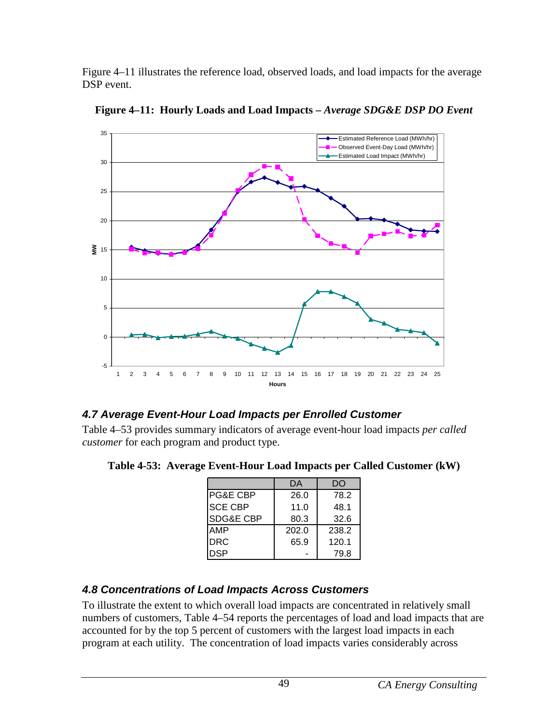Figure 4–11 illustrates the reference load, observed loads, and load impacts for the average DSP event.



**Figure 4–11: Hourly Loads and Load Impacts –** *Average SDG&E DSP DO Event* 

## **4.7 Average Event-Hour Load Impacts per Enrolled Customer**

Table 4–53 provides summary indicators of average event-hour load impacts *per called customer* for each program and product type.

**Table 4-53: Average Event-Hour Load Impacts per Called Customer (kW)**

|                      | DA    | DO    |
|----------------------|-------|-------|
| IPG&E CBP            | 26.0  | 78.2  |
| <b>ISCE CBP</b>      | 11.0  | 48.1  |
| <b>SDG&amp;E CBP</b> | 80.3  | 32.6  |
| AMP                  | 202.0 | 238.2 |
| <b>DRC</b>           | 65.9  | 120.1 |
| DSP                  |       | 79.8  |

## **4.8 Concentrations of Load Impacts Across Customers**

To illustrate the extent to which overall load impacts are concentrated in relatively small numbers of customers, Table 4–54 reports the percentages of load and load impacts that are accounted for by the top 5 percent of customers with the largest load impacts in each program at each utility. The concentration of load impacts varies considerably across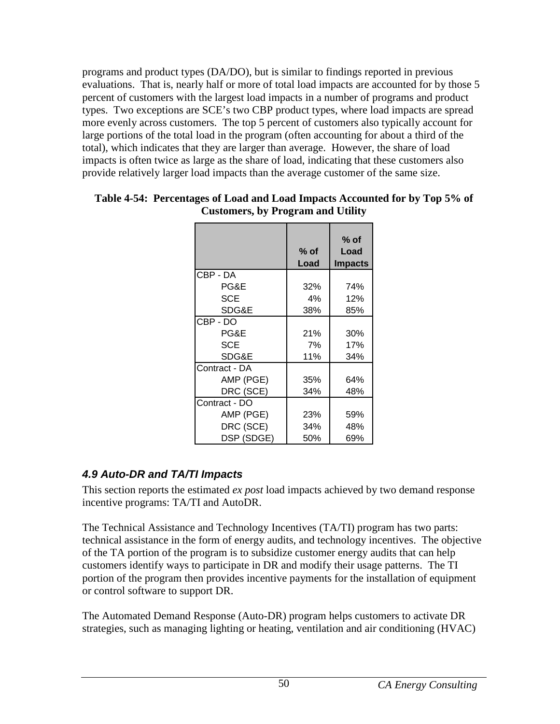programs and product types (DA/DO), but is similar to findings reported in previous evaluations. That is, nearly half or more of total load impacts are accounted for by those 5 percent of customers with the largest load impacts in a number of programs and product types. Two exceptions are SCE's two CBP product types, where load impacts are spread more evenly across customers. The top 5 percent of customers also typically account for large portions of the total load in the program (often accounting for about a third of the total), which indicates that they are larger than average. However, the share of load impacts is often twice as large as the share of load, indicating that these customers also provide relatively larger load impacts than the average customer of the same size.

|               | $%$ of<br>Load | $%$ of<br>Load<br><b>Impacts</b> |
|---------------|----------------|----------------------------------|
| CBP - DA      |                |                                  |
| PG&E          | 32%            | 74%                              |
| SCE           | 4%             | 12%                              |
| SDG&E         | 38%            | 85%                              |
| CBP - DO      |                |                                  |
| PG&E          | 21%            | 30%                              |
| <b>SCE</b>    | 7%             | 17%                              |
| SDG&E         | 11%            | 34%                              |
| Contract - DA |                |                                  |
| AMP (PGE)     | 35%            | 64%                              |
| DRC (SCE)     | 34%            | 48%                              |
| Contract - DO |                |                                  |
| AMP (PGE)     | 23%            | 59%                              |
| DRC (SCE)     | 34%            | 48%                              |
| DSP (SDGE)    | 50%            | 69%                              |

#### **Table 4-54: Percentages of Load and Load Impacts Accounted for by Top 5% of Customers, by Program and Utility**

# **4.9 Auto-DR and TA/TI Impacts**

This section reports the estimated *ex post* load impacts achieved by two demand response incentive programs: TA/TI and AutoDR.

The Technical Assistance and Technology Incentives (TA/TI) program has two parts: technical assistance in the form of energy audits, and technology incentives. The objective of the TA portion of the program is to subsidize customer energy audits that can help customers identify ways to participate in DR and modify their usage patterns. The TI portion of the program then provides incentive payments for the installation of equipment or control software to support DR.

The Automated Demand Response (Auto-DR) program helps customers to activate DR strategies, such as managing lighting or heating, ventilation and air conditioning (HVAC)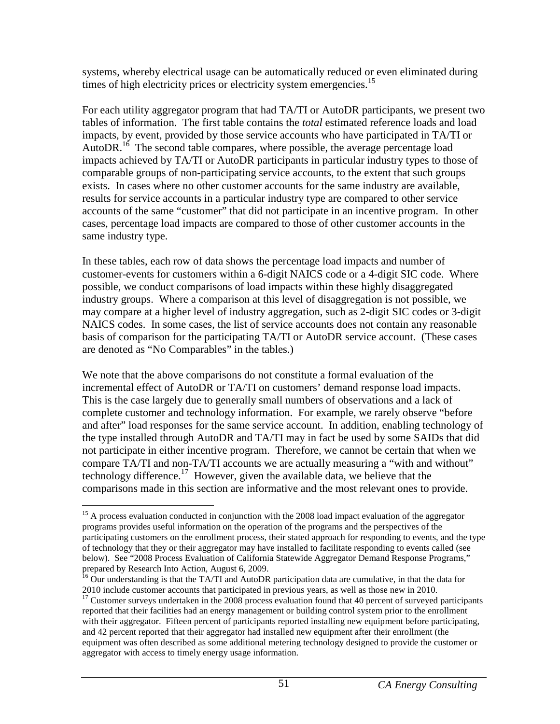systems, whereby electrical usage can be automatically reduced or even eliminated during times of high electricity prices or electricity system emergencies.<sup>15</sup>

For each utility aggregator program that had TA/TI or AutoDR participants, we present two tables of information. The first table contains the *total* estimated reference loads and load impacts, by event, provided by those service accounts who have participated in TA/TI or AutoDR.<sup>16</sup> The second table compares, where possible, the average percentage load impacts achieved by TA/TI or AutoDR participants in particular industry types to those of comparable groups of non-participating service accounts, to the extent that such groups exists. In cases where no other customer accounts for the same industry are available, results for service accounts in a particular industry type are compared to other service accounts of the same "customer" that did not participate in an incentive program. In other cases, percentage load impacts are compared to those of other customer accounts in the same industry type.

In these tables, each row of data shows the percentage load impacts and number of customer-events for customers within a 6-digit NAICS code or a 4-digit SIC code. Where possible, we conduct comparisons of load impacts within these highly disaggregated industry groups. Where a comparison at this level of disaggregation is not possible, we may compare at a higher level of industry aggregation, such as 2-digit SIC codes or 3-digit NAICS codes. In some cases, the list of service accounts does not contain any reasonable basis of comparison for the participating TA/TI or AutoDR service account. (These cases are denoted as "No Comparables" in the tables.)

We note that the above comparisons do not constitute a formal evaluation of the incremental effect of AutoDR or TA/TI on customers' demand response load impacts. This is the case largely due to generally small numbers of observations and a lack of complete customer and technology information. For example, we rarely observe "before and after" load responses for the same service account. In addition, enabling technology of the type installed through AutoDR and TA/TI may in fact be used by some SAIDs that did not participate in either incentive program. Therefore, we cannot be certain that when we compare TA/TI and non-TA/TI accounts we are actually measuring a "with and without" technology difference.<sup>17</sup> However, given the available data, we believe that the comparisons made in this section are informative and the most relevant ones to provide.

<sup>&</sup>lt;u>.</u>  $15$  A process evaluation conducted in conjunction with the 2008 load impact evaluation of the aggregator programs provides useful information on the operation of the programs and the perspectives of the participating customers on the enrollment process, their stated approach for responding to events, and the type of technology that they or their aggregator may have installed to facilitate responding to events called (see below). See "2008 Process Evaluation of California Statewide Aggregator Demand Response Programs," prepared by Research Into Action, August 6, 2009.

 $^{16}$  Our understanding is that the TA/TI and AutoDR participation data are cumulative, in that the data for 2010 include customer accounts that participated in previous years, as well as those new in 2010.

<sup>&</sup>lt;sup>17</sup> Customer surveys undertaken in the 2008 process evaluation found that 40 percent of surveyed participants reported that their facilities had an energy management or building control system prior to the enrollment with their aggregator. Fifteen percent of participants reported installing new equipment before participating, and 42 percent reported that their aggregator had installed new equipment after their enrollment (the equipment was often described as some additional metering technology designed to provide the customer or aggregator with access to timely energy usage information.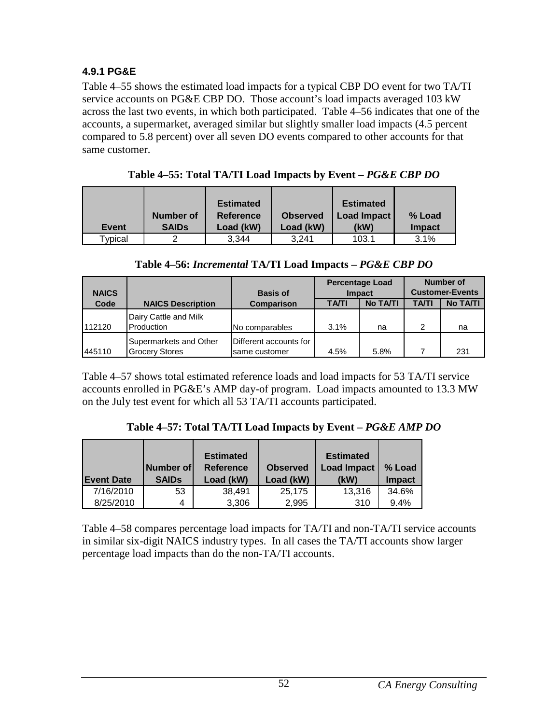### **4.9.1 PG&E**

Table 4–55 shows the estimated load impacts for a typical CBP DO event for two TA/TI service accounts on PG&E CBP DO. Those account's load impacts averaged 103 kW across the last two events, in which both participated. Table 4–56 indicates that one of the accounts, a supermarket, averaged similar but slightly smaller load impacts (4.5 percent compared to 5.8 percent) over all seven DO events compared to other accounts for that same customer.

| <b>Event</b> | Number of<br><b>SAIDs</b> | <b>Estimated</b><br><b>Reference</b><br>Load (kW) | <b>Observed</b><br>Load (kW) | <b>Estimated</b><br><b>Load Impact</b><br>(kW) | % Load<br><b>Impact</b> |
|--------------|---------------------------|---------------------------------------------------|------------------------------|------------------------------------------------|-------------------------|
| Typical      | ◠                         | 3.344                                             | 3.241                        | 103.1                                          | 3.1%                    |

**Table 4–55: Total TA/TI Load Impacts by Event –** *PG&E CBP DO* 

| <b>NAICS</b> |                                                 | <b>Basis of</b>                         | <b>Percentage Load</b><br><b>Impact</b> |                 | <b>Number of</b><br><b>Customer-Events</b> |                 |
|--------------|-------------------------------------------------|-----------------------------------------|-----------------------------------------|-----------------|--------------------------------------------|-----------------|
| Code         | <b>NAICS Description</b>                        | <b>Comparison</b>                       | <b>TA/TI</b>                            | <b>No TA/TI</b> | <b>TA/TI</b>                               | <b>No TA/TI</b> |
| 1112120      | Dairy Cattle and Milk<br>Production             | No comparables                          | 3.1%                                    | na              | 2                                          | na              |
| 445110       | Supermarkets and Other<br><b>Grocery Stores</b> | Different accounts for<br>same customer | 4.5%                                    | 5.8%            |                                            | 231             |

Table 4–57 shows total estimated reference loads and load impacts for 53 TA/TI service accounts enrolled in PG&E's AMP day-of program. Load impacts amounted to 13.3 MW on the July test event for which all 53 TA/TI accounts participated.

**Table 4–57: Total TA/TI Load Impacts by Event –** *PG&E AMP DO*

|                   |              | <b>Estimated</b> |                 | <b>Estimated</b>   |               |
|-------------------|--------------|------------------|-----------------|--------------------|---------------|
|                   | Number of    | <b>Reference</b> | <b>Observed</b> | <b>Load Impact</b> | % Load        |
| <b>Event Date</b> | <b>SAIDs</b> | Load (kW)        | Load (kW)       | (kW)               | <b>Impact</b> |
| 7/16/2010         | 53           | 38.491           | 25.175          | 13,316             | 34.6%         |
| 8/25/2010         | 4            | 3,306            | 2,995           | 310                | 9.4%          |

Table 4–58 compares percentage load impacts for TA/TI and non-TA/TI service accounts in similar six-digit NAICS industry types. In all cases the TA/TI accounts show larger percentage load impacts than do the non-TA/TI accounts.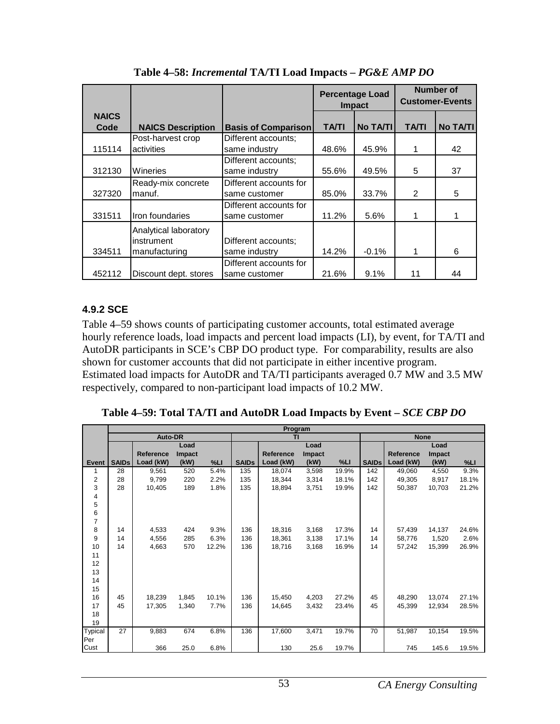|                      |                                                      |                                         |              | <b>Percentage Load</b><br><b>Impact</b> | Number of<br><b>Customer-Events</b> |          |  |
|----------------------|------------------------------------------------------|-----------------------------------------|--------------|-----------------------------------------|-------------------------------------|----------|--|
| <b>NAICS</b><br>Code | <b>NAICS Description</b>                             | <b>Basis of Comparison</b>              | <b>TA/TI</b> | <b>No TA/TI</b>                         | <b>TA/TI</b>                        | No TA/TI |  |
| 115114               | Post-harvest crop<br>activities                      | Different accounts;<br>same industry    | 48.6%        | 45.9%                                   |                                     | 42       |  |
| 312130               | Wineries                                             | Different accounts;<br>same industry    | 55.6%        | 49.5%                                   | 5                                   | 37       |  |
| 327320               | Ready-mix concrete<br>manuf.                         | Different accounts for<br>same customer | 85.0%        | 33.7%                                   | $\mathfrak{p}$                      | 5        |  |
| 331511               | Iron foundaries                                      | Different accounts for<br>same customer | 11.2%        | 5.6%                                    | 1                                   |          |  |
| 334511               | Analytical laboratory<br>instrument<br>manufacturing | Different accounts;<br>same industry    | 14.2%        | $-0.1%$                                 |                                     | 6        |  |
| 452112               | Discount dept. stores                                | Different accounts for<br>same customer | 21.6%        | 9.1%                                    | 11                                  | 44       |  |

**Table 4–58:** *Incremental* **TA/TI Load Impacts –** *PG&E AMP DO*

### **4.9.2 SCE**

Table 4–59 shows counts of participating customer accounts, total estimated average hourly reference loads, load impacts and percent load impacts (LI), by event, for TA/TI and AutoDR participants in SCE's CBP DO product type. For comparability, results are also shown for customer accounts that did not participate in either incentive program. Estimated load impacts for AutoDR and TA/TI participants averaged 0.7 MW and 3.5 MW respectively, compared to non-participant load impacts of 10.2 MW.

**Table 4–59: Total TA/TI and AutoDR Load Impacts by Event –** *SCE CBP DO*

|                | Program      |           |        |       |              |                  |               |             |              |           |        |       |
|----------------|--------------|-----------|--------|-------|--------------|------------------|---------------|-------------|--------------|-----------|--------|-------|
|                |              | Auto-DR   |        |       | TI           |                  |               | <b>None</b> |              |           |        |       |
|                |              |           | Load   |       |              |                  | Load          |             |              |           | Load   |       |
|                |              | Reference | Impact |       |              | <b>Reference</b> | <b>Impact</b> |             |              | Reference | Impact |       |
| <b>Event</b>   | <b>SAIDs</b> | Load (kW) | (kW)   | %L1   | <b>SAIDs</b> | Load (kW)        | (kW)          | %L          | <b>SAIDs</b> | Load (kW) | (kW)   | %L1   |
| 1              | 28           | 9,561     | 520    | 5.4%  | 135          | 18,074           | 3,598         | 19.9%       | 142          | 49,060    | 4,550  | 9.3%  |
| $\overline{2}$ | 28           | 9,799     | 220    | 2.2%  | 135          | 18,344           | 3,314         | 18.1%       | 142          | 49,305    | 8,917  | 18.1% |
| 3              | 28           | 10.405    | 189    | 1.8%  | 135          | 18,894           | 3,751         | 19.9%       | 142          | 50.387    | 10,703 | 21.2% |
| 4              |              |           |        |       |              |                  |               |             |              |           |        |       |
| 5              |              |           |        |       |              |                  |               |             |              |           |        |       |
| 6              |              |           |        |       |              |                  |               |             |              |           |        |       |
| $\overline{7}$ |              |           |        |       |              |                  |               |             |              |           |        |       |
| 8              | 14           | 4,533     | 424    | 9.3%  | 136          | 18,316           | 3,168         | 17.3%       | 14           | 57,439    | 14,137 | 24.6% |
| 9              | 14           | 4,556     | 285    | 6.3%  | 136          | 18,361           | 3,138         | 17.1%       | 14           | 58.776    | 1,520  | 2.6%  |
| 10             | 14           | 4,663     | 570    | 12.2% | 136          | 18,716           | 3,168         | 16.9%       | 14           | 57,242    | 15,399 | 26.9% |
| 11             |              |           |        |       |              |                  |               |             |              |           |        |       |
| 12             |              |           |        |       |              |                  |               |             |              |           |        |       |
| 13             |              |           |        |       |              |                  |               |             |              |           |        |       |
| 14             |              |           |        |       |              |                  |               |             |              |           |        |       |
| 15             |              |           |        |       |              |                  |               |             |              |           |        |       |
| 16             | 45           | 18,239    | 1,845  | 10.1% | 136          | 15,450           | 4,203         | 27.2%       | 45           | 48,290    | 13,074 | 27.1% |
| 17             | 45           | 17.305    | 1.340  | 7.7%  | 136          | 14.645           | 3,432         | 23.4%       | 45           | 45.399    | 12,934 | 28.5% |
| 18             |              |           |        |       |              |                  |               |             |              |           |        |       |
| 19             |              |           |        |       |              |                  |               |             |              |           |        |       |
| <b>Typical</b> | 27           | 9,883     | 674    | 6.8%  | 136          | 17,600           | 3,471         | 19.7%       | 70           | 51,987    | 10,154 | 19.5% |
| Per            |              |           |        |       |              |                  |               |             |              |           |        |       |
| Cust           |              | 366       | 25.0   | 6.8%  |              | 130              | 25.6          | 19.7%       |              | 745       | 145.6  | 19.5% |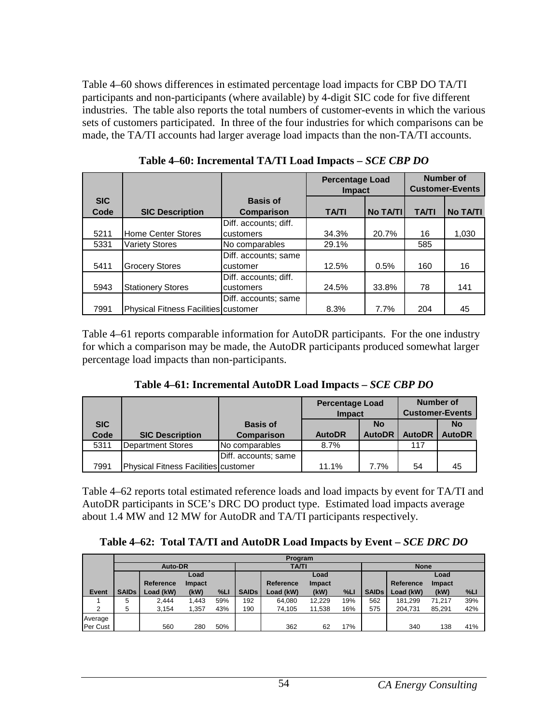Table 4–60 shows differences in estimated percentage load impacts for CBP DO TA/TI participants and non-participants (where available) by 4-digit SIC code for five different industries. The table also reports the total numbers of customer-events in which the various sets of customers participated. In three of the four industries for which comparisons can be made, the TA/TI accounts had larger average load impacts than the non-TA/TI accounts.

|            |                                             |                       | <b>Percentage Load</b><br><b>Impact</b> |                 | <b>Number of</b><br><b>Customer-Events</b> |                 |
|------------|---------------------------------------------|-----------------------|-----------------------------------------|-----------------|--------------------------------------------|-----------------|
| <b>SIC</b> |                                             | <b>Basis of</b>       |                                         |                 |                                            |                 |
| Code       | <b>SIC Description</b>                      | Comparison            | <b>TA/TI</b>                            | <b>No TA/TI</b> | <b>TA/TI</b>                               | <b>No TA/TI</b> |
|            |                                             | Diff. accounts; diff. |                                         |                 |                                            |                 |
| 5211       | <b>Home Center Stores</b>                   | customers             | 34.3%                                   | 20.7%           | 16                                         | 1,030           |
| 5331       | <b>Variety Stores</b>                       | No comparables        | 29.1%                                   |                 | 585                                        |                 |
|            |                                             | Diff. accounts; same  |                                         |                 |                                            |                 |
| 5411       | <b>Grocery Stores</b>                       | customer              | 12.5%                                   | 0.5%            | 160                                        | 16              |
|            |                                             | Diff. accounts; diff. |                                         |                 |                                            |                 |
| 5943       | <b>Stationery Stores</b>                    | customers             | 24.5%                                   | 33.8%           | 78                                         | 141             |
|            |                                             | Diff. accounts; same  |                                         |                 |                                            |                 |
| 7991       | <b>Physical Fitness Facilities customer</b> |                       | 8.3%                                    | 7.7%            | 204                                        | 45              |

**Table 4–60: Incremental TA/TI Load Impacts –** *SCE CBP DO* 

Table 4–61 reports comparable information for AutoDR participants. For the one industry for which a comparison may be made, the AutoDR participants produced somewhat larger percentage load impacts than non-participants.

**Table 4–61: Incremental AutoDR Load Impacts –** *SCE CBP DO* 

|            |                                      |                      | <b>Percentage Load</b> |               | <b>Number of</b>       |               |
|------------|--------------------------------------|----------------------|------------------------|---------------|------------------------|---------------|
|            |                                      |                      | <b>Impact</b>          |               | <b>Customer-Events</b> |               |
| <b>SIC</b> |                                      | <b>Basis of</b>      |                        | No            |                        | <b>No</b>     |
| Code       | <b>SIC Description</b>               | <b>Comparison</b>    | <b>AutoDR</b>          | <b>AutoDR</b> | <b>AutoDR</b>          | <b>AutoDR</b> |
| 5311       | Department Stores                    | No comparables       | 8.7%                   |               | 117                    |               |
|            |                                      | Diff. accounts; same |                        |               |                        |               |
| 7991       | Physical Fitness Facilities customer |                      | 11.1%                  | 7.7%          | 54                     | 45            |

Table 4–62 reports total estimated reference loads and load impacts by event for TA/TI and AutoDR participants in SCE's DRC DO product type. Estimated load impacts average about 1.4 MW and 12 MW for AutoDR and TA/TI participants respectively.

**Table 4–62: Total TA/TI and AutoDR Load Impacts by Event –** *SCE DRC DO*

|              |              |           |               |     |              | Program   |               |             |              |           |        |     |
|--------------|--------------|-----------|---------------|-----|--------------|-----------|---------------|-------------|--------------|-----------|--------|-----|
|              | Auto-DR      |           |               |     | <b>TA/TI</b> |           |               | <b>None</b> |              |           |        |     |
|              |              |           | Load          |     |              |           | Load          |             |              |           | Load   |     |
|              |              | Reference | <b>Impact</b> |     |              | Reference | <b>Impact</b> |             |              | Reference | Impact |     |
| <b>Event</b> | <b>SAIDs</b> | Load (kW) | (kW)          | %L  | <b>SAIDs</b> | Load (kW) | (kW)          | %LI         | <b>SAIDs</b> | Load (kW) | (kW)   | %L  |
|              | 5            | 2.444     | 1.443         | 59% | 192          | 64.080    | 12,229        | 19%         | 562          | 181.299   | 71.217 | 39% |
| 2            | 5            | 3.154     | 1.357         | 43% | 190          | 74,105    | 11,538        | 16%         | 575          | 204.731   | 85,291 | 42% |
| Average      |              |           |               |     |              |           |               |             |              |           |        |     |
| Per Cust     |              | 560       | 280           | 50% |              | 362       | 62            | 17%         |              | 340       | 138    | 41% |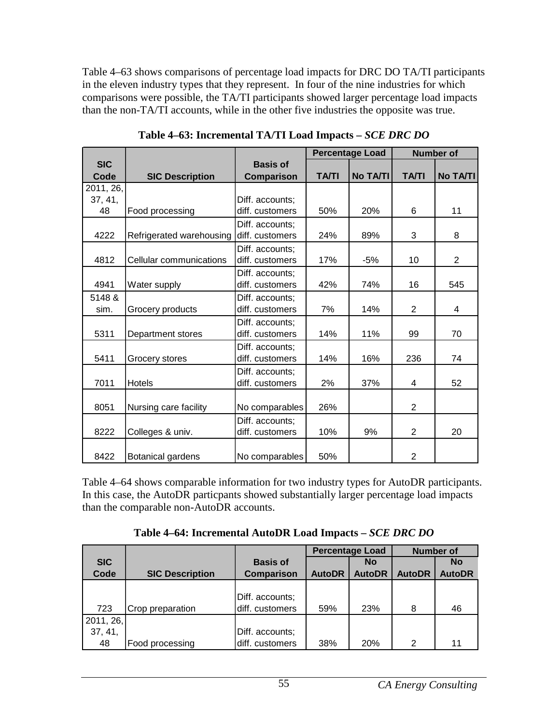Table 4–63 shows comparisons of percentage load impacts for DRC DO TA/TI participants in the eleven industry types that they represent. In four of the nine industries for which comparisons were possible, the TA/TI participants showed larger percentage load impacts than the non-TA/TI accounts, while in the other five industries the opposite was true.

|            |                          |                   |              | <b>Percentage Load</b> |                | <b>Number of</b> |
|------------|--------------------------|-------------------|--------------|------------------------|----------------|------------------|
| <b>SIC</b> |                          | <b>Basis of</b>   |              |                        |                |                  |
| Code       | <b>SIC Description</b>   | <b>Comparison</b> | <b>TA/TI</b> | <b>No TA/TI</b>        | <b>TA/TI</b>   | <b>No TA/TI</b>  |
| 2011, 26,  |                          |                   |              |                        |                |                  |
| 37, 41,    |                          | Diff. accounts;   |              |                        |                |                  |
| 48         | Food processing          | diff. customers   | 50%          | 20%                    | 6              | 11               |
|            |                          | Diff. accounts;   |              |                        |                |                  |
| 4222       | Refrigerated warehousing | diff. customers   | 24%          | 89%                    | 3              | 8                |
|            |                          | Diff. accounts;   |              |                        |                |                  |
| 4812       | Cellular communications  | diff. customers   | 17%          | $-5%$                  | 10             | 2                |
|            |                          | Diff. accounts;   |              |                        |                |                  |
| 4941       | Water supply             | diff. customers   | 42%          | 74%                    | 16             | 545              |
| 5148 &     |                          | Diff. accounts;   |              |                        |                |                  |
| sim.       | Grocery products         | diff. customers   | 7%           | 14%                    | 2              | 4                |
|            |                          | Diff. accounts;   |              |                        |                |                  |
| 5311       | Department stores        | diff. customers   | 14%          | 11%                    | 99             | 70               |
|            |                          | Diff. accounts;   |              |                        |                |                  |
| 5411       | Grocery stores           | diff. customers   | 14%          | 16%                    | 236            | 74               |
|            |                          | Diff. accounts;   |              |                        |                |                  |
| 7011       | <b>Hotels</b>            | diff. customers   | 2%           | 37%                    | 4              | 52               |
|            |                          |                   |              |                        |                |                  |
| 8051       | Nursing care facility    | No comparables    | 26%          |                        | $\overline{2}$ |                  |
|            |                          | Diff. accounts;   |              |                        |                |                  |
| 8222       | Colleges & univ.         | diff. customers   | 10%          | 9%                     | $\overline{2}$ | 20               |
|            |                          |                   |              |                        |                |                  |
| 8422       | Botanical gardens        | No comparables    | 50%          |                        | $\overline{2}$ |                  |

**Table 4–63: Incremental TA/TI Load Impacts –** *SCE DRC DO* 

Table 4–64 shows comparable information for two industry types for AutoDR participants. In this case, the AutoDR particpants showed substantially larger percentage load impacts than the comparable non-AutoDR accounts.

**Table 4–64: Incremental AutoDR Load Impacts –** *SCE DRC DO* 

|            |                        |                   | <b>Percentage Load</b> |               | <b>Number of</b> |               |
|------------|------------------------|-------------------|------------------------|---------------|------------------|---------------|
| <b>SIC</b> |                        | <b>Basis of</b>   |                        | <b>No</b>     |                  | <b>No</b>     |
| Code       | <b>SIC Description</b> | <b>Comparison</b> | <b>AutoDR</b>          | <b>AutoDR</b> | <b>AutoDR</b>    | <b>AutoDR</b> |
|            |                        |                   |                        |               |                  |               |
|            |                        | Diff. accounts;   |                        |               |                  |               |
| 723        | Crop preparation       | diff. customers   | 59%                    | 23%           | 8                | 46            |
| 2011, 26,  |                        |                   |                        |               |                  |               |
| 37, 41,    |                        | Diff. accounts;   |                        |               |                  |               |
| 48         | Food processing        | diff. customers   | 38%                    | <b>20%</b>    | 2                | 11            |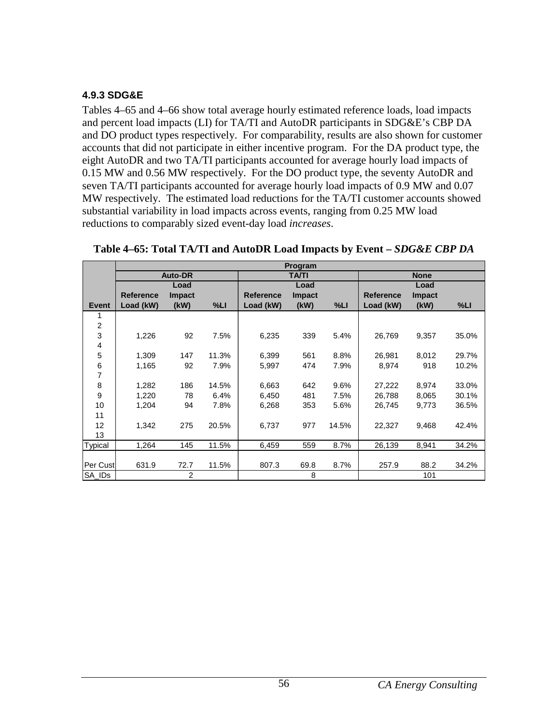### **4.9.3 SDG&E**

Tables 4–65 and 4–66 show total average hourly estimated reference loads, load impacts and percent load impacts (LI) for TA/TI and AutoDR participants in SDG&E's CBP DA and DO product types respectively. For comparability, results are also shown for customer accounts that did not participate in either incentive program. For the DA product type, the eight AutoDR and two TA/TI participants accounted for average hourly load impacts of 0.15 MW and 0.56 MW respectively. For the DO product type, the seventy AutoDR and seven TA/TI participants accounted for average hourly load impacts of 0.9 MW and 0.07 MW respectively. The estimated load reductions for the TA/TI customer accounts showed substantial variability in load impacts across events, ranging from 0.25 MW load reductions to comparably sized event-day load *increases*.

|                |                  |                |       |                  | Program      |       |                  |               |       |
|----------------|------------------|----------------|-------|------------------|--------------|-------|------------------|---------------|-------|
|                |                  | <b>Auto-DR</b> |       |                  | <b>TA/TI</b> |       |                  | <b>None</b>   |       |
|                |                  | Load           |       |                  | Load         |       |                  | Load          |       |
|                | <b>Reference</b> | <b>Impact</b>  |       | <b>Reference</b> | Impact       |       | <b>Reference</b> | <b>Impact</b> |       |
| Event          | Load (kW)        | (kW)           | %LI   | Load (kW)        | (kW)         | %LI   | Load (kW)        | (kW)          | %LI   |
| 1              |                  |                |       |                  |              |       |                  |               |       |
| $\overline{2}$ |                  |                |       |                  |              |       |                  |               |       |
| 3              | 1,226            | 92             | 7.5%  | 6,235            | 339          | 5.4%  | 26,769           | 9,357         | 35.0% |
| 4              |                  |                |       |                  |              |       |                  |               |       |
| 5              | 1,309            | 147            | 11.3% | 6,399            | 561          | 8.8%  | 26,981           | 8,012         | 29.7% |
| 6              | 1,165            | 92             | 7.9%  | 5,997            | 474          | 7.9%  | 8,974            | 918           | 10.2% |
| 7              |                  |                |       |                  |              |       |                  |               |       |
| 8              | 1,282            | 186            | 14.5% | 6,663            | 642          | 9.6%  | 27,222           | 8,974         | 33.0% |
| 9              | 1,220            | 78             | 6.4%  | 6,450            | 481          | 7.5%  | 26,788           | 8,065         | 30.1% |
| 10             | 1,204            | 94             | 7.8%  | 6,268            | 353          | 5.6%  | 26,745           | 9,773         | 36.5% |
| 11             |                  |                |       |                  |              |       |                  |               |       |
| 12             | 1,342            | 275            | 20.5% | 6,737            | 977          | 14.5% | 22,327           | 9,468         | 42.4% |
| 13             |                  |                |       |                  |              |       |                  |               |       |
| <b>Typical</b> | 1,264            | 145            | 11.5% | 6,459            | 559          | 8.7%  | 26,139           | 8,941         | 34.2% |
|                |                  |                |       |                  |              |       |                  |               |       |
| Per Cust       | 631.9            | 72.7           | 11.5% | 807.3            | 69.8         | 8.7%  | 257.9            | 88.2          | 34.2% |
| SA IDs         |                  | 2              |       |                  | 8            |       |                  | 101           |       |

**Table 4–65: Total TA/TI and AutoDR Load Impacts by Event –** *SDG&E CBP DA*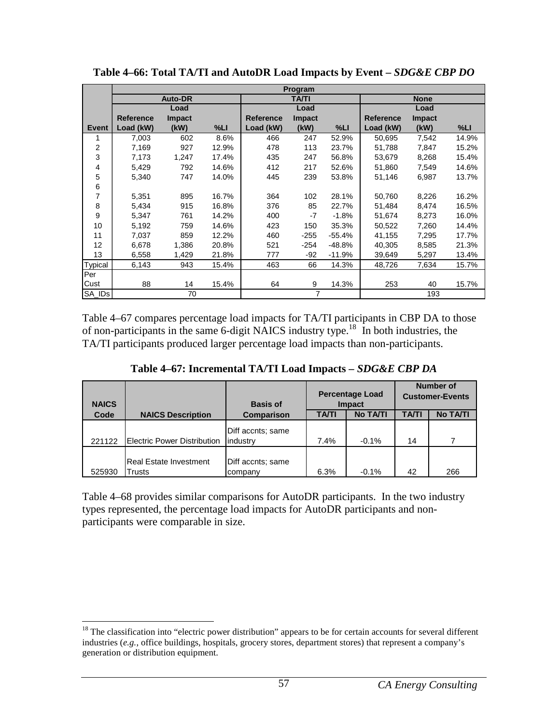|              |                  |                |       |                  | Program        |          |                  |               |        |
|--------------|------------------|----------------|-------|------------------|----------------|----------|------------------|---------------|--------|
|              |                  | <b>Auto-DR</b> |       |                  | <b>TA/TI</b>   |          |                  | <b>None</b>   |        |
|              |                  | Load           |       |                  | Load           |          |                  | Load          |        |
|              | <b>Reference</b> | <b>Impact</b>  |       | <b>Reference</b> | <b>Impact</b>  |          | <b>Reference</b> | <b>Impact</b> |        |
| <b>Event</b> | Load (kW)        | (kW)           | %LI   | Load (kW)        | (kW)           | %LI      | Load (kW)        | (kW)          | $%$ LI |
|              | 7,003            | 602            | 8.6%  | 466              | 247            | 52.9%    | 50,695           | 7,542         | 14.9%  |
| 2            | 7,169            | 927            | 12.9% | 478              | 113            | 23.7%    | 51,788           | 7,847         | 15.2%  |
| 3            | 7,173            | 1,247          | 17.4% | 435              | 247            | 56.8%    | 53,679           | 8,268         | 15.4%  |
| 4            | 5,429            | 792            | 14.6% | 412              | 217            | 52.6%    | 51,860           | 7,549         | 14.6%  |
| 5            | 5,340            | 747            | 14.0% | 445              | 239            | 53.8%    | 51,146           | 6,987         | 13.7%  |
| 6            |                  |                |       |                  |                |          |                  |               |        |
| 7            | 5,351            | 895            | 16.7% | 364              | 102            | 28.1%    | 50,760           | 8,226         | 16.2%  |
| 8            | 5,434            | 915            | 16.8% | 376              | 85             | 22.7%    | 51,484           | 8,474         | 16.5%  |
| 9            | 5,347            | 761            | 14.2% | 400              | -7             | $-1.8%$  | 51,674           | 8,273         | 16.0%  |
| 10           | 5,192            | 759            | 14.6% | 423              | 150            | 35.3%    | 50,522           | 7,260         | 14.4%  |
| 11           | 7.037            | 859            | 12.2% | 460              | $-255$         | $-55.4%$ | 41.155           | 7,295         | 17.7%  |
| 12           | 6,678            | 1,386          | 20.8% | 521              | $-254$         | -48.8%   | 40,305           | 8,585         | 21.3%  |
| 13           | 6,558            | 1,429          | 21.8% | 777              | $-92$          | $-11.9%$ | 39,649           | 5,297         | 13.4%  |
| Typical      | 6,143            | 943            | 15.4% | 463              | 66             | 14.3%    | 48,726           | 7,634         | 15.7%  |
| Per          |                  |                |       |                  |                |          |                  |               |        |
| Cust         | 88               | 14             | 15.4% | 64               | 9              | 14.3%    | 253              | 40            | 15.7%  |
| SA IDs       |                  | 70             |       |                  | $\overline{7}$ |          |                  | 193           |        |

**Table 4–66: Total TA/TI and AutoDR Load Impacts by Event –** *SDG&E CBP DO*

Table 4–67 compares percentage load impacts for TA/TI participants in CBP DA to those of non-participants in the same 6-digit NAICS industry type.<sup>18</sup> In both industries, the TA/TI participants produced larger percentage load impacts than non-participants.

| <b>NAICS</b> |                                         | <b>Basis of</b>               | <b>Percentage Load</b><br><b>Impact</b> |                 | <b>Number of</b><br><b>Customer-Events</b> |                 |  |
|--------------|-----------------------------------------|-------------------------------|-----------------------------------------|-----------------|--------------------------------------------|-----------------|--|
| Code         | <b>NAICS Description</b>                | <b>Comparison</b>             | TA/TI                                   | <b>No TA/TI</b> | <b>TA/TI</b>                               | <b>No TA/TI</b> |  |
| 221122       | <b>Electric Power Distribution</b>      | Diff accnts; same<br>industry | 7.4%                                    | $-0.1%$         | 14                                         |                 |  |
| 525930       | <b>Real Estate Investment</b><br>Trusts | Diff accnts; same<br>company  | 6.3%                                    | $-0.1%$         | 42                                         | 266             |  |

Table 4–68 provides similar comparisons for AutoDR participants. In the two industry types represented, the percentage load impacts for AutoDR participants and nonparticipants were comparable in size.

 $\overline{a}$  $18$  The classification into "electric power distribution" appears to be for certain accounts for several different industries (*e.g.*, office buildings, hospitals, grocery stores, department stores) that represent a company's generation or distribution equipment.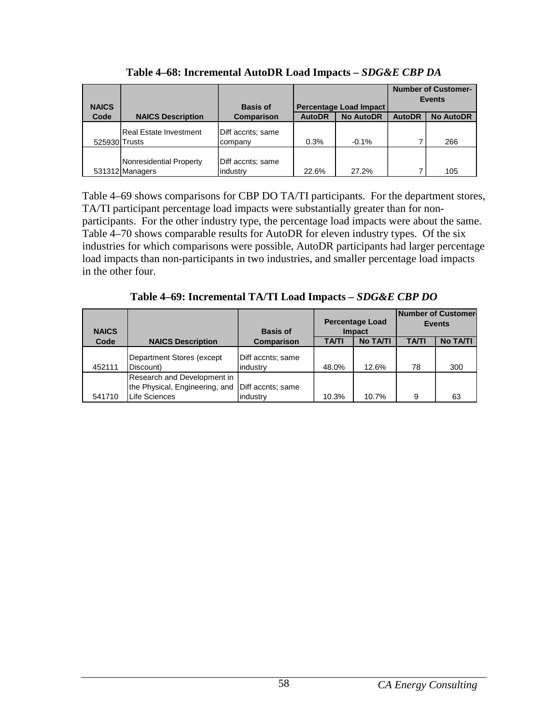| <b>NAICS</b>  |                                            | <b>Basis of</b>               | Percentage Load Impact |                  | <b>Number of Customer-</b><br><b>Events</b> |                  |  |
|---------------|--------------------------------------------|-------------------------------|------------------------|------------------|---------------------------------------------|------------------|--|
| Code          | <b>NAICS Description</b>                   | <b>Comparison</b>             | <b>AutoDR</b>          | <b>No AutoDR</b> | <b>AutoDR</b>                               | <b>No AutoDR</b> |  |
| 525930 Trusts | Real Estate Investment                     | Diff accnts; same<br>company  | 0.3%                   | $-0.1%$          | 7                                           | 266              |  |
|               | Nonresidential Property<br>531312 Managers | Diff accnts; same<br>industry | 22.6%                  | 27.2%            | 7                                           | 105              |  |

**Table 4–68: Incremental AutoDR Load Impacts –** *SDG&E CBP DA* 

Table 4–69 shows comparisons for CBP DO TA/TI participants. For the department stores, TA/TI participant percentage load impacts were substantially greater than for nonparticipants. For the other industry type, the percentage load impacts were about the same. Table 4–70 shows comparable results for AutoDR for eleven industry types. Of the six industries for which comparisons were possible, AutoDR participants had larger percentage load impacts than non-participants in two industries, and smaller percentage load impacts in the other four.

**Table 4–69: Incremental TA/TI Load Impacts –** *SDG&E CBP DO* 

| <b>NAICS</b> |                                                                                       | <b>Basis of</b>               | <b>Percentage Load</b><br><b>Impact</b> |                 | <b>INumber of Customer-</b><br><b>Events</b> |                 |
|--------------|---------------------------------------------------------------------------------------|-------------------------------|-----------------------------------------|-----------------|----------------------------------------------|-----------------|
| Code         | <b>NAICS Description</b>                                                              | <b>Comparison</b>             | <b>TA/TI</b>                            | <b>No TA/TI</b> | TA/TI                                        | <b>No TA/TI</b> |
| 452111       | Department Stores (except<br>Discount)                                                | Diff accnts; same<br>industry | 48.0%                                   | 12.6%           | 78                                           | 300             |
| 541710       | Research and Development in<br>the Physical, Engineering, and<br><b>Life Sciences</b> | Diff accnts; same<br>industry | 10.3%                                   | 10.7%           | 9                                            | 63              |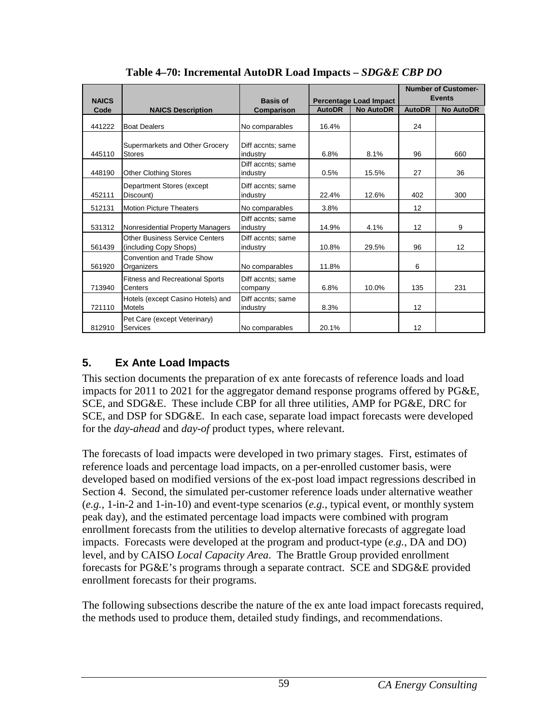| <b>NAICS</b> |                                                                 | <b>Basis of</b>               |               | <b>Percentage Load Impact</b> |               | <b>Number of Customer-</b><br><b>Events</b> |
|--------------|-----------------------------------------------------------------|-------------------------------|---------------|-------------------------------|---------------|---------------------------------------------|
| Code         | <b>NAICS Description</b>                                        | Comparison                    | <b>AutoDR</b> | <b>No AutoDR</b>              | <b>AutoDR</b> | <b>No AutoDR</b>                            |
| 441222       | <b>Boat Dealers</b>                                             | No comparables                | 16.4%         |                               | 24            |                                             |
| 445110       | Supermarkets and Other Grocery<br><b>Stores</b>                 | Diff accnts; same<br>industry | 6.8%          | 8.1%                          | 96            | 660                                         |
| 448190       | <b>Other Clothing Stores</b>                                    | Diff accnts; same<br>industry | 0.5%          | 15.5%                         | 27            | 36                                          |
| 452111       | Department Stores (except<br>Discount)                          | Diff accnts: same<br>industry | 22.4%         | 12.6%                         | 402           | 300                                         |
| 512131       | <b>Motion Picture Theaters</b>                                  | No comparables                | 3.8%          |                               | 12            |                                             |
| 531312       | Nonresidential Property Managers                                | Diff accnts; same<br>industry | 14.9%         | 4.1%                          | 12            | 9                                           |
| 561439       | <b>Other Business Service Centers</b><br>(including Copy Shops) | Diff accnts; same<br>industry | 10.8%         | 29.5%                         | 96            | 12                                          |
| 561920       | Convention and Trade Show<br>Organizers                         | No comparables                | 11.8%         |                               | 6             |                                             |
| 713940       | <b>Fitness and Recreational Sports</b><br>Centers               | Diff accnts; same<br>company  | 6.8%          | 10.0%                         | 135           | 231                                         |
| 721110       | Hotels (except Casino Hotels) and<br><b>Motels</b>              | Diff accnts; same<br>industry | 8.3%          |                               | 12            |                                             |
| 812910       | Pet Care (except Veterinary)<br>Services                        | No comparables                | 20.1%         |                               | 12            |                                             |

**Table 4–70: Incremental AutoDR Load Impacts –** *SDG&E CBP DO* 

# **5. Ex Ante Load Impacts**

This section documents the preparation of ex ante forecasts of reference loads and load impacts for 2011 to 2021 for the aggregator demand response programs offered by PG&E, SCE, and SDG&E. These include CBP for all three utilities, AMP for PG&E, DRC for SCE, and DSP for SDG&E. In each case, separate load impact forecasts were developed for the *day-ahead* and *day-of* product types, where relevant.

The forecasts of load impacts were developed in two primary stages. First, estimates of reference loads and percentage load impacts, on a per-enrolled customer basis, were developed based on modified versions of the ex-post load impact regressions described in Section 4. Second, the simulated per-customer reference loads under alternative weather (*e.g.*, 1-in-2 and 1-in-10) and event-type scenarios (*e.g.*, typical event, or monthly system peak day), and the estimated percentage load impacts were combined with program enrollment forecasts from the utilities to develop alternative forecasts of aggregate load impacts. Forecasts were developed at the program and product-type (*e.g.*, DA and DO) level, and by CAISO *Local Capacity Area*. The Brattle Group provided enrollment forecasts for PG&E's programs through a separate contract. SCE and SDG&E provided enrollment forecasts for their programs.

The following subsections describe the nature of the ex ante load impact forecasts required, the methods used to produce them, detailed study findings, and recommendations.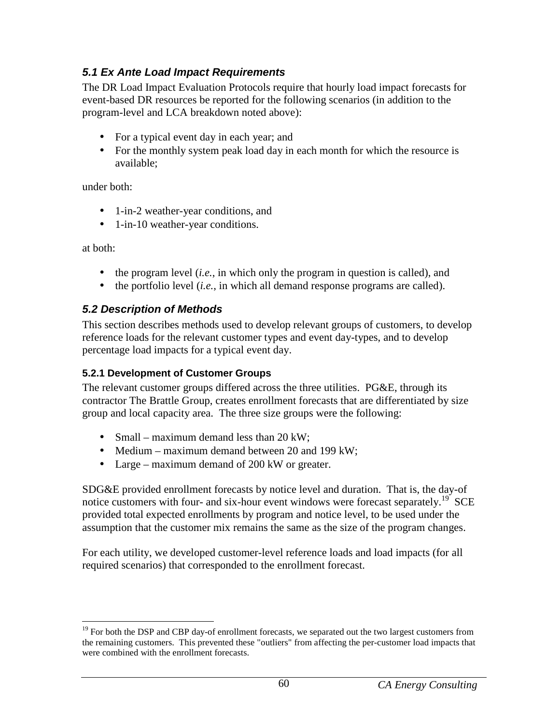## **5.1 Ex Ante Load Impact Requirements**

The DR Load Impact Evaluation Protocols require that hourly load impact forecasts for event-based DR resources be reported for the following scenarios (in addition to the program-level and LCA breakdown noted above):

- For a typical event day in each year; and
- For the monthly system peak load day in each month for which the resource is available;

under both:

- 1-in-2 weather-year conditions, and
- 1-in-10 weather-year conditions.

at both:

- the program level *(i.e.,* in which only the program in question is called), and
- the portfolio level (*i.e.*, in which all demand response programs are called).

# **5.2 Description of Methods**

This section describes methods used to develop relevant groups of customers, to develop reference loads for the relevant customer types and event day-types, and to develop percentage load impacts for a typical event day.

## **5.2.1 Development of Customer Groups**

The relevant customer groups differed across the three utilities. PG&E, through its contractor The Brattle Group, creates enrollment forecasts that are differentiated by size group and local capacity area. The three size groups were the following:

- Small maximum demand less than  $20 \text{ kW}$ ;
- Medium maximum demand between 20 and 199 kW;
- Large maximum demand of 200 kW or greater.

SDG&E provided enrollment forecasts by notice level and duration. That is, the day-of notice customers with four- and six-hour event windows were forecast separately.<sup>19</sup> SCE provided total expected enrollments by program and notice level, to be used under the assumption that the customer mix remains the same as the size of the program changes.

For each utility, we developed customer-level reference loads and load impacts (for all required scenarios) that corresponded to the enrollment forecast.

<sup>&</sup>lt;u>.</u> <sup>19</sup> For both the DSP and CBP day-of enrollment forecasts, we separated out the two largest customers from the remaining customers. This prevented these "outliers" from affecting the per-customer load impacts that were combined with the enrollment forecasts.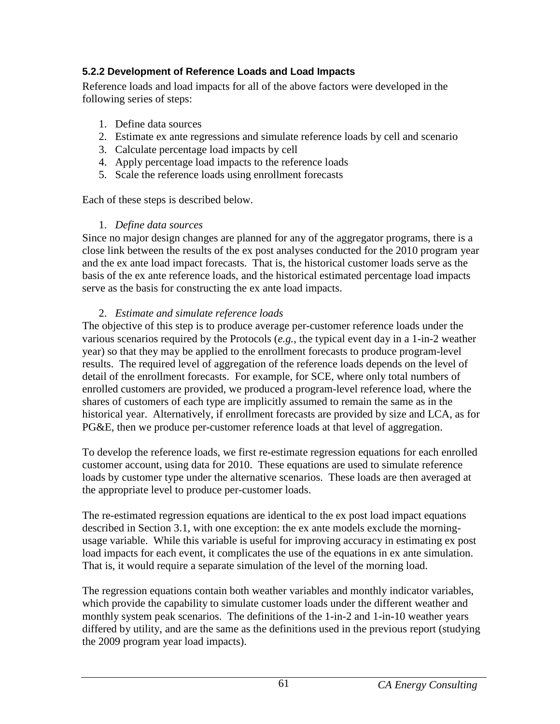## **5.2.2 Development of Reference Loads and Load Impacts**

Reference loads and load impacts for all of the above factors were developed in the following series of steps:

- 1. Define data sources
- 2. Estimate ex ante regressions and simulate reference loads by cell and scenario
- 3. Calculate percentage load impacts by cell
- 4. Apply percentage load impacts to the reference loads
- 5. Scale the reference loads using enrollment forecasts

Each of these steps is described below.

## 1. *Define data sources*

Since no major design changes are planned for any of the aggregator programs, there is a close link between the results of the ex post analyses conducted for the 2010 program year and the ex ante load impact forecasts. That is, the historical customer loads serve as the basis of the ex ante reference loads, and the historical estimated percentage load impacts serve as the basis for constructing the ex ante load impacts.

## 2. *Estimate and simulate reference loads*

The objective of this step is to produce average per-customer reference loads under the various scenarios required by the Protocols (*e.g.*, the typical event day in a 1-in-2 weather year) so that they may be applied to the enrollment forecasts to produce program-level results. The required level of aggregation of the reference loads depends on the level of detail of the enrollment forecasts. For example, for SCE, where only total numbers of enrolled customers are provided, we produced a program-level reference load, where the shares of customers of each type are implicitly assumed to remain the same as in the historical year. Alternatively, if enrollment forecasts are provided by size and LCA, as for PG&E, then we produce per-customer reference loads at that level of aggregation.

To develop the reference loads, we first re-estimate regression equations for each enrolled customer account, using data for 2010. These equations are used to simulate reference loads by customer type under the alternative scenarios. These loads are then averaged at the appropriate level to produce per-customer loads.

The re-estimated regression equations are identical to the ex post load impact equations described in Section 3.1, with one exception: the ex ante models exclude the morningusage variable. While this variable is useful for improving accuracy in estimating ex post load impacts for each event, it complicates the use of the equations in ex ante simulation. That is, it would require a separate simulation of the level of the morning load.

The regression equations contain both weather variables and monthly indicator variables, which provide the capability to simulate customer loads under the different weather and monthly system peak scenarios. The definitions of the 1-in-2 and 1-in-10 weather years differed by utility, and are the same as the definitions used in the previous report (studying the 2009 program year load impacts).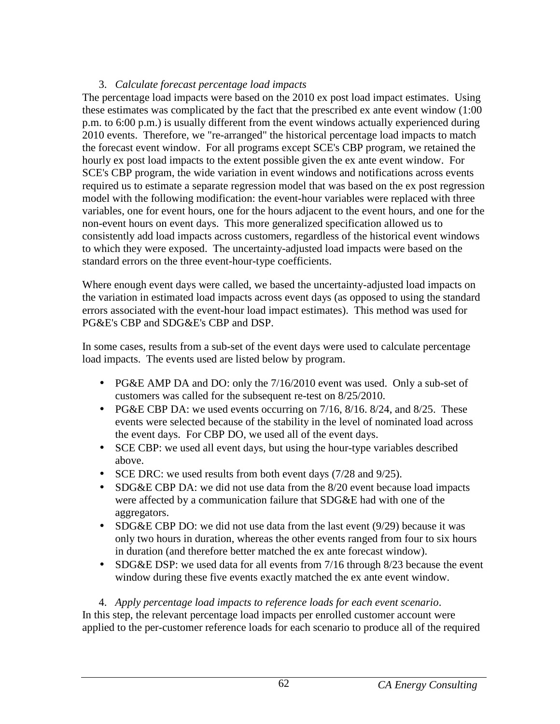### 3. *Calculate forecast percentage load impacts*

The percentage load impacts were based on the 2010 ex post load impact estimates. Using these estimates was complicated by the fact that the prescribed ex ante event window (1:00 p.m. to 6:00 p.m.) is usually different from the event windows actually experienced during 2010 events. Therefore, we "re-arranged" the historical percentage load impacts to match the forecast event window. For all programs except SCE's CBP program, we retained the hourly ex post load impacts to the extent possible given the ex ante event window. For SCE's CBP program, the wide variation in event windows and notifications across events required us to estimate a separate regression model that was based on the ex post regression model with the following modification: the event-hour variables were replaced with three variables, one for event hours, one for the hours adjacent to the event hours, and one for the non-event hours on event days. This more generalized specification allowed us to consistently add load impacts across customers, regardless of the historical event windows to which they were exposed. The uncertainty-adjusted load impacts were based on the standard errors on the three event-hour-type coefficients.

Where enough event days were called, we based the uncertainty-adjusted load impacts on the variation in estimated load impacts across event days (as opposed to using the standard errors associated with the event-hour load impact estimates). This method was used for PG&E's CBP and SDG&E's CBP and DSP.

In some cases, results from a sub-set of the event days were used to calculate percentage load impacts. The events used are listed below by program.

- PG&E AMP DA and DO: only the  $7/16/2010$  event was used. Only a sub-set of customers was called for the subsequent re-test on 8/25/2010.
- PG&E CBP DA: we used events occurring on  $7/16$ ,  $8/16$ .  $8/24$ , and  $8/25$ . These events were selected because of the stability in the level of nominated load across the event days. For CBP DO, we used all of the event days.
- SCE CBP: we used all event days, but using the hour-type variables described above.
- SCE DRC: we used results from both event days (7/28 and 9/25).
- SDG&E CBP DA: we did not use data from the 8/20 event because load impacts were affected by a communication failure that SDG&E had with one of the aggregators.
- SDG&E CBP DO: we did not use data from the last event  $(9/29)$  because it was only two hours in duration, whereas the other events ranged from four to six hours in duration (and therefore better matched the ex ante forecast window).
- SDG&E DSP: we used data for all events from 7/16 through 8/23 because the event window during these five events exactly matched the ex ante event window.

4. *Apply percentage load impacts to reference loads for each event scenario*. In this step, the relevant percentage load impacts per enrolled customer account were applied to the per-customer reference loads for each scenario to produce all of the required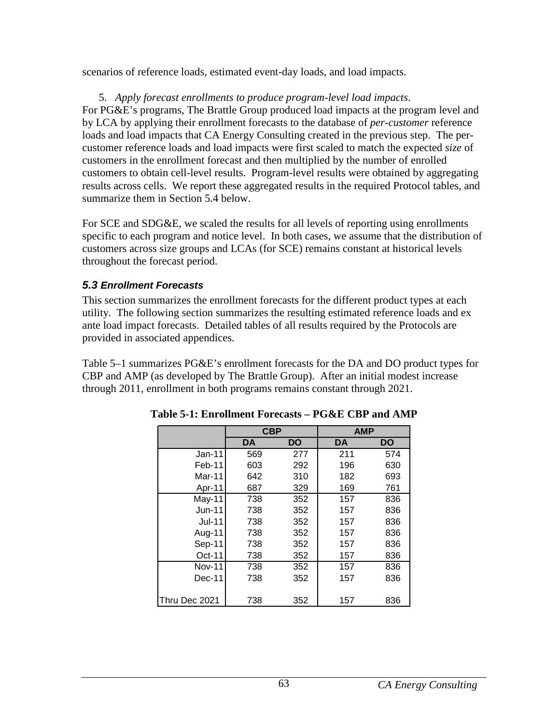scenarios of reference loads, estimated event-day loads, and load impacts.

5. *Apply forecast enrollments to produce program-level load impacts*.

For PG&E's programs, The Brattle Group produced load impacts at the program level and by LCA by applying their enrollment forecasts to the database of *per-customer* reference loads and load impacts that CA Energy Consulting created in the previous step. The percustomer reference loads and load impacts were first scaled to match the expected *size* of customers in the enrollment forecast and then multiplied by the number of enrolled customers to obtain cell-level results. Program-level results were obtained by aggregating results across cells. We report these aggregated results in the required Protocol tables, and summarize them in Section 5.4 below.

For SCE and SDG&E, we scaled the results for all levels of reporting using enrollments specific to each program and notice level. In both cases, we assume that the distribution of customers across size groups and LCAs (for SCE) remains constant at historical levels throughout the forecast period.

## **5.3 Enrollment Forecasts**

This section summarizes the enrollment forecasts for the different product types at each utility. The following section summarizes the resulting estimated reference loads and ex ante load impact forecasts. Detailed tables of all results required by the Protocols are provided in associated appendices.

Table 5–1 summarizes PG&E's enrollment forecasts for the DA and DO product types for CBP and AMP (as developed by The Brattle Group). After an initial modest increase through 2011, enrollment in both programs remains constant through 2021.

|               | <b>CBP</b> |     | <b>AMP</b> |     |
|---------------|------------|-----|------------|-----|
|               | DA         | DO  | DA         | DO  |
| $Jan-11$      | 569        | 277 | 211        | 574 |
| Feb-11        | 603        | 292 | 196        | 630 |
| Mar-11        | 642        | 310 | 182        | 693 |
| Apr-11        | 687        | 329 | 169        | 761 |
| May-11        | 738        | 352 | 157        | 836 |
| $Jun-11$      | 738        | 352 | 157        | 836 |
| <b>Jul-11</b> | 738        | 352 | 157        | 836 |
| Aug-11        | 738        | 352 | 157        | 836 |
| Sep-11        | 738        | 352 | 157        | 836 |
| $Oct-11$      | 738        | 352 | 157        | 836 |
| <b>Nov-11</b> | 738        | 352 | 157        | 836 |
| $Dec-11$      | 738        | 352 | 157        | 836 |
|               |            |     |            |     |
| Thru Dec 2021 | 738        | 352 | 157        | 836 |

**Table 5-1: Enrollment Forecasts – PG&E CBP and AMP**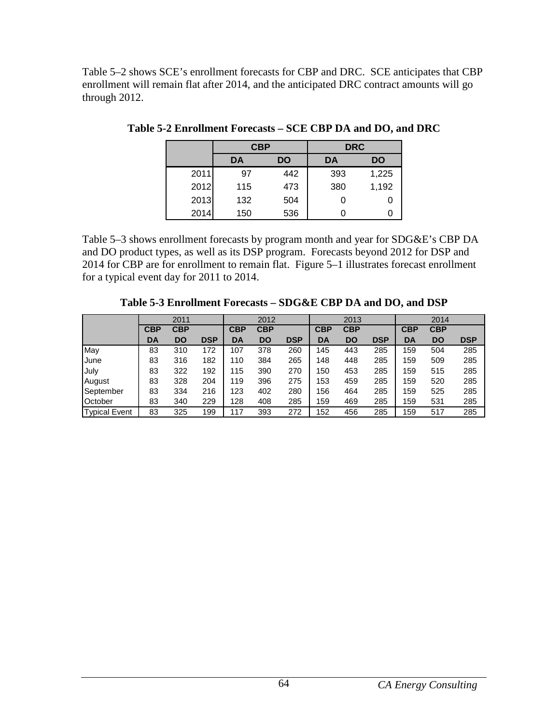Table 5–2 shows SCE's enrollment forecasts for CBP and DRC. SCE anticipates that CBP enrollment will remain flat after 2014, and the anticipated DRC contract amounts will go through 2012.

|      |     | <b>CBP</b> | <b>DRC</b> |       |  |
|------|-----|------------|------------|-------|--|
|      | DA  | <b>DO</b>  | <b>DA</b>  | DO    |  |
| 2011 | 97  | 442        | 393        | 1,225 |  |
| 2012 | 115 | 473        | 380        | 1,192 |  |
| 2013 | 132 | 504        | 0          |       |  |
| 2014 | 150 | 536        |            |       |  |

**Table 5-2 Enrollment Forecasts – SCE CBP DA and DO, and DRC** 

Table 5–3 shows enrollment forecasts by program month and year for SDG&E's CBP DA and DO product types, as well as its DSP program. Forecasts beyond 2012 for DSP and 2014 for CBP are for enrollment to remain flat. Figure 5–1 illustrates forecast enrollment for a typical event day for 2011 to 2014.

**Table 5-3 Enrollment Forecasts – SDG&E CBP DA and DO, and DSP** 

|                      |            | 2011       |            |            | 2012       |            |            | 2013       |            | 2014       |            |            |
|----------------------|------------|------------|------------|------------|------------|------------|------------|------------|------------|------------|------------|------------|
|                      | <b>CBP</b> | <b>CBP</b> |            | <b>CBP</b> | <b>CBP</b> |            | <b>CBP</b> | <b>CBP</b> |            | <b>CBP</b> | <b>CBP</b> |            |
|                      | DA         | DO         | <b>DSP</b> | DA         | <b>DO</b>  | <b>DSP</b> | DA         | DO         | <b>DSP</b> | DA         | DO         | <b>DSP</b> |
| May                  | 83         | 310        | 172        | 107        | 378        | 260        | 145        | 443        | 285        | 159        | 504        | 285        |
| June                 | 83         | 316        | 182        | 110        | 384        | 265        | 148        | 448        | 285        | 159        | 509        | 285        |
| July                 | 83         | 322        | 192        | 115        | 390        | 270        | 150        | 453        | 285        | 159        | 515        | 285        |
| August               | 83         | 328        | 204        | 119        | 396        | 275        | 153        | 459        | 285        | 159        | 520        | 285        |
| September            | 83         | 334        | 216        | 123        | 402        | 280        | 156        | 464        | 285        | 159        | 525        | 285        |
| October              | 83         | 340        | 229        | 128        | 408        | 285        | 159        | 469        | 285        | 159        | 531        | 285        |
| <b>Typical Event</b> | 83         | 325        | 199        | 117        | 393        | 272        | 152        | 456        | 285        | 159        | 517        | 285        |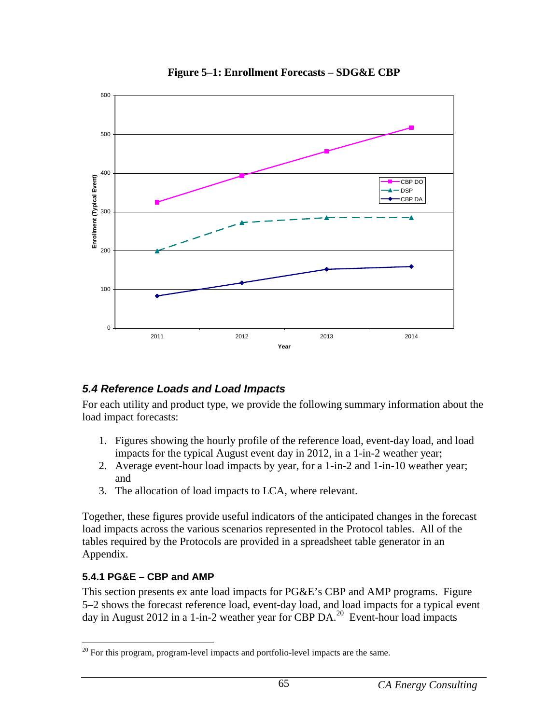

**Figure 5–1: Enrollment Forecasts – SDG&E CBP** 

## **5.4 Reference Loads and Load Impacts**

For each utility and product type, we provide the following summary information about the load impact forecasts:

- 1. Figures showing the hourly profile of the reference load, event-day load, and load impacts for the typical August event day in 2012, in a 1-in-2 weather year;
- 2. Average event-hour load impacts by year, for a 1-in-2 and 1-in-10 weather year; and
- 3. The allocation of load impacts to LCA, where relevant.

Together, these figures provide useful indicators of the anticipated changes in the forecast load impacts across the various scenarios represented in the Protocol tables. All of the tables required by the Protocols are provided in a spreadsheet table generator in an Appendix.

## **5.4.1 PG&E – CBP and AMP**

This section presents ex ante load impacts for PG&E's CBP and AMP programs. Figure 5–2 shows the forecast reference load, event-day load, and load impacts for a typical event day in August 2012 in a 1-in-2 weather year for CBP DA.<sup>20</sup> Event-hour load impacts

<sup>&</sup>lt;u>.</u> <sup>20</sup> For this program, program-level impacts and portfolio-level impacts are the same.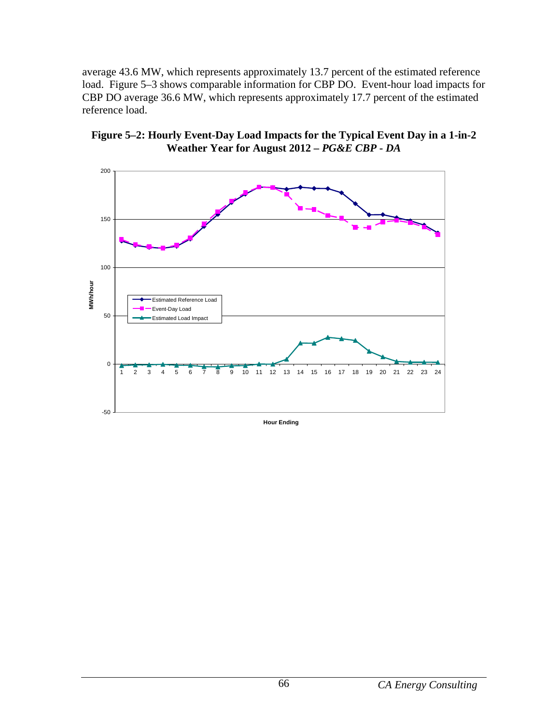average 43.6 MW, which represents approximately 13.7 percent of the estimated reference load. Figure 5–3 shows comparable information for CBP DO. Event-hour load impacts for CBP DO average 36.6 MW, which represents approximately 17.7 percent of the estimated reference load.





**Hour Ending**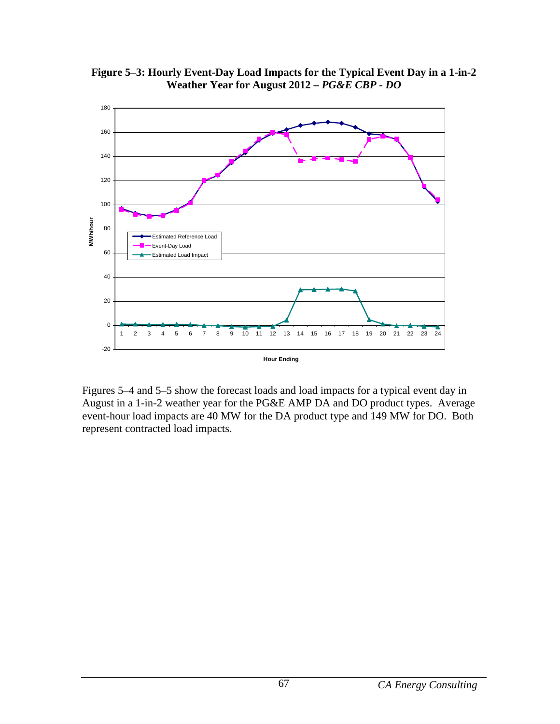

**Figure 5–3: Hourly Event-Day Load Impacts for the Typical Event Day in a 1-in-2 Weather Year for August 2012 –** *PG&E CBP - DO*

Figures 5–4 and 5–5 show the forecast loads and load impacts for a typical event day in August in a 1-in-2 weather year for the PG&E AMP DA and DO product types. Average event-hour load impacts are 40 MW for the DA product type and 149 MW for DO. Both represent contracted load impacts.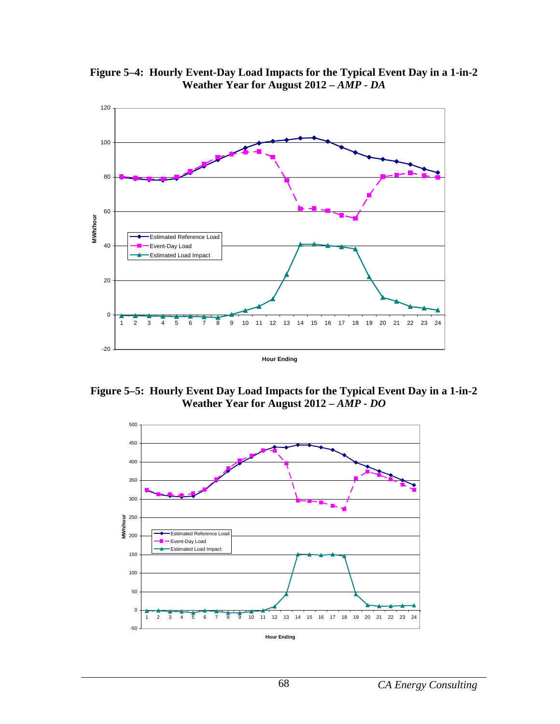**Figure 5–4: Hourly Event-Day Load Impacts for the Typical Event Day in a 1-in-2 Weather Year for August 2012 –** *AMP - DA*



**Figure 5–5: Hourly Event Day Load Impacts for the Typical Event Day in a 1-in-2 Weather Year for August 2012 –** *AMP - DO*

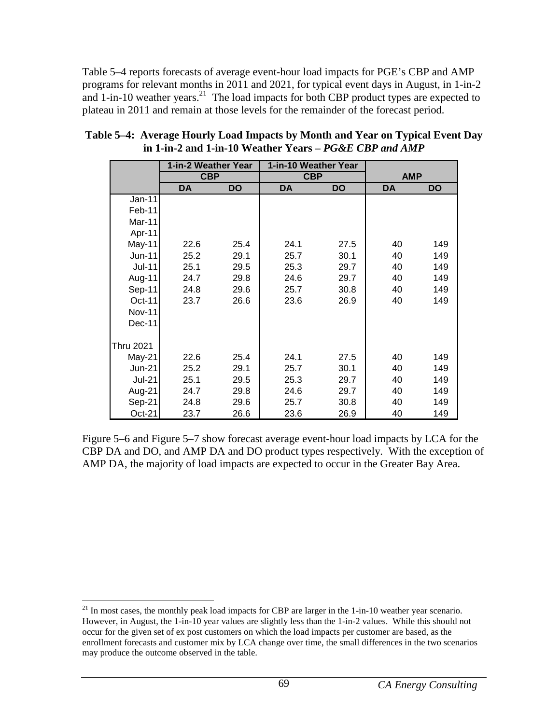Table 5–4 reports forecasts of average event-hour load impacts for PGE's CBP and AMP programs for relevant months in 2011 and 2021, for typical event days in August, in 1-in-2 and  $1$ -in-10 weather years.<sup>21</sup> The load impacts for both CBP product types are expected to plateau in 2011 and remain at those levels for the remainder of the forecast period.

|                  | 1-in-2 Weather Year |           | 1-in-10 Weather Year |           |            |     |
|------------------|---------------------|-----------|----------------------|-----------|------------|-----|
|                  | <b>CBP</b>          |           | <b>CBP</b>           |           | <b>AMP</b> |     |
|                  | <b>DA</b>           | <b>DO</b> | DA                   | <b>DO</b> | DA         | DO  |
| Jan-11           |                     |           |                      |           |            |     |
| Feb-11           |                     |           |                      |           |            |     |
| Mar-11           |                     |           |                      |           |            |     |
| Apr-11           |                     |           |                      |           |            |     |
| May-11           | 22.6                | 25.4      | 24.1                 | 27.5      | 40         | 149 |
| Jun-11           | 25.2                | 29.1      | 25.7                 | 30.1      | 40         | 149 |
| <b>Jul-11</b>    | 25.1                | 29.5      | 25.3                 | 29.7      | 40         | 149 |
| Aug-11           | 24.7                | 29.8      | 24.6                 | 29.7      | 40         | 149 |
| Sep-11           | 24.8                | 29.6      | 25.7                 | 30.8      | 40         | 149 |
| Oct-11           | 23.7                | 26.6      | 23.6                 | 26.9      | 40         | 149 |
| <b>Nov-11</b>    |                     |           |                      |           |            |     |
| Dec-11           |                     |           |                      |           |            |     |
|                  |                     |           |                      |           |            |     |
| <b>Thru 2021</b> |                     |           |                      |           |            |     |
| $May-21$         | 22.6                | 25.4      | 24.1                 | 27.5      | 40         | 149 |
| <b>Jun-21</b>    | 25.2                | 29.1      | 25.7                 | 30.1      | 40         | 149 |
| <b>Jul-21</b>    | 25.1                | 29.5      | 25.3                 | 29.7      | 40         | 149 |
| Aug-21           | 24.7                | 29.8      | 24.6                 | 29.7      | 40         | 149 |
| Sep-21           | 24.8                | 29.6      | 25.7                 | 30.8      | 40         | 149 |
| Oct-21           | 23.7                | 26.6      | 23.6                 | 26.9      | 40         | 149 |

**Table 5–4: Average Hourly Load Impacts by Month and Year on Typical Event Day in 1-in-2 and 1-in-10 Weather Years –** *PG&E CBP and AMP*

Figure 5–6 and Figure 5–7 show forecast average event-hour load impacts by LCA for the CBP DA and DO, and AMP DA and DO product types respectively. With the exception of AMP DA, the majority of load impacts are expected to occur in the Greater Bay Area.

<sup>&</sup>lt;u>.</u>  $21$  In most cases, the monthly peak load impacts for CBP are larger in the 1-in-10 weather year scenario. However, in August, the 1-in-10 year values are slightly less than the 1-in-2 values. While this should not occur for the given set of ex post customers on which the load impacts per customer are based, as the enrollment forecasts and customer mix by LCA change over time, the small differences in the two scenarios may produce the outcome observed in the table.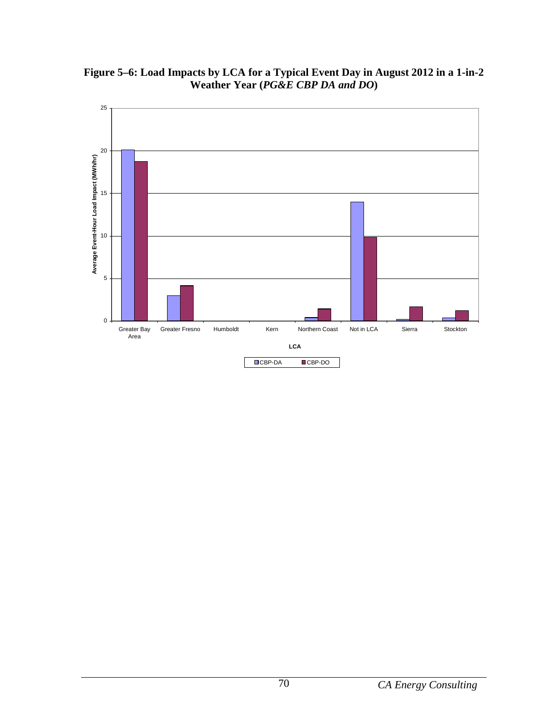

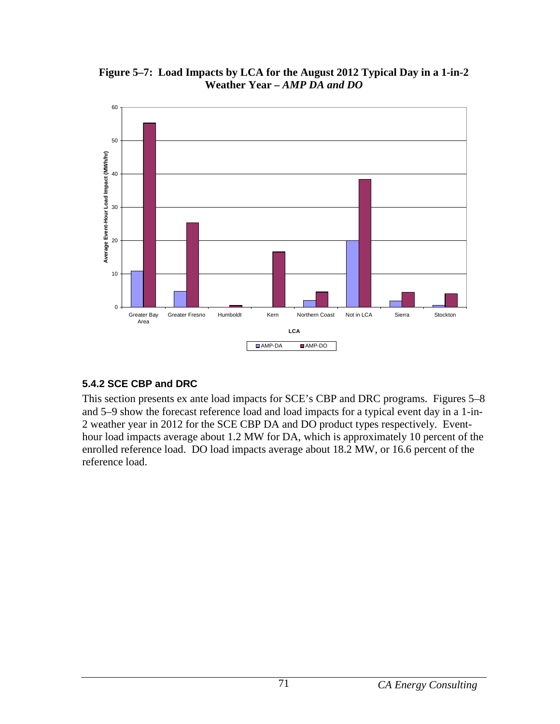**Figure 5–7: Load Impacts by LCA for the August 2012 Typical Day in a 1-in-2 Weather Year –** *AMP DA and DO*



## **5.4.2 SCE CBP and DRC**

This section presents ex ante load impacts for SCE's CBP and DRC programs. Figures 5–8 and 5–9 show the forecast reference load and load impacts for a typical event day in a 1-in-2 weather year in 2012 for the SCE CBP DA and DO product types respectively. Eventhour load impacts average about 1.2 MW for DA, which is approximately 10 percent of the enrolled reference load. DO load impacts average about 18.2 MW, or 16.6 percent of the reference load.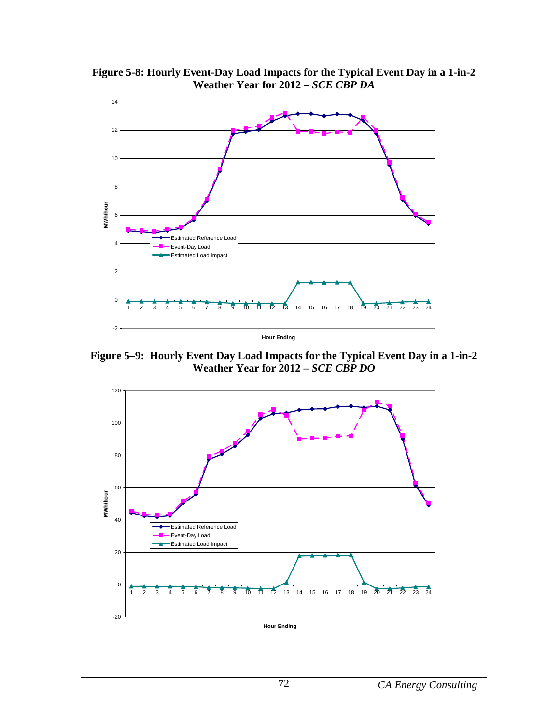

**Figure 5-8: Hourly Event-Day Load Impacts for the Typical Event Day in a 1-in-2 Weather Year for 2012 –** *SCE CBP DA*

**Figure 5–9: Hourly Event Day Load Impacts for the Typical Event Day in a 1-in-2 Weather Year for 2012 –** *SCE CBP DO*

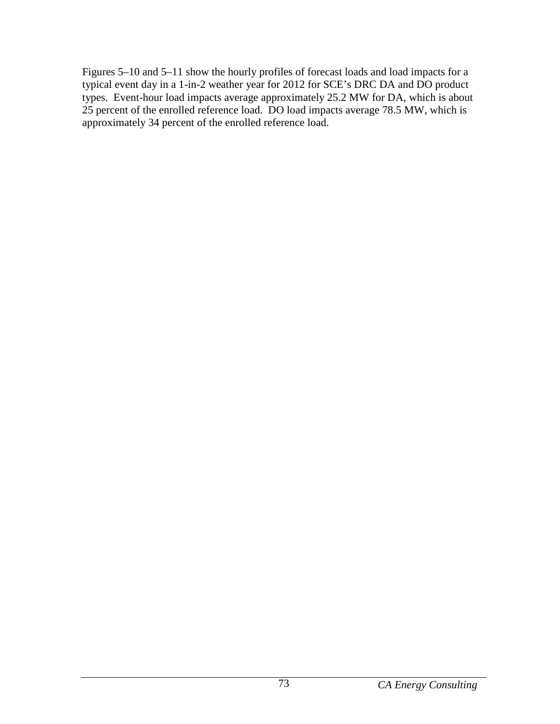Figures 5–10 and 5–11 show the hourly profiles of forecast loads and load impacts for a typical event day in a 1-in-2 weather year for 2012 for SCE's DRC DA and DO product types. Event-hour load impacts average approximately 25.2 MW for DA, which is about 25 percent of the enrolled reference load. DO load impacts average 78.5 MW, which is approximately 34 percent of the enrolled reference load.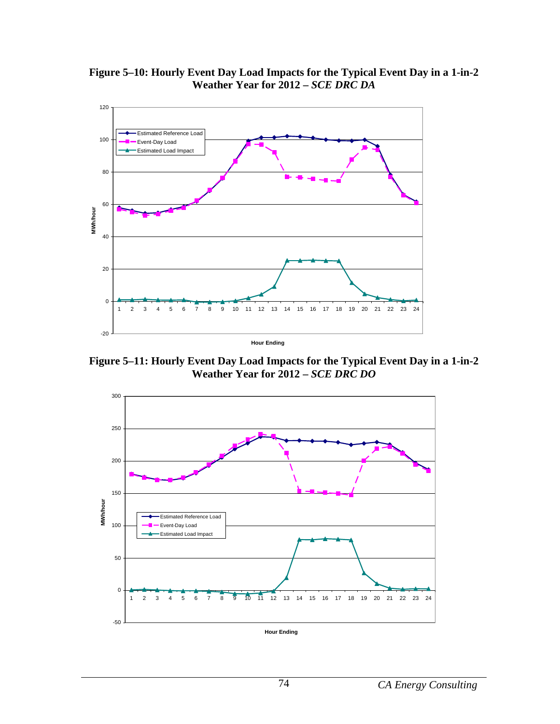



**Figure 5–11: Hourly Event Day Load Impacts for the Typical Event Day in a 1-in-2 Weather Year for 2012 –** *SCE DRC DO*

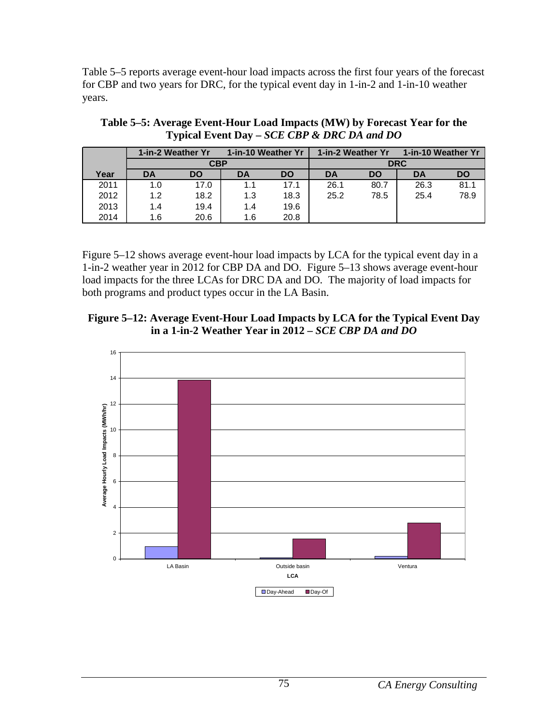Table 5–5 reports average event-hour load impacts across the first four years of the forecast for CBP and two years for DRC, for the typical event day in 1-in-2 and 1-in-10 weather years.

|      |     | 1-in-2 Weather Yr<br>1-in-10 Weather Yr |     |           | 1-in-2 Weather Yr |           | 1-in-10 Weather Yr |           |
|------|-----|-----------------------------------------|-----|-----------|-------------------|-----------|--------------------|-----------|
|      |     | <b>CBP</b>                              |     |           |                   |           | <b>DRC</b>         |           |
| Year | DA  | <b>DO</b>                               | DA  | <b>DO</b> | DA                | <b>DO</b> | DA                 | <b>DO</b> |
| 2011 | 1.0 | 17.0                                    | 1.1 | 17.1      | 26.1              | 80.7      | 26.3               | 81.1      |
| 2012 | 1.2 | 18.2                                    | 1.3 | 18.3      | 25.2              | 78.5      | 25.4               | 78.9      |
| 2013 | 1.4 | 19.4                                    | 1.4 | 19.6      |                   |           |                    |           |
| 2014 | 1.6 | 20.6                                    | 1.6 | 20.8      |                   |           |                    |           |

**Table 5–5: Average Event-Hour Load Impacts (MW) by Forecast Year for the Typical Event Day –** *SCE CBP & DRC DA and DO*

Figure 5–12 shows average event-hour load impacts by LCA for the typical event day in a 1-in-2 weather year in 2012 for CBP DA and DO. Figure 5–13 shows average event-hour load impacts for the three LCAs for DRC DA and DO. The majority of load impacts for both programs and product types occur in the LA Basin.

#### **Figure 5–12: Average Event-Hour Load Impacts by LCA for the Typical Event Day in a 1-in-2 Weather Year in 2012 –** *SCE CBP DA and DO*

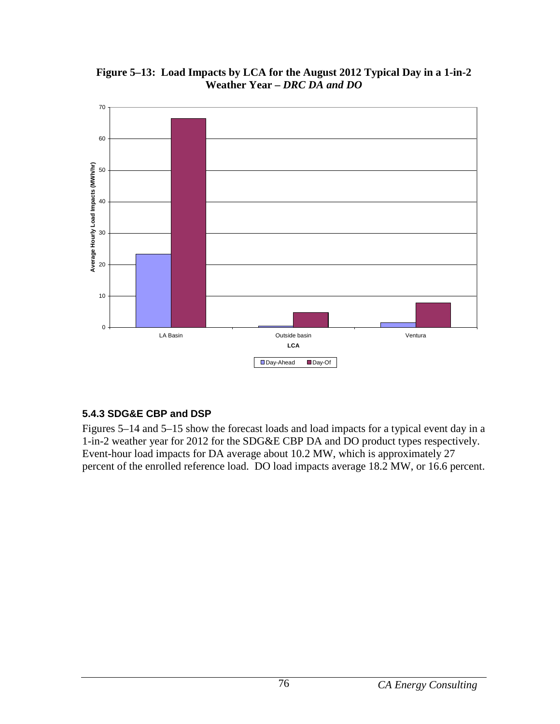

**Figure 5–13: Load Impacts by LCA for the August 2012 Typical Day in a 1-in-2 Weather Year –** *DRC DA and DO*

## **5.4.3 SDG&E CBP and DSP**

Figures 5–14 and 5–15 show the forecast loads and load impacts for a typical event day in a 1-in-2 weather year for 2012 for the SDG&E CBP DA and DO product types respectively. Event-hour load impacts for DA average about 10.2 MW, which is approximately 27 percent of the enrolled reference load. DO load impacts average 18.2 MW, or 16.6 percent.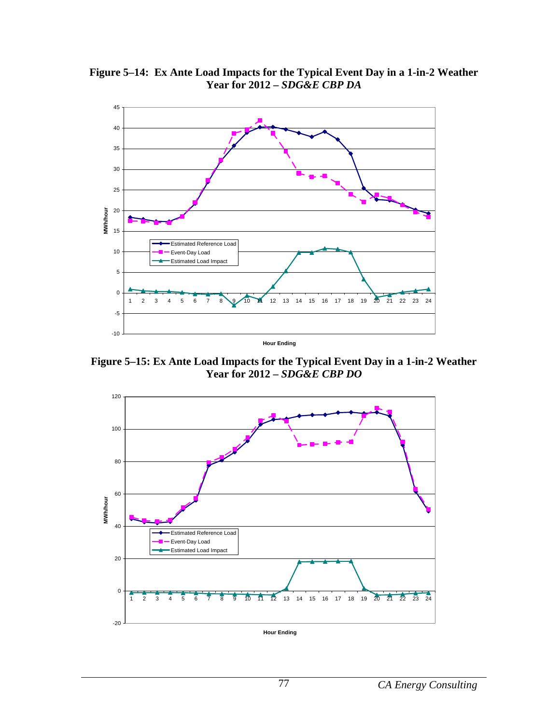

**Figure 5–14: Ex Ante Load Impacts for the Typical Event Day in a 1-in-2 Weather Year for 2012 –** *SDG&E CBP DA*

**Figure 5–15: Ex Ante Load Impacts for the Typical Event Day in a 1-in-2 Weather Year for 2012 –** *SDG&E CBP DO*

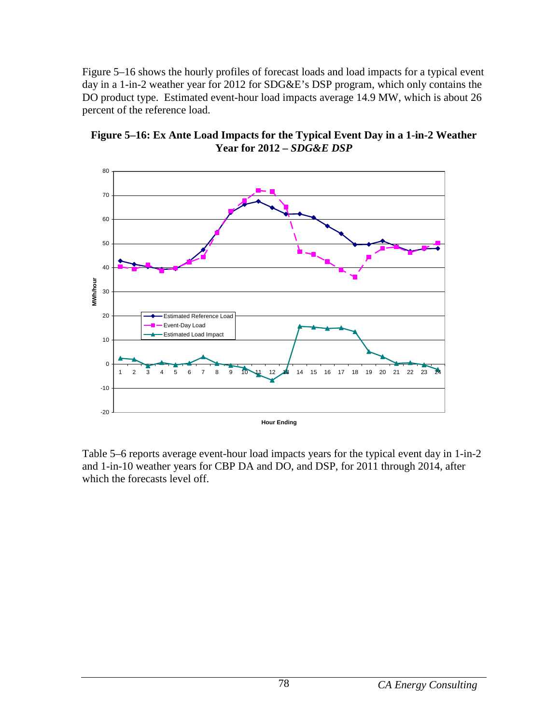Figure 5–16 shows the hourly profiles of forecast loads and load impacts for a typical event day in a 1-in-2 weather year for 2012 for SDG&E's DSP program, which only contains the DO product type. Estimated event-hour load impacts average 14.9 MW, which is about 26 percent of the reference load.



**Figure 5–16: Ex Ante Load Impacts for the Typical Event Day in a 1-in-2 Weather Year for 2012 –** *SDG&E DSP*

Table 5–6 reports average event-hour load impacts years for the typical event day in 1-in-2 and 1-in-10 weather years for CBP DA and DO, and DSP, for 2011 through 2014, after which the forecasts level off.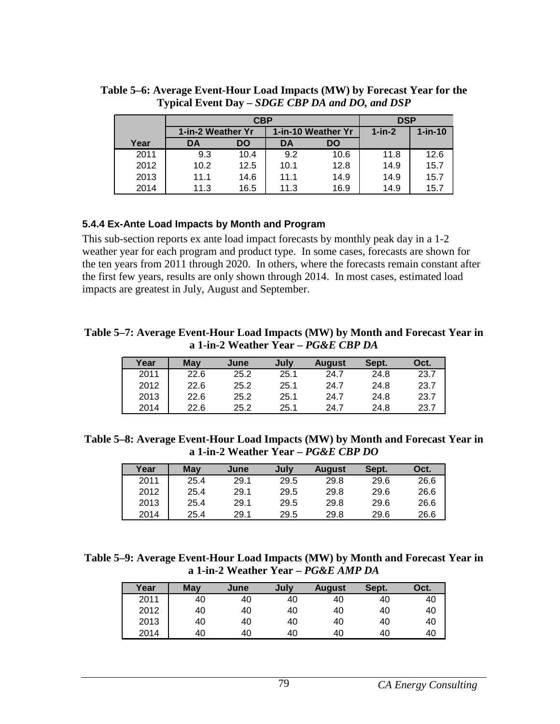|      |                   | CBP  |                    |      | <b>DSP</b>   |            |
|------|-------------------|------|--------------------|------|--------------|------------|
|      | 1-in-2 Weather Yr |      | 1-in-10 Weather Yr |      | $1$ -in- $2$ | $1$ -in-10 |
| Year | DA                | DO   | DA                 | DO   |              |            |
| 2011 | 9.3               | 10.4 | 9.2                | 10.6 | 11.8         | 12.6       |
| 2012 | 10.2              | 12.5 | 10.1               | 12.8 | 14.9         | 15.7       |
| 2013 | 11.1              | 14.6 | 11.1               | 14.9 | 14.9         | 15.7       |
| 2014 | 11.3              | 16.5 | 11.3               | 16.9 | 14.9         | 15.7       |

**Table 5–6: Average Event-Hour Load Impacts (MW) by Forecast Year for the Typical Event Day –** *SDGE CBP DA and DO, and DSP*

#### **5.4.4 Ex-Ante Load Impacts by Month and Program**

This sub-section reports ex ante load impact forecasts by monthly peak day in a 1-2 weather year for each program and product type. In some cases, forecasts are shown for the ten years from 2011 through 2020. In others, where the forecasts remain constant after the first few years, results are only shown through 2014. In most cases, estimated load impacts are greatest in July, August and September.

**Table 5–7: Average Event-Hour Load Impacts (MW) by Month and Forecast Year in a 1-in-2 Weather Year –** *PG&E CBP DA*

| Year | May  | June | July | <b>August</b> | Sept. | Oct. |
|------|------|------|------|---------------|-------|------|
| 2011 | 22.6 | 25.2 | 25.1 | 24.7          | 24.8  | 23.7 |
| 2012 | 22.6 | 25.2 | 25.1 | 24.7          | 24.8  | 23.7 |
| 2013 | 22.6 | 25.2 | 25.1 | 24.7          | 24.8  | 23.7 |
| 2014 | 22.6 | 25.2 | 25.1 | 24.7          | 24.8  | 23.7 |

**Table 5–8: Average Event-Hour Load Impacts (MW) by Month and Forecast Year in a 1-in-2 Weather Year –** *PG&E CBP DO*

| Year | May  | June | July | <b>August</b> | Sept. | Oct. |
|------|------|------|------|---------------|-------|------|
| 2011 | 25.4 | 29.1 | 29.5 | 29.8          | 29.6  | 26.6 |
| 2012 | 25.4 | 29.1 | 29.5 | 29.8          | 29.6  | 26.6 |
| 2013 | 25.4 | 29.1 | 29.5 | 29.8          | 29.6  | 26.6 |
| 2014 | 25.4 | 29.1 | 29.5 | 29.8          | 29.6  | 26.6 |

**Table 5–9: Average Event-Hour Load Impacts (MW) by Month and Forecast Year in a 1-in-2 Weather Year –** *PG&E AMP DA*

| Year | <b>May</b> | June | July | <b>August</b> | Sept. | Oct. |
|------|------------|------|------|---------------|-------|------|
| 2011 | 40         | 40   | 40   | 40            | 40    | 40   |
| 2012 | 40         | 40   | 40   | 40            | 40    | 40   |
| 2013 | 40         | 40   | 40   | 40            | 40    | 40   |
| 2014 | 40         | 40   | 40   | 40            | 40    | 40   |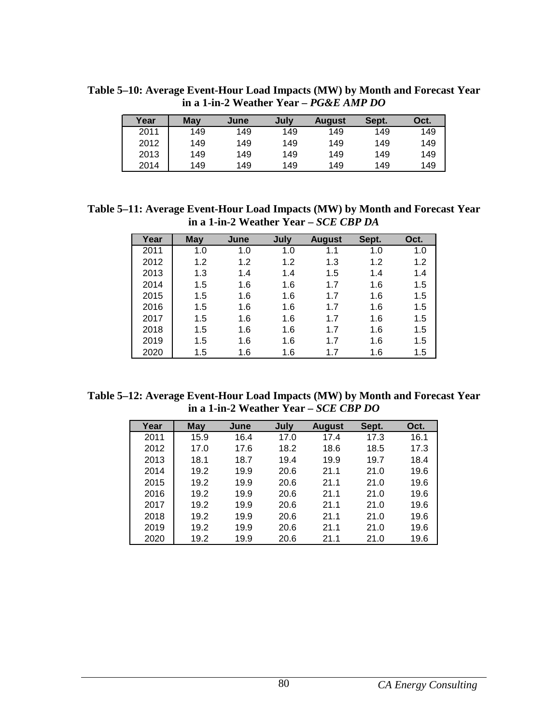| Year | May | June | July | <b>August</b> | Sept. | Oct. |
|------|-----|------|------|---------------|-------|------|
| 2011 | 149 | 149  | 149  | 149           | 149   | 149  |
| 2012 | 149 | 149  | 149  | 149           | 149   | 149  |
| 2013 | 149 | 149  | 149  | 149           | 149   | 149  |
| 2014 | 149 | 149  | 149  | 149           | 149   | 149  |

**Table 5–10: Average Event-Hour Load Impacts (MW) by Month and Forecast Year in a 1-in-2 Weather Year –** *PG&E AMP DO*

**Table 5–11: Average Event-Hour Load Impacts (MW) by Month and Forecast Year in a 1-in-2 Weather Year –** *SCE CBP DA*

| Year | May | June | July | <b>August</b> | Sept. | Oct. |
|------|-----|------|------|---------------|-------|------|
| 2011 | 1.0 | 1.0  | 1.0  | 1.1           | 1.0   | 1.0  |
| 2012 | 1.2 | 1.2  | 1.2  | 1.3           | 1.2   | 1.2  |
| 2013 | 1.3 | 1.4  | 1.4  | 1.5           | 1.4   | 1.4  |
| 2014 | 1.5 | 1.6  | 1.6  | 1.7           | 1.6   | 1.5  |
| 2015 | 1.5 | 1.6  | 1.6  | 1.7           | 1.6   | 1.5  |
| 2016 | 1.5 | 1.6  | 1.6  | 1.7           | 1.6   | 1.5  |
| 2017 | 1.5 | 1.6  | 1.6  | 1.7           | 1.6   | 1.5  |
| 2018 | 1.5 | 1.6  | 1.6  | 1.7           | 1.6   | 1.5  |
| 2019 | 1.5 | 1.6  | 1.6  | 1.7           | 1.6   | 1.5  |
| 2020 | 1.5 | 1.6  | 1.6  | 1.7           | 1.6   | 1.5  |

**Table 5–12: Average Event-Hour Load Impacts (MW) by Month and Forecast Year in a 1-in-2 Weather Year –** *SCE CBP DO*

| Year | May  | June | July | <b>August</b> | Sept. | Oct. |
|------|------|------|------|---------------|-------|------|
| 2011 | 15.9 | 16.4 | 17.0 | 17.4          | 17.3  | 16.1 |
| 2012 | 17.0 | 17.6 | 18.2 | 18.6          | 18.5  | 17.3 |
| 2013 | 18.1 | 18.7 | 19.4 | 19.9          | 19.7  | 18.4 |
| 2014 | 19.2 | 19.9 | 20.6 | 21.1          | 21.0  | 19.6 |
| 2015 | 19.2 | 19.9 | 20.6 | 21.1          | 21.0  | 19.6 |
| 2016 | 19.2 | 19.9 | 20.6 | 21.1          | 21.0  | 19.6 |
| 2017 | 19.2 | 19.9 | 20.6 | 21.1          | 21.0  | 19.6 |
| 2018 | 19.2 | 19.9 | 20.6 | 21.1          | 21.0  | 19.6 |
| 2019 | 19.2 | 19.9 | 20.6 | 21.1          | 21.0  | 19.6 |
| 2020 | 19.2 | 19.9 | 20.6 | 21.1          | 21.0  | 19.6 |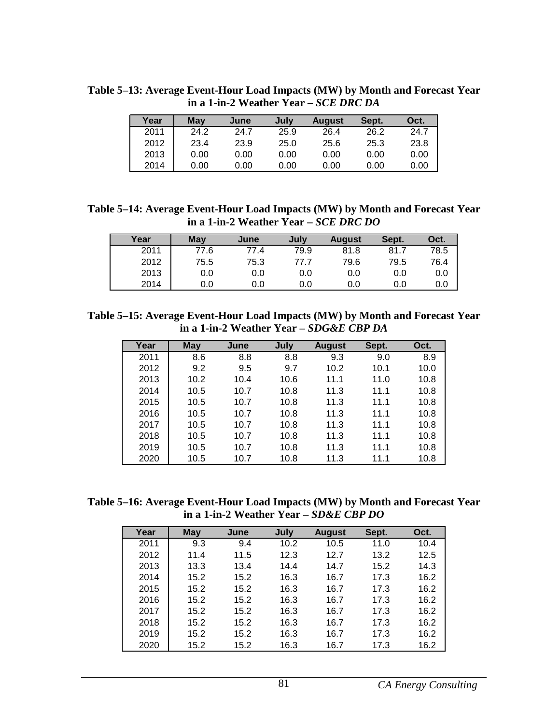| Year | May  | June | Julv | <b>August</b> | Sept. | Oct. |
|------|------|------|------|---------------|-------|------|
| 2011 | 24.2 | 24.7 | 25.9 | 26.4          | 26.2  | 24.7 |
| 2012 | 23.4 | 23.9 | 25.0 | 25.6          | 25.3  | 23.8 |
| 2013 | 0.00 | 0.00 | 0.00 | 0.00          | 0.00  | 0.00 |
| 2014 | 0.00 | 0.00 | 0.00 | 0.00          | 0.00  | 0.00 |

**Table 5–13: Average Event-Hour Load Impacts (MW) by Month and Forecast Year in a 1-in-2 Weather Year –** *SCE DRC DA*

**Table 5–14: Average Event-Hour Load Impacts (MW) by Month and Forecast Year in a 1-in-2 Weather Year –** *SCE DRC DO*

| Year | <b>May</b> | June | July | <b>August</b> | Sept. | Oct. |
|------|------------|------|------|---------------|-------|------|
| 2011 | 77.6       | 77.4 | 79.9 | 81.8          | 81.7  | 78.5 |
| 2012 | 75.5       | 75.3 | 77.7 | 79.6          | 79.5  | 76.4 |
| 2013 | 0.0        | 0.0  | 0.0  | 0.0           | 0.0   | 0.0  |
| 2014 | 0.0        | 0.0  | 0.0  | 0.0           | 0.0   | 0.0  |

**Table 5–15: Average Event-Hour Load Impacts (MW) by Month and Forecast Year in a 1-in-2 Weather Year –** *SDG&E CBP DA*

| Year | <b>May</b> | June | July | <b>August</b> | Sept. | Oct. |
|------|------------|------|------|---------------|-------|------|
| 2011 | 8.6        | 8.8  | 8.8  | 9.3           | 9.0   | 8.9  |
| 2012 | 9.2        | 9.5  | 9.7  | 10.2          | 10.1  | 10.0 |
| 2013 | 10.2       | 10.4 | 10.6 | 11.1          | 11.0  | 10.8 |
| 2014 | 10.5       | 10.7 | 10.8 | 11.3          | 11.1  | 10.8 |
| 2015 | 10.5       | 10.7 | 10.8 | 11.3          | 11.1  | 10.8 |
| 2016 | 10.5       | 10.7 | 10.8 | 11.3          | 11.1  | 10.8 |
| 2017 | 10.5       | 10.7 | 10.8 | 11.3          | 11.1  | 10.8 |
| 2018 | 10.5       | 10.7 | 10.8 | 11.3          | 11.1  | 10.8 |
| 2019 | 10.5       | 10.7 | 10.8 | 11.3          | 11.1  | 10.8 |
| 2020 | 10.5       | 10.7 | 10.8 | 11.3          | 11.1  | 10.8 |

**Table 5–16: Average Event-Hour Load Impacts (MW) by Month and Forecast Year in a 1-in-2 Weather Year –** *SD&E CBP DO*

| Year | <b>May</b> | June | July | <b>August</b> | Sept. | Oct. |
|------|------------|------|------|---------------|-------|------|
| 2011 | 9.3        | 9.4  | 10.2 | 10.5          | 11.0  | 10.4 |
| 2012 | 11.4       | 11.5 | 12.3 | 12.7          | 13.2  | 12.5 |
| 2013 | 13.3       | 13.4 | 14.4 | 14.7          | 15.2  | 14.3 |
| 2014 | 15.2       | 15.2 | 16.3 | 16.7          | 17.3  | 16.2 |
| 2015 | 15.2       | 15.2 | 16.3 | 16.7          | 17.3  | 16.2 |
| 2016 | 15.2       | 15.2 | 16.3 | 16.7          | 17.3  | 16.2 |
| 2017 | 15.2       | 15.2 | 16.3 | 16.7          | 17.3  | 16.2 |
| 2018 | 15.2       | 15.2 | 16.3 | 16.7          | 17.3  | 16.2 |
| 2019 | 15.2       | 15.2 | 16.3 | 16.7          | 17.3  | 16.2 |
| 2020 | 15.2       | 15.2 | 16.3 | 16.7          | 17.3  | 16.2 |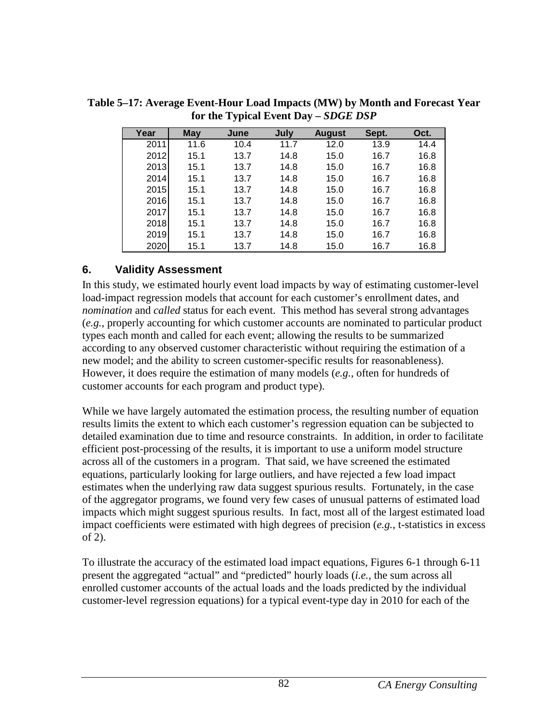| Year | <b>May</b> | June | July | <b>August</b> | Sept. | Oct. |
|------|------------|------|------|---------------|-------|------|
| 2011 | 11.6       | 10.4 | 11.7 | 12.0          | 13.9  | 14.4 |
| 2012 | 15.1       | 13.7 | 14.8 | 15.0          | 16.7  | 16.8 |
| 2013 | 15.1       | 13.7 | 14.8 | 15.0          | 16.7  | 16.8 |
| 2014 | 15.1       | 13.7 | 14.8 | 15.0          | 16.7  | 16.8 |
| 2015 | 15.1       | 13.7 | 14.8 | 15.0          | 16.7  | 16.8 |
| 2016 | 15.1       | 13.7 | 14.8 | 15.0          | 16.7  | 16.8 |
| 2017 | 15.1       | 13.7 | 14.8 | 15.0          | 16.7  | 16.8 |
| 2018 | 15.1       | 13.7 | 14.8 | 15.0          | 16.7  | 16.8 |
| 2019 | 15.1       | 13.7 | 14.8 | 15.0          | 16.7  | 16.8 |
| 2020 | 15.1       | 13.7 | 14.8 | 15.0          | 16.7  | 16.8 |

**Table 5–17: Average Event-Hour Load Impacts (MW) by Month and Forecast Year for the Typical Event Day –** *SDGE DSP*

## **6. Validity Assessment**

In this study, we estimated hourly event load impacts by way of estimating customer-level load-impact regression models that account for each customer's enrollment dates, and *nomination* and *called* status for each event. This method has several strong advantages (*e.g.*, properly accounting for which customer accounts are nominated to particular product types each month and called for each event; allowing the results to be summarized according to any observed customer characteristic without requiring the estimation of a new model; and the ability to screen customer-specific results for reasonableness). However, it does require the estimation of many models (*e.g.*, often for hundreds of customer accounts for each program and product type).

While we have largely automated the estimation process, the resulting number of equation results limits the extent to which each customer's regression equation can be subjected to detailed examination due to time and resource constraints. In addition, in order to facilitate efficient post-processing of the results, it is important to use a uniform model structure across all of the customers in a program. That said, we have screened the estimated equations, particularly looking for large outliers, and have rejected a few load impact estimates when the underlying raw data suggest spurious results. Fortunately, in the case of the aggregator programs, we found very few cases of unusual patterns of estimated load impacts which might suggest spurious results. In fact, most all of the largest estimated load impact coefficients were estimated with high degrees of precision (*e.g.*, t-statistics in excess of 2).

To illustrate the accuracy of the estimated load impact equations, Figures 6-1 through 6-11 present the aggregated "actual" and "predicted" hourly loads (*i.e.,* the sum across all enrolled customer accounts of the actual loads and the loads predicted by the individual customer-level regression equations) for a typical event-type day in 2010 for each of the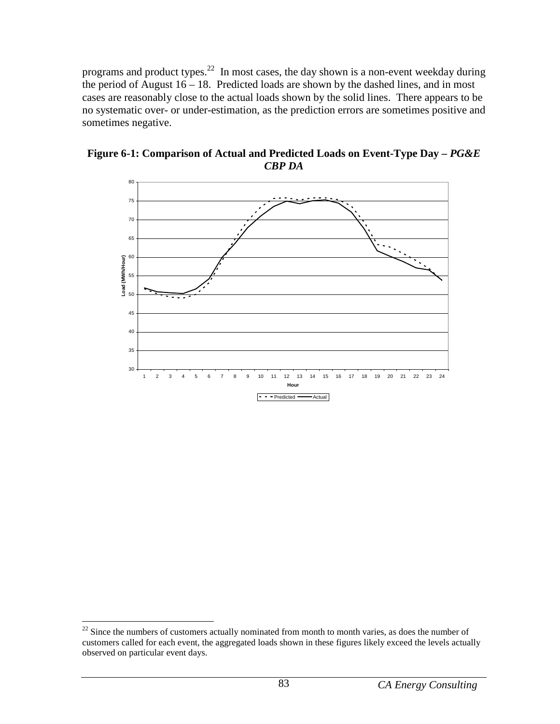programs and product types.<sup>22</sup> In most cases, the day shown is a non-event weekday during the period of August  $16 - 18$ . Predicted loads are shown by the dashed lines, and in most cases are reasonably close to the actual loads shown by the solid lines. There appears to be no systematic over- or under-estimation, as the prediction errors are sometimes positive and sometimes negative.



Figure 6-1: Comparison of Actual and Predicted Loads on Event-Type Day -  $P G \& E$ *CBP DA*

<sup>&</sup>lt;u>.</u>  $22$  Since the numbers of customers actually nominated from month to month varies, as does the number of customers called for each event, the aggregated loads shown in these figures likely exceed the levels actually observed on particular event days.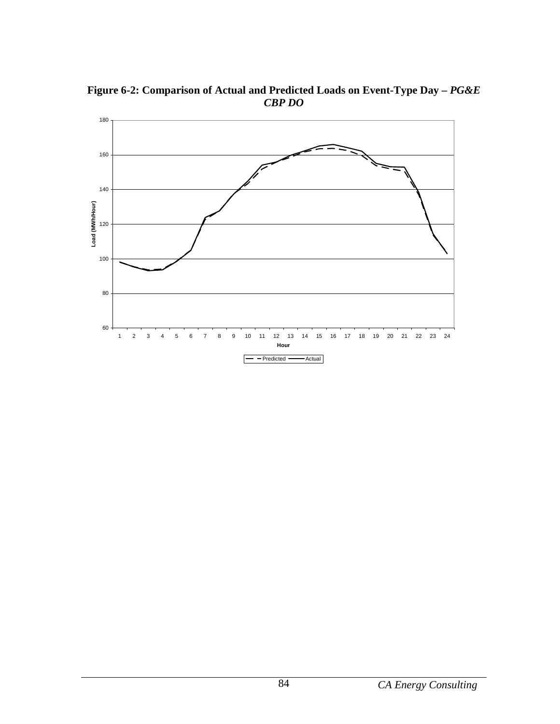

**Figure 6-2: Comparison of Actual and Predicted Loads on Event-Type Day –** *PG&E CBP DO*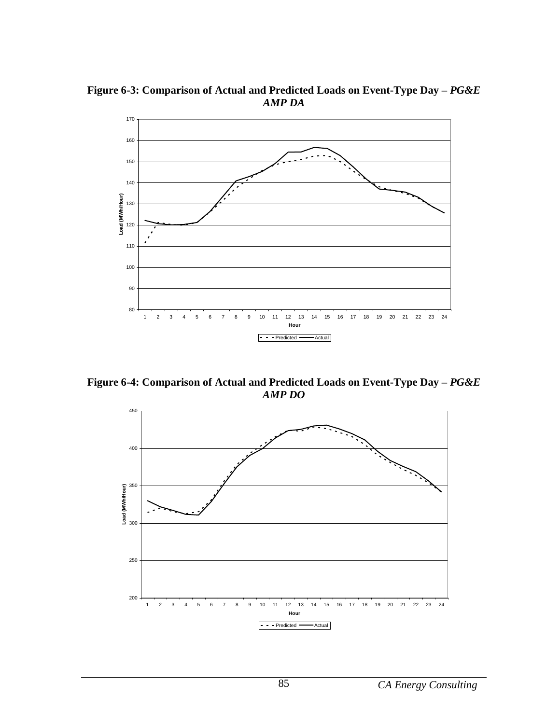Figure 6-3: Comparison of Actual and Predicted Loads on Event-Type Day -  $P G \& E$ *AMP DA*



Figure 6-4: Comparison of Actual and Predicted Loads on Event-Type Day -  $PG\&E$ *AMP DO*

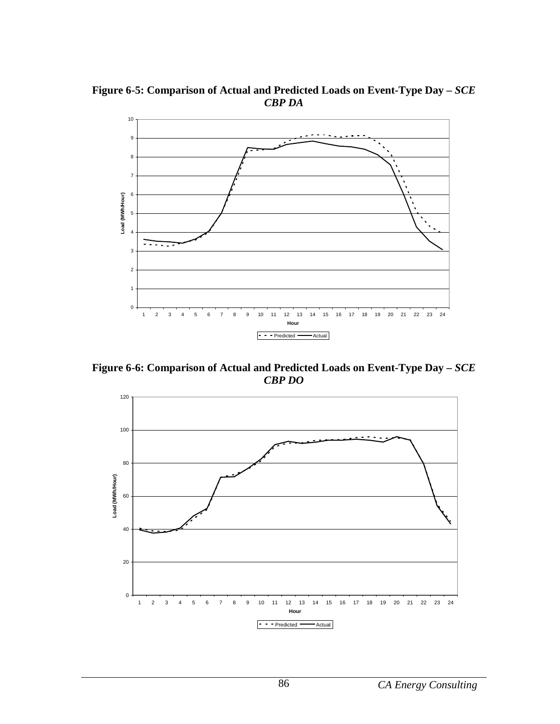**Figure 6-5: Comparison of Actual and Predicted Loads on Event-Type Day –** *SCE CBP DA*



**Figure 6-6: Comparison of Actual and Predicted Loads on Event-Type Day –** *SCE CBP DO*

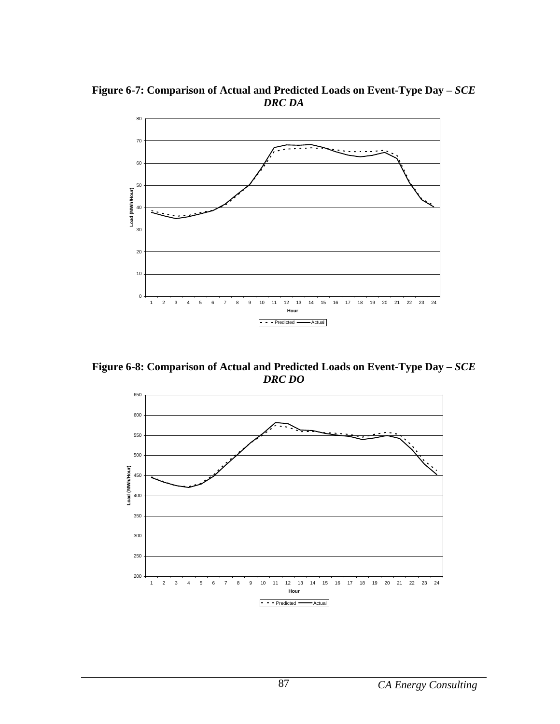**Figure 6-7: Comparison of Actual and Predicted Loads on Event-Type Day –** *SCE DRC DA*



**Figure 6-8: Comparison of Actual and Predicted Loads on Event-Type Day –** *SCE DRC DO*

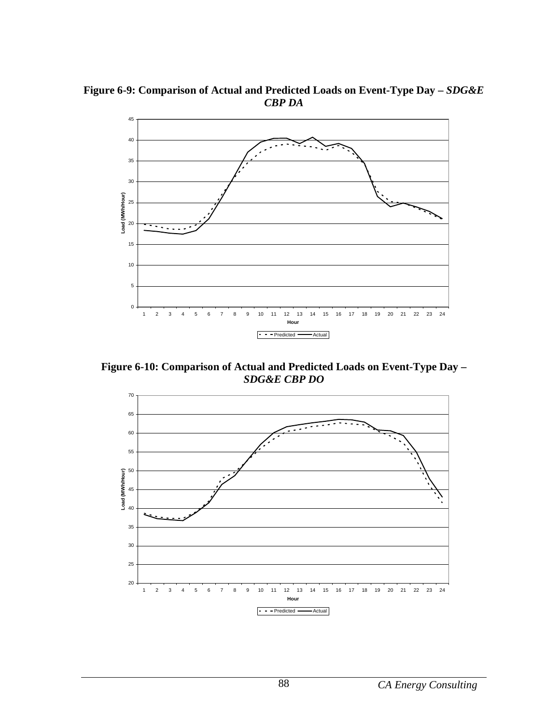Figure 6-9: Comparison of Actual and Predicted Loads on Event-Type Day -  $SDG\&E$ *CBP DA*



**Figure 6-10: Comparison of Actual and Predicted Loads on Event-Type Day –**  *SDG&E CBP DO*

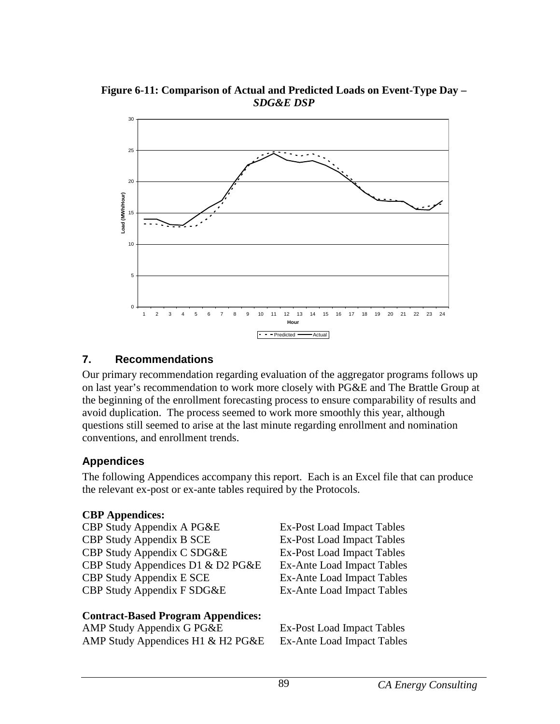**Figure 6-11: Comparison of Actual and Predicted Loads on Event-Type Day –**  *SDG&E DSP*



### **7. Recommendations**

Our primary recommendation regarding evaluation of the aggregator programs follows up on last year's recommendation to work more closely with PG&E and The Brattle Group at the beginning of the enrollment forecasting process to ensure comparability of results and avoid duplication. The process seemed to work more smoothly this year, although questions still seemed to arise at the last minute regarding enrollment and nomination conventions, and enrollment trends.

## **Appendices**

The following Appendices accompany this report. Each is an Excel file that can produce the relevant ex-post or ex-ante tables required by the Protocols.

> Ex-Post Load Impact Tables Ex-Post Load Impact Tables Ex-Post Load Impact Tables Ex-Ante Load Impact Tables Ex-Ante Load Impact Tables Ex-Ante Load Impact Tables

## **CBP Appendices:**

| CBP Study Appendix A PG&E         |  |
|-----------------------------------|--|
| <b>CBP Study Appendix B SCE</b>   |  |
| CBP Study Appendix C SDG&E        |  |
| CBP Study Appendices D1 & D2 PG&E |  |
| <b>CBP Study Appendix E SCE</b>   |  |
| CBP Study Appendix F SDG&E        |  |
|                                   |  |

| <b>Contract-Based Program Appendices:</b> |                            |
|-------------------------------------------|----------------------------|
| AMP Study Appendix G PG&E                 | Ex-Post Load Impact Tables |
| AMP Study Appendices H1 & H2 PG&E         | Ex-Ante Load Impact Tables |